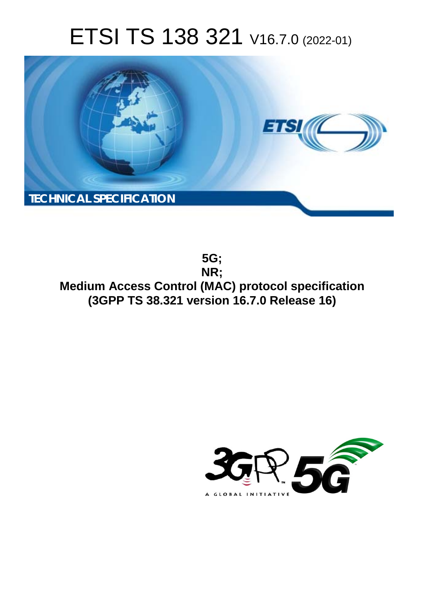# ETSI TS 138 321 V16.7.0 (2022-01)



**5G; NR; Medium Access Control (MAC) protocol specification (3GPP TS 38.321 version 16.7.0 Release 16)** 

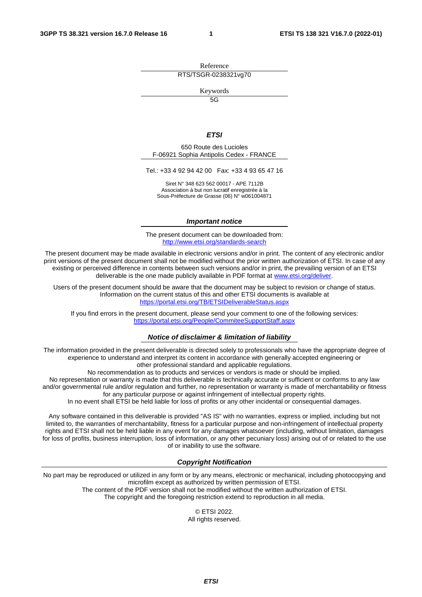Reference RTS/TSGR-0238321vg70

Keywords

 $\overline{5G}$ 

#### *ETSI*

650 Route des Lucioles F-06921 Sophia Antipolis Cedex - FRANCE

Tel.: +33 4 92 94 42 00 Fax: +33 4 93 65 47 16

Siret N° 348 623 562 00017 - APE 7112B Association à but non lucratif enregistrée à la Sous-Préfecture de Grasse (06) N° w061004871

#### *Important notice*

The present document can be downloaded from: <http://www.etsi.org/standards-search>

The present document may be made available in electronic versions and/or in print. The content of any electronic and/or print versions of the present document shall not be modified without the prior written authorization of ETSI. In case of any existing or perceived difference in contents between such versions and/or in print, the prevailing version of an ETSI deliverable is the one made publicly available in PDF format at [www.etsi.org/deliver](http://www.etsi.org/deliver).

Users of the present document should be aware that the document may be subject to revision or change of status. Information on the current status of this and other ETSI documents is available at <https://portal.etsi.org/TB/ETSIDeliverableStatus.aspx>

If you find errors in the present document, please send your comment to one of the following services: <https://portal.etsi.org/People/CommiteeSupportStaff.aspx>

#### *Notice of disclaimer & limitation of liability*

The information provided in the present deliverable is directed solely to professionals who have the appropriate degree of experience to understand and interpret its content in accordance with generally accepted engineering or other professional standard and applicable regulations.

No recommendation as to products and services or vendors is made or should be implied.

No representation or warranty is made that this deliverable is technically accurate or sufficient or conforms to any law and/or governmental rule and/or regulation and further, no representation or warranty is made of merchantability or fitness for any particular purpose or against infringement of intellectual property rights.

In no event shall ETSI be held liable for loss of profits or any other incidental or consequential damages.

Any software contained in this deliverable is provided "AS IS" with no warranties, express or implied, including but not limited to, the warranties of merchantability, fitness for a particular purpose and non-infringement of intellectual property rights and ETSI shall not be held liable in any event for any damages whatsoever (including, without limitation, damages for loss of profits, business interruption, loss of information, or any other pecuniary loss) arising out of or related to the use of or inability to use the software.

#### *Copyright Notification*

No part may be reproduced or utilized in any form or by any means, electronic or mechanical, including photocopying and microfilm except as authorized by written permission of ETSI. The content of the PDF version shall not be modified without the written authorization of ETSI.

The copyright and the foregoing restriction extend to reproduction in all media.

© ETSI 2022. All rights reserved.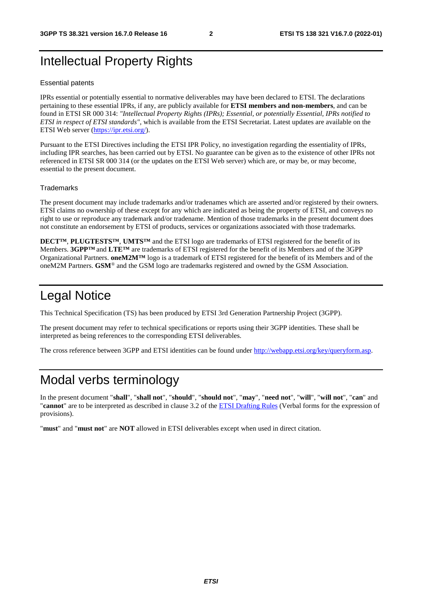# Intellectual Property Rights

#### Essential patents

IPRs essential or potentially essential to normative deliverables may have been declared to ETSI. The declarations pertaining to these essential IPRs, if any, are publicly available for **ETSI members and non-members**, and can be found in ETSI SR 000 314: *"Intellectual Property Rights (IPRs); Essential, or potentially Essential, IPRs notified to ETSI in respect of ETSI standards"*, which is available from the ETSI Secretariat. Latest updates are available on the ETSI Web server ([https://ipr.etsi.org/\)](https://ipr.etsi.org/).

Pursuant to the ETSI Directives including the ETSI IPR Policy, no investigation regarding the essentiality of IPRs, including IPR searches, has been carried out by ETSI. No guarantee can be given as to the existence of other IPRs not referenced in ETSI SR 000 314 (or the updates on the ETSI Web server) which are, or may be, or may become, essential to the present document.

#### **Trademarks**

The present document may include trademarks and/or tradenames which are asserted and/or registered by their owners. ETSI claims no ownership of these except for any which are indicated as being the property of ETSI, and conveys no right to use or reproduce any trademark and/or tradename. Mention of those trademarks in the present document does not constitute an endorsement by ETSI of products, services or organizations associated with those trademarks.

**DECT™**, **PLUGTESTS™**, **UMTS™** and the ETSI logo are trademarks of ETSI registered for the benefit of its Members. **3GPP™** and **LTE™** are trademarks of ETSI registered for the benefit of its Members and of the 3GPP Organizational Partners. **oneM2M™** logo is a trademark of ETSI registered for the benefit of its Members and of the oneM2M Partners. **GSM**® and the GSM logo are trademarks registered and owned by the GSM Association.

# Legal Notice

This Technical Specification (TS) has been produced by ETSI 3rd Generation Partnership Project (3GPP).

The present document may refer to technical specifications or reports using their 3GPP identities. These shall be interpreted as being references to the corresponding ETSI deliverables.

The cross reference between 3GPP and ETSI identities can be found under<http://webapp.etsi.org/key/queryform.asp>.

# Modal verbs terminology

In the present document "**shall**", "**shall not**", "**should**", "**should not**", "**may**", "**need not**", "**will**", "**will not**", "**can**" and "**cannot**" are to be interpreted as described in clause 3.2 of the [ETSI Drafting Rules](https://portal.etsi.org/Services/editHelp!/Howtostart/ETSIDraftingRules.aspx) (Verbal forms for the expression of provisions).

"**must**" and "**must not**" are **NOT** allowed in ETSI deliverables except when used in direct citation.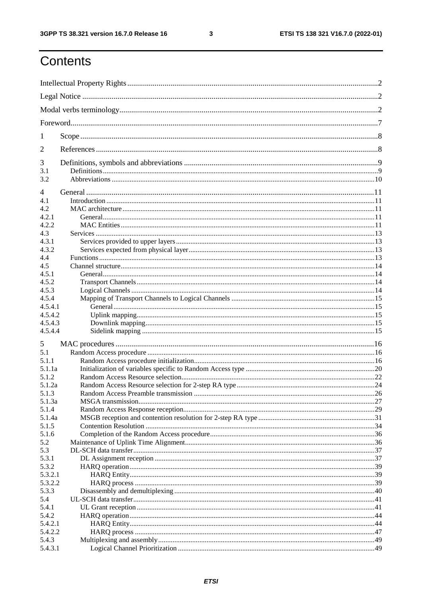$\mathbf{3}$ 

# Contents

| 1              |                                     |  |
|----------------|-------------------------------------|--|
| $\overline{2}$ |                                     |  |
| 3              |                                     |  |
| 3.1<br>3.2     |                                     |  |
|                |                                     |  |
| 4              |                                     |  |
| 4.1<br>4.2.    |                                     |  |
| 4.2.1          |                                     |  |
| 4.2.2          |                                     |  |
| 4.3            |                                     |  |
| 4.3.1          |                                     |  |
| 4.3.2          |                                     |  |
| 4.4            |                                     |  |
| 4.5            |                                     |  |
| 4.5.1          |                                     |  |
| 4.5.2          |                                     |  |
| 4.5.3          |                                     |  |
| 4.5.4          |                                     |  |
| 4.5.4.1        |                                     |  |
| 4.5.4.2        |                                     |  |
| 4.5.4.3        |                                     |  |
| 4.5.4.4        |                                     |  |
| 5              |                                     |  |
| 5.1            |                                     |  |
| 5.1.1          |                                     |  |
| 5.1.1a         |                                     |  |
| 5.1.2          |                                     |  |
| 5.1.2a         |                                     |  |
| 513            | Random Access Preamble transmission |  |
| 5.1.3a         |                                     |  |
| 5.1.4          |                                     |  |
| 5.1.4a         |                                     |  |
| 5.1.5<br>5.1.6 |                                     |  |
| 5.2            |                                     |  |
| 5.3            |                                     |  |
| 5.3.1          |                                     |  |
| 5.3.2          |                                     |  |
| 5.3.2.1        |                                     |  |
| 5.3.2.2        |                                     |  |
| 5.3.3          |                                     |  |
| 5.4            |                                     |  |
| 5.4.1          |                                     |  |
| 5.4.2          |                                     |  |
| 5.4.2.1        |                                     |  |
| 5.4.2.2        |                                     |  |
| 5.4.3          |                                     |  |
| 5.4.3.1        |                                     |  |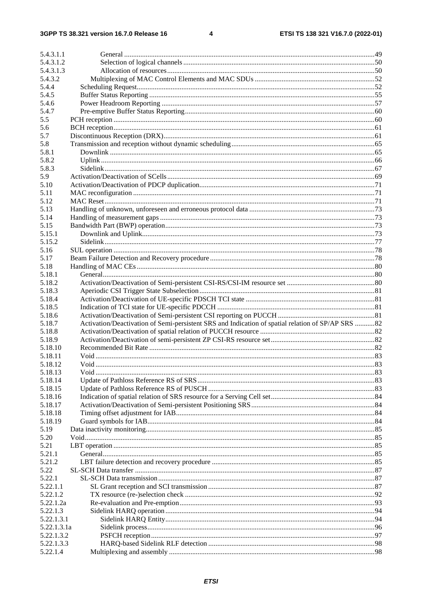| 5.4.3.1.1        |                                                                                                   |  |
|------------------|---------------------------------------------------------------------------------------------------|--|
| 5.4.3.1.2        |                                                                                                   |  |
| 5.4.3.1.3        |                                                                                                   |  |
| 5.4.3.2          |                                                                                                   |  |
| 5.4.4            |                                                                                                   |  |
| 5.4.5            |                                                                                                   |  |
| 5.4.6            |                                                                                                   |  |
| 5.4.7            |                                                                                                   |  |
| 5.5              |                                                                                                   |  |
| 5.6              |                                                                                                   |  |
| 5.7              |                                                                                                   |  |
| 5.8              |                                                                                                   |  |
| 5.8.1            |                                                                                                   |  |
| 5.8.2            |                                                                                                   |  |
| 5.8.3            |                                                                                                   |  |
| 5.9              |                                                                                                   |  |
| 5.10             |                                                                                                   |  |
| 5.11             |                                                                                                   |  |
| 5.12             |                                                                                                   |  |
| 5.13             |                                                                                                   |  |
| 5.14             |                                                                                                   |  |
| 5.15             |                                                                                                   |  |
| 5.15.1           |                                                                                                   |  |
| 5.15.2           |                                                                                                   |  |
| 5.16             |                                                                                                   |  |
| 5.17             |                                                                                                   |  |
| 5.18             |                                                                                                   |  |
| 5.18.1           |                                                                                                   |  |
| 5.18.2           |                                                                                                   |  |
| 5.18.3           |                                                                                                   |  |
| 5.18.4           |                                                                                                   |  |
| 5.18.5           |                                                                                                   |  |
|                  |                                                                                                   |  |
| 5.18.6<br>5.18.7 |                                                                                                   |  |
|                  | Activation/Deactivation of Semi-persistent SRS and Indication of spatial relation of SP/AP SRS 82 |  |
| 5.18.8           |                                                                                                   |  |
| 5.18.9           |                                                                                                   |  |
| 5.18.10          |                                                                                                   |  |
| 5.18.11          |                                                                                                   |  |
| 5.18.12          |                                                                                                   |  |
| 5.18.13          |                                                                                                   |  |
| 5.18.14          |                                                                                                   |  |
| 5.18.15          |                                                                                                   |  |
| 5.18.16          |                                                                                                   |  |
| 5.18.17          |                                                                                                   |  |
| 5.18.18          |                                                                                                   |  |
| 5.18.19          |                                                                                                   |  |
| 5.19             |                                                                                                   |  |
| 5.20             |                                                                                                   |  |
| 5.21             |                                                                                                   |  |
| 5.21.1           |                                                                                                   |  |
| 5.21.2           |                                                                                                   |  |
| 5.22             |                                                                                                   |  |
| 5.22.1           |                                                                                                   |  |
| 5.22.1.1         |                                                                                                   |  |
| 5.22.1.2         |                                                                                                   |  |
| 5.22.1.2a        |                                                                                                   |  |
| 5.22.1.3         |                                                                                                   |  |
| 5.22.1.3.1       |                                                                                                   |  |
| 5.22.1.3.1a      |                                                                                                   |  |
| 5.22.1.3.2       |                                                                                                   |  |
| 5.22.1.3.3       |                                                                                                   |  |
| 5.22.1.4         |                                                                                                   |  |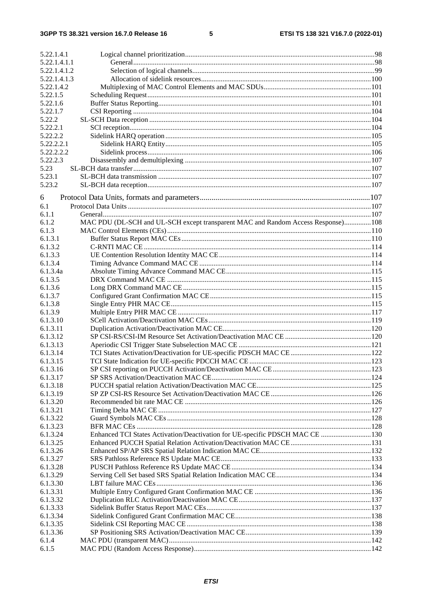#### $5\phantom{a}$

| 5.22.1.4.1   |                                                                                   |  |
|--------------|-----------------------------------------------------------------------------------|--|
| 5.22.1.4.1.1 |                                                                                   |  |
| 5.22.1.4.1.2 |                                                                                   |  |
| 5.22.1.4.1.3 |                                                                                   |  |
| 5.22.1.4.2   |                                                                                   |  |
| 5.22.1.5     |                                                                                   |  |
| 5.22.1.6     |                                                                                   |  |
| 5.22.1.7     |                                                                                   |  |
| 5.22.2       |                                                                                   |  |
| 5.22.2.1     |                                                                                   |  |
| 5.22.2.2     |                                                                                   |  |
| 5.22.2.2.1   |                                                                                   |  |
| 5.22.2.2.2   |                                                                                   |  |
| 5.22.2.3     |                                                                                   |  |
| 5.23         |                                                                                   |  |
| 5.23.1       |                                                                                   |  |
| 5.23.2       |                                                                                   |  |
|              |                                                                                   |  |
| 6            |                                                                                   |  |
| 6.1          |                                                                                   |  |
| 6.1.1        |                                                                                   |  |
| 6.1.2        | MAC PDU (DL-SCH and UL-SCH except transparent MAC and Random Access Response) 108 |  |
| 6.1.3        |                                                                                   |  |
| 6.1.3.1      |                                                                                   |  |
| 6.1.3.2      |                                                                                   |  |
| 6.1.3.3      |                                                                                   |  |
| 6.1.3.4      |                                                                                   |  |
| 6.1.3.4a     |                                                                                   |  |
| 6.1.3.5      |                                                                                   |  |
| 6.1.3.6      |                                                                                   |  |
| 6.1.3.7      |                                                                                   |  |
| 6.1.3.8      |                                                                                   |  |
| 6.1.3.9      |                                                                                   |  |
| 6.1.3.10     |                                                                                   |  |
| 6.1.3.11     |                                                                                   |  |
| 6.1.3.12     |                                                                                   |  |
| 6.1.3.13     |                                                                                   |  |
| 6.1.3.14     |                                                                                   |  |
| 6.1.3.15     |                                                                                   |  |
| 6.1.3.16     |                                                                                   |  |
| 6.1.3.17     |                                                                                   |  |
| 6.1.3.18     |                                                                                   |  |
| 6.1.3.19     |                                                                                   |  |
| 6.1.3.20     |                                                                                   |  |
| 6.1.3.21     |                                                                                   |  |
| 6.1.3.22     |                                                                                   |  |
| 6.1.3.23     |                                                                                   |  |
| 6.1.3.24     | Enhanced TCI States Activation/Deactivation for UE-specific PDSCH MAC CE  130     |  |
| 6.1.3.25     |                                                                                   |  |
| 6.1.3.26     |                                                                                   |  |
| 6.1.3.27     |                                                                                   |  |
| 6.1.3.28     |                                                                                   |  |
| 6.1.3.29     |                                                                                   |  |
| 6.1.3.30     |                                                                                   |  |
| 6.1.3.31     |                                                                                   |  |
| 6.1.3.32     |                                                                                   |  |
| 6.1.3.33     |                                                                                   |  |
| 6.1.3.34     |                                                                                   |  |
| 6.1.3.35     |                                                                                   |  |
| 6.1.3.36     |                                                                                   |  |
| 6.1.4        |                                                                                   |  |
| 6.1.5        |                                                                                   |  |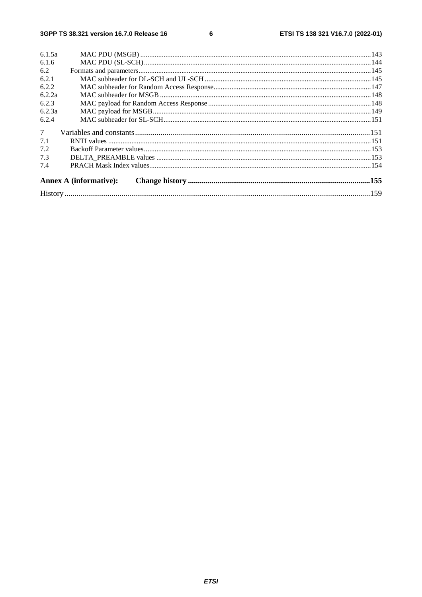#### $\bf 6$

| 6.1.5a          |                               |  |
|-----------------|-------------------------------|--|
| 6.1.6           |                               |  |
| 6.2             |                               |  |
| 6.2.1           |                               |  |
| 6.2.2           |                               |  |
| 6.2.2a          |                               |  |
| 6.2.3           |                               |  |
| 6.2.3a          |                               |  |
| 6.2.4           |                               |  |
| $7\overline{ }$ |                               |  |
| 7.1             |                               |  |
| 7.2             |                               |  |
| 7.3             |                               |  |
| 7.4             |                               |  |
|                 | <b>Annex A (informative):</b> |  |
|                 |                               |  |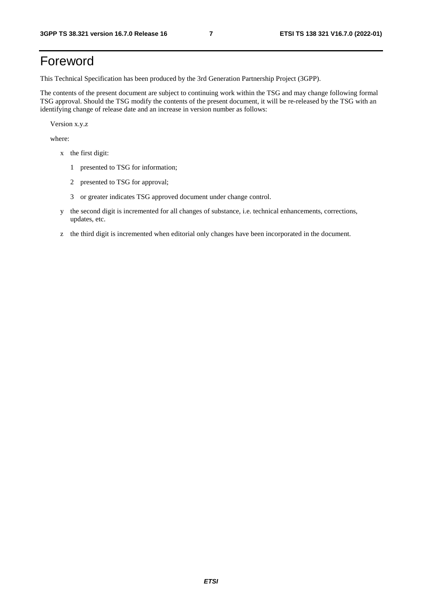# Foreword

This Technical Specification has been produced by the 3rd Generation Partnership Project (3GPP).

The contents of the present document are subject to continuing work within the TSG and may change following formal TSG approval. Should the TSG modify the contents of the present document, it will be re-released by the TSG with an identifying change of release date and an increase in version number as follows:

Version x.y.z

where:

- x the first digit:
	- 1 presented to TSG for information;
	- 2 presented to TSG for approval;
	- 3 or greater indicates TSG approved document under change control.
- y the second digit is incremented for all changes of substance, i.e. technical enhancements, corrections, updates, etc.
- z the third digit is incremented when editorial only changes have been incorporated in the document.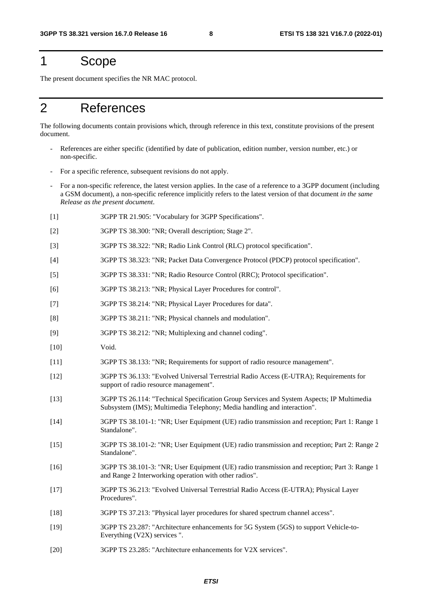# 1 Scope

The present document specifies the NR MAC protocol.

# 2 References

The following documents contain provisions which, through reference in this text, constitute provisions of the present document.

- References are either specific (identified by date of publication, edition number, version number, etc.) or non-specific.
- For a specific reference, subsequent revisions do not apply.
- For a non-specific reference, the latest version applies. In the case of a reference to a 3GPP document (including a GSM document), a non-specific reference implicitly refers to the latest version of that document *in the same Release as the present document*.
- [1] 3GPP TR 21.905: "Vocabulary for 3GPP Specifications".
- [2] 3GPP TS 38.300: "NR; Overall description; Stage 2".
- [3] 3GPP TS 38.322: "NR; Radio Link Control (RLC) protocol specification".
- [4] 3GPP TS 38.323: "NR; Packet Data Convergence Protocol (PDCP) protocol specification".
- [5] 3GPP TS 38.331: "NR; Radio Resource Control (RRC); Protocol specification".
- [6] 3GPP TS 38.213: "NR; Physical Layer Procedures for control".
- [7] 3GPP TS 38.214: "NR; Physical Layer Procedures for data".
- [8] 3GPP TS 38.211: "NR; Physical channels and modulation".
- [9] 3GPP TS 38.212: "NR; Multiplexing and channel coding".
- [10] Void.
- [11] 3GPP TS 38.133: "NR; Requirements for support of radio resource management".
- [12] 3GPP TS 36.133: "Evolved Universal Terrestrial Radio Access (E-UTRA); Requirements for support of radio resource management".
- [13] 3GPP TS 26.114: "Technical Specification Group Services and System Aspects; IP Multimedia Subsystem (IMS); Multimedia Telephony; Media handling and interaction".
- [14] 3GPP TS 38.101-1: "NR; User Equipment (UE) radio transmission and reception; Part 1: Range 1 Standalone".
- [15] 3GPP TS 38.101-2: "NR; User Equipment (UE) radio transmission and reception; Part 2: Range 2 Standalone".
- [16] 3GPP TS 38.101-3: "NR; User Equipment (UE) radio transmission and reception; Part 3: Range 1 and Range 2 Interworking operation with other radios".
- [17] 3GPP TS 36.213: "Evolved Universal Terrestrial Radio Access (E-UTRA); Physical Layer Procedures".
- [18] 3GPP TS 37.213: "Physical layer procedures for shared spectrum channel access".
- [19] 3GPP TS 23.287: "Architecture enhancements for 5G System (5GS) to support Vehicle-to-Everything (V2X) services ".
- [20] 3GPP TS 23.285: "Architecture enhancements for V2X services".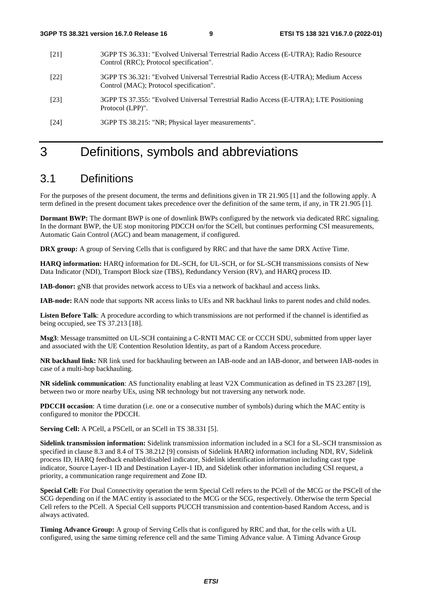- [21] 3GPP TS 36.331: "Evolved Universal Terrestrial Radio Access (E-UTRA); Radio Resource Control (RRC); Protocol specification".
- [22] 3GPP TS 36.321: "Evolved Universal Terrestrial Radio Access (E-UTRA); Medium Access Control (MAC); Protocol specification".
- [23] 3GPP TS 37.355: "Evolved Universal Terrestrial Radio Access (E-UTRA); LTE Positioning Protocol (LPP)".

[24] 3GPP TS 38.215: "NR; Physical layer measurements".

# 3 Definitions, symbols and abbreviations

# 3.1 Definitions

For the purposes of the present document, the terms and definitions given in TR 21.905 [1] and the following apply. A term defined in the present document takes precedence over the definition of the same term, if any, in TR 21.905 [1].

**Dormant BWP:** The dormant BWP is one of downlink BWPs configured by the network via dedicated RRC signaling. In the dormant BWP, the UE stop monitoring PDCCH on/for the SCell, but continues performing CSI measurements, Automatic Gain Control (AGC) and beam management, if configured.

**DRX group:** A group of Serving Cells that is configured by RRC and that have the same DRX Active Time.

**HARQ information:** HARQ information for DL-SCH, for UL-SCH, or for SL-SCH transmissions consists of New Data Indicator (NDI), Transport Block size (TBS), Redundancy Version (RV), and HARQ process ID.

**IAB-donor:** gNB that provides network access to UEs via a network of backhaul and access links.

**IAB-node:** RAN node that supports NR access links to UEs and NR backhaul links to parent nodes and child nodes.

**Listen Before Talk**: A procedure according to which transmissions are not performed if the channel is identified as being occupied, see TS 37.213 [18].

**Msg3**: Message transmitted on UL-SCH containing a C-RNTI MAC CE or CCCH SDU, submitted from upper layer and associated with the UE Contention Resolution Identity, as part of a Random Access procedure.

**NR backhaul link:** NR link used for backhauling between an IAB-node and an IAB-donor, and between IAB-nodes in case of a multi-hop backhauling.

**NR sidelink communication**: AS functionality enabling at least V2X Communication as defined in TS 23.287 [19], between two or more nearby UEs, using NR technology but not traversing any network node.

**PDCCH occasion**: A time duration (i.e. one or a consecutive number of symbols) during which the MAC entity is configured to monitor the PDCCH.

**Serving Cell:** A PCell, a PSCell, or an SCell in TS 38.331 [5].

**Sidelink transmission information:** Sidelink transmission information included in a SCI for a SL-SCH transmission as specified in clause 8.3 and 8.4 of TS 38.212 [9] consists of Sidelink HARQ information including NDI, RV, Sidelink process ID, HARQ feedback enabled/disabled indicator, Sidelink identification information including cast type indicator, Source Layer-1 ID and Destination Layer-1 ID, and Sidelink other information including CSI request, a priority, a communication range requirement and Zone ID.

**Special Cell:** For Dual Connectivity operation the term Special Cell refers to the PCell of the MCG or the PSCell of the SCG depending on if the MAC entity is associated to the MCG or the SCG, respectively. Otherwise the term Special Cell refers to the PCell. A Special Cell supports PUCCH transmission and contention-based Random Access, and is always activated.

**Timing Advance Group:** A group of Serving Cells that is configured by RRC and that, for the cells with a UL configured, using the same timing reference cell and the same Timing Advance value. A Timing Advance Group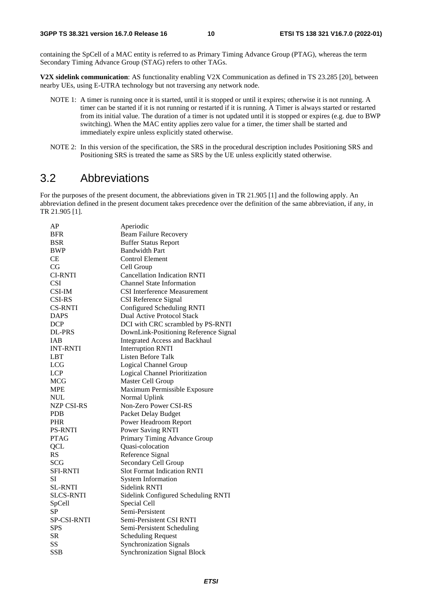containing the SpCell of a MAC entity is referred to as Primary Timing Advance Group (PTAG), whereas the term Secondary Timing Advance Group (STAG) refers to other TAGs.

**V2X sidelink communication**: AS functionality enabling V2X Communication as defined in TS 23.285 [20], between nearby UEs, using E-UTRA technology but not traversing any network node.

- NOTE 1: A timer is running once it is started, until it is stopped or until it expires; otherwise it is not running. A timer can be started if it is not running or restarted if it is running. A Timer is always started or restarted from its initial value. The duration of a timer is not updated until it is stopped or expires (e.g. due to BWP switching). When the MAC entity applies zero value for a timer, the timer shall be started and immediately expire unless explicitly stated otherwise.
- NOTE 2: In this version of the specification, the SRS in the procedural description includes Positioning SRS and Positioning SRS is treated the same as SRS by the UE unless explicitly stated otherwise.

# 3.2 Abbreviations

For the purposes of the present document, the abbreviations given in TR 21.905 [1] and the following apply. An abbreviation defined in the present document takes precedence over the definition of the same abbreviation, if any, in TR 21.905 [1].

| AP                | Aperiodic                             |
|-------------------|---------------------------------------|
| <b>BFR</b>        | <b>Beam Failure Recovery</b>          |
| <b>BSR</b>        | <b>Buffer Status Report</b>           |
| <b>BWP</b>        | <b>Bandwidth Part</b>                 |
| CE                | <b>Control Element</b>                |
| CG                | Cell Group                            |
| <b>CI-RNTI</b>    | <b>Cancellation Indication RNTI</b>   |
| <b>CSI</b>        | <b>Channel State Information</b>      |
| CSI-IM            | <b>CSI</b> Interference Measurement   |
| <b>CSI-RS</b>     | CSI Reference Signal                  |
| <b>CS-RNTI</b>    | Configured Scheduling RNTI            |
| <b>DAPS</b>       | <b>Dual Active Protocol Stack</b>     |
| <b>DCP</b>        | DCI with CRC scrambled by PS-RNTI     |
| <b>DL-PRS</b>     | DownLink-Positioning Reference Signal |
| <b>IAB</b>        | <b>Integrated Access and Backhaul</b> |
| <b>INT-RNTI</b>   | <b>Interruption RNTI</b>              |
| LBT               | Listen Before Talk                    |
| <b>LCG</b>        | <b>Logical Channel Group</b>          |
| <b>LCP</b>        | Logical Channel Prioritization        |
| MCG               | Master Cell Group                     |
| <b>MPE</b>        | Maximum Permissible Exposure          |
| <b>NUL</b>        | Normal Uplink                         |
| <b>NZP CSI-RS</b> | Non-Zero Power CSI-RS                 |
| <b>PDB</b>        | Packet Delay Budget                   |
| <b>PHR</b>        | Power Headroom Report                 |
| <b>PS-RNTI</b>    | Power Saving RNTI                     |
| <b>PTAG</b>       | Primary Timing Advance Group          |
| <b>QCL</b>        | Quasi-colocation                      |
| RS                | Reference Signal                      |
| <b>SCG</b>        | Secondary Cell Group                  |
| <b>SFI-RNTI</b>   | <b>Slot Format Indication RNTI</b>    |
| SI                | <b>System Information</b>             |
| <b>SL-RNTI</b>    | Sidelink RNTI                         |
| <b>SLCS-RNTI</b>  | Sidelink Configured Scheduling RNTI   |
| SpCell            | Special Cell                          |
| SP                | Semi-Persistent                       |
| SP-CSI-RNTI       | Semi-Persistent CSI RNTI              |
| <b>SPS</b>        | Semi-Persistent Scheduling            |
| SR.               | <b>Scheduling Request</b>             |
| SS                | <b>Synchronization Signals</b>        |
| <b>SSB</b>        | <b>Synchronization Signal Block</b>   |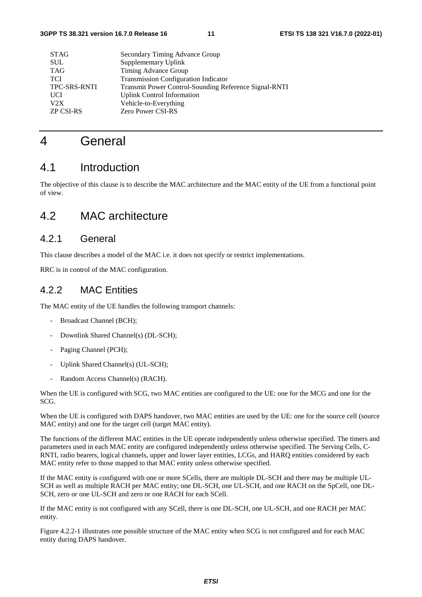| <b>STAG</b>         | Secondary Timing Advance Group                        |
|---------------------|-------------------------------------------------------|
| <b>SUL</b>          | Supplementary Uplink                                  |
| <b>TAG</b>          | Timing Advance Group                                  |
| <b>TCI</b>          | <b>Transmission Configuration Indicator</b>           |
| <b>TPC-SRS-RNTI</b> | Transmit Power Control-Sounding Reference Signal-RNTI |
| <b>UCI</b>          | <b>Uplink Control Information</b>                     |
| V2X                 | Vehicle-to-Everything                                 |
| <b>ZP CSI-RS</b>    | <b>Zero Power CSI-RS</b>                              |
|                     |                                                       |

# 4 General

# 4.1 Introduction

The objective of this clause is to describe the MAC architecture and the MAC entity of the UE from a functional point of view.

# 4.2 MAC architecture

### 4.2.1 General

This clause describes a model of the MAC i.e. it does not specify or restrict implementations.

RRC is in control of the MAC configuration.

#### 4.2.2 MAC Entities

The MAC entity of the UE handles the following transport channels:

- Broadcast Channel (BCH);
- Downlink Shared Channel(s) (DL-SCH);
- Paging Channel (PCH);
- Uplink Shared Channel(s) (UL-SCH);
- Random Access Channel(s) (RACH).

When the UE is configured with SCG, two MAC entities are configured to the UE: one for the MCG and one for the SCG.

When the UE is configured with DAPS handover, two MAC entities are used by the UE: one for the source cell (source MAC entity) and one for the target cell (target MAC entity).

The functions of the different MAC entities in the UE operate independently unless otherwise specified. The timers and parameters used in each MAC entity are configured independently unless otherwise specified. The Serving Cells, C-RNTI, radio bearers, logical channels, upper and lower layer entities, LCGs, and HARQ entities considered by each MAC entity refer to those mapped to that MAC entity unless otherwise specified.

If the MAC entity is configured with one or more SCells, there are multiple DL-SCH and there may be multiple UL-SCH as well as multiple RACH per MAC entity; one DL-SCH, one UL-SCH, and one RACH on the SpCell, one DL-SCH, zero or one UL-SCH and zero or one RACH for each SCell.

If the MAC entity is not configured with any SCell, there is one DL-SCH, one UL-SCH, and one RACH per MAC entity.

Figure 4.2.2-1 illustrates one possible structure of the MAC entity when SCG is not configured and for each MAC entity during DAPS handover.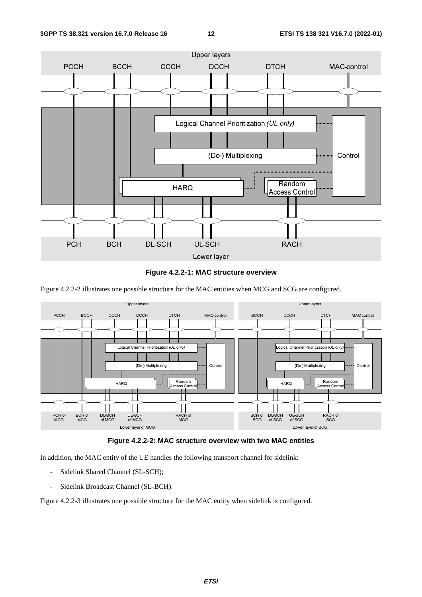



Figure 4.2.2-2 illustrates one possible structure for the MAC entities when MCG and SCG are configured.





In addition, the MAC entity of the UE handles the following transport channel for sidelink:

- Sidelink Shared Channel (SL-SCH);
- Sidelink Broadcast Channel (SL-BCH).

Figure 4.2.2-3 illustrates one possible structure for the MAC entity when sidelink is configured.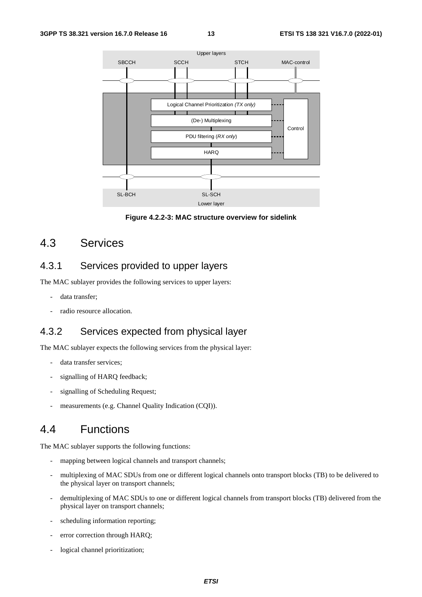

**Figure 4.2.2-3: MAC structure overview for sidelink** 

# 4.3 Services

### 4.3.1 Services provided to upper layers

The MAC sublayer provides the following services to upper layers:

- data transfer:
- radio resource allocation.

### 4.3.2 Services expected from physical layer

The MAC sublayer expects the following services from the physical layer:

- data transfer services:
- signalling of HARQ feedback;
- signalling of Scheduling Request;
- measurements (e.g. Channel Quality Indication (CQI)).

# 4.4 Functions

The MAC sublayer supports the following functions:

- mapping between logical channels and transport channels;
- multiplexing of MAC SDUs from one or different logical channels onto transport blocks (TB) to be delivered to the physical layer on transport channels;
- demultiplexing of MAC SDUs to one or different logical channels from transport blocks (TB) delivered from the physical layer on transport channels;
- scheduling information reporting;
- error correction through HARQ;
- logical channel prioritization;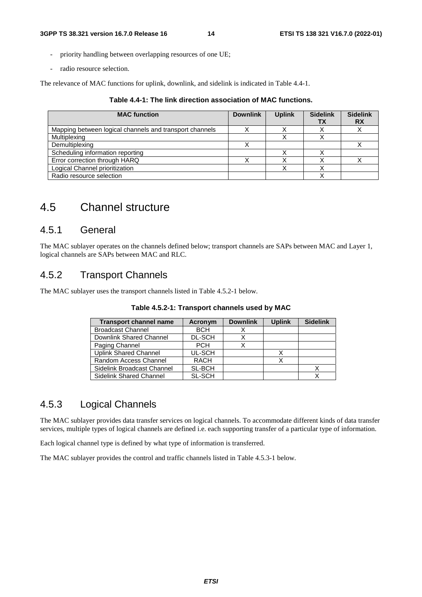- priority handling between overlapping resources of one UE;
- radio resource selection.

The relevance of MAC functions for uplink, downlink, and sidelink is indicated in Table 4.4-1.

| Table 4.4-1: The link direction association of MAC functions. |  |
|---------------------------------------------------------------|--|
|---------------------------------------------------------------|--|

| <b>MAC</b> function                                     | <b>Downlink</b> | <b>Uplink</b> | <b>Sidelink</b><br>TХ | <b>Sidelink</b><br><b>RX</b> |
|---------------------------------------------------------|-----------------|---------------|-----------------------|------------------------------|
| Mapping between logical channels and transport channels |                 |               |                       |                              |
| Multiplexing                                            |                 |               |                       |                              |
| Demultiplexing                                          |                 |               |                       |                              |
| Scheduling information reporting                        |                 |               |                       |                              |
| Error correction through HARQ                           |                 |               |                       |                              |
| Logical Channel prioritization                          |                 |               |                       |                              |
| Radio resource selection                                |                 |               |                       |                              |

### 4.5 Channel structure

#### 4.5.1 General

The MAC sublayer operates on the channels defined below; transport channels are SAPs between MAC and Layer 1, logical channels are SAPs between MAC and RLC.

### 4.5.2 Transport Channels

The MAC sublayer uses the transport channels listed in Table 4.5.2-1 below.

| <b>Transport channel name</b> | Acronym       | <b>Downlink</b> | <b>Uplink</b> | <b>Sidelink</b> |
|-------------------------------|---------------|-----------------|---------------|-----------------|
| <b>Broadcast Channel</b>      | <b>BCH</b>    |                 |               |                 |
| Downlink Shared Channel       | <b>DL-SCH</b> | ↗               |               |                 |
| Paging Channel                | <b>PCH</b>    |                 |               |                 |
| <b>Uplink Shared Channel</b>  | UL-SCH        |                 |               |                 |
| Random Access Channel         | RACH          |                 |               |                 |
| Sidelink Broadcast Channel    | SL-BCH        |                 |               |                 |
| Sidelink Shared Channel       | <b>SL-SCH</b> |                 |               |                 |

| Table 4.5.2-1: Transport channels used by MAC |  |  |  |  |  |  |
|-----------------------------------------------|--|--|--|--|--|--|
|-----------------------------------------------|--|--|--|--|--|--|

### 4.5.3 Logical Channels

The MAC sublayer provides data transfer services on logical channels. To accommodate different kinds of data transfer services, multiple types of logical channels are defined i.e. each supporting transfer of a particular type of information.

Each logical channel type is defined by what type of information is transferred.

The MAC sublayer provides the control and traffic channels listed in Table 4.5.3-1 below.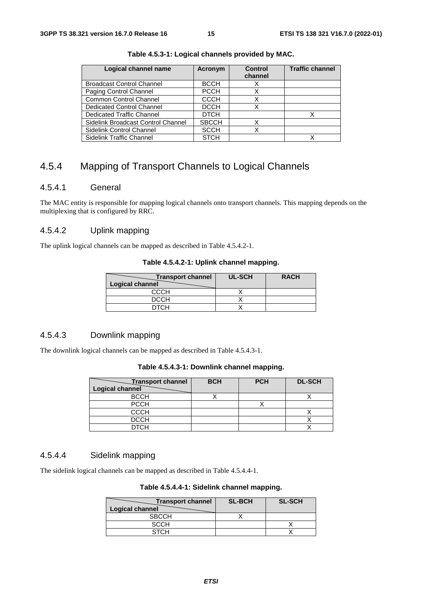| Logical channel name               | Acronym      | Control<br>channel | <b>Traffic channel</b> |
|------------------------------------|--------------|--------------------|------------------------|
| <b>Broadcast Control Channel</b>   | <b>BCCH</b>  |                    |                        |
| Paging Control Channel             | <b>PCCH</b>  |                    |                        |
| <b>Common Control Channel</b>      | <b>CCCH</b>  | x                  |                        |
| <b>Dedicated Control Channel</b>   | <b>DCCH</b>  | Χ                  |                        |
| <b>Dedicated Traffic Channel</b>   | <b>DTCH</b>  |                    |                        |
| Sidelink Broadcast Control Channel | <b>SBCCH</b> | х                  |                        |
| Sidelink Control Channel           | <b>SCCH</b>  | х                  |                        |
| Sidelink Traffic Channel           | <b>STCH</b>  |                    |                        |

**Table 4.5.3-1: Logical channels provided by MAC.** 

### 4.5.4 Mapping of Transport Channels to Logical Channels

#### 4.5.4.1 General

The MAC entity is responsible for mapping logical channels onto transport channels. This mapping depends on the multiplexing that is configured by RRC.

#### 4.5.4.2 Uplink mapping

The uplink logical channels can be mapped as described in Table 4.5.4.2-1.

**Table 4.5.4.2-1: Uplink channel mapping.** 

| <b>Transport channel</b><br>Logical channel | <b>UL-SCH</b> | <b>RACH</b> |
|---------------------------------------------|---------------|-------------|
| CCCH                                        |               |             |
| <b>DCCH</b>                                 |               |             |
| <b>DTCH</b>                                 |               |             |

#### 4.5.4.3 Downlink mapping

The downlink logical channels can be mapped as described in Table 4.5.4.3-1.

|  |  | Table 4.5.4.3-1: Downlink channel mapping. |
|--|--|--------------------------------------------|
|--|--|--------------------------------------------|

| <b>Transport channel</b><br>Logical channel | <b>BCH</b> | <b>PCH</b> | <b>DL-SCH</b> |
|---------------------------------------------|------------|------------|---------------|
| <b>BCCH</b>                                 |            |            |               |
| <b>PCCH</b>                                 |            |            |               |
| <b>CCCH</b>                                 |            |            |               |
| <b>DCCH</b>                                 |            |            |               |
| <b>DTCH</b>                                 |            |            |               |

#### 4.5.4.4 Sidelink mapping

The sidelink logical channels can be mapped as described in Table 4.5.4.4-1.

#### **Table 4.5.4.4-1: Sidelink channel mapping.**

| <b>Transport channel</b><br>Logical channel | <b>SL-BCH</b> | <b>SL-SCH</b> |
|---------------------------------------------|---------------|---------------|
| <b>SBCCH</b>                                |               |               |
| SCCH                                        |               |               |
| <b>STCH</b>                                 |               |               |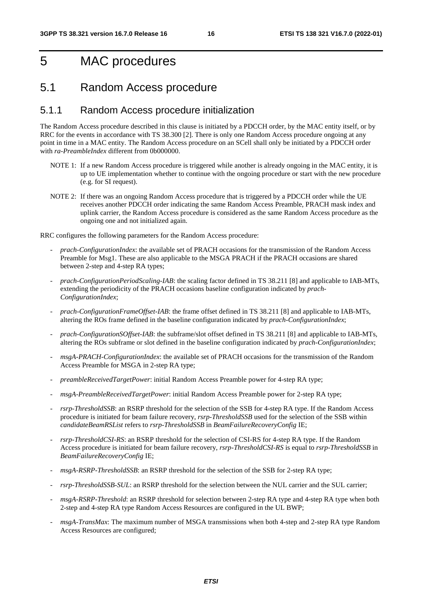# 5 MAC procedures

### 5.1 Random Access procedure

#### 5.1.1 Random Access procedure initialization

The Random Access procedure described in this clause is initiated by a PDCCH order, by the MAC entity itself, or by RRC for the events in accordance with TS 38.300 [2]. There is only one Random Access procedure ongoing at any point in time in a MAC entity. The Random Access procedure on an SCell shall only be initiated by a PDCCH order with *ra-PreambleIndex* different from 0b000000.

- NOTE 1: If a new Random Access procedure is triggered while another is already ongoing in the MAC entity, it is up to UE implementation whether to continue with the ongoing procedure or start with the new procedure (e.g. for SI request).
- NOTE 2: If there was an ongoing Random Access procedure that is triggered by a PDCCH order while the UE receives another PDCCH order indicating the same Random Access Preamble, PRACH mask index and uplink carrier, the Random Access procedure is considered as the same Random Access procedure as the ongoing one and not initialized again.

RRC configures the following parameters for the Random Access procedure:

- *prach-ConfigurationIndex*: the available set of PRACH occasions for the transmission of the Random Access Preamble for Msg1. These are also applicable to the MSGA PRACH if the PRACH occasions are shared between 2-step and 4-step RA types;
- *prach-ConfigurationPeriodScaling-IAB*: the scaling factor defined in TS 38.211 [8] and applicable to IAB-MTs, extending the periodicity of the PRACH occasions baseline configuration indicated by *prach-ConfigurationIndex*;
- *prach-ConfigurationFrameOffset-IAB*: the frame offset defined in TS 38.211 [8] and applicable to IAB-MTs, altering the ROs frame defined in the baseline configuration indicated by *prach-ConfigurationIndex*;
- *prach-ConfigurationSOffset-IAB*: the subframe/slot offset defined in TS 38.211 [8] and applicable to IAB-MTs, altering the ROs subframe or slot defined in the baseline configuration indicated by *prach-ConfigurationIndex*;
- *msgA-PRACH-ConfigurationIndex*: the available set of PRACH occasions for the transmission of the Random Access Preamble for MSGA in 2-step RA type;
- *preambleReceivedTargetPower*: initial Random Access Preamble power for 4-step RA type;
- *msgA-PreambleReceivedTargetPower*: initial Random Access Preamble power for 2-step RA type;
- *rsrp-ThresholdSSB*: an RSRP threshold for the selection of the SSB for 4-step RA type. If the Random Access procedure is initiated for beam failure recovery, *rsrp-ThresholdSSB* used for the selection of the SSB within *candidateBeamRSList* refers to *rsrp-ThresholdSSB* in *BeamFailureRecoveryConfig* IE;
- *rsrp-ThresholdCSI-RS*: an RSRP threshold for the selection of CSI-RS for 4-step RA type. If the Random Access procedure is initiated for beam failure recovery, *rsrp-ThresholdCSI-RS* is equal to *rsrp-ThresholdSSB* in *BeamFailureRecoveryConfig* IE;
- *msgA-RSRP-ThresholdSSB*: an RSRP threshold for the selection of the SSB for 2-step RA type;
- *rsrp-ThresholdSSB-SUL*: an RSRP threshold for the selection between the NUL carrier and the SUL carrier;
- *msgA-RSRP-Threshold*: an RSRP threshold for selection between 2-step RA type and 4-step RA type when both 2-step and 4-step RA type Random Access Resources are configured in the UL BWP;
- *msgA-TransMax*: The maximum number of MSGA transmissions when both 4-step and 2-step RA type Random Access Resources are configured;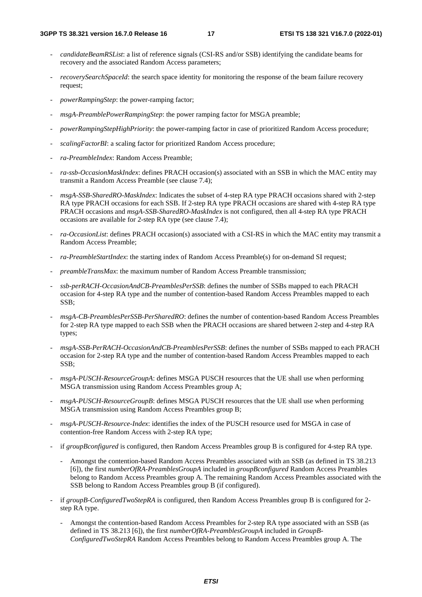- *candidateBeamRSList*: a list of reference signals (CSI-RS and/or SSB) identifying the candidate beams for recovery and the associated Random Access parameters;
- *recoverySearchSpaceId*: the search space identity for monitoring the response of the beam failure recovery request;
- *powerRampingStep*: the power-ramping factor;
- *msgA-PreamblePowerRampingStep*: the power ramping factor for MSGA preamble;
- *powerRampingStepHighPriority*: the power-ramping factor in case of prioritized Random Access procedure;
- *scalingFactorBI*: a scaling factor for prioritized Random Access procedure;
- *ra-PreambleIndex*: Random Access Preamble;
- *ra-ssb-OccasionMaskIndex*: defines PRACH occasion(s) associated with an SSB in which the MAC entity may transmit a Random Access Preamble (see clause 7.4);
- *msgA-SSB-SharedRO-MaskIndex*: Indicates the subset of 4-step RA type PRACH occasions shared with 2-step RA type PRACH occasions for each SSB. If 2-step RA type PRACH occasions are shared with 4-step RA type PRACH occasions and *msgA-SSB-SharedRO-MaskIndex* is not configured, then all 4-step RA type PRACH occasions are available for 2-step RA type (see clause 7.4);
- *ra-OccasionList*: defines PRACH occasion(s) associated with a CSI-RS in which the MAC entity may transmit a Random Access Preamble;
- *ra-PreambleStartIndex*: the starting index of Random Access Preamble(s) for on-demand SI request;
- *preambleTransMax*: the maximum number of Random Access Preamble transmission;
- *ssb-perRACH-OccasionAndCB-PreamblesPerSSB*: defines the number of SSBs mapped to each PRACH occasion for 4-step RA type and the number of contention-based Random Access Preambles mapped to each SSB;
- *msgA-CB-PreamblesPerSSB-PerSharedRO*: defines the number of contention-based Random Access Preambles for 2-step RA type mapped to each SSB when the PRACH occasions are shared between 2-step and 4-step RA types;
- *msgA-SSB-PerRACH-OccasionAndCB-PreamblesPerSSB*: defines the number of SSBs mapped to each PRACH occasion for 2-step RA type and the number of contention-based Random Access Preambles mapped to each SSB;
- *msgA-PUSCH-ResourceGroupA*: defines MSGA PUSCH resources that the UE shall use when performing MSGA transmission using Random Access Preambles group A;
- *msgA-PUSCH-ResourceGroupB*: defines MSGA PUSCH resources that the UE shall use when performing MSGA transmission using Random Access Preambles group B;
- *msgA-PUSCH-Resource-Index*: identifies the index of the PUSCH resource used for MSGA in case of contention-free Random Access with 2-step RA type;
- if *groupBconfigured* is configured, then Random Access Preambles group B is configured for 4-step RA type.
	- Amongst the contention-based Random Access Preambles associated with an SSB (as defined in TS 38.213 [6]), the first *numberOfRA-PreamblesGroupA* included in *groupBconfigured* Random Access Preambles belong to Random Access Preambles group A. The remaining Random Access Preambles associated with the SSB belong to Random Access Preambles group B (if configured).
- if groupB-ConfiguredTwoStepRA is configured, then Random Access Preambles group B is configured for 2step RA type.
	- Amongst the contention-based Random Access Preambles for 2-step RA type associated with an SSB (as defined in TS 38.213 [6]), the first *numberOfRA-PreamblesGroupA* included in *GroupB-ConfiguredTwoStepRA* Random Access Preambles belong to Random Access Preambles group A. The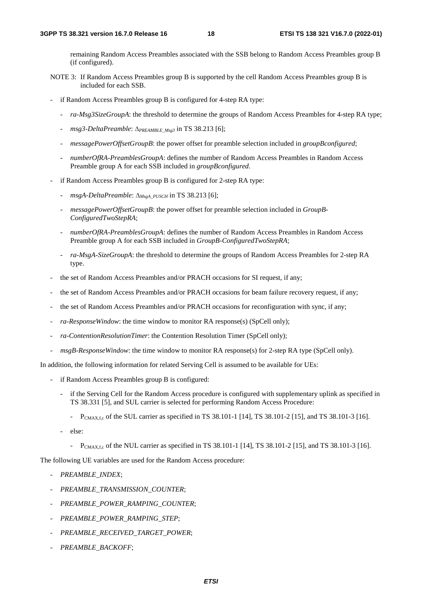remaining Random Access Preambles associated with the SSB belong to Random Access Preambles group B (if configured).

- NOTE 3: If Random Access Preambles group B is supported by the cell Random Access Preambles group B is included for each SSB.
- if Random Access Preambles group B is configured for 4-step RA type:
	- *ra-Msg3SizeGroupA*: the threshold to determine the groups of Random Access Preambles for 4-step RA type;
	- *msg3-DeltaPreamble*: ∆*PREAMBLE\_Msg3* in TS 38.213 [6];
	- *messagePowerOffsetGroupB*: the power offset for preamble selection included in *groupBconfigured*;
	- *numberOfRA-PreamblesGroupA*: defines the number of Random Access Preambles in Random Access Preamble group A for each SSB included in *groupBconfigured*.
- if Random Access Preambles group B is configured for 2-step RA type:
	- *msgA-DeltaPreamble*: ∆*MsgA\_PUSCH* in TS 38.213 [6];
	- *messagePowerOffsetGroupB*: the power offset for preamble selection included in *GroupB-ConfiguredTwoStepRA*;
	- *numberOfRA-PreamblesGroupA*: defines the number of Random Access Preambles in Random Access Preamble group A for each SSB included in *GroupB-ConfiguredTwoStepRA*;
	- *ra-MsgA-SizeGroupA*: the threshold to determine the groups of Random Access Preambles for 2-step RA type.
- the set of Random Access Preambles and/or PRACH occasions for SI request, if any;
- the set of Random Access Preambles and/or PRACH occasions for beam failure recovery request, if any;
- the set of Random Access Preambles and/or PRACH occasions for reconfiguration with sync, if any;
- ra-ResponseWindow: the time window to monitor RA response(s) (SpCell only);
- *ra-ContentionResolutionTimer*: the Contention Resolution Timer (SpCell only);
- *msgB-ResponseWindow*: the time window to monitor RA response(s) for 2-step RA type (SpCell only).

In addition, the following information for related Serving Cell is assumed to be available for UEs:

- if Random Access Preambles group B is configured:
	- if the Serving Cell for the Random Access procedure is configured with supplementary uplink as specified in TS 38.331 [5], and SUL carrier is selected for performing Random Access Procedure:
		- $P_{\text{CMAX},f,c}$  of the SUL carrier as specified in TS 38.101-1 [14], TS 38.101-2 [15], and TS 38.101-3 [16].
	- else:
		- $P_{\text{CMAX},f,c}$  of the NUL carrier as specified in TS 38.101-1 [14], TS 38.101-2 [15], and TS 38.101-3 [16].

The following UE variables are used for the Random Access procedure:

- *PREAMBLE\_INDEX*;
- *PREAMBLE\_TRANSMISSION\_COUNTER*;
- *PREAMBLE\_POWER\_RAMPING\_COUNTER*;
- *PREAMBLE\_POWER\_RAMPING\_STEP*;
- *PREAMBLE\_RECEIVED\_TARGET\_POWER*;
- *PREAMBLE\_BACKOFF*;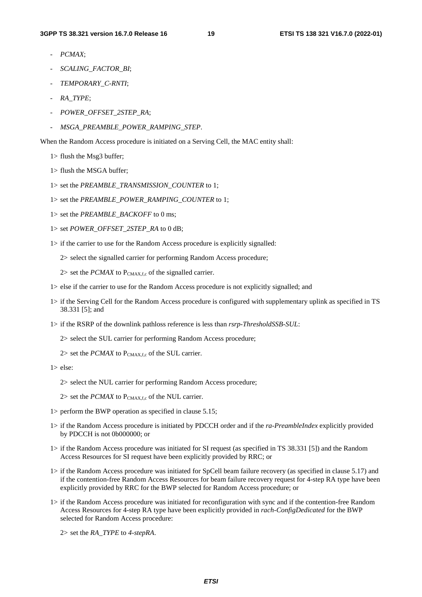- *PCMAX*;
- *SCALING\_FACTOR\_BI*;
- *TEMPORARY\_C-RNTI*;
- *RA\_TYPE*;
- *POWER\_OFFSET\_2STEP\_RA*;
- *MSGA\_PREAMBLE\_POWER\_RAMPING\_STEP*.

When the Random Access procedure is initiated on a Serving Cell, the MAC entity shall:

- 1> flush the Msg3 buffer;
- 1> flush the MSGA buffer;
- 1> set the *PREAMBLE\_TRANSMISSION\_COUNTER* to 1;
- 1> set the *PREAMBLE\_POWER\_RAMPING\_COUNTER* to 1;
- 1> set the *PREAMBLE\_BACKOFF* to 0 ms;
- 1> set *POWER\_OFFSET\_2STEP\_RA* to 0 dB;
- 1> if the carrier to use for the Random Access procedure is explicitly signalled:
	- 2> select the signalled carrier for performing Random Access procedure;
	- $2$ > set the *PCMAX* to  $P_{CMAX,f,c}$  of the signalled carrier.
- 1> else if the carrier to use for the Random Access procedure is not explicitly signalled; and
- 1> if the Serving Cell for the Random Access procedure is configured with supplementary uplink as specified in TS 38.331 [5]; and
- 1> if the RSRP of the downlink pathloss reference is less than *rsrp-ThresholdSSB-SUL*:
	- 2> select the SUL carrier for performing Random Access procedure;
	- $2$ > set the *PCMAX* to  $P_{CMAX,f,c}$  of the SUL carrier.

1> else:

- 2> select the NUL carrier for performing Random Access procedure;
- $2$ > set the *PCMAX* to  $P_{CMAX,f,c}$  of the NUL carrier.
- 1> perform the BWP operation as specified in clause 5.15;
- 1> if the Random Access procedure is initiated by PDCCH order and if the *ra-PreambleIndex* explicitly provided by PDCCH is not 0b000000; or
- 1> if the Random Access procedure was initiated for SI request (as specified in TS 38.331 [5]) and the Random Access Resources for SI request have been explicitly provided by RRC; or
- 1> if the Random Access procedure was initiated for SpCell beam failure recovery (as specified in clause 5.17) and if the contention-free Random Access Resources for beam failure recovery request for 4-step RA type have been explicitly provided by RRC for the BWP selected for Random Access procedure; or
- 1> if the Random Access procedure was initiated for reconfiguration with sync and if the contention-free Random Access Resources for 4-step RA type have been explicitly provided in *rach-ConfigDedicated* for the BWP selected for Random Access procedure:
	- 2> set the *RA\_TYPE* to *4-stepRA*.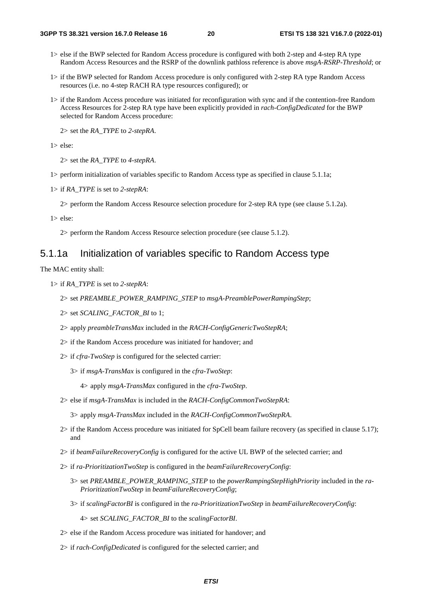- 1> else if the BWP selected for Random Access procedure is configured with both 2-step and 4-step RA type Random Access Resources and the RSRP of the downlink pathloss reference is above *msgA-RSRP-Threshold*; or
- 1> if the BWP selected for Random Access procedure is only configured with 2-step RA type Random Access resources (i.e. no 4-step RACH RA type resources configured); or
- 1> if the Random Access procedure was initiated for reconfiguration with sync and if the contention-free Random Access Resources for 2-step RA type have been explicitly provided in *rach-ConfigDedicated* for the BWP selected for Random Access procedure:

2> set the *RA\_TYPE* to *2-stepRA*.

1> else:

2> set the *RA\_TYPE* to *4-stepRA*.

- 1> perform initialization of variables specific to Random Access type as specified in clause 5.1.1a;
- 1> if *RA\_TYPE* is set to *2-stepRA*:

2> perform the Random Access Resource selection procedure for 2-step RA type (see clause 5.1.2a).

1> else:

2> perform the Random Access Resource selection procedure (see clause 5.1.2).

#### 5.1.1a Initialization of variables specific to Random Access type

The MAC entity shall:

- 1> if *RA\_TYPE* is set to *2-stepRA*:
	- 2> set *PREAMBLE\_POWER\_RAMPING\_STEP* to *msgA-PreamblePowerRampingStep*;
	- 2> set *SCALING\_FACTOR\_BI* to 1;
	- 2> apply *preambleTransMax* included in the *RACH-ConfigGenericTwoStepRA*;
	- 2> if the Random Access procedure was initiated for handover; and
	- 2> if *cfra-TwoStep* is configured for the selected carrier:
		- 3> if *msgA-TransMax* is configured in the *cfra-TwoStep*:

4> apply *msgA-TransMax* configured in the *cfra-TwoStep*.

2> else if *msgA-TransMax* is included in the *RACH-ConfigCommonTwoStepRA*:

3> apply *msgA-TransMax* included in the *RACH-ConfigCommonTwoStepRA*.

- 2> if the Random Access procedure was initiated for SpCell beam failure recovery (as specified in clause 5.17); and
- 2> if *beamFailureRecoveryConfig* is configured for the active UL BWP of the selected carrier; and
- 2> if *ra-PrioritizationTwoStep* is configured in the *beamFailureRecoveryConfig*:
	- 3> set *PREAMBLE\_POWER\_RAMPING\_STEP* to the *powerRampingStepHighPriority* included in the *ra-PrioritizationTwoStep* in *beamFailureRecoveryConfig*;
	- 3> if *scalingFactorBI* is configured in the *ra-PrioritizationTwoStep* in *beamFailureRecoveryConfig*:

4> set *SCALING\_FACTOR\_BI* to the *scalingFactorBI*.

- 2> else if the Random Access procedure was initiated for handover; and
- 2> if *rach-ConfigDedicated* is configured for the selected carrier; and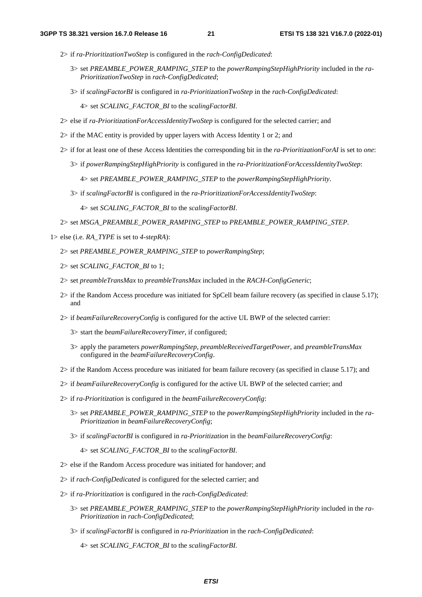- 2> if *ra-PrioritizationTwoStep* is configured in the *rach-ConfigDedicated*:
	- 3> set *PREAMBLE\_POWER\_RAMPING\_STEP* to the *powerRampingStepHighPriority* included in the *ra-PrioritizationTwoStep* in *rach-ConfigDedicated*;
	- 3> if *scalingFactorBI* is configured in *ra-PrioritizationTwoStep* in the *rach-ConfigDedicated*:
		- 4> set *SCALING\_FACTOR\_BI* to the *scalingFactorBI*.
- 2> else if *ra-PrioritizationForAccessIdentityTwoStep* is configured for the selected carrier; and
- 2> if the MAC entity is provided by upper layers with Access Identity 1 or 2; and
- 2> if for at least one of these Access Identities the corresponding bit in the *ra-PrioritizationForAI* is set to *one*:
	- 3> if *powerRampingStepHighPriority* is configured in the *ra-PrioritizationForAccessIdentityTwoStep*:

4> set *PREAMBLE\_POWER\_RAMPING\_STEP* to the *powerRampingStepHighPriority*.

3> if *scalingFactorBI* is configured in the *ra-PrioritizationForAccessIdentityTwoStep*:

4> set *SCALING\_FACTOR\_BI* to the *scalingFactorBI*.

2> set *MSGA\_PREAMBLE\_POWER\_RAMPING\_STEP* to *PREAMBLE\_POWER\_RAMPING\_STEP*.

1> else (i.e. *RA\_TYPE* is set to *4-stepRA*):

- 2> set *PREAMBLE\_POWER\_RAMPING\_STEP* to *powerRampingStep*;
- 2> set *SCALING\_FACTOR\_BI* to 1;
- 2> set *preambleTransMax* to *preambleTransMax* included in the *RACH-ConfigGeneric*;
- 2> if the Random Access procedure was initiated for SpCell beam failure recovery (as specified in clause 5.17); and
- 2> if *beamFailureRecoveryConfig* is configured for the active UL BWP of the selected carrier:
	- 3> start the *beamFailureRecoveryTimer*, if configured;
	- 3> apply the parameters *powerRampingStep*, *preambleReceivedTargetPower*, and *preambleTransMax* configured in the *beamFailureRecoveryConfig*.
- 2> if the Random Access procedure was initiated for beam failure recovery (as specified in clause 5.17); and
- 2> if *beamFailureRecoveryConfig* is configured for the active UL BWP of the selected carrier; and
- 2> if *ra-Prioritization* is configured in the *beamFailureRecoveryConfig*:
	- 3> set *PREAMBLE\_POWER\_RAMPING\_STEP* to the *powerRampingStepHighPriority* included in the *ra-Prioritization* in *beamFailureRecoveryConfig*;
	- 3> if *scalingFactorBI* is configured in *ra-Prioritization* in the *beamFailureRecoveryConfig*:
		- 4> set *SCALING\_FACTOR\_BI* to the *scalingFactorBI*.
- 2> else if the Random Access procedure was initiated for handover; and
- 2> if *rach-ConfigDedicated* is configured for the selected carrier; and
- 2> if *ra-Prioritization* is configured in the *rach-ConfigDedicated*:
	- 3> set *PREAMBLE\_POWER\_RAMPING\_STEP* to the *powerRampingStepHighPriority* included in the *ra-Prioritization* in *rach-ConfigDedicated*;
	- 3> if *scalingFactorBI* is configured in *ra-Prioritization* in the *rach-ConfigDedicated*:

4> set *SCALING\_FACTOR\_BI* to the *scalingFactorBI*.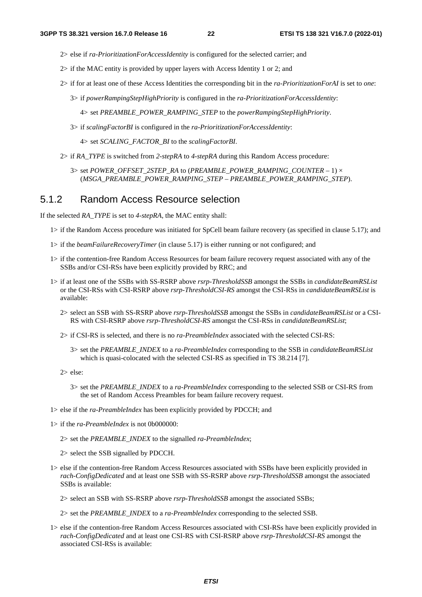- 2> else if *ra-PrioritizationForAccessIdentity* is configured for the selected carrier; and
- 2> if the MAC entity is provided by upper layers with Access Identity 1 or 2; and
- 2> if for at least one of these Access Identities the corresponding bit in the *ra-PrioritizationForAI* is set to *one*:
	- 3> if *powerRampingStepHighPriority* is configured in the *ra-PrioritizationForAccessIdentity*:

4> set *PREAMBLE\_POWER\_RAMPING\_STEP* to the *powerRampingStepHighPriority*.

3> if *scalingFactorBI* is configured in the *ra-PrioritizationForAccessIdentity*:

4> set *SCALING\_FACTOR\_BI* to the *scalingFactorBI*.

2> if *RA\_TYPE* is switched from *2-stepRA* to *4-stepRA* during this Random Access procedure:

3> set *POWER\_OFFSET\_2STEP\_RA* to (*PREAMBLE\_POWER\_RAMPING\_COUNTER* – 1) × (*MSGA\_PREAMBLE\_POWER\_RAMPING\_STEP* – *PREAMBLE\_POWER\_RAMPING\_STEP*).

### 5.1.2 Random Access Resource selection

If the selected *RA\_TYPE* is set to *4-stepRA*, the MAC entity shall:

- 1> if the Random Access procedure was initiated for SpCell beam failure recovery (as specified in clause 5.17); and
- 1> if the *beamFailureRecoveryTimer* (in clause 5.17) is either running or not configured; and
- 1> if the contention-free Random Access Resources for beam failure recovery request associated with any of the SSBs and/or CSI-RSs have been explicitly provided by RRC; and
- 1> if at least one of the SSBs with SS-RSRP above *rsrp-ThresholdSSB* amongst the SSBs in *candidateBeamRSList* or the CSI-RSs with CSI-RSRP above *rsrp-ThresholdCSI-RS* amongst the CSI-RSs in *candidateBeamRSList* is available:
	- 2> select an SSB with SS-RSRP above *rsrp-ThresholdSSB* amongst the SSBs in *candidateBeamRSList* or a CSI-RS with CSI-RSRP above *rsrp-ThresholdCSI-RS* amongst the CSI-RSs in *candidateBeamRSList*;
	- 2> if CSI-RS is selected, and there is no *ra-PreambleIndex* associated with the selected CSI-RS:
		- 3> set the *PREAMBLE\_INDEX* to a *ra-PreambleIndex* corresponding to the SSB in *candidateBeamRSList* which is quasi-colocated with the selected CSI-RS as specified in TS 38.214 [7].

2> else:

- 3> set the *PREAMBLE\_INDEX* to a *ra-PreambleIndex* corresponding to the selected SSB or CSI-RS from the set of Random Access Preambles for beam failure recovery request.
- 1> else if the *ra-PreambleIndex* has been explicitly provided by PDCCH; and
- 1> if the *ra-PreambleIndex* is not 0b000000:
	- 2> set the *PREAMBLE\_INDEX* to the signalled *ra-PreambleIndex*;

2> select the SSB signalled by PDCCH.

1> else if the contention-free Random Access Resources associated with SSBs have been explicitly provided in *rach-ConfigDedicated* and at least one SSB with SS-RSRP above *rsrp-ThresholdSSB* amongst the associated SSBs is available:

2> select an SSB with SS-RSRP above *rsrp-ThresholdSSB* amongst the associated SSBs;

2> set the *PREAMBLE\_INDEX* to a *ra-PreambleIndex* corresponding to the selected SSB.

1> else if the contention-free Random Access Resources associated with CSI-RSs have been explicitly provided in *rach-ConfigDedicated* and at least one CSI-RS with CSI-RSRP above *rsrp-ThresholdCSI-RS* amongst the associated CSI-RSs is available: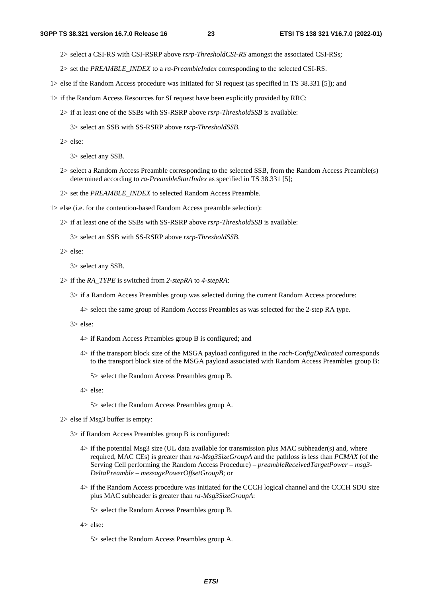- 2> select a CSI-RS with CSI-RSRP above *rsrp-ThresholdCSI-RS* amongst the associated CSI-RSs;
- 2> set the *PREAMBLE\_INDEX* to a *ra-PreambleIndex* corresponding to the selected CSI-RS.
- 1> else if the Random Access procedure was initiated for SI request (as specified in TS 38.331 [5]); and
- 1> if the Random Access Resources for SI request have been explicitly provided by RRC:
	- 2> if at least one of the SSBs with SS-RSRP above *rsrp-ThresholdSSB* is available:

3> select an SSB with SS-RSRP above *rsrp-ThresholdSSB*.

2> else:

3> select any SSB.

- 2> select a Random Access Preamble corresponding to the selected SSB, from the Random Access Preamble(s) determined according to *ra-PreambleStartIndex* as specified in TS 38.331 [5];
- 2> set the *PREAMBLE\_INDEX* to selected Random Access Preamble.
- 1> else (i.e. for the contention-based Random Access preamble selection):
	- 2> if at least one of the SSBs with SS-RSRP above *rsrp-ThresholdSSB* is available:

3> select an SSB with SS-RSRP above *rsrp-ThresholdSSB*.

2> else:

3> select any SSB.

- 2> if the *RA\_TYPE* is switched from *2-stepRA* to *4-stepRA*:
	- 3> if a Random Access Preambles group was selected during the current Random Access procedure:
		- 4> select the same group of Random Access Preambles as was selected for the 2-step RA type.
	- 3> else:
		- 4> if Random Access Preambles group B is configured; and
		- 4> if the transport block size of the MSGA payload configured in the *rach-ConfigDedicated* corresponds to the transport block size of the MSGA payload associated with Random Access Preambles group B:

5> select the Random Access Preambles group B.

4> else:

5> select the Random Access Preambles group A.

- 2> else if Msg3 buffer is empty:
	- 3> if Random Access Preambles group B is configured:
		- 4> if the potential Msg3 size (UL data available for transmission plus MAC subheader(s) and, where required, MAC CEs) is greater than *ra-Msg3SizeGroupA* and the pathloss is less than *PCMAX* (of the Serving Cell performing the Random Access Procedure) – *preambleReceivedTargetPower* – *msg3- DeltaPreamble* – *messagePowerOffsetGroupB*; or
		- 4> if the Random Access procedure was initiated for the CCCH logical channel and the CCCH SDU size plus MAC subheader is greater than *ra-Msg3SizeGroupA*:

5> select the Random Access Preambles group B.

- 4> else:
	- 5> select the Random Access Preambles group A.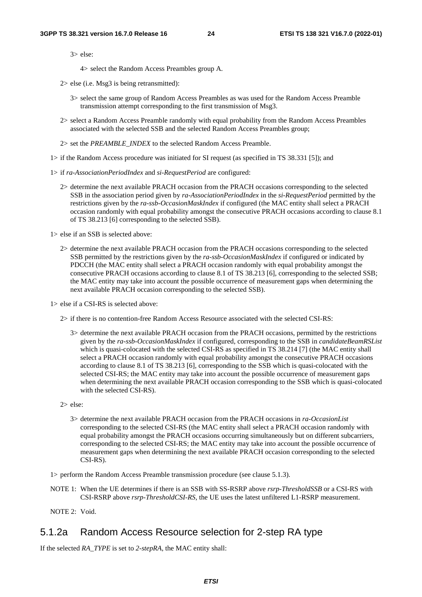4> select the Random Access Preambles group A.

- 2> else (i.e. Msg3 is being retransmitted):
	- 3> select the same group of Random Access Preambles as was used for the Random Access Preamble transmission attempt corresponding to the first transmission of Msg3.
- 2> select a Random Access Preamble randomly with equal probability from the Random Access Preambles associated with the selected SSB and the selected Random Access Preambles group;
- 2> set the *PREAMBLE\_INDEX* to the selected Random Access Preamble.
- 1> if the Random Access procedure was initiated for SI request (as specified in TS 38.331 [5]); and
- 1> if *ra-AssociationPeriodIndex* and *si-RequestPeriod* are configured:
	- 2> determine the next available PRACH occasion from the PRACH occasions corresponding to the selected SSB in the association period given by *ra-AssociationPeriodIndex* in the *si-RequestPeriod* permitted by the restrictions given by the *ra-ssb-OccasionMaskIndex* if configured (the MAC entity shall select a PRACH occasion randomly with equal probability amongst the consecutive PRACH occasions according to clause 8.1 of TS 38.213 [6] corresponding to the selected SSB).

1> else if an SSB is selected above:

2> determine the next available PRACH occasion from the PRACH occasions corresponding to the selected SSB permitted by the restrictions given by the *ra-ssb-OccasionMaskIndex* if configured or indicated by PDCCH (the MAC entity shall select a PRACH occasion randomly with equal probability amongst the consecutive PRACH occasions according to clause 8.1 of TS 38.213 [6], corresponding to the selected SSB; the MAC entity may take into account the possible occurrence of measurement gaps when determining the next available PRACH occasion corresponding to the selected SSB).

1> else if a CSI-RS is selected above:

- 2> if there is no contention-free Random Access Resource associated with the selected CSI-RS:
	- 3> determine the next available PRACH occasion from the PRACH occasions, permitted by the restrictions given by the *ra-ssb-OccasionMaskIndex* if configured, corresponding to the SSB in *candidateBeamRSList* which is quasi-colocated with the selected CSI-RS as specified in TS 38.214 [7] (the MAC entity shall select a PRACH occasion randomly with equal probability amongst the consecutive PRACH occasions according to clause 8.1 of TS 38.213 [6], corresponding to the SSB which is quasi-colocated with the selected CSI-RS; the MAC entity may take into account the possible occurrence of measurement gaps when determining the next available PRACH occasion corresponding to the SSB which is quasi-colocated with the selected CSI-RS).
- 2> else:
	- 3> determine the next available PRACH occasion from the PRACH occasions in *ra-OccasionList* corresponding to the selected CSI-RS (the MAC entity shall select a PRACH occasion randomly with equal probability amongst the PRACH occasions occurring simultaneously but on different subcarriers, corresponding to the selected CSI-RS; the MAC entity may take into account the possible occurrence of measurement gaps when determining the next available PRACH occasion corresponding to the selected CSI-RS).

1> perform the Random Access Preamble transmission procedure (see clause 5.1.3).

NOTE 1: When the UE determines if there is an SSB with SS-RSRP above *rsrp-ThresholdSSB* or a CSI-RS with CSI-RSRP above *rsrp-ThresholdCSI-RS*, the UE uses the latest unfiltered L1-RSRP measurement.

NOTE 2: Void.

#### 5.1.2a Random Access Resource selection for 2-step RA type

If the selected *RA\_TYPE* is set to *2-stepRA*, the MAC entity shall: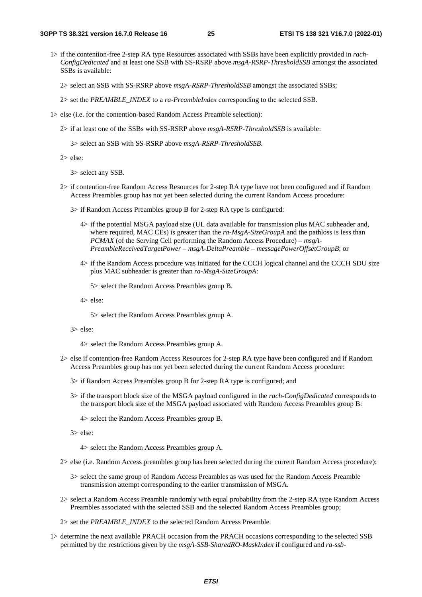1> if the contention-free 2-step RA type Resources associated with SSBs have been explicitly provided in *rach-ConfigDedicated* and at least one SSB with SS-RSRP above *msgA-RSRP-ThresholdSSB* amongst the associated SSBs is available:

2> select an SSB with SS-RSRP above *msgA-RSRP-ThresholdSSB* amongst the associated SSBs;

2> set the *PREAMBLE\_INDEX* to a *ra-PreambleIndex* corresponding to the selected SSB.

- 1> else (i.e. for the contention-based Random Access Preamble selection):
	- 2> if at least one of the SSBs with SS-RSRP above *msgA-RSRP-ThresholdSSB* is available:

3> select an SSB with SS-RSRP above *msgA-RSRP-ThresholdSSB*.

2> else:

3> select any SSB.

- 2> if contention-free Random Access Resources for 2-step RA type have not been configured and if Random Access Preambles group has not yet been selected during the current Random Access procedure:
	- 3> if Random Access Preambles group B for 2-step RA type is configured:
		- 4> if the potential MSGA payload size (UL data available for transmission plus MAC subheader and, where required, MAC CEs) is greater than the ra-MsgA-SizeGroupA and the pathloss is less than *PCMAX* (of the Serving Cell performing the Random Access Procedure) – *msgA-PreambleReceivedTargetPower* – *msgA-DeltaPreamble* – *messagePowerOffsetGroupB*; or
		- 4> if the Random Access procedure was initiated for the CCCH logical channel and the CCCH SDU size plus MAC subheader is greater than *ra-MsgA-SizeGroupA*:

5> select the Random Access Preambles group B.

4> else:

5> select the Random Access Preambles group A.

3> else:

4> select the Random Access Preambles group A.

- 2> else if contention-free Random Access Resources for 2-step RA type have been configured and if Random Access Preambles group has not yet been selected during the current Random Access procedure:
	- 3> if Random Access Preambles group B for 2-step RA type is configured; and
	- 3> if the transport block size of the MSGA payload configured in the *rach-ConfigDedicated* corresponds to the transport block size of the MSGA payload associated with Random Access Preambles group B:

4> select the Random Access Preambles group B.

3> else:

4> select the Random Access Preambles group A.

2> else (i.e. Random Access preambles group has been selected during the current Random Access procedure):

- 3> select the same group of Random Access Preambles as was used for the Random Access Preamble transmission attempt corresponding to the earlier transmission of MSGA.
- 2> select a Random Access Preamble randomly with equal probability from the 2-step RA type Random Access Preambles associated with the selected SSB and the selected Random Access Preambles group;
- 2> set the *PREAMBLE\_INDEX* to the selected Random Access Preamble.
- 1> determine the next available PRACH occasion from the PRACH occasions corresponding to the selected SSB permitted by the restrictions given by the *msgA-SSB-SharedRO-MaskIndex* if configured and *ra-ssb-*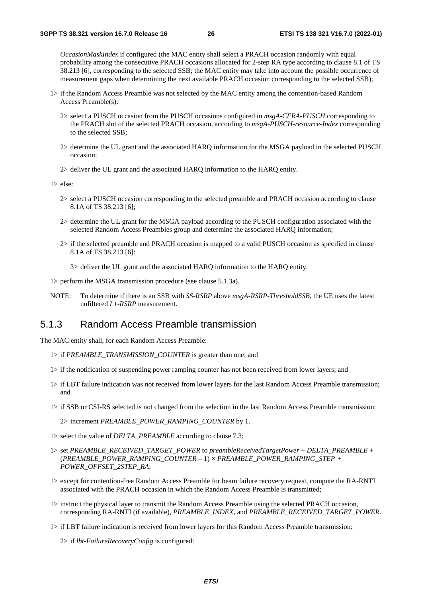*OccasionMaskIndex* if configured (the MAC entity shall select a PRACH occasion randomly with equal probability among the consecutive PRACH occasions allocated for 2-step RA type according to clause 8.1 of TS 38.213 [6], corresponding to the selected SSB; the MAC entity may take into account the possible occurrence of measurement gaps when determining the next available PRACH occasion corresponding to the selected SSB);

- 1> if the Random Access Preamble was not selected by the MAC entity among the contention-based Random Access Preamble(s):
	- 2> select a PUSCH occasion from the PUSCH occasions configured in *msgA-CFRA-PUSCH* corresponding to the PRACH slot of the selected PRACH occasion, according to *msgA-PUSCH-resource-Index* corresponding to the selected SSB;
	- 2> determine the UL grant and the associated HARQ information for the MSGA payload in the selected PUSCH occasion;
	- 2> deliver the UL grant and the associated HARQ information to the HARQ entity.

1> else:

- 2> select a PUSCH occasion corresponding to the selected preamble and PRACH occasion according to clause 8.1A of TS 38.213 [6];
- 2> determine the UL grant for the MSGA payload according to the PUSCH configuration associated with the selected Random Access Preambles group and determine the associated HARQ information;
- 2> if the selected preamble and PRACH occasion is mapped to a valid PUSCH occasion as specified in clause 8.1A of TS 38.213 [6]:

3> deliver the UL grant and the associated HARQ information to the HARQ entity.

- 1> perform the MSGA transmission procedure (see clause 5.1.3a).
- NOTE: To determine if there is an SSB with *SS-RSRP* above *msgA-RSRP-ThresholdSSB*, the UE uses the latest unfiltered *L1-RSRP* measurement.

#### 5.1.3 Random Access Preamble transmission

The MAC entity shall, for each Random Access Preamble:

- 1> if *PREAMBLE\_TRANSMISSION\_COUNTER* is greater than one; and
- 1> if the notification of suspending power ramping counter has not been received from lower layers; and
- 1> if LBT failure indication was not received from lower layers for the last Random Access Preamble transmission; and
- 1> if SSB or CSI-RS selected is not changed from the selection in the last Random Access Preamble transmission:

2> increment *PREAMBLE\_POWER\_RAMPING\_COUNTER* by 1.

- 1> select the value of *DELTA\_PREAMBLE* according to clause 7.3;
- 1> set *PREAMBLE\_RECEIVED\_TARGET\_POWER* to *preambleReceivedTargetPower* + *DELTA\_PREAMBLE* + (*PREAMBLE\_POWER\_RAMPING\_COUNTER* – 1) × *PREAMBLE\_POWER\_RAMPING\_STEP + POWER\_OFFSET\_2STEP\_RA*;
- 1> except for contention-free Random Access Preamble for beam failure recovery request, compute the RA-RNTI associated with the PRACH occasion in which the Random Access Preamble is transmitted;
- 1> instruct the physical layer to transmit the Random Access Preamble using the selected PRACH occasion, corresponding RA-RNTI (if available), *PREAMBLE\_INDEX*, and *PREAMBLE\_RECEIVED\_TARGET\_POWER*.
- 1> if LBT failure indication is received from lower layers for this Random Access Preamble transmission:

2> if *lbt-FailureRecoveryConfig* is configured: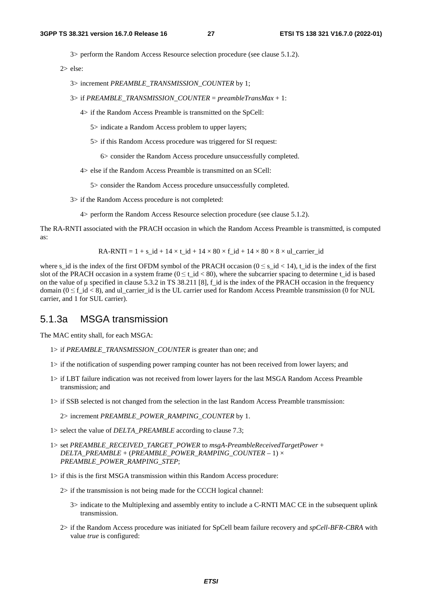3> perform the Random Access Resource selection procedure (see clause 5.1.2).

2> else:

3> increment *PREAMBLE\_TRANSMISSION\_COUNTER* by 1;

3> if *PREAMBLE\_TRANSMISSION\_COUNTER* = *preambleTransMax* + 1:

4> if the Random Access Preamble is transmitted on the SpCell:

5> indicate a Random Access problem to upper layers;

5> if this Random Access procedure was triggered for SI request:

6> consider the Random Access procedure unsuccessfully completed.

4> else if the Random Access Preamble is transmitted on an SCell:

5> consider the Random Access procedure unsuccessfully completed.

3> if the Random Access procedure is not completed:

4> perform the Random Access Resource selection procedure (see clause 5.1.2).

The RA-RNTI associated with the PRACH occasion in which the Random Access Preamble is transmitted, is computed as:

$$
RA-RNTI = 1 + s_id + 14 \times t_id + 14 \times 80 \times f_id + 14 \times 80 \times 8 \times ul\_carrier_id
$$

where s\_id is the index of the first OFDM symbol of the PRACH occasion  $(0 \le s_i/d < 14)$ , t\_id is the index of the first slot of the PRACH occasion in a system frame ( $0 \le t_id < 80$ ), where the subcarrier spacing to determine  $t_id$  is based on the value of  $\mu$  specified in clause 5.3.2 in TS 38.211 [8], f\_id is the index of the PRACH occasion in the frequency domain ( $0 \le f$  id  $\lt 8$ ), and ul\_carrier\_id is the UL carrier used for Random Access Preamble transmission (0 for NUL carrier, and 1 for SUL carrier).

#### 5.1.3a MSGA transmission

The MAC entity shall, for each MSGA:

- 1> if *PREAMBLE\_TRANSMISSION\_COUNTER* is greater than one; and
- 1> if the notification of suspending power ramping counter has not been received from lower layers; and
- 1> if LBT failure indication was not received from lower layers for the last MSGA Random Access Preamble transmission; and
- 1> if SSB selected is not changed from the selection in the last Random Access Preamble transmission:

2> increment *PREAMBLE\_POWER\_RAMPING\_COUNTER* by 1.

1> select the value of *DELTA\_PREAMBLE* according to clause 7.3;

- 1> set *PREAMBLE\_RECEIVED\_TARGET\_POWER* to *msgA-PreambleReceivedTargetPower* + *DELTA\_PREAMBLE* + (*PREAMBLE\_POWER\_RAMPING\_COUNTER* – 1) × *PREAMBLE\_POWER\_RAMPING\_STEP*;
- 1> if this is the first MSGA transmission within this Random Access procedure:

2> if the transmission is not being made for the CCCH logical channel:

- 3> indicate to the Multiplexing and assembly entity to include a C-RNTI MAC CE in the subsequent uplink transmission.
- 2> if the Random Access procedure was initiated for SpCell beam failure recovery and *spCell-BFR-CBRA* with value *true* is configured: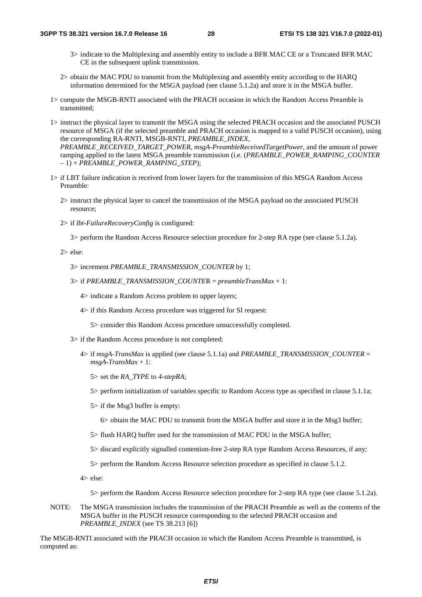- 3> indicate to the Multiplexing and assembly entity to include a BFR MAC CE or a Truncated BFR MAC CE in the subsequent uplink transmission.
- 2> obtain the MAC PDU to transmit from the Multiplexing and assembly entity according to the HARQ information determined for the MSGA payload (see clause 5.1.2a) and store it in the MSGA buffer.
- 1> compute the MSGB-RNTI associated with the PRACH occasion in which the Random Access Preamble is transmitted;
- 1> instruct the physical layer to transmit the MSGA using the selected PRACH occasion and the associated PUSCH resource of MSGA (if the selected preamble and PRACH occasion is mapped to a valid PUSCH occasion), using the corresponding RA-RNTI, MSGB-RNTI, *PREAMBLE\_INDEX*,

*PREAMBLE\_RECEIVED\_TARGET\_POWER*, *msgA-PreambleReceivedTargetPower*, and the amount of power ramping applied to the latest MSGA preamble transmission (i.e. (*PREAMBLE\_POWER\_RAMPING\_COUNTER*  $-1$ ) × *PREAMBLE\_POWER\_RAMPING\_STEP*);

- 1> if LBT failure indication is received from lower layers for the transmission of this MSGA Random Access Preamble:
	- 2> instruct the physical layer to cancel the transmission of the MSGA payload on the associated PUSCH resource;
	- 2> if *lbt-FailureRecoveryConfig* is configured:

3> perform the Random Access Resource selection procedure for 2-step RA type (see clause 5.1.2a).

2> else:

3> increment *PREAMBLE\_TRANSMISSION\_COUNTER* by 1;

3> if *PREAMBLE\_TRANSMISSION\_COUNTE*R = *preambleTransMax* + 1:

4> indicate a Random Access problem to upper layers;

4> if this Random Access procedure was triggered for SI request:

5> consider this Random Access procedure unsuccessfully completed.

- 3> if the Random Access procedure is not completed:
	- 4> if *msgA-TransMax* is applied (see clause 5.1.1a) and *PREAMBLE\_TRANSMISSION\_COUNTER* = *msgA-TransMax* + 1:
		- 5> set the *RA\_TYPE* to *4-stepRA*;
		- 5> perform initialization of variables specific to Random Access type as specified in clause 5.1.1a;
		- 5> if the Msg3 buffer is empty:
			- 6> obtain the MAC PDU to transmit from the MSGA buffer and store it in the Msg3 buffer;
		- 5> flush HARQ buffer used for the transmission of MAC PDU in the MSGA buffer;
		- 5> discard explicitly signalled contention-free 2-step RA type Random Access Resources, if any;
		- 5> perform the Random Access Resource selection procedure as specified in clause 5.1.2.
	- 4> else:

5> perform the Random Access Resource selection procedure for 2-step RA type (see clause 5.1.2a).

NOTE: The MSGA transmission includes the transmission of the PRACH Preamble as well as the contents of the MSGA buffer in the PUSCH resource corresponding to the selected PRACH occasion and *PREAMBLE\_INDEX* (see TS 38.213 [6])

The MSGB-RNTI associated with the PRACH occasion in which the Random Access Preamble is transmitted, is computed as: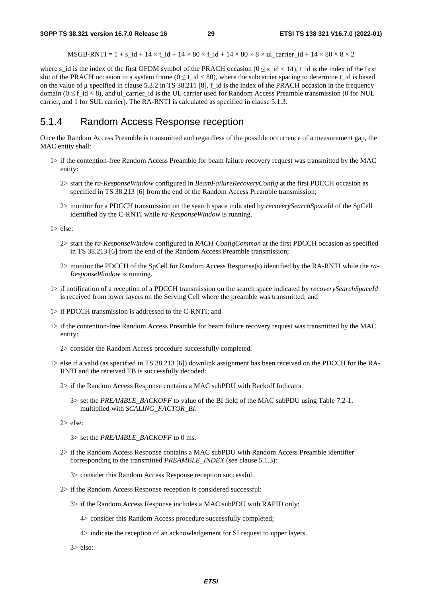MSGB-RNTI =  $1 + s$ \_id +  $14 \times t$ \_id +  $14 \times 80 \times f$ \_id +  $14 \times 80 \times 8 \times u$ l\_carrier\_id +  $14 \times 80 \times 8 \times 2$ 

where s\_id is the index of the first OFDM symbol of the PRACH occasion  $(0 \le s_d, i \le 14)$ , t\_id is the index of the first slot of the PRACH occasion in a system frame ( $0 \le t$  id  $< 80$ ), where the subcarrier spacing to determine t id is based on the value of  $\mu$  specified in clause 5.3.2 in TS 38.211 [8], f\_id is the index of the PRACH occasion in the frequency domain ( $0 \le f$  id  $\lt 8$ ), and ul\_carrier\_id is the UL carrier used for Random Access Preamble transmission (0 for NUL carrier, and 1 for SUL carrier). The RA-RNTI is calculated as specified in clause 5.1.3.

### 5.1.4 Random Access Response reception

Once the Random Access Preamble is transmitted and regardless of the possible occurrence of a measurement gap, the MAC entity shall:

- 1> if the contention-free Random Access Preamble for beam failure recovery request was transmitted by the MAC entity:
	- 2> start the *ra-ResponseWindow* configured in *BeamFailureRecoveryConfig* at the first PDCCH occasion as specified in TS 38.213 [6] from the end of the Random Access Preamble transmission;
	- 2> monitor for a PDCCH transmission on the search space indicated by *recoverySearchSpaceId* of the SpCell identified by the C-RNTI while *ra-ResponseWindow* is running.

1> else:

- 2> start the *ra-ResponseWindow* configured in *RACH-ConfigCommon* at the first PDCCH occasion as specified in TS 38.213 [6] from the end of the Random Access Preamble transmission;
- 2> monitor the PDCCH of the SpCell for Random Access Response(s) identified by the RA-RNTI while the *ra-ResponseWindow* is running.
- 1> if notification of a reception of a PDCCH transmission on the search space indicated by *recoverySearchSpaceId* is received from lower layers on the Serving Cell where the preamble was transmitted; and
- 1> if PDCCH transmission is addressed to the C-RNTI; and
- 1> if the contention-free Random Access Preamble for beam failure recovery request was transmitted by the MAC entity:
	- 2> consider the Random Access procedure successfully completed.
- 1> else if a valid (as specified in TS 38.213 [6]) downlink assignment has been received on the PDCCH for the RA-RNTI and the received TB is successfully decoded:
	- 2> if the Random Access Response contains a MAC subPDU with Backoff Indicator:
		- 3> set the *PREAMBLE\_BACKOFF* to value of the BI field of the MAC subPDU using Table 7.2-1, multiplied with *SCALING\_FACTOR\_BI*.

2> else:

3> set the *PREAMBLE\_BACKOFF* to 0 ms.

- 2> if the Random Access Response contains a MAC subPDU with Random Access Preamble identifier corresponding to the transmitted *PREAMBLE\_INDEX* (see clause 5.1.3):
	- 3> consider this Random Access Response reception successful.
- 2> if the Random Access Response reception is considered successful:
	- 3> if the Random Access Response includes a MAC subPDU with RAPID only:
		- 4> consider this Random Access procedure successfully completed;
		- 4> indicate the reception of an acknowledgement for SI request to upper layers.

3> else: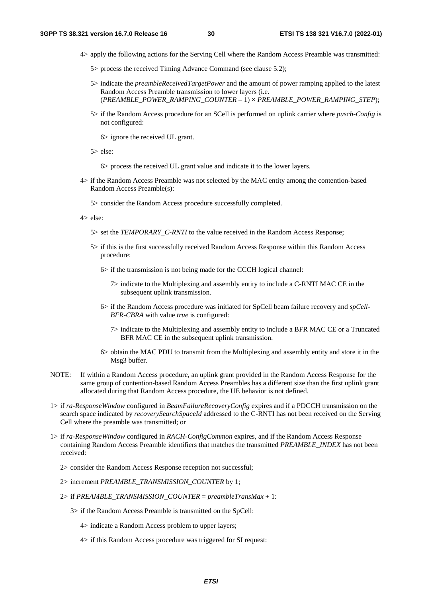- 4> apply the following actions for the Serving Cell where the Random Access Preamble was transmitted:
	- 5> process the received Timing Advance Command (see clause 5.2);
	- 5> indicate the *preambleReceivedTargetPower* and the amount of power ramping applied to the latest Random Access Preamble transmission to lower layers (i.e. (*PREAMBLE\_POWER\_RAMPING\_COUNTER* – 1) × *PREAMBLE\_POWER\_RAMPING\_STEP*);
	- 5> if the Random Access procedure for an SCell is performed on uplink carrier where *pusch-Config* is not configured:

6> ignore the received UL grant.

5> else:

6> process the received UL grant value and indicate it to the lower layers.

- 4> if the Random Access Preamble was not selected by the MAC entity among the contention-based Random Access Preamble(s):
	- 5> consider the Random Access procedure successfully completed.
- 4> else:
	- 5> set the *TEMPORARY\_C-RNTI* to the value received in the Random Access Response;
	- 5> if this is the first successfully received Random Access Response within this Random Access procedure:
		- 6> if the transmission is not being made for the CCCH logical channel:
			- 7> indicate to the Multiplexing and assembly entity to include a C-RNTI MAC CE in the subsequent uplink transmission.
		- 6> if the Random Access procedure was initiated for SpCell beam failure recovery and *spCell-BFR-CBRA* with value *true* is configured:
			- 7> indicate to the Multiplexing and assembly entity to include a BFR MAC CE or a Truncated BFR MAC CE in the subsequent uplink transmission.
		- 6> obtain the MAC PDU to transmit from the Multiplexing and assembly entity and store it in the Msg3 buffer.
- NOTE: If within a Random Access procedure, an uplink grant provided in the Random Access Response for the same group of contention-based Random Access Preambles has a different size than the first uplink grant allocated during that Random Access procedure, the UE behavior is not defined.
- 1> if *ra-ResponseWindow* configured in *BeamFailureRecoveryConfig* expires and if a PDCCH transmission on the search space indicated by *recoverySearchSpaceId* addressed to the C-RNTI has not been received on the Serving Cell where the preamble was transmitted; or
- 1> if *ra-ResponseWindow* configured in *RACH-ConfigCommon* expires, and if the Random Access Response containing Random Access Preamble identifiers that matches the transmitted *PREAMBLE\_INDEX* has not been received:
	- 2> consider the Random Access Response reception not successful;
	- 2> increment *PREAMBLE\_TRANSMISSION\_COUNTER* by 1;
	- 2> if *PREAMBLE\_TRANSMISSION\_COUNTER* = *preambleTransMax* + 1:
		- 3> if the Random Access Preamble is transmitted on the SpCell:
			- 4> indicate a Random Access problem to upper layers;
			- 4> if this Random Access procedure was triggered for SI request: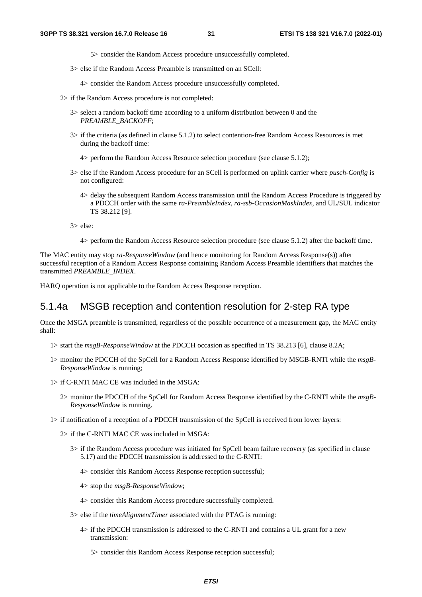5> consider the Random Access procedure unsuccessfully completed.

3> else if the Random Access Preamble is transmitted on an SCell:

4> consider the Random Access procedure unsuccessfully completed.

- 2> if the Random Access procedure is not completed:
	- 3> select a random backoff time according to a uniform distribution between 0 and the *PREAMBLE\_BACKOFF*;
	- 3> if the criteria (as defined in clause 5.1.2) to select contention-free Random Access Resources is met during the backoff time:
		- 4> perform the Random Access Resource selection procedure (see clause 5.1.2);
	- 3> else if the Random Access procedure for an SCell is performed on uplink carrier where *pusch-Config* is not configured:
		- 4> delay the subsequent Random Access transmission until the Random Access Procedure is triggered by a PDCCH order with the same *ra-PreambleIndex*, *ra-ssb-OccasionMaskIndex*, and UL/SUL indicator TS 38.212 [9].

3> else:

4> perform the Random Access Resource selection procedure (see clause 5.1.2) after the backoff time.

The MAC entity may stop *ra-ResponseWindow* (and hence monitoring for Random Access Response(s)) after successful reception of a Random Access Response containing Random Access Preamble identifiers that matches the transmitted *PREAMBLE\_INDEX*.

HARQ operation is not applicable to the Random Access Response reception.

#### 5.1.4a MSGB reception and contention resolution for 2-step RA type

Once the MSGA preamble is transmitted, regardless of the possible occurrence of a measurement gap, the MAC entity shall:

- 1> start the *msgB-ResponseWindow* at the PDCCH occasion as specified in TS 38.213 [6], clause 8.2A;
- 1> monitor the PDCCH of the SpCell for a Random Access Response identified by MSGB-RNTI while the *msgB-ResponseWindow* is running;
- 1> if C-RNTI MAC CE was included in the MSGA:
	- 2> monitor the PDCCH of the SpCell for Random Access Response identified by the C-RNTI while the *msgB-ResponseWindow* is running.
- 1> if notification of a reception of a PDCCH transmission of the SpCell is received from lower layers:
	- 2> if the C-RNTI MAC CE was included in MSGA:
		- 3> if the Random Access procedure was initiated for SpCell beam failure recovery (as specified in clause 5.17) and the PDCCH transmission is addressed to the C-RNTI:
			- 4> consider this Random Access Response reception successful;
			- 4> stop the *msgB-ResponseWindow*;
			- 4> consider this Random Access procedure successfully completed.
		- 3> else if the *timeAlignmentTimer* associated with the PTAG is running:
			- 4> if the PDCCH transmission is addressed to the C-RNTI and contains a UL grant for a new transmission:
				- 5> consider this Random Access Response reception successful;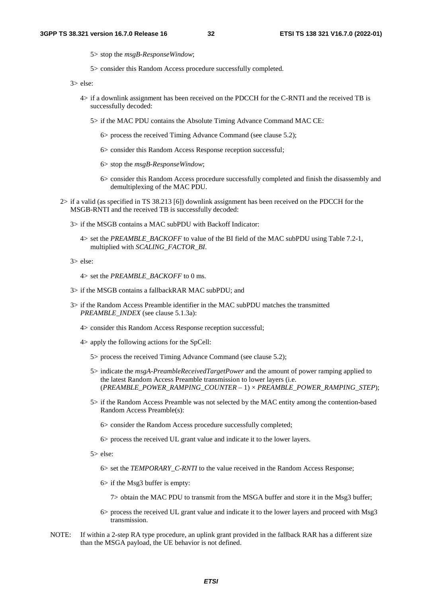5> stop the *msgB-ResponseWindow*;

5> consider this Random Access procedure successfully completed.

3> else:

- 4> if a downlink assignment has been received on the PDCCH for the C-RNTI and the received TB is successfully decoded:
	- 5> if the MAC PDU contains the Absolute Timing Advance Command MAC CE:
		- 6> process the received Timing Advance Command (see clause 5.2);
		- 6> consider this Random Access Response reception successful;
		- 6> stop the *msgB-ResponseWindow*;
		- 6> consider this Random Access procedure successfully completed and finish the disassembly and demultiplexing of the MAC PDU.
- 2> if a valid (as specified in TS 38.213 [6]) downlink assignment has been received on the PDCCH for the MSGB-RNTI and the received TB is successfully decoded:
	- 3> if the MSGB contains a MAC subPDU with Backoff Indicator:
		- 4> set the *PREAMBLE\_BACKOFF* to value of the BI field of the MAC subPDU using Table 7.2-1, multiplied with *SCALING\_FACTOR\_BI*.
	- 3> else:
		- 4> set the *PREAMBLE\_BACKOFF* to 0 ms.
	- 3> if the MSGB contains a fallbackRAR MAC subPDU; and
	- 3> if the Random Access Preamble identifier in the MAC subPDU matches the transmitted *PREAMBLE\_INDEX* (see clause 5.1.3a):
		- 4> consider this Random Access Response reception successful;
		- 4> apply the following actions for the SpCell:
			- 5> process the received Timing Advance Command (see clause 5.2);
			- 5> indicate the *msgA-PreambleReceivedTargetPower* and the amount of power ramping applied to the latest Random Access Preamble transmission to lower layers (i.e. (*PREAMBLE\_POWER\_RAMPING\_COUNTER* – 1) × *PREAMBLE\_POWER\_RAMPING\_STEP*);
			- 5> if the Random Access Preamble was not selected by the MAC entity among the contention-based Random Access Preamble(s):

6> consider the Random Access procedure successfully completed;

6> process the received UL grant value and indicate it to the lower layers.

5> else:

6> set the *TEMPORARY\_C-RNTI* to the value received in the Random Access Response;

- 6> if the Msg3 buffer is empty:
	- 7> obtain the MAC PDU to transmit from the MSGA buffer and store it in the Msg3 buffer;
- 6> process the received UL grant value and indicate it to the lower layers and proceed with Msg3 transmission.
- NOTE: If within a 2-step RA type procedure, an uplink grant provided in the fallback RAR has a different size than the MSGA payload, the UE behavior is not defined.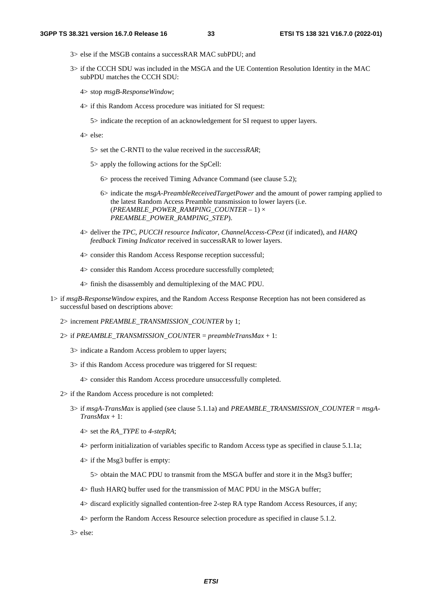- 3> else if the MSGB contains a successRAR MAC subPDU; and
- 3> if the CCCH SDU was included in the MSGA and the UE Contention Resolution Identity in the MAC subPDU matches the CCCH SDU:
	- 4> stop *msgB-ResponseWindow*;
	- 4> if this Random Access procedure was initiated for SI request:
		- 5> indicate the reception of an acknowledgement for SI request to upper layers.
	- 4> else:
		- 5> set the C-RNTI to the value received in the *successRAR*;
		- 5> apply the following actions for the SpCell:
			- 6> process the received Timing Advance Command (see clause 5.2);
			- 6> indicate the *msgA-PreambleReceivedTargetPower* and the amount of power ramping applied to the latest Random Access Preamble transmission to lower layers (i.e. (*PREAMBLE\_POWER\_RAMPING\_COUNTER* – 1) × *PREAMBLE\_POWER\_RAMPING\_STEP*).
	- 4> deliver the *TPC*, *PUCCH resource Indicator*, *ChannelAccess-CPext* (if indicated), and *HARQ feedback Timing Indicator* received in successRAR to lower layers.
	- 4> consider this Random Access Response reception successful;
	- 4> consider this Random Access procedure successfully completed;
	- 4> finish the disassembly and demultiplexing of the MAC PDU.
- 1> if *msgB-ResponseWindow* expires, and the Random Access Response Reception has not been considered as successful based on descriptions above:
	- 2> increment *PREAMBLE\_TRANSMISSION\_COUNTER* by 1;
	- 2> if *PREAMBLE\_TRANSMISSION\_COUNTE*R = *preambleTransMax* + 1:
		- 3> indicate a Random Access problem to upper layers;
		- 3> if this Random Access procedure was triggered for SI request:
			- 4> consider this Random Access procedure unsuccessfully completed.
	- 2> if the Random Access procedure is not completed:
		- 3> if *msgA-TransMax* is applied (see clause 5.1.1a) and *PREAMBLE\_TRANSMISSION\_COUNTER* = *msgA-TransMax* + 1:
			- 4> set the *RA\_TYPE* to *4-stepRA*;
			- 4> perform initialization of variables specific to Random Access type as specified in clause 5.1.1a;
			- 4> if the Msg3 buffer is empty:
				- 5> obtain the MAC PDU to transmit from the MSGA buffer and store it in the Msg3 buffer;
			- 4> flush HARQ buffer used for the transmission of MAC PDU in the MSGA buffer;
			- 4> discard explicitly signalled contention-free 2-step RA type Random Access Resources, if any;
			- 4> perform the Random Access Resource selection procedure as specified in clause 5.1.2.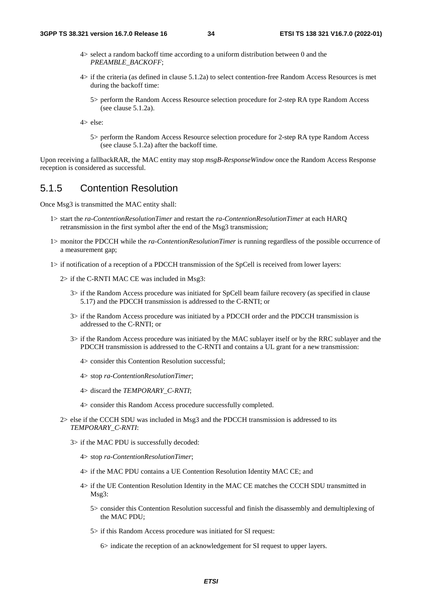- 4> select a random backoff time according to a uniform distribution between 0 and the *PREAMBLE\_BACKOFF*;
- 4> if the criteria (as defined in clause 5.1.2a) to select contention-free Random Access Resources is met during the backoff time:
	- 5> perform the Random Access Resource selection procedure for 2-step RA type Random Access (see clause 5.1.2a).

5> perform the Random Access Resource selection procedure for 2-step RA type Random Access (see clause 5.1.2a) after the backoff time.

Upon receiving a fallbackRAR, the MAC entity may stop *msgB-ResponseWindow* once the Random Access Response reception is considered as successful.

#### 5.1.5 Contention Resolution

Once Msg3 is transmitted the MAC entity shall:

- 1> start the *ra-ContentionResolutionTimer* and restart the *ra-ContentionResolutionTimer* at each HARQ retransmission in the first symbol after the end of the Msg3 transmission;
- 1> monitor the PDCCH while the *ra-ContentionResolutionTimer* is running regardless of the possible occurrence of a measurement gap;
- 1> if notification of a reception of a PDCCH transmission of the SpCell is received from lower layers:
	- 2> if the C-RNTI MAC CE was included in Msg3:
		- 3> if the Random Access procedure was initiated for SpCell beam failure recovery (as specified in clause 5.17) and the PDCCH transmission is addressed to the C-RNTI; or
		- 3> if the Random Access procedure was initiated by a PDCCH order and the PDCCH transmission is addressed to the C-RNTI; or
		- 3> if the Random Access procedure was initiated by the MAC sublayer itself or by the RRC sublayer and the PDCCH transmission is addressed to the C-RNTI and contains a UL grant for a new transmission:
			- 4> consider this Contention Resolution successful;
			- 4> stop *ra-ContentionResolutionTimer*;
			- 4> discard the *TEMPORARY\_C-RNTI*;
			- 4> consider this Random Access procedure successfully completed.
	- 2> else if the CCCH SDU was included in Msg3 and the PDCCH transmission is addressed to its *TEMPORARY\_C-RNTI*:
		- 3> if the MAC PDU is successfully decoded:
			- 4> stop *ra-ContentionResolutionTimer*;
			- 4> if the MAC PDU contains a UE Contention Resolution Identity MAC CE; and
			- 4> if the UE Contention Resolution Identity in the MAC CE matches the CCCH SDU transmitted in Msg3:
				- 5> consider this Contention Resolution successful and finish the disassembly and demultiplexing of the MAC PDU;
				- 5> if this Random Access procedure was initiated for SI request:

6> indicate the reception of an acknowledgement for SI request to upper layers.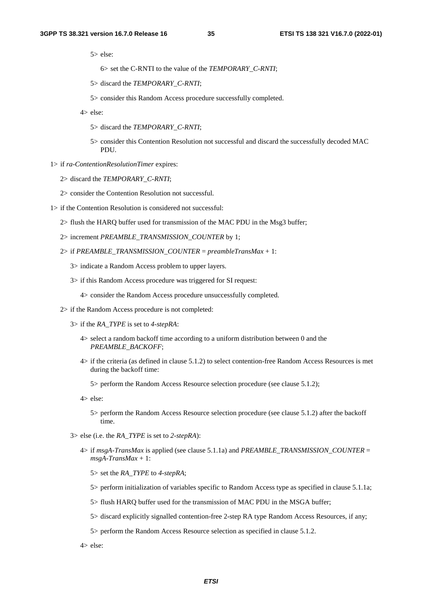- 6> set the C-RNTI to the value of the *TEMPORARY\_C-RNTI*;
- 5> discard the *TEMPORARY\_C-RNTI*;
- 5> consider this Random Access procedure successfully completed.
- 4> else:
	- 5> discard the *TEMPORARY\_C-RNTI*;
	- 5> consider this Contention Resolution not successful and discard the successfully decoded MAC PDU.
- 1> if *ra-ContentionResolutionTimer* expires:
	- 2> discard the *TEMPORARY\_C-RNTI*;
	- 2> consider the Contention Resolution not successful.
- 1> if the Contention Resolution is considered not successful:
	- 2> flush the HARQ buffer used for transmission of the MAC PDU in the Msg3 buffer;
	- 2> increment *PREAMBLE\_TRANSMISSION\_COUNTER* by 1;
	- 2> if *PREAMBLE\_TRANSMISSION\_COUNTER* = *preambleTransMax* + 1:
		- 3> indicate a Random Access problem to upper layers.
		- 3> if this Random Access procedure was triggered for SI request:
			- 4> consider the Random Access procedure unsuccessfully completed.
	- 2> if the Random Access procedure is not completed:
		- 3> if the *RA\_TYPE* is set to *4-stepRA*:
			- 4> select a random backoff time according to a uniform distribution between 0 and the *PREAMBLE\_BACKOFF*;
			- 4> if the criteria (as defined in clause 5.1.2) to select contention-free Random Access Resources is met during the backoff time:
				- 5> perform the Random Access Resource selection procedure (see clause 5.1.2);
			- 4> else:
				- 5> perform the Random Access Resource selection procedure (see clause 5.1.2) after the backoff time.
		- 3> else (i.e. the *RA\_TYPE* is set to *2-stepRA*):
			- 4> if  $msgA-TransMax$  is applied (see clause 5.1.1a) and *PREAMBLE\_TRANSMISSION\_COUNTER* = *msgA-TransMax* + 1:
				- 5> set the *RA\_TYPE* to *4-stepRA*;
				- 5> perform initialization of variables specific to Random Access type as specified in clause 5.1.1a;
				- 5> flush HARQ buffer used for the transmission of MAC PDU in the MSGA buffer;
				- 5> discard explicitly signalled contention-free 2-step RA type Random Access Resources, if any;
				- 5> perform the Random Access Resource selection as specified in clause 5.1.2.
			- 4> else: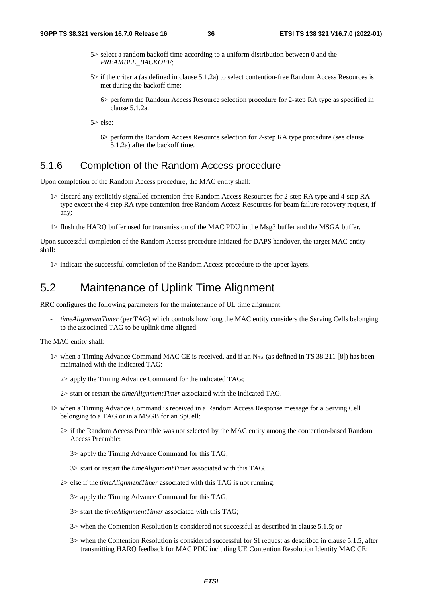- 5> select a random backoff time according to a uniform distribution between 0 and the *PREAMBLE\_BACKOFF*;
- 5> if the criteria (as defined in clause 5.1.2a) to select contention-free Random Access Resources is met during the backoff time:
	- 6> perform the Random Access Resource selection procedure for 2-step RA type as specified in clause 5.1.2a.

5> else:

6> perform the Random Access Resource selection for 2-step RA type procedure (see clause 5.1.2a) after the backoff time.

### 5.1.6 Completion of the Random Access procedure

Upon completion of the Random Access procedure, the MAC entity shall:

- 1> discard any explicitly signalled contention-free Random Access Resources for 2-step RA type and 4-step RA type except the 4-step RA type contention-free Random Access Resources for beam failure recovery request, if any;
- 1> flush the HARQ buffer used for transmission of the MAC PDU in the Msg3 buffer and the MSGA buffer.

Upon successful completion of the Random Access procedure initiated for DAPS handover, the target MAC entity shall:

1> indicate the successful completion of the Random Access procedure to the upper layers.

## 5.2 Maintenance of Uplink Time Alignment

RRC configures the following parameters for the maintenance of UL time alignment:

- *timeAlignmentTimer* (per TAG) which controls how long the MAC entity considers the Serving Cells belonging to the associated TAG to be uplink time aligned.

The MAC entity shall:

- 1> when a Timing Advance Command MAC CE is received, and if an  $N_{TA}$  (as defined in TS 38.211 [8]) has been maintained with the indicated TAG:
	- 2> apply the Timing Advance Command for the indicated TAG;
	- 2> start or restart the *timeAlignmentTimer* associated with the indicated TAG.
- 1> when a Timing Advance Command is received in a Random Access Response message for a Serving Cell belonging to a TAG or in a MSGB for an SpCell:
	- 2> if the Random Access Preamble was not selected by the MAC entity among the contention-based Random Access Preamble:

3> apply the Timing Advance Command for this TAG;

- 3> start or restart the *timeAlignmentTimer* associated with this TAG.
- 2> else if the *timeAlignmentTimer* associated with this TAG is not running:
	- 3> apply the Timing Advance Command for this TAG;
	- 3> start the *timeAlignmentTimer* associated with this TAG;
	- 3> when the Contention Resolution is considered not successful as described in clause 5.1.5; or
	- 3> when the Contention Resolution is considered successful for SI request as described in clause 5.1.5, after transmitting HARQ feedback for MAC PDU including UE Contention Resolution Identity MAC CE: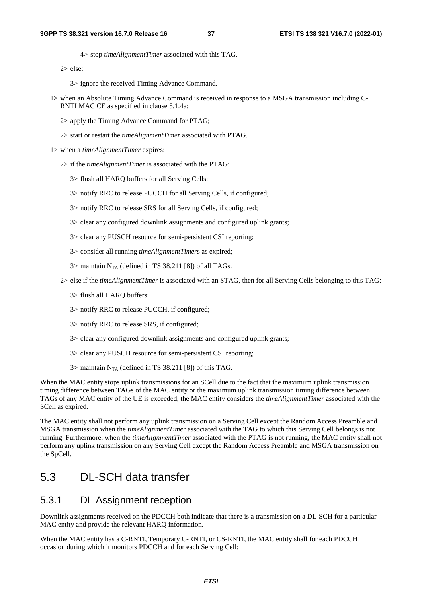4> stop *timeAlignmentTimer* associated with this TAG.

2> else:

3> ignore the received Timing Advance Command.

- 1> when an Absolute Timing Advance Command is received in response to a MSGA transmission including C-RNTI MAC CE as specified in clause 5.1.4a:
	- 2> apply the Timing Advance Command for PTAG;
	- 2> start or restart the *timeAlignmentTimer* associated with PTAG.
- 1> when a *timeAlignmentTimer* expires:
	- 2> if the *timeAlignmentTimer* is associated with the PTAG:
		- 3> flush all HARQ buffers for all Serving Cells;
		- 3> notify RRC to release PUCCH for all Serving Cells, if configured;
		- 3> notify RRC to release SRS for all Serving Cells, if configured;
		- 3> clear any configured downlink assignments and configured uplink grants;
		- 3> clear any PUSCH resource for semi-persistent CSI reporting;
		- 3> consider all running *timeAlignmentTimer*s as expired;
		- $3$  maintain N<sub>TA</sub> (defined in TS 38.211 [8]) of all TAGs.
	- 2> else if the *timeAlignmentTimer* is associated with an STAG, then for all Serving Cells belonging to this TAG:
		- 3> flush all HARQ buffers;
		- 3> notify RRC to release PUCCH, if configured;
		- 3> notify RRC to release SRS, if configured;
		- 3> clear any configured downlink assignments and configured uplink grants;
		- 3> clear any PUSCH resource for semi-persistent CSI reporting;
		- 3> maintain  $N_{TA}$  (defined in TS 38.211 [8]) of this TAG.

When the MAC entity stops uplink transmissions for an SCell due to the fact that the maximum uplink transmission timing difference between TAGs of the MAC entity or the maximum uplink transmission timing difference between TAGs of any MAC entity of the UE is exceeded, the MAC entity considers the *timeAlignmentTimer* associated with the SCell as expired.

The MAC entity shall not perform any uplink transmission on a Serving Cell except the Random Access Preamble and MSGA transmission when the *timeAlignmentTimer* associated with the TAG to which this Serving Cell belongs is not running. Furthermore, when the *timeAlignmentTimer* associated with the PTAG is not running, the MAC entity shall not perform any uplink transmission on any Serving Cell except the Random Access Preamble and MSGA transmission on the SpCell.

## 5.3 DL-SCH data transfer

### 5.3.1 DL Assignment reception

Downlink assignments received on the PDCCH both indicate that there is a transmission on a DL-SCH for a particular MAC entity and provide the relevant HARQ information.

When the MAC entity has a C-RNTI, Temporary C-RNTI, or CS-RNTI, the MAC entity shall for each PDCCH occasion during which it monitors PDCCH and for each Serving Cell: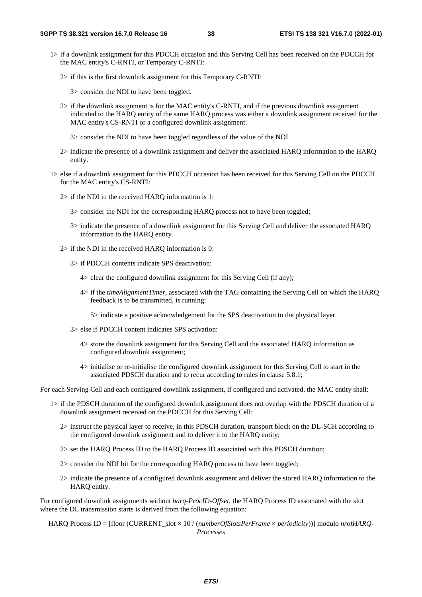- 1> if a downlink assignment for this PDCCH occasion and this Serving Cell has been received on the PDCCH for the MAC entity's C-RNTI, or Temporary C-RNTI:
	- 2> if this is the first downlink assignment for this Temporary C-RNTI:

3> consider the NDI to have been toggled.

- 2> if the downlink assignment is for the MAC entity's C-RNTI, and if the previous downlink assignment indicated to the HARQ entity of the same HARQ process was either a downlink assignment received for the MAC entity's CS-RNTI or a configured downlink assignment:
	- 3> consider the NDI to have been toggled regardless of the value of the NDI.
- 2> indicate the presence of a downlink assignment and deliver the associated HARQ information to the HARQ entity.
- 1> else if a downlink assignment for this PDCCH occasion has been received for this Serving Cell on the PDCCH for the MAC entity's CS-RNTI:
	- 2> if the NDI in the received HARQ information is 1:
		- 3> consider the NDI for the corresponding HARQ process not to have been toggled;
		- 3> indicate the presence of a downlink assignment for this Serving Cell and deliver the associated HARQ information to the HARQ entity.
	- 2> if the NDI in the received HARQ information is 0:
		- 3> if PDCCH contents indicate SPS deactivation:
			- 4> clear the configured downlink assignment for this Serving Cell (if any);
			- 4> if the *timeAlignmentTimer*, associated with the TAG containing the Serving Cell on which the HARQ feedback is to be transmitted, is running:
				- 5> indicate a positive acknowledgement for the SPS deactivation to the physical layer.
		- 3> else if PDCCH content indicates SPS activation:
			- 4> store the downlink assignment for this Serving Cell and the associated HARQ information as configured downlink assignment;
			- 4> initialise or re-initialise the configured downlink assignment for this Serving Cell to start in the associated PDSCH duration and to recur according to rules in clause 5.8.1;

For each Serving Cell and each configured downlink assignment, if configured and activated, the MAC entity shall:

- 1> if the PDSCH duration of the configured downlink assignment does not overlap with the PDSCH duration of a downlink assignment received on the PDCCH for this Serving Cell:
	- 2> instruct the physical layer to receive, in this PDSCH duration, transport block on the DL-SCH according to the configured downlink assignment and to deliver it to the HARQ entity;
	- 2> set the HARQ Process ID to the HARQ Process ID associated with this PDSCH duration;
	- 2> consider the NDI bit for the corresponding HARQ process to have been toggled;
	- 2> indicate the presence of a configured downlink assignment and deliver the stored HARQ information to the HARQ entity.

For configured downlink assignments without *harq-ProcID-Offset*, the HARQ Process ID associated with the slot where the DL transmission starts is derived from the following equation:

HARQ Process ID = [floor (CURRENT\_slot × 10 / (*numberOfSlotsPerFrame* × *periodicity*))] modulo *nrofHARQ-Processes*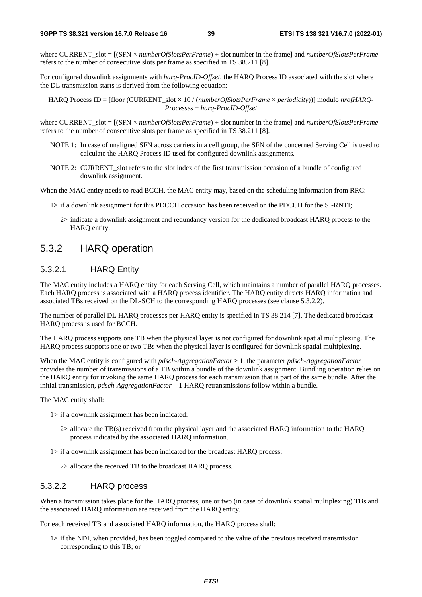where CURRENT\_slot = [(SFN × *numberOfSlotsPerFrame*) + slot number in the frame] and *numberOfSlotsPerFrame* refers to the number of consecutive slots per frame as specified in TS 38.211 [8].

For configured downlink assignments with *harq-ProcID-Offset*, the HARQ Process ID associated with the slot where the DL transmission starts is derived from the following equation:

HARQ Process ID = [floor (CURRENT\_slot × 10 / (*numberOfSlotsPerFrame* × *periodicity*))] modulo *nrofHARQ-Processes* + *harq-ProcID-Offset*

where CURRENT\_slot = [(SFN × *numberOfSlotsPerFrame*) + slot number in the frame] and *numberOfSlotsPerFrame* refers to the number of consecutive slots per frame as specified in TS 38.211 [8].

- NOTE 1: In case of unaligned SFN across carriers in a cell group, the SFN of the concerned Serving Cell is used to calculate the HARQ Process ID used for configured downlink assignments.
- NOTE 2: CURRENT slot refers to the slot index of the first transmission occasion of a bundle of configured downlink assignment.

When the MAC entity needs to read BCCH, the MAC entity may, based on the scheduling information from RRC:

- 1> if a downlink assignment for this PDCCH occasion has been received on the PDCCH for the SI-RNTI;
	- 2> indicate a downlink assignment and redundancy version for the dedicated broadcast HARQ process to the HARQ entity.

### 5.3.2 HARQ operation

#### 5.3.2.1 HARQ Entity

The MAC entity includes a HARQ entity for each Serving Cell, which maintains a number of parallel HARQ processes. Each HARQ process is associated with a HARQ process identifier. The HARQ entity directs HARQ information and associated TBs received on the DL-SCH to the corresponding HARQ processes (see clause 5.3.2.2).

The number of parallel DL HARQ processes per HARQ entity is specified in TS 38.214 [7]. The dedicated broadcast HARQ process is used for BCCH.

The HARQ process supports one TB when the physical layer is not configured for downlink spatial multiplexing. The HARQ process supports one or two TBs when the physical layer is configured for downlink spatial multiplexing.

When the MAC entity is configured with *pdsch-AggregationFactor* > 1, the parameter *pdsch-AggregationFactor* provides the number of transmissions of a TB within a bundle of the downlink assignment. Bundling operation relies on the HARQ entity for invoking the same HARQ process for each transmission that is part of the same bundle. After the initial transmission, *pdsch-AggregationFactor* – 1 HARQ retransmissions follow within a bundle.

The MAC entity shall:

- 1> if a downlink assignment has been indicated:
	- 2> allocate the TB(s) received from the physical layer and the associated HARQ information to the HARQ process indicated by the associated HARQ information.
- 1> if a downlink assignment has been indicated for the broadcast HARQ process:
	- 2> allocate the received TB to the broadcast HARQ process.

#### 5.3.2.2 HARQ process

When a transmission takes place for the HARQ process, one or two (in case of downlink spatial multiplexing) TBs and the associated HARQ information are received from the HARQ entity.

For each received TB and associated HARQ information, the HARQ process shall:

1> if the NDI, when provided, has been toggled compared to the value of the previous received transmission corresponding to this TB; or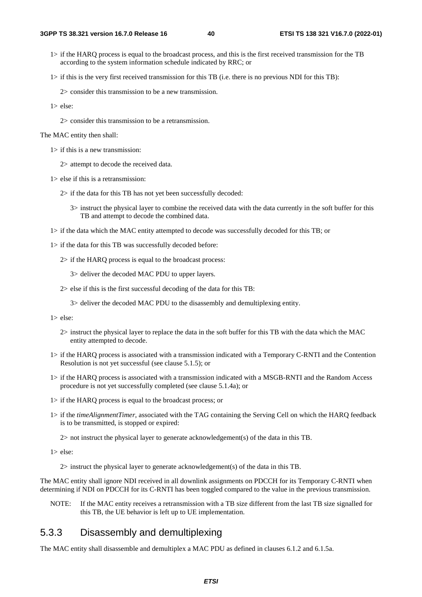1> if the HARQ process is equal to the broadcast process, and this is the first received transmission for the TB according to the system information schedule indicated by RRC; or

1> if this is the very first received transmission for this TB (i.e. there is no previous NDI for this TB):

2> consider this transmission to be a new transmission.

1> else:

2> consider this transmission to be a retransmission.

The MAC entity then shall:

1> if this is a new transmission:

2> attempt to decode the received data.

- 1> else if this is a retransmission:
	- 2> if the data for this TB has not yet been successfully decoded:
		- 3> instruct the physical layer to combine the received data with the data currently in the soft buffer for this TB and attempt to decode the combined data.
- 1> if the data which the MAC entity attempted to decode was successfully decoded for this TB; or
- 1> if the data for this TB was successfully decoded before:

2> if the HARQ process is equal to the broadcast process:

3> deliver the decoded MAC PDU to upper layers.

- 2> else if this is the first successful decoding of the data for this TB:
	- 3> deliver the decoded MAC PDU to the disassembly and demultiplexing entity.

1> else:

- 2> instruct the physical layer to replace the data in the soft buffer for this TB with the data which the MAC entity attempted to decode.
- 1> if the HARQ process is associated with a transmission indicated with a Temporary C-RNTI and the Contention Resolution is not yet successful (see clause 5.1.5); or
- 1> if the HARQ process is associated with a transmission indicated with a MSGB-RNTI and the Random Access procedure is not yet successfully completed (see clause 5.1.4a); or
- 1> if the HARQ process is equal to the broadcast process; or
- 1> if the *timeAlignmentTimer*, associated with the TAG containing the Serving Cell on which the HARQ feedback is to be transmitted, is stopped or expired:

2> not instruct the physical layer to generate acknowledgement(s) of the data in this TB.

1> else:

2> instruct the physical layer to generate acknowledgement(s) of the data in this TB.

The MAC entity shall ignore NDI received in all downlink assignments on PDCCH for its Temporary C-RNTI when determining if NDI on PDCCH for its C-RNTI has been toggled compared to the value in the previous transmission.

NOTE: If the MAC entity receives a retransmission with a TB size different from the last TB size signalled for this TB, the UE behavior is left up to UE implementation.

## 5.3.3 Disassembly and demultiplexing

The MAC entity shall disassemble and demultiplex a MAC PDU as defined in clauses 6.1.2 and 6.1.5a.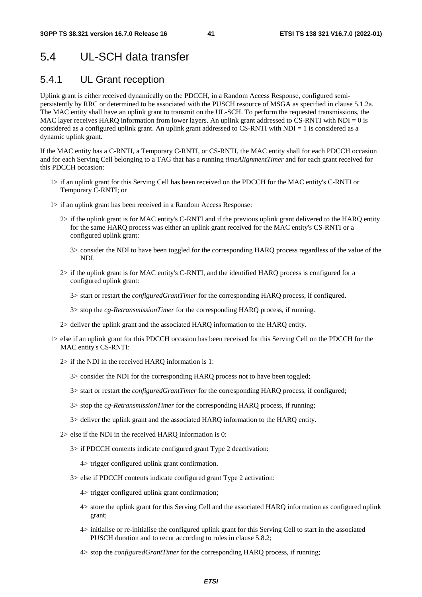# 5.4 UL-SCH data transfer

## 5.4.1 UL Grant reception

Uplink grant is either received dynamically on the PDCCH, in a Random Access Response, configured semipersistently by RRC or determined to be associated with the PUSCH resource of MSGA as specified in clause 5.1.2a. The MAC entity shall have an uplink grant to transmit on the UL-SCH. To perform the requested transmissions, the MAC layer receives HARQ information from lower layers. An uplink grant addressed to CS-RNTI with  $NDI = 0$  is considered as a configured uplink grant. An uplink grant addressed to CS-RNTI with NDI = 1 is considered as a dynamic uplink grant.

If the MAC entity has a C-RNTI, a Temporary C-RNTI, or CS-RNTI, the MAC entity shall for each PDCCH occasion and for each Serving Cell belonging to a TAG that has a running *timeAlignmentTimer* and for each grant received for this PDCCH occasion:

- 1> if an uplink grant for this Serving Cell has been received on the PDCCH for the MAC entity's C-RNTI or Temporary C-RNTI; or
- 1> if an uplink grant has been received in a Random Access Response:
	- 2> if the uplink grant is for MAC entity's C-RNTI and if the previous uplink grant delivered to the HARQ entity for the same HARQ process was either an uplink grant received for the MAC entity's CS-RNTI or a configured uplink grant:
		- 3> consider the NDI to have been toggled for the corresponding HARQ process regardless of the value of the NDI.
	- 2> if the uplink grant is for MAC entity's C-RNTI, and the identified HARQ process is configured for a configured uplink grant:
		- 3> start or restart the *configuredGrantTimer* for the corresponding HARQ process, if configured.
		- 3> stop the *cg-RetransmissionTimer* for the corresponding HARQ process, if running.
	- 2> deliver the uplink grant and the associated HARQ information to the HARQ entity.
- 1> else if an uplink grant for this PDCCH occasion has been received for this Serving Cell on the PDCCH for the MAC entity's CS-RNTI:
	- 2> if the NDI in the received HARQ information is 1:
		- 3> consider the NDI for the corresponding HARQ process not to have been toggled;
		- 3> start or restart the *configuredGrantTimer* for the corresponding HARQ process, if configured;
		- 3> stop the *cg-RetransmissionTimer* for the corresponding HARQ process, if running;
		- 3> deliver the uplink grant and the associated HARQ information to the HARQ entity.
	- 2> else if the NDI in the received HARQ information is 0:
		- 3> if PDCCH contents indicate configured grant Type 2 deactivation:
			- 4> trigger configured uplink grant confirmation.
		- 3> else if PDCCH contents indicate configured grant Type 2 activation:
			- 4> trigger configured uplink grant confirmation;
			- 4> store the uplink grant for this Serving Cell and the associated HARQ information as configured uplink grant;
			- 4> initialise or re-initialise the configured uplink grant for this Serving Cell to start in the associated PUSCH duration and to recur according to rules in clause 5.8.2;
			- 4> stop the *configuredGrantTimer* for the corresponding HARQ process, if running;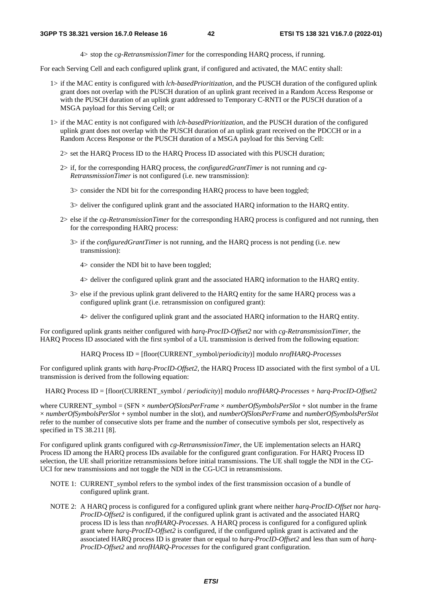4> stop the *cg-RetransmissionTimer* for the corresponding HARQ process, if running.

For each Serving Cell and each configured uplink grant, if configured and activated, the MAC entity shall:

- 1> if the MAC entity is configured with *lch-basedPrioritization*, and the PUSCH duration of the configured uplink grant does not overlap with the PUSCH duration of an uplink grant received in a Random Access Response or with the PUSCH duration of an uplink grant addressed to Temporary C-RNTI or the PUSCH duration of a MSGA payload for this Serving Cell; or
- 1> if the MAC entity is not configured with *lch-basedPrioritization*, and the PUSCH duration of the configured uplink grant does not overlap with the PUSCH duration of an uplink grant received on the PDCCH or in a Random Access Response or the PUSCH duration of a MSGA payload for this Serving Cell:
	- 2> set the HARQ Process ID to the HARQ Process ID associated with this PUSCH duration;
	- 2> if, for the corresponding HARQ process, the *configuredGrantTimer* is not running and *cg-RetransmissionTimer* is not configured (i.e. new transmission):

3> consider the NDI bit for the corresponding HARQ process to have been toggled;

- 3> deliver the configured uplink grant and the associated HARQ information to the HARQ entity.
- 2> else if the *cg-RetransmissionTimer* for the corresponding HARQ process is configured and not running, then for the corresponding HARQ process:
	- 3> if the *configuredGrantTimer* is not running, and the HARQ process is not pending (i.e. new transmission):
		- 4> consider the NDI bit to have been toggled;
		- 4> deliver the configured uplink grant and the associated HARQ information to the HARQ entity.
	- 3> else if the previous uplink grant delivered to the HARQ entity for the same HARQ process was a configured uplink grant (i.e. retransmission on configured grant):
		- 4> deliver the configured uplink grant and the associated HARQ information to the HARQ entity.

For configured uplink grants neither configured with *harq-ProcID-Offset2* nor with *cg-RetransmissionTimer*, the HARQ Process ID associated with the first symbol of a UL transmission is derived from the following equation:

HARQ Process ID = [floor(CURRENT\_symbol/*periodicity*)] modulo *nrofHARQ-Processes*

For configured uplink grants with *harq-ProcID-Offset2*, the HARQ Process ID associated with the first symbol of a UL transmission is derived from the following equation:

HARQ Process ID = [floor(CURRENT\_symbol / *periodicity*)] modulo *nrofHARQ-Processes* + *harq-ProcID-Offset2* 

where CURRENT\_symbol = (SFN × *numberOfSlotsPerFrame* × *numberOfSymbolsPerSlot* + slot number in the frame × *numberOfSymbolsPerSlot* + symbol number in the slot), and *numberOfSlotsPerFrame* and *numberOfSymbolsPerSlot* refer to the number of consecutive slots per frame and the number of consecutive symbols per slot, respectively as specified in TS 38.211 [8].

For configured uplink grants configured with *cg-RetransmissionTimer*, the UE implementation selects an HARQ Process ID among the HARQ process IDs available for the configured grant configuration. For HARQ Process ID selection, the UE shall prioritize retransmissions before initial transmissions. The UE shall toggle the NDI in the CG-UCI for new transmissions and not toggle the NDI in the CG-UCI in retransmissions.

- NOTE 1: CURRENT symbol refers to the symbol index of the first transmission occasion of a bundle of configured uplink grant.
- NOTE 2: A HARQ process is configured for a configured uplink grant where neither *harq-ProcID-Offset* nor *harq-ProcID-Offset2* is configured, if the configured uplink grant is activated and the associated HARQ process ID is less than *nrofHARQ-Processes*. A HARQ process is configured for a configured uplink grant where *harq-ProcID-Offset2* is configured, if the configured uplink grant is activated and the associated HARQ process ID is greater than or equal to *harq-ProcID-Offset2* and less than sum of *harq-ProcID-Offset2* and *nrofHARQ-Processes* for the configured grant configuration.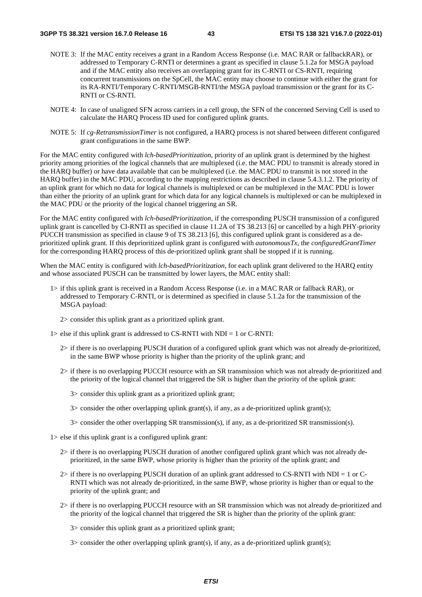- NOTE 3: If the MAC entity receives a grant in a Random Access Response (i.e. MAC RAR or fallbackRAR), or addressed to Temporary C-RNTI or determines a grant as specified in clause 5.1.2a for MSGA payload and if the MAC entity also receives an overlapping grant for its C-RNTI or CS-RNTI, requiring concurrent transmissions on the SpCell, the MAC entity may choose to continue with either the grant for its RA-RNTI/Temporary C-RNTI/MSGB-RNTI/the MSGA payload transmission or the grant for its C-RNTI or CS-RNTI.
- NOTE 4: In case of unaligned SFN across carriers in a cell group, the SFN of the concerned Serving Cell is used to calculate the HARQ Process ID used for configured uplink grants.
- NOTE 5: If *cg-RetransmissionTimer* is not configured, a HARQ process is not shared between different configured grant configurations in the same BWP.

For the MAC entity configured with *lch-basedPrioritization*, priority of an uplink grant is determined by the highest priority among priorities of the logical channels that are multiplexed (i.e. the MAC PDU to transmit is already stored in the HARQ buffer) or have data available that can be multiplexed (i.e. the MAC PDU to transmit is not stored in the HARQ buffer) in the MAC PDU, according to the mapping restrictions as described in clause 5.4.3.1.2. The priority of an uplink grant for which no data for logical channels is multiplexed or can be multiplexed in the MAC PDU is lower than either the priority of an uplink grant for which data for any logical channels is multiplexed or can be multiplexed in the MAC PDU or the priority of the logical channel triggering an SR.

For the MAC entity configured with *lch-basedPrioritization*, if the corresponding PUSCH transmission of a configured uplink grant is cancelled by CI-RNTI as specified in clause 11.2A of TS 38.213 [6] or cancelled by a high PHY-priority PUCCH transmission as specified in clause 9 of TS 38.213 [6], this configured uplink grant is considered as a deprioritized uplink grant. If this deprioritized uplink grant is configured with *autonomousTx*, the *configuredGrantTimer* for the corresponding HARQ process of this de-prioritized uplink grant shall be stopped if it is running.

When the MAC entity is configured with *lch-basedPrioritization*, for each uplink grant delivered to the HARQ entity and whose associated PUSCH can be transmitted by lower layers, the MAC entity shall:

- 1> if this uplink grant is received in a Random Access Response (i.e. in a MAC RAR or fallback RAR), or addressed to Temporary C-RNTI, or is determined as specified in clause 5.1.2a for the transmission of the MSGA payload:
	- 2> consider this uplink grant as a prioritized uplink grant.
- 1> else if this uplink grant is addressed to CS-RNTI with NDI = 1 or C-RNTI:
	- 2> if there is no overlapping PUSCH duration of a configured uplink grant which was not already de-prioritized, in the same BWP whose priority is higher than the priority of the uplink grant; and
	- 2> if there is no overlapping PUCCH resource with an SR transmission which was not already de-prioritized and the priority of the logical channel that triggered the SR is higher than the priority of the uplink grant:
		- 3> consider this uplink grant as a prioritized uplink grant;
		- $3$  consider the other overlapping uplink grant(s), if any, as a de-prioritized uplink grant(s);
		- 3> consider the other overlapping SR transmission(s), if any, as a de-prioritized SR transmission(s).
- 1> else if this uplink grant is a configured uplink grant:
	- 2> if there is no overlapping PUSCH duration of another configured uplink grant which was not already deprioritized, in the same BWP, whose priority is higher than the priority of the uplink grant; and
	- 2> if there is no overlapping PUSCH duration of an uplink grant addressed to CS-RNTI with NDI = 1 or C-RNTI which was not already de-prioritized, in the same BWP, whose priority is higher than or equal to the priority of the uplink grant; and
	- 2> if there is no overlapping PUCCH resource with an SR transmission which was not already de-prioritized and the priority of the logical channel that triggered the SR is higher than the priority of the uplink grant:

3> consider this uplink grant as a prioritized uplink grant;

 $3$  consider the other overlapping uplink grant(s), if any, as a de-prioritized uplink grant(s);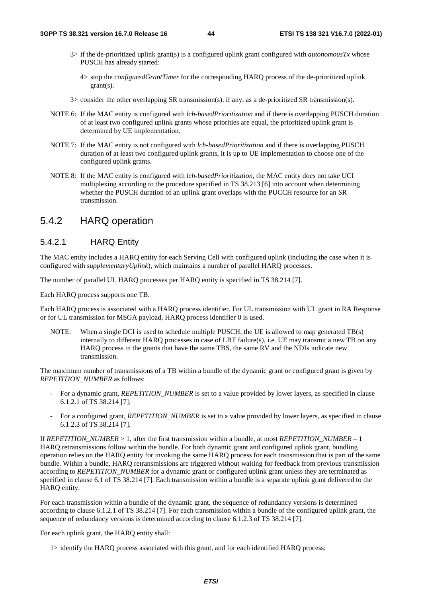- 3> if the de-prioritized uplink grant(s) is a configured uplink grant configured with *autonomousTx* whose PUSCH has already started:
	- 4> stop the *configuredGrantTimer* for the corresponding HARQ process of the de-prioritized uplink grant(s).
- 3> consider the other overlapping SR transmission(s), if any, as a de-prioritized SR transmission(s).
- NOTE 6: If the MAC entity is configured with *lch-basedPrioritization* and if there is overlapping PUSCH duration of at least two configured uplink grants whose priorities are equal, the prioritized uplink grant is determined by UE implementation.
- NOTE 7: If the MAC entity is not configured with *lch-basedPrioritization* and if there is overlapping PUSCH duration of at least two configured uplink grants, it is up to UE implementation to choose one of the configured uplink grants.
- NOTE 8: If the MAC entity is configured with *lch-basedPrioritization*, the MAC entity does not take UCI multiplexing according to the procedure specified in TS 38.213 [6] into account when determining whether the PUSCH duration of an uplink grant overlaps with the PUCCH resource for an SR transmission.

### 5.4.2 HARQ operation

### 5.4.2.1 HARQ Entity

The MAC entity includes a HARQ entity for each Serving Cell with configured uplink (including the case when it is configured with *supplementaryUplink*), which maintains a number of parallel HARQ processes.

The number of parallel UL HARQ processes per HARQ entity is specified in TS 38.214 [7].

Each HARQ process supports one TB.

Each HARQ process is associated with a HARQ process identifier. For UL transmission with UL grant in RA Response or for UL transmission for MSGA payload, HARQ process identifier 0 is used.

NOTE: When a single DCI is used to schedule multiple PUSCH, the UE is allowed to map generated TB(s) internally to different HARQ processes in case of LBT failure(s), i.e. UE may transmit a new TB on any HARQ process in the grants that have the same TBS, the same RV and the NDIs indicate new transmission.

The maximum number of transmissions of a TB within a bundle of the dynamic grant or configured grant is given by *REPETITION\_NUMBER* as follows:

- For a dynamic grant, *REPETITION\_NUMBER* is set to a value provided by lower layers, as specified in clause 6.1.2.1 of TS 38.214 [7];
- For a configured grant, *REPETITION\_NUMBER* is set to a value provided by lower layers, as specified in clause 6.1.2.3 of TS 38.214 [7].

If *REPETITION\_NUMBER* > 1, after the first transmission within a bundle, at most *REPETITION\_NUMBER* – 1 HARQ retransmissions follow within the bundle. For both dynamic grant and configured uplink grant, bundling operation relies on the HARQ entity for invoking the same HARQ process for each transmission that is part of the same bundle. Within a bundle, HARQ retransmissions are triggered without waiting for feedback from previous transmission according to *REPETITION\_NUMBER* for a dynamic grant or configured uplink grant unless they are terminated as specified in clause 6.1 of TS 38.214 [7]. Each transmission within a bundle is a separate uplink grant delivered to the HARQ entity.

For each transmission within a bundle of the dynamic grant, the sequence of redundancy versions is determined according to clause 6.1.2.1 of TS 38.214 [7]. For each transmission within a bundle of the configured uplink grant, the sequence of redundancy versions is determined according to clause 6.1.2.3 of TS 38.214 [7].

For each uplink grant, the HARQ entity shall:

1> identify the HARQ process associated with this grant, and for each identified HARQ process: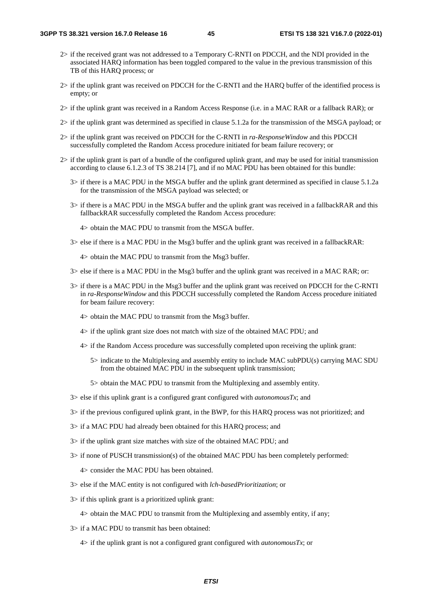- 2> if the received grant was not addressed to a Temporary C-RNTI on PDCCH, and the NDI provided in the associated HARQ information has been toggled compared to the value in the previous transmission of this TB of this HARQ process; or
- 2> if the uplink grant was received on PDCCH for the C-RNTI and the HARQ buffer of the identified process is empty; or
- 2> if the uplink grant was received in a Random Access Response (i.e. in a MAC RAR or a fallback RAR); or
- 2> if the uplink grant was determined as specified in clause 5.1.2a for the transmission of the MSGA payload; or
- 2> if the uplink grant was received on PDCCH for the C-RNTI in *ra-ResponseWindow* and this PDCCH successfully completed the Random Access procedure initiated for beam failure recovery; or
- 2> if the uplink grant is part of a bundle of the configured uplink grant, and may be used for initial transmission according to clause 6.1.2.3 of TS 38.214 [7], and if no MAC PDU has been obtained for this bundle:
	- 3> if there is a MAC PDU in the MSGA buffer and the uplink grant determined as specified in clause 5.1.2a for the transmission of the MSGA payload was selected; or
	- 3> if there is a MAC PDU in the MSGA buffer and the uplink grant was received in a fallbackRAR and this fallbackRAR successfully completed the Random Access procedure:
		- 4> obtain the MAC PDU to transmit from the MSGA buffer.
	- 3> else if there is a MAC PDU in the Msg3 buffer and the uplink grant was received in a fallbackRAR:

4> obtain the MAC PDU to transmit from the Msg3 buffer.

- 3> else if there is a MAC PDU in the Msg3 buffer and the uplink grant was received in a MAC RAR; or:
- 3> if there is a MAC PDU in the Msg3 buffer and the uplink grant was received on PDCCH for the C-RNTI in *ra-ResponseWindow* and this PDCCH successfully completed the Random Access procedure initiated for beam failure recovery:
	- 4> obtain the MAC PDU to transmit from the Msg3 buffer.
	- 4> if the uplink grant size does not match with size of the obtained MAC PDU; and
	- 4> if the Random Access procedure was successfully completed upon receiving the uplink grant:
		- 5> indicate to the Multiplexing and assembly entity to include MAC subPDU(s) carrying MAC SDU from the obtained MAC PDU in the subsequent uplink transmission;
		- 5> obtain the MAC PDU to transmit from the Multiplexing and assembly entity.
- 3> else if this uplink grant is a configured grant configured with *autonomousTx*; and
- 3> if the previous configured uplink grant, in the BWP, for this HARQ process was not prioritized; and
- 3> if a MAC PDU had already been obtained for this HARQ process; and
- 3> if the uplink grant size matches with size of the obtained MAC PDU; and
- 3> if none of PUSCH transmission(s) of the obtained MAC PDU has been completely performed:

4> consider the MAC PDU has been obtained.

- 3> else if the MAC entity is not configured with *lch-basedPrioritization*; or
- 3> if this uplink grant is a prioritized uplink grant:

4> obtain the MAC PDU to transmit from the Multiplexing and assembly entity, if any;

3> if a MAC PDU to transmit has been obtained:

4> if the uplink grant is not a configured grant configured with *autonomousTx*; or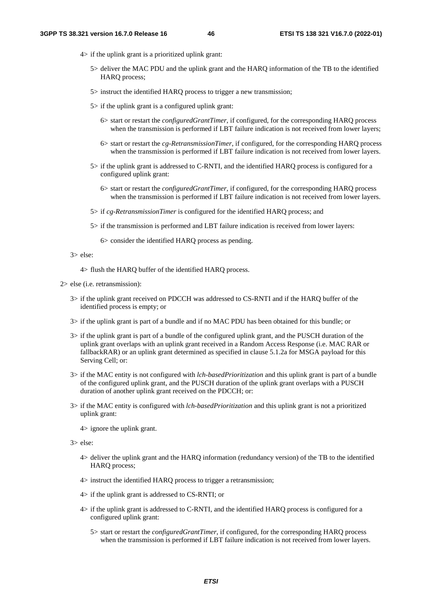- 4> if the uplink grant is a prioritized uplink grant:
	- 5> deliver the MAC PDU and the uplink grant and the HARQ information of the TB to the identified HARQ process;
	- 5> instruct the identified HARQ process to trigger a new transmission;
	- 5> if the uplink grant is a configured uplink grant:
		- 6> start or restart the *configuredGrantTimer*, if configured, for the corresponding HARQ process when the transmission is performed if LBT failure indication is not received from lower layers;
		- 6> start or restart the *cg-RetransmissionTimer*, if configured, for the corresponding HARQ process when the transmission is performed if LBT failure indication is not received from lower layers.
	- 5> if the uplink grant is addressed to C-RNTI, and the identified HARQ process is configured for a configured uplink grant:
		- 6> start or restart the *configuredGrantTimer*, if configured, for the corresponding HARQ process when the transmission is performed if LBT failure indication is not received from lower layers.
	- 5> if *cg-RetransmissionTimer* is configured for the identified HARQ process; and
	- 5> if the transmission is performed and LBT failure indication is received from lower layers:

6> consider the identified HARQ process as pending.

3> else:

4> flush the HARQ buffer of the identified HARQ process.

- 2> else (i.e. retransmission):
	- 3> if the uplink grant received on PDCCH was addressed to CS-RNTI and if the HARQ buffer of the identified process is empty; or
	- 3> if the uplink grant is part of a bundle and if no MAC PDU has been obtained for this bundle; or
	- 3> if the uplink grant is part of a bundle of the configured uplink grant, and the PUSCH duration of the uplink grant overlaps with an uplink grant received in a Random Access Response (i.e. MAC RAR or fallbackRAR) or an uplink grant determined as specified in clause 5.1.2a for MSGA payload for this Serving Cell; or:
	- 3> if the MAC entity is not configured with *lch-basedPrioritization* and this uplink grant is part of a bundle of the configured uplink grant, and the PUSCH duration of the uplink grant overlaps with a PUSCH duration of another uplink grant received on the PDCCH; or:
	- 3> if the MAC entity is configured with *lch-basedPrioritization* and this uplink grant is not a prioritized uplink grant:
		- 4> ignore the uplink grant.

3> else:

- 4> deliver the uplink grant and the HARQ information (redundancy version) of the TB to the identified HARQ process;
- 4> instruct the identified HARQ process to trigger a retransmission;
- 4> if the uplink grant is addressed to CS-RNTI; or
- 4> if the uplink grant is addressed to C-RNTI, and the identified HARQ process is configured for a configured uplink grant:
	- 5> start or restart the *configuredGrantTimer*, if configured, for the corresponding HARQ process when the transmission is performed if LBT failure indication is not received from lower layers.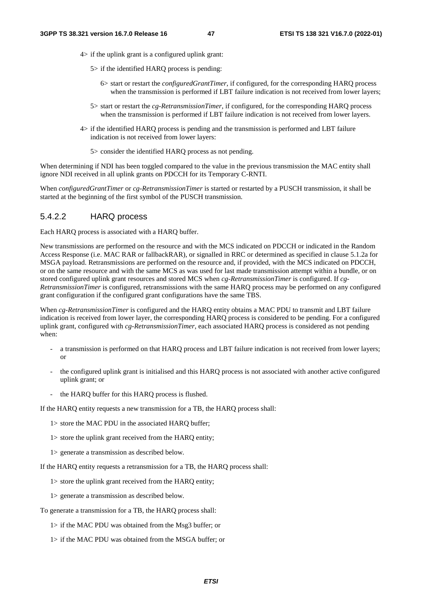- 4> if the uplink grant is a configured uplink grant:
	- 5> if the identified HARQ process is pending:
		- 6> start or restart the *configuredGrantTimer*, if configured, for the corresponding HARQ process when the transmission is performed if LBT failure indication is not received from lower layers;
	- 5> start or restart the *cg-RetransmissionTimer*, if configured, for the corresponding HARQ process when the transmission is performed if LBT failure indication is not received from lower layers.
- 4> if the identified HARQ process is pending and the transmission is performed and LBT failure indication is not received from lower layers:
	- 5> consider the identified HARQ process as not pending.

When determining if NDI has been toggled compared to the value in the previous transmission the MAC entity shall ignore NDI received in all uplink grants on PDCCH for its Temporary C-RNTI.

When *configuredGrantTimer* or *cg-RetransmissionTimer* is started or restarted by a PUSCH transmission, it shall be started at the beginning of the first symbol of the PUSCH transmission.

#### 5.4.2.2 HARQ process

Each HARQ process is associated with a HARQ buffer.

New transmissions are performed on the resource and with the MCS indicated on PDCCH or indicated in the Random Access Response (i.e. MAC RAR or fallbackRAR), or signalled in RRC or determined as specified in clause 5.1.2a for MSGA payload. Retransmissions are performed on the resource and, if provided, with the MCS indicated on PDCCH, or on the same resource and with the same MCS as was used for last made transmission attempt within a bundle, or on stored configured uplink grant resources and stored MCS when *cg-RetransmissionTimer* is configured. If *cg-RetransmissionTimer* is configured, retransmissions with the same HARQ process may be performed on any configured grant configuration if the configured grant configurations have the same TBS.

When *cg-RetransmissionTimer* is configured and the HARQ entity obtains a MAC PDU to transmit and LBT failure indication is received from lower layer, the corresponding HARQ process is considered to be pending. For a configured uplink grant, configured with *cg-RetransmissionTimer*, each associated HARQ process is considered as not pending when:

- a transmission is performed on that HARQ process and LBT failure indication is not received from lower layers; or
- the configured uplink grant is initialised and this HARQ process is not associated with another active configured uplink grant; or
- the HARQ buffer for this HARQ process is flushed.

If the HARQ entity requests a new transmission for a TB, the HARQ process shall:

- 1> store the MAC PDU in the associated HARQ buffer;
- 1> store the uplink grant received from the HARQ entity;
- 1> generate a transmission as described below.

If the HARQ entity requests a retransmission for a TB, the HARQ process shall:

- 1> store the uplink grant received from the HARQ entity;
- 1> generate a transmission as described below.
- To generate a transmission for a TB, the HARQ process shall:
	- 1> if the MAC PDU was obtained from the Msg3 buffer; or
	- 1> if the MAC PDU was obtained from the MSGA buffer; or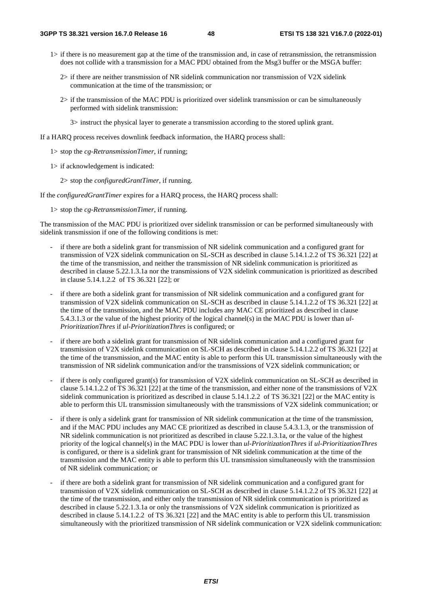- 1> if there is no measurement gap at the time of the transmission and, in case of retransmission, the retransmission does not collide with a transmission for a MAC PDU obtained from the Msg3 buffer or the MSGA buffer:
	- $2$  if there are neither transmission of NR sidelink communication nor transmission of V2X sidelink communication at the time of the transmission; or
	- 2> if the transmission of the MAC PDU is prioritized over sidelink transmission or can be simultaneously performed with sidelink transmission:

3> instruct the physical layer to generate a transmission according to the stored uplink grant.

If a HARQ process receives downlink feedback information, the HARQ process shall:

- 1> stop the *cg-RetransmissionTimer*, if running;
- 1> if acknowledgement is indicated:
	- 2> stop the *configuredGrantTimer*, if running.

If the *configuredGrantTimer* expires for a HARQ process, the HARQ process shall:

1> stop the *cg-RetransmissionTimer*, if running.

The transmission of the MAC PDU is prioritized over sidelink transmission or can be performed simultaneously with sidelink transmission if one of the following conditions is met:

- if there are both a sidelink grant for transmission of NR sidelink communication and a configured grant for transmission of V2X sidelink communication on SL-SCH as described in clause 5.14.1.2.2 of TS 36.321 [22] at the time of the transmission, and neither the transmission of NR sidelink communication is prioritized as described in clause 5.22.1.3.1a nor the transmissions of V2X sidelink communication is prioritized as described in clause 5.14.1.2.2 of TS 36.321 [22]; or
- if there are both a sidelink grant for transmission of NR sidelink communication and a configured grant for transmission of V2X sidelink communication on SL-SCH as described in clause 5.14.1.2.2 of TS 36.321 [22] at the time of the transmission, and the MAC PDU includes any MAC CE prioritized as described in clause 5.4.3.1.3 or the value of the highest priority of the logical channel(s) in the MAC PDU is lower than *ul-PrioritizationThres* if *ul-PrioritizationThres* is configured; or
- if there are both a sidelink grant for transmission of NR sidelink communication and a configured grant for transmission of V2X sidelink communication on SL-SCH as described in clause 5.14.1.2.2 of TS 36.321 [22] at the time of the transmission, and the MAC entity is able to perform this UL transmission simultaneously with the transmission of NR sidelink communication and/or the transmissions of V2X sidelink communication; or
- if there is only configured grant(s) for transmission of V2X sidelink communication on SL-SCH as described in clause 5.14.1.2.2 of TS 36.321 [22] at the time of the transmission, and either none of the transmissions of V2X sidelink communication is prioritized as described in clause 5.14.1.2.2 of TS 36.321 [22] or the MAC entity is able to perform this UL transmission simultaneously with the transmissions of V2X sidelink communication; or
- if there is only a sidelink grant for transmission of NR sidelink communication at the time of the transmission, and if the MAC PDU includes any MAC CE prioritized as described in clause 5.4.3.1.3, or the transmission of NR sidelink communication is not prioritized as described in clause 5.22.1.3.1a, or the value of the highest priority of the logical channel(s) in the MAC PDU is lower than *ul-PrioritizationThres* if *ul-PrioritizationThres* is configured, or there is a sidelink grant for transmission of NR sidelink communication at the time of the transmission and the MAC entity is able to perform this UL transmission simultaneously with the transmission of NR sidelink communication; or
- if there are both a sidelink grant for transmission of NR sidelink communication and a configured grant for transmission of V2X sidelink communication on SL-SCH as described in clause 5.14.1.2.2 of TS 36.321 [22] at the time of the transmission, and either only the transmission of NR sidelink communication is prioritized as described in clause 5.22.1.3.1a or only the transmissions of V2X sidelink communication is prioritized as described in clause 5.14.1.2.2 of TS 36.321 [22] and the MAC entity is able to perform this UL transmission simultaneously with the prioritized transmission of NR sidelink communication or V2X sidelink communication: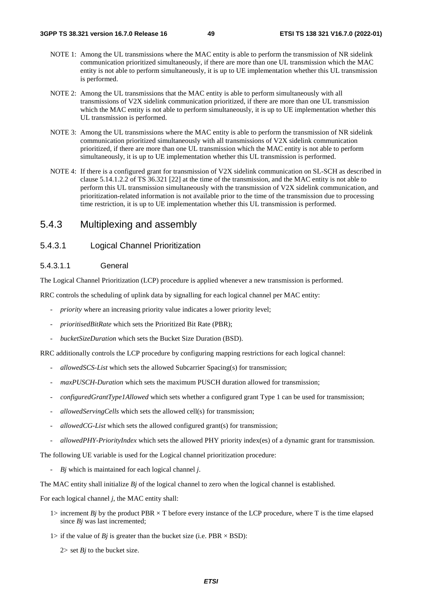- NOTE 1: Among the UL transmissions where the MAC entity is able to perform the transmission of NR sidelink communication prioritized simultaneously, if there are more than one UL transmission which the MAC entity is not able to perform simultaneously, it is up to UE implementation whether this UL transmission is performed.
- NOTE 2: Among the UL transmissions that the MAC entity is able to perform simultaneously with all transmissions of V2X sidelink communication prioritized, if there are more than one UL transmission which the MAC entity is not able to perform simultaneously, it is up to UE implementation whether this UL transmission is performed.
- NOTE 3: Among the UL transmissions where the MAC entity is able to perform the transmission of NR sidelink communication prioritized simultaneously with all transmissions of V2X sidelink communication prioritized, if there are more than one UL transmission which the MAC entity is not able to perform simultaneously, it is up to UE implementation whether this UL transmission is performed.
- NOTE 4: If there is a configured grant for transmission of V2X sidelink communication on SL-SCH as described in clause 5.14.1.2.2 of TS 36.321 [22] at the time of the transmission, and the MAC entity is not able to perform this UL transmission simultaneously with the transmission of V2X sidelink communication, and prioritization-related information is not available prior to the time of the transmission due to processing time restriction, it is up to UE implementation whether this UL transmission is performed.

### 5.4.3 Multiplexing and assembly

#### 5.4.3.1 Logical Channel Prioritization

#### 5.4.3.1.1 General

The Logical Channel Prioritization (LCP) procedure is applied whenever a new transmission is performed.

RRC controls the scheduling of uplink data by signalling for each logical channel per MAC entity:

- *priority* where an increasing priority value indicates a lower priority level;
- *prioritisedBitRate* which sets the Prioritized Bit Rate (PBR);
- *bucketSizeDuration* which sets the Bucket Size Duration (BSD).

RRC additionally controls the LCP procedure by configuring mapping restrictions for each logical channel:

- *allowedSCS-List* which sets the allowed Subcarrier Spacing(s) for transmission;
- *maxPUSCH-Duration* which sets the maximum PUSCH duration allowed for transmission;
- *configuredGrantType1Allowed* which sets whether a configured grant Type 1 can be used for transmission;
- *allowedServingCells* which sets the allowed cell(s) for transmission;
- *allowedCG-List* which sets the allowed configured grant(s) for transmission;
- *allowedPHY-PriorityIndex* which sets the allowed PHY priority index(es) of a dynamic grant for transmission.

The following UE variable is used for the Logical channel prioritization procedure:

- *Bj* which is maintained for each logical channel *j*.

The MAC entity shall initialize *Bj* of the logical channel to zero when the logical channel is established.

For each logical channel *j*, the MAC entity shall:

- 1> increment *Bj* by the product PBR  $\times$  T before every instance of the LCP procedure, where T is the time elapsed since *Bj* was last incremented;
- 1> if the value of *Bj* is greater than the bucket size (i.e. PBR  $\times$  BSD):
	- $2$ > set *Bj* to the bucket size.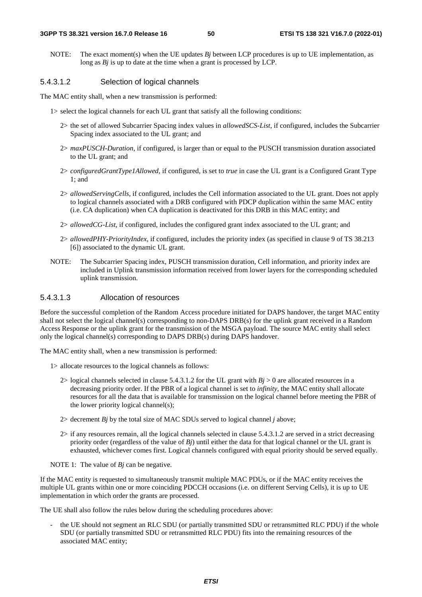NOTE: The exact moment(s) when the UE updates *Bj* between LCP procedures is up to UE implementation, as long as *Bj* is up to date at the time when a grant is processed by LCP.

#### 5.4.3.1.2 Selection of logical channels

The MAC entity shall, when a new transmission is performed:

- 1> select the logical channels for each UL grant that satisfy all the following conditions:
	- 2> the set of allowed Subcarrier Spacing index values in *allowedSCS-List*, if configured, includes the Subcarrier Spacing index associated to the UL grant; and
	- 2> *maxPUSCH-Duration*, if configured, is larger than or equal to the PUSCH transmission duration associated to the UL grant; and
	- 2> *configuredGrantType1Allowed*, if configured, is set to *true* in case the UL grant is a Configured Grant Type 1; and
	- 2> *allowedServingCells*, if configured, includes the Cell information associated to the UL grant. Does not apply to logical channels associated with a DRB configured with PDCP duplication within the same MAC entity (i.e. CA duplication) when CA duplication is deactivated for this DRB in this MAC entity; and
	- 2> *allowedCG-List*, if configured, includes the configured grant index associated to the UL grant; and
	- 2> *allowedPHY-PriorityIndex*, if configured, includes the priority index (as specified in clause 9 of TS 38.213 [6]) associated to the dynamic UL grant.
- NOTE: The Subcarrier Spacing index, PUSCH transmission duration, Cell information, and priority index are included in Uplink transmission information received from lower layers for the corresponding scheduled uplink transmission.

#### 5.4.3.1.3 Allocation of resources

Before the successful completion of the Random Access procedure initiated for DAPS handover, the target MAC entity shall not select the logical channel(s) corresponding to non-DAPS DRB(s) for the uplink grant received in a Random Access Response or the uplink grant for the transmission of the MSGA payload. The source MAC entity shall select only the logical channel(s) corresponding to DAPS DRB(s) during DAPS handover.

The MAC entity shall, when a new transmission is performed:

- 1> allocate resources to the logical channels as follows:
	- 2> logical channels selected in clause 5.4.3.1.2 for the UL grant with  $Bj > 0$  are allocated resources in a decreasing priority order. If the PBR of a logical channel is set to *infinity*, the MAC entity shall allocate resources for all the data that is available for transmission on the logical channel before meeting the PBR of the lower priority logical channel(s);
	- $2$  decrement *Bj* by the total size of MAC SDUs served to logical channel *j* above;
	- 2> if any resources remain, all the logical channels selected in clause 5.4.3.1.2 are served in a strict decreasing priority order (regardless of the value of *Bj*) until either the data for that logical channel or the UL grant is exhausted, whichever comes first. Logical channels configured with equal priority should be served equally.
- NOTE 1: The value of *Bj* can be negative.

If the MAC entity is requested to simultaneously transmit multiple MAC PDUs, or if the MAC entity receives the multiple UL grants within one or more coinciding PDCCH occasions (i.e. on different Serving Cells), it is up to UE implementation in which order the grants are processed.

The UE shall also follow the rules below during the scheduling procedures above:

the UE should not segment an RLC SDU (or partially transmitted SDU or retransmitted RLC PDU) if the whole SDU (or partially transmitted SDU or retransmitted RLC PDU) fits into the remaining resources of the associated MAC entity;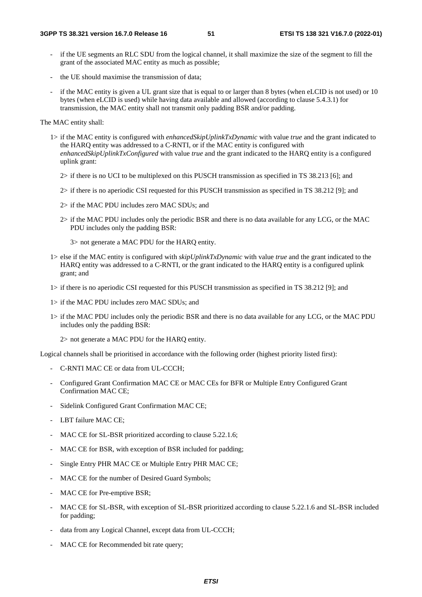- if the UE segments an RLC SDU from the logical channel, it shall maximize the size of the segment to fill the grant of the associated MAC entity as much as possible;
- the UE should maximise the transmission of data:
- if the MAC entity is given a UL grant size that is equal to or larger than 8 bytes (when eLCID is not used) or 10 bytes (when eLCID is used) while having data available and allowed (according to clause 5.4.3.1) for transmission, the MAC entity shall not transmit only padding BSR and/or padding.

The MAC entity shall:

- 1> if the MAC entity is configured with *enhancedSkipUplinkTxDynamic* with value *true* and the grant indicated to the HARQ entity was addressed to a C-RNTI, or if the MAC entity is configured with *enhancedSkipUplinkTxConfigured* with value *true* and the grant indicated to the HARQ entity is a configured uplink grant:
	- 2> if there is no UCI to be multiplexed on this PUSCH transmission as specified in TS 38.213 [6]; and
	- 2> if there is no aperiodic CSI requested for this PUSCH transmission as specified in TS 38.212 [9]; and
	- 2> if the MAC PDU includes zero MAC SDUs; and
	- 2> if the MAC PDU includes only the periodic BSR and there is no data available for any LCG, or the MAC PDU includes only the padding BSR:

3> not generate a MAC PDU for the HARQ entity.

- 1> else if the MAC entity is configured with *skipUplinkTxDynamic* with value *true* and the grant indicated to the HARQ entity was addressed to a C-RNTI, or the grant indicated to the HARQ entity is a configured uplink grant; and
- 1> if there is no aperiodic CSI requested for this PUSCH transmission as specified in TS 38.212 [9]; and
- 1> if the MAC PDU includes zero MAC SDUs; and
- 1> if the MAC PDU includes only the periodic BSR and there is no data available for any LCG, or the MAC PDU includes only the padding BSR:

2> not generate a MAC PDU for the HARQ entity.

Logical channels shall be prioritised in accordance with the following order (highest priority listed first):

- C-RNTI MAC CE or data from UL-CCCH;
- Configured Grant Confirmation MAC CE or MAC CEs for BFR or Multiple Entry Configured Grant Confirmation MAC CE;
- Sidelink Configured Grant Confirmation MAC CE;
- LBT failure MAC CE;
- MAC CE for SL-BSR prioritized according to clause 5.22.1.6;
- MAC CE for BSR, with exception of BSR included for padding;
- Single Entry PHR MAC CE or Multiple Entry PHR MAC CE;
- MAC CE for the number of Desired Guard Symbols;
- MAC CE for Pre-emptive BSR;
- MAC CE for SL-BSR, with exception of SL-BSR prioritized according to clause 5.22.1.6 and SL-BSR included for padding;
- data from any Logical Channel, except data from UL-CCCH;
- MAC CE for Recommended bit rate query;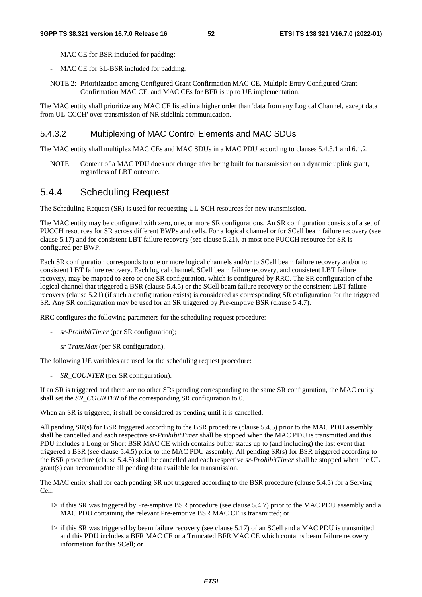- MAC CE for BSR included for padding;
- MAC CE for SL-BSR included for padding.
- NOTE 2: Prioritization among Configured Grant Confirmation MAC CE, Multiple Entry Configured Grant Confirmation MAC CE, and MAC CEs for BFR is up to UE implementation.

The MAC entity shall prioritize any MAC CE listed in a higher order than 'data from any Logical Channel, except data from UL-CCCH' over transmission of NR sidelink communication.

#### 5.4.3.2 Multiplexing of MAC Control Elements and MAC SDUs

The MAC entity shall multiplex MAC CEs and MAC SDUs in a MAC PDU according to clauses 5.4.3.1 and 6.1.2.

NOTE: Content of a MAC PDU does not change after being built for transmission on a dynamic uplink grant, regardless of LBT outcome.

## 5.4.4 Scheduling Request

The Scheduling Request (SR) is used for requesting UL-SCH resources for new transmission.

The MAC entity may be configured with zero, one, or more SR configurations. An SR configuration consists of a set of PUCCH resources for SR across different BWPs and cells. For a logical channel or for SCell beam failure recovery (see clause 5.17) and for consistent LBT failure recovery (see clause 5.21), at most one PUCCH resource for SR is configured per BWP.

Each SR configuration corresponds to one or more logical channels and/or to SCell beam failure recovery and/or to consistent LBT failure recovery. Each logical channel, SCell beam failure recovery, and consistent LBT failure recovery, may be mapped to zero or one SR configuration, which is configured by RRC. The SR configuration of the logical channel that triggered a BSR (clause 5.4.5) or the SCell beam failure recovery or the consistent LBT failure recovery (clause 5.21) (if such a configuration exists) is considered as corresponding SR configuration for the triggered SR. Any SR configuration may be used for an SR triggered by Pre-emptive BSR (clause 5.4.7).

RRC configures the following parameters for the scheduling request procedure:

- *sr-ProhibitTimer* (per SR configuration);
- *sr-TransMax* (per SR configuration).

The following UE variables are used for the scheduling request procedure:

- *SR\_COUNTER* (per SR configuration).

If an SR is triggered and there are no other SRs pending corresponding to the same SR configuration, the MAC entity shall set the *SR\_COUNTER* of the corresponding SR configuration to 0.

When an SR is triggered, it shall be considered as pending until it is cancelled.

All pending SR(s) for BSR triggered according to the BSR procedure (clause 5.4.5) prior to the MAC PDU assembly shall be cancelled and each respective *sr-ProhibitTimer* shall be stopped when the MAC PDU is transmitted and this PDU includes a Long or Short BSR MAC CE which contains buffer status up to (and including) the last event that triggered a BSR (see clause 5.4.5) prior to the MAC PDU assembly. All pending SR(s) for BSR triggered according to the BSR procedure (clause 5.4.5) shall be cancelled and each respective *sr-ProhibitTimer* shall be stopped when the UL grant(s) can accommodate all pending data available for transmission.

The MAC entity shall for each pending SR not triggered according to the BSR procedure (clause 5.4.5) for a Serving Cell:

- 1> if this SR was triggered by Pre-emptive BSR procedure (see clause 5.4.7) prior to the MAC PDU assembly and a MAC PDU containing the relevant Pre-emptive BSR MAC CE is transmitted; or
- 1> if this SR was triggered by beam failure recovery (see clause 5.17) of an SCell and a MAC PDU is transmitted and this PDU includes a BFR MAC CE or a Truncated BFR MAC CE which contains beam failure recovery information for this SCell; or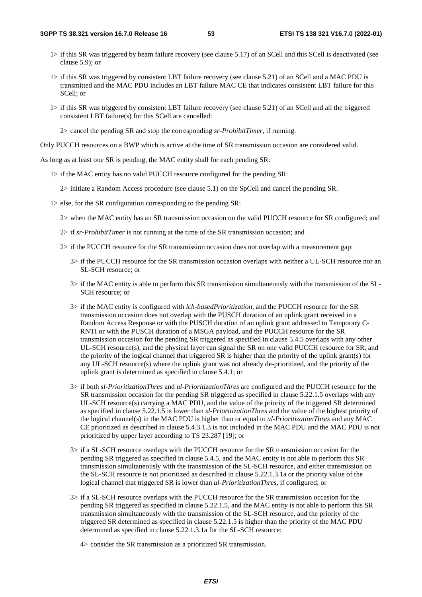- 1> if this SR was triggered by beam failure recovery (see clause 5.17) of an SCell and this SCell is deactivated (see clause 5.9); or
- 1> if this SR was triggered by consistent LBT failure recovery (see clause 5.21) of an SCell and a MAC PDU is transmitted and the MAC PDU includes an LBT failure MAC CE that indicates consistent LBT failure for this SCell; or
- 1> if this SR was triggered by consistent LBT failure recovery (see clause 5.21) of an SCell and all the triggered consistent LBT failure(s) for this SCell are cancelled:

2> cancel the pending SR and stop the corresponding *sr-ProhibitTimer*, if running.

Only PUCCH resources on a BWP which is active at the time of SR transmission occasion are considered valid.

As long as at least one SR is pending, the MAC entity shall for each pending SR:

1> if the MAC entity has no valid PUCCH resource configured for the pending SR:

2> initiate a Random Access procedure (see clause 5.1) on the SpCell and cancel the pending SR.

1> else, for the SR configuration corresponding to the pending SR:

2> when the MAC entity has an SR transmission occasion on the valid PUCCH resource for SR configured; and

- 2> if *sr-ProhibitTimer* is not running at the time of the SR transmission occasion; and
- 2> if the PUCCH resource for the SR transmission occasion does not overlap with a measurement gap:
	- 3> if the PUCCH resource for the SR transmission occasion overlaps with neither a UL-SCH resource nor an SL-SCH resource; or
	- 3> if the MAC entity is able to perform this SR transmission simultaneously with the transmission of the SL-SCH resource; or
	- 3> if the MAC entity is configured with *lch-basedPrioritization*, and the PUCCH resource for the SR transmission occasion does not overlap with the PUSCH duration of an uplink grant received in a Random Access Response or with the PUSCH duration of an uplink grant addressed to Temporary C-RNTI or with the PUSCH duration of a MSGA payload, and the PUCCH resource for the SR transmission occasion for the pending SR triggered as specified in clause 5.4.5 overlaps with any other UL-SCH resource(s), and the physical layer can signal the SR on one valid PUCCH resource for SR, and the priority of the logical channel that triggered SR is higher than the priority of the uplink grant(s) for any UL-SCH resource(s) where the uplink grant was not already de-prioritized, and the priority of the uplink grant is determined as specified in clause 5.4.1; or
	- 3> if both *sl-PrioritizationThres* and *ul-PrioritizationThres* are configured and the PUCCH resource for the SR transmission occasion for the pending SR triggered as specified in clause 5.22.1.5 overlaps with any UL-SCH resource(s) carrying a MAC PDU, and the value of the priority of the triggered SR determined as specified in clause 5.22.1.5 is lower than *sl-PrioritizationThres* and the value of the highest priority of the logical channel(s) in the MAC PDU is higher than or equal to *ul-PrioritizationThres* and any MAC CE prioritized as described in clause 5.4.3.1.3 is not included in the MAC PDU and the MAC PDU is not prioritized by upper layer according to TS 23.287 [19]; or
	- 3> if a SL-SCH resource overlaps with the PUCCH resource for the SR transmission occasion for the pending SR triggered as specified in clause 5.4.5, and the MAC entity is not able to perform this SR transmission simultaneously with the transmission of the SL-SCH resource, and either transmission on the SL-SCH resource is not prioritized as described in clause 5.22.1.3.1a or the priority value of the logical channel that triggered SR is lower than *ul-PrioritizationThres*, if configured; or
	- 3> if a SL-SCH resource overlaps with the PUCCH resource for the SR transmission occasion for the pending SR triggered as specified in clause 5.22.1.5, and the MAC entity is not able to perform this SR transmission simultaneously with the transmission of the SL-SCH resource, and the priority of the triggered SR determined as specified in clause 5.22.1.5 is higher than the priority of the MAC PDU determined as specified in clause 5.22.1.3.1a for the SL-SCH resource:

4> consider the SR transmission as a prioritized SR transmission.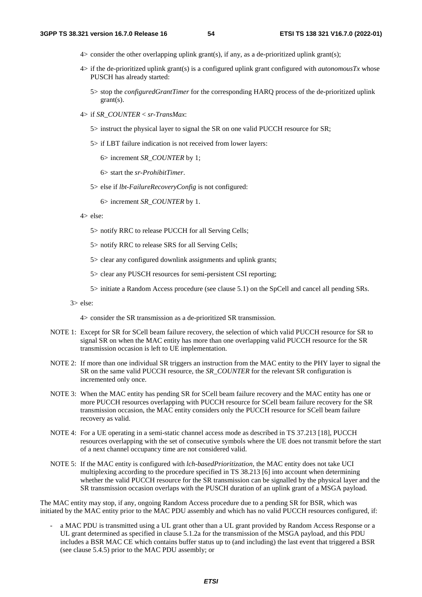- 4> consider the other overlapping uplink grant(s), if any, as a de-prioritized uplink grant(s);
- 4> if the de-prioritized uplink grant(s) is a configured uplink grant configured with *autonomousTx* whose PUSCH has already started:
	- 5> stop the *configuredGrantTimer* for the corresponding HARQ process of the de-prioritized uplink grant(s).
- 4> if *SR\_COUNTER* < *sr-TransMax*:
	- 5> instruct the physical layer to signal the SR on one valid PUCCH resource for SR;
	- 5> if LBT failure indication is not received from lower layers:

6> increment *SR\_COUNTER* by 1;

6> start the *sr-ProhibitTimer*.

5> else if *lbt-FailureRecoveryConfig* is not configured:

6> increment *SR\_COUNTER* by 1.

- 4> else:
	- 5> notify RRC to release PUCCH for all Serving Cells;
	- 5> notify RRC to release SRS for all Serving Cells;

5> clear any configured downlink assignments and uplink grants;

5> clear any PUSCH resources for semi-persistent CSI reporting;

5> initiate a Random Access procedure (see clause 5.1) on the SpCell and cancel all pending SRs.

3> else:

4> consider the SR transmission as a de-prioritized SR transmission.

- NOTE 1: Except for SR for SCell beam failure recovery, the selection of which valid PUCCH resource for SR to signal SR on when the MAC entity has more than one overlapping valid PUCCH resource for the SR transmission occasion is left to UE implementation.
- NOTE 2: If more than one individual SR triggers an instruction from the MAC entity to the PHY layer to signal the SR on the same valid PUCCH resource, the *SR\_COUNTER* for the relevant SR configuration is incremented only once.
- NOTE 3: When the MAC entity has pending SR for SCell beam failure recovery and the MAC entity has one or more PUCCH resources overlapping with PUCCH resource for SCell beam failure recovery for the SR transmission occasion, the MAC entity considers only the PUCCH resource for SCell beam failure recovery as valid.
- NOTE 4: For a UE operating in a semi-static channel access mode as described in TS 37.213 [18], PUCCH resources overlapping with the set of consecutive symbols where the UE does not transmit before the start of a next channel occupancy time are not considered valid.
- NOTE 5: If the MAC entity is configured with *lch-basedPrioritization,* the MAC entity does not take UCI multiplexing according to the procedure specified in TS 38.213 [6] into account when determining whether the valid PUCCH resource for the SR transmission can be signalled by the physical layer and the SR transmission occasion overlaps with the PUSCH duration of an uplink grant of a MSGA payload.

The MAC entity may stop, if any, ongoing Random Access procedure due to a pending SR for BSR, which was initiated by the MAC entity prior to the MAC PDU assembly and which has no valid PUCCH resources configured, if:

a MAC PDU is transmitted using a UL grant other than a UL grant provided by Random Access Response or a UL grant determined as specified in clause 5.1.2a for the transmission of the MSGA payload, and this PDU includes a BSR MAC CE which contains buffer status up to (and including) the last event that triggered a BSR (see clause 5.4.5) prior to the MAC PDU assembly; or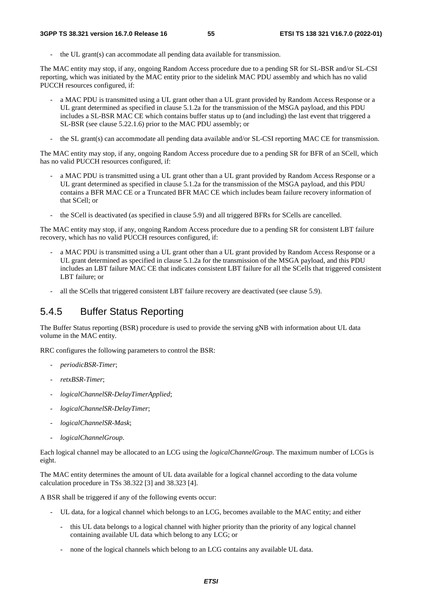the UL grant(s) can accommodate all pending data available for transmission.

The MAC entity may stop, if any, ongoing Random Access procedure due to a pending SR for SL-BSR and/or SL-CSI reporting, which was initiated by the MAC entity prior to the sidelink MAC PDU assembly and which has no valid PUCCH resources configured, if:

- a MAC PDU is transmitted using a UL grant other than a UL grant provided by Random Access Response or a UL grant determined as specified in clause 5.1.2a for the transmission of the MSGA payload, and this PDU includes a SL-BSR MAC CE which contains buffer status up to (and including) the last event that triggered a SL-BSR (see clause 5.22.1.6) prior to the MAC PDU assembly; or
- the SL grant(s) can accommodate all pending data available and/or SL-CSI reporting MAC CE for transmission.

The MAC entity may stop, if any, ongoing Random Access procedure due to a pending SR for BFR of an SCell, which has no valid PUCCH resources configured, if:

- a MAC PDU is transmitted using a UL grant other than a UL grant provided by Random Access Response or a UL grant determined as specified in clause 5.1.2a for the transmission of the MSGA payload, and this PDU contains a BFR MAC CE or a Truncated BFR MAC CE which includes beam failure recovery information of that SCell; or
- the SCell is deactivated (as specified in clause 5.9) and all triggered BFRs for SCells are cancelled.

The MAC entity may stop, if any, ongoing Random Access procedure due to a pending SR for consistent LBT failure recovery, which has no valid PUCCH resources configured, if:

- a MAC PDU is transmitted using a UL grant other than a UL grant provided by Random Access Response or a UL grant determined as specified in clause 5.1.2a for the transmission of the MSGA payload, and this PDU includes an LBT failure MAC CE that indicates consistent LBT failure for all the SCells that triggered consistent LBT failure; or
- all the SCells that triggered consistent LBT failure recovery are deactivated (see clause 5.9).

## 5.4.5 Buffer Status Reporting

The Buffer Status reporting (BSR) procedure is used to provide the serving gNB with information about UL data volume in the MAC entity.

RRC configures the following parameters to control the BSR:

- *periodicBSR-Timer*;
- *retxBSR-Timer*;
- *logicalChannelSR-DelayTimerApplied*;
- *logicalChannelSR-DelayTimer*;
- *logicalChannelSR-Mask*;
- *logicalChannelGroup*.

Each logical channel may be allocated to an LCG using the *logicalChannelGroup*. The maximum number of LCGs is eight.

The MAC entity determines the amount of UL data available for a logical channel according to the data volume calculation procedure in TSs 38.322 [3] and 38.323 [4].

A BSR shall be triggered if any of the following events occur:

- UL data, for a logical channel which belongs to an LCG, becomes available to the MAC entity; and either
	- this UL data belongs to a logical channel with higher priority than the priority of any logical channel containing available UL data which belong to any LCG; or
	- none of the logical channels which belong to an LCG contains any available UL data.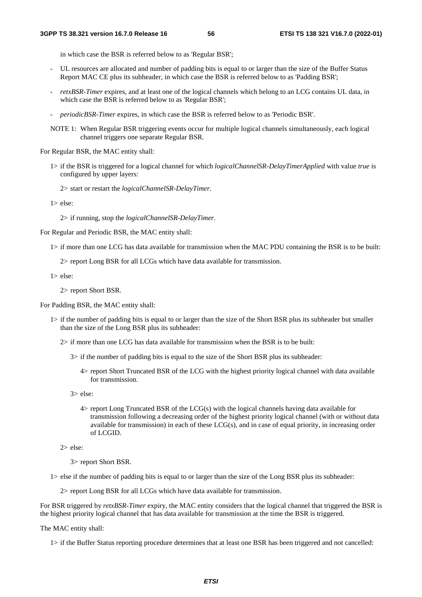in which case the BSR is referred below to as 'Regular BSR';

- UL resources are allocated and number of padding bits is equal to or larger than the size of the Buffer Status Report MAC CE plus its subheader, in which case the BSR is referred below to as 'Padding BSR';
- *retxBSR-Timer* expires, and at least one of the logical channels which belong to an LCG contains UL data, in which case the BSR is referred below to as 'Regular BSR';
- *periodicBSR-Timer* expires, in which case the BSR is referred below to as 'Periodic BSR'.
- NOTE 1: When Regular BSR triggering events occur for multiple logical channels simultaneously, each logical channel triggers one separate Regular BSR.

For Regular BSR, the MAC entity shall:

- 1> if the BSR is triggered for a logical channel for which *logicalChannelSR-DelayTimerApplied* with value *true* is configured by upper layers:
	- 2> start or restart the *logicalChannelSR-DelayTimer*.
- 1> else:
	- 2> if running, stop the *logicalChannelSR-DelayTimer*.
- For Regular and Periodic BSR, the MAC entity shall:
	- 1> if more than one LCG has data available for transmission when the MAC PDU containing the BSR is to be built:

2> report Long BSR for all LCGs which have data available for transmission.

1> else:

2> report Short BSR.

For Padding BSR, the MAC entity shall:

- 1> if the number of padding bits is equal to or larger than the size of the Short BSR plus its subheader but smaller than the size of the Long BSR plus its subheader:
	- 2> if more than one LCG has data available for transmission when the BSR is to be built:
		- $3$  if the number of padding bits is equal to the size of the Short BSR plus its subheader:
			- 4> report Short Truncated BSR of the LCG with the highest priority logical channel with data available for transmission.

3> else:

4> report Long Truncated BSR of the LCG(s) with the logical channels having data available for transmission following a decreasing order of the highest priority logical channel (with or without data available for transmission) in each of these LCG(s), and in case of equal priority, in increasing order of LCGID.

2> else:

3> report Short BSR.

1> else if the number of padding bits is equal to or larger than the size of the Long BSR plus its subheader:

2> report Long BSR for all LCGs which have data available for transmission.

For BSR triggered by *retxBSR-Timer* expiry, the MAC entity considers that the logical channel that triggered the BSR is the highest priority logical channel that has data available for transmission at the time the BSR is triggered.

The MAC entity shall:

1> if the Buffer Status reporting procedure determines that at least one BSR has been triggered and not cancelled: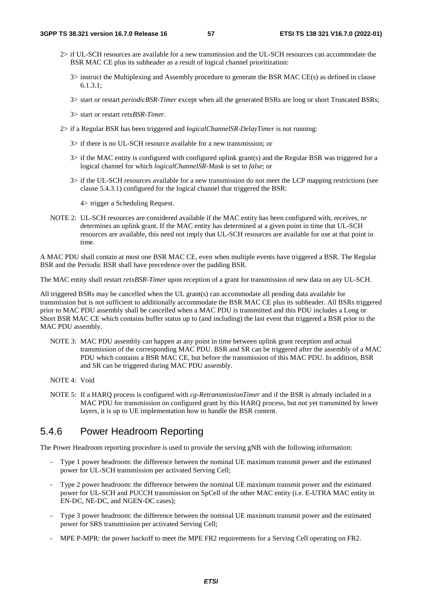- 2> if UL-SCH resources are available for a new transmission and the UL-SCH resources can accommodate the BSR MAC CE plus its subheader as a result of logical channel prioritization:
	- 3> instruct the Multiplexing and Assembly procedure to generate the BSR MAC CE(s) as defined in clause 6.1.3.1;
	- 3> start or restart *periodicBSR-Timer* except when all the generated BSRs are long or short Truncated BSRs;
	- 3> start or restart *retxBSR-Timer*.
- 2> if a Regular BSR has been triggered and *logicalChannelSR-DelayTimer* is not running:
	- 3> if there is no UL-SCH resource available for a new transmission; or
	- 3> if the MAC entity is configured with configured uplink grant(s) and the Regular BSR was triggered for a logical channel for which *logicalChannelSR-Mask* is set to *false*; or
	- 3> if the UL-SCH resources available for a new transmission do not meet the LCP mapping restrictions (see clause 5.4.3.1) configured for the logical channel that triggered the BSR:

4> trigger a Scheduling Request.

NOTE 2: UL-SCH resources are considered available if the MAC entity has been configured with, receives, or determines an uplink grant. If the MAC entity has determined at a given point in time that UL-SCH resources are available, this need not imply that UL-SCH resources are available for use at that point in time.

A MAC PDU shall contain at most one BSR MAC CE, even when multiple events have triggered a BSR. The Regular BSR and the Periodic BSR shall have precedence over the padding BSR.

The MAC entity shall restart *retxBSR-Timer* upon reception of a grant for transmission of new data on any UL-SCH.

All triggered BSRs may be cancelled when the UL grant(s) can accommodate all pending data available for transmission but is not sufficient to additionally accommodate the BSR MAC CE plus its subheader. All BSRs triggered prior to MAC PDU assembly shall be cancelled when a MAC PDU is transmitted and this PDU includes a Long or Short BSR MAC CE which contains buffer status up to (and including) the last event that triggered a BSR prior to the MAC PDU assembly.

- NOTE 3: MAC PDU assembly can happen at any point in time between uplink grant reception and actual transmission of the corresponding MAC PDU. BSR and SR can be triggered after the assembly of a MAC PDU which contains a BSR MAC CE, but before the transmission of this MAC PDU. In addition, BSR and SR can be triggered during MAC PDU assembly.
- NOTE 4: Void
- NOTE 5: If a HARQ process is configured with *cg-RetransmissionTimer* and if the BSR is already included in a MAC PDU for transmission on configured grant by this HARQ process, but not yet transmitted by lower layers, it is up to UE implementation how to handle the BSR content.

## 5.4.6 Power Headroom Reporting

The Power Headroom reporting procedure is used to provide the serving gNB with the following information:

- Type 1 power headroom: the difference between the nominal UE maximum transmit power and the estimated power for UL-SCH transmission per activated Serving Cell;
- Type 2 power headroom: the difference between the nominal UE maximum transmit power and the estimated power for UL-SCH and PUCCH transmission on SpCell of the other MAC entity (i.e. E-UTRA MAC entity in EN-DC, NE-DC, and NGEN-DC cases);
- Type 3 power headroom: the difference between the nominal UE maximum transmit power and the estimated power for SRS transmission per activated Serving Cell;
- MPE P-MPR: the power backoff to meet the MPE FR2 requirements for a Serving Cell operating on FR2.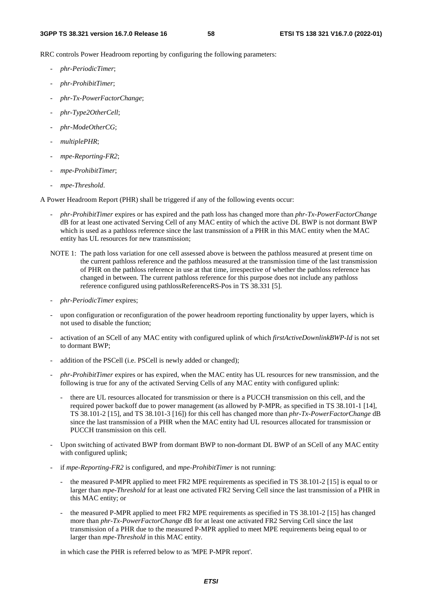RRC controls Power Headroom reporting by configuring the following parameters:

- *phr-PeriodicTimer*;
- *phr-ProhibitTimer*;
- *phr-Tx-PowerFactorChange*;
- *phr-Type2OtherCell*;
- *phr-ModeOtherCG*;
- *multiplePHR*;
- *mpe-Reporting-FR2*;
- *mpe-ProhibitTimer*;
- *mpe-Threshold*.

A Power Headroom Report (PHR) shall be triggered if any of the following events occur:

- *phr-ProhibitTimer* expires or has expired and the path loss has changed more than *phr-Tx-PowerFactorChange* dB for at least one activated Serving Cell of any MAC entity of which the active DL BWP is not dormant BWP which is used as a pathloss reference since the last transmission of a PHR in this MAC entity when the MAC entity has UL resources for new transmission;
- NOTE 1: The path loss variation for one cell assessed above is between the pathloss measured at present time on the current pathloss reference and the pathloss measured at the transmission time of the last transmission of PHR on the pathloss reference in use at that time, irrespective of whether the pathloss reference has changed in between. The current pathloss reference for this purpose does not include any pathloss reference configured using pathlossReferenceRS-Pos in TS 38.331 [5].
- *phr-PeriodicTimer* expires;
- upon configuration or reconfiguration of the power headroom reporting functionality by upper layers, which is not used to disable the function;
- activation of an SCell of any MAC entity with configured uplink of which *firstActiveDownlinkBWP-Id* is not set to dormant BWP;
- addition of the PSCell (i.e. PSCell is newly added or changed);
- *phr-ProhibitTimer* expires or has expired, when the MAC entity has UL resources for new transmission, and the following is true for any of the activated Serving Cells of any MAC entity with configured uplink:
	- there are UL resources allocated for transmission or there is a PUCCH transmission on this cell, and the required power backoff due to power management (as allowed by P-MPR<sub>c</sub> as specified in TS 38.101-1 [14], TS 38.101-2 [15], and TS 38.101-3 [16]) for this cell has changed more than *phr-Tx-PowerFactorChange* dB since the last transmission of a PHR when the MAC entity had UL resources allocated for transmission or PUCCH transmission on this cell.
- Upon switching of activated BWP from dormant BWP to non-dormant DL BWP of an SCell of any MAC entity with configured uplink;
- if *mpe-Reporting-FR2* is configured, and *mpe-ProhibitTimer* is not running:
	- the measured P-MPR applied to meet FR2 MPE requirements as specified in TS 38.101-2 [15] is equal to or larger than *mpe-Threshold* for at least one activated FR2 Serving Cell since the last transmission of a PHR in this MAC entity; or
	- the measured P-MPR applied to meet FR2 MPE requirements as specified in TS 38.101-2 [15] has changed more than *phr-Tx-PowerFactorChange* dB for at least one activated FR2 Serving Cell since the last transmission of a PHR due to the measured P-MPR applied to meet MPE requirements being equal to or larger than *mpe-Threshold* in this MAC entity.

in which case the PHR is referred below to as 'MPE P-MPR report'.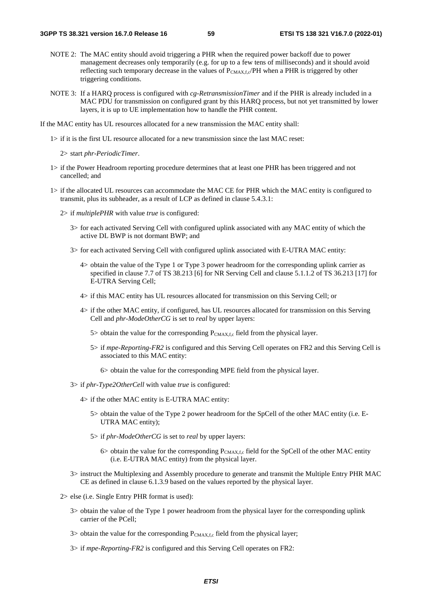- NOTE 2: The MAC entity should avoid triggering a PHR when the required power backoff due to power management decreases only temporarily (e.g. for up to a few tens of milliseconds) and it should avoid reflecting such temporary decrease in the values of  $P_{CMAX,f,c}/PH$  when a PHR is triggered by other triggering conditions.
- NOTE 3: If a HARQ process is configured with *cg-RetransmissionTimer* and if the PHR is already included in a MAC PDU for transmission on configured grant by this HARQ process, but not yet transmitted by lower layers, it is up to UE implementation how to handle the PHR content.

If the MAC entity has UL resources allocated for a new transmission the MAC entity shall:

1> if it is the first UL resource allocated for a new transmission since the last MAC reset:

2> start *phr-PeriodicTimer*.

- 1> if the Power Headroom reporting procedure determines that at least one PHR has been triggered and not cancelled; and
- 1> if the allocated UL resources can accommodate the MAC CE for PHR which the MAC entity is configured to transmit, plus its subheader, as a result of LCP as defined in clause 5.4.3.1:
	- 2> if *multiplePHR* with value *true* is configured:
		- 3> for each activated Serving Cell with configured uplink associated with any MAC entity of which the active DL BWP is not dormant BWP; and
		- 3> for each activated Serving Cell with configured uplink associated with E-UTRA MAC entity:
			- 4> obtain the value of the Type 1 or Type 3 power headroom for the corresponding uplink carrier as specified in clause 7.7 of TS 38.213 [6] for NR Serving Cell and clause 5.1.1.2 of TS 36.213 [17] for E-UTRA Serving Cell;
			- 4> if this MAC entity has UL resources allocated for transmission on this Serving Cell; or
			- 4> if the other MAC entity, if configured, has UL resources allocated for transmission on this Serving Cell and *phr-ModeOtherCG* is set to *real* by upper layers:
				- 5> obtain the value for the corresponding  $P_{CMAX,f,c}$  field from the physical layer.
				- 5> if *mpe-Reporting-FR2* is configured and this Serving Cell operates on FR2 and this Serving Cell is associated to this MAC entity:
					- 6> obtain the value for the corresponding MPE field from the physical layer.
		- 3> if *phr-Type2OtherCell* with value *true* is configured:
			- 4> if the other MAC entity is E-UTRA MAC entity:
				- 5> obtain the value of the Type 2 power headroom for the SpCell of the other MAC entity (i.e. E-UTRA MAC entity);
				- 5> if *phr-ModeOtherCG* is set to *real* by upper layers:
					- $6$  obtain the value for the corresponding  $P_{\text{CMAX,f,c}}$  field for the SpCell of the other MAC entity (i.e. E-UTRA MAC entity) from the physical layer.
		- 3> instruct the Multiplexing and Assembly procedure to generate and transmit the Multiple Entry PHR MAC CE as defined in clause 6.1.3.9 based on the values reported by the physical layer.
	- 2> else (i.e. Single Entry PHR format is used):
		- 3> obtain the value of the Type 1 power headroom from the physical layer for the corresponding uplink carrier of the PCell;
		- $3$  obtain the value for the corresponding  $P_{CMAX,f,c}$  field from the physical layer;
		- 3> if *mpe-Reporting-FR2* is configured and this Serving Cell operates on FR2: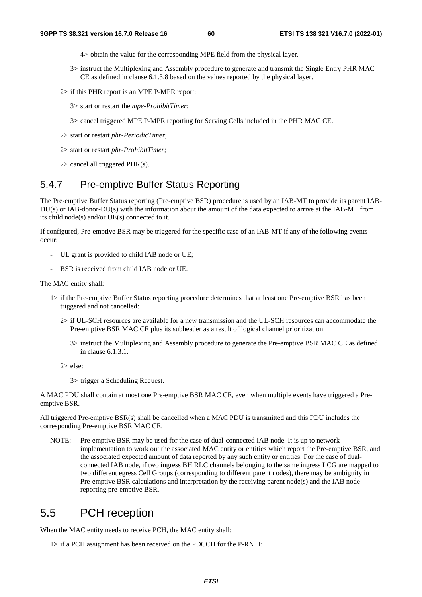- 4> obtain the value for the corresponding MPE field from the physical layer.
- 3> instruct the Multiplexing and Assembly procedure to generate and transmit the Single Entry PHR MAC CE as defined in clause 6.1.3.8 based on the values reported by the physical layer.
- 2> if this PHR report is an MPE P-MPR report:
	- 3> start or restart the *mpe-ProhibitTimer*;
	- 3> cancel triggered MPE P-MPR reporting for Serving Cells included in the PHR MAC CE.
- 2> start or restart *phr-PeriodicTimer*;
- 2> start or restart *phr-ProhibitTimer*;
- 2> cancel all triggered PHR(s).

## 5.4.7 Pre-emptive Buffer Status Reporting

The Pre-emptive Buffer Status reporting (Pre-emptive BSR) procedure is used by an IAB-MT to provide its parent IAB-DU(s) or IAB-donor-DU(s) with the information about the amount of the data expected to arrive at the IAB-MT from its child node(s) and/or UE(s) connected to it.

If configured, Pre-emptive BSR may be triggered for the specific case of an IAB-MT if any of the following events occur:

- UL grant is provided to child IAB node or UE;
- BSR is received from child IAB node or UE.

The MAC entity shall:

- 1> if the Pre-emptive Buffer Status reporting procedure determines that at least one Pre-emptive BSR has been triggered and not cancelled:
	- 2> if UL-SCH resources are available for a new transmission and the UL-SCH resources can accommodate the Pre-emptive BSR MAC CE plus its subheader as a result of logical channel prioritization:
		- 3> instruct the Multiplexing and Assembly procedure to generate the Pre-emptive BSR MAC CE as defined in clause 6.1.3.1.

2> else:

3> trigger a Scheduling Request.

A MAC PDU shall contain at most one Pre-emptive BSR MAC CE, even when multiple events have triggered a Preemptive BSR.

All triggered Pre-emptive BSR(s) shall be cancelled when a MAC PDU is transmitted and this PDU includes the corresponding Pre-emptive BSR MAC CE.

NOTE: Pre-emptive BSR may be used for the case of dual-connected IAB node. It is up to network implementation to work out the associated MAC entity or entities which report the Pre-emptive BSR, and the associated expected amount of data reported by any such entity or entities. For the case of dualconnected IAB node, if two ingress BH RLC channels belonging to the same ingress LCG are mapped to two different egress Cell Groups (corresponding to different parent nodes), there may be ambiguity in Pre-emptive BSR calculations and interpretation by the receiving parent node(s) and the IAB node reporting pre-emptive BSR.

# 5.5 PCH reception

When the MAC entity needs to receive PCH, the MAC entity shall:

1> if a PCH assignment has been received on the PDCCH for the P-RNTI: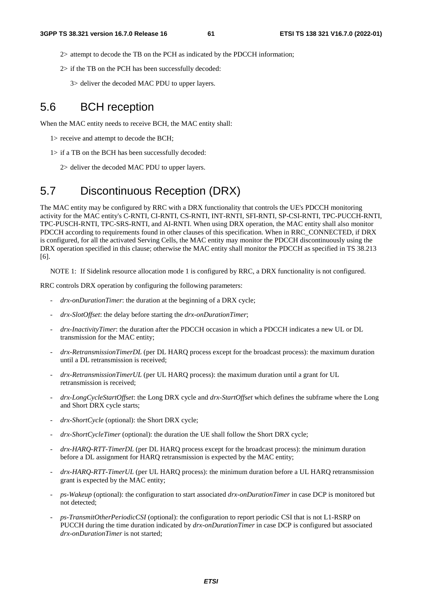- 2> attempt to decode the TB on the PCH as indicated by the PDCCH information;
- 2> if the TB on the PCH has been successfully decoded:
	- 3> deliver the decoded MAC PDU to upper layers.

# 5.6 BCH reception

When the MAC entity needs to receive BCH, the MAC entity shall:

- 1> receive and attempt to decode the BCH;
- 1> if a TB on the BCH has been successfully decoded:

2> deliver the decoded MAC PDU to upper layers.

# 5.7 Discontinuous Reception (DRX)

The MAC entity may be configured by RRC with a DRX functionality that controls the UE's PDCCH monitoring activity for the MAC entity's C-RNTI, CI-RNTI, CS-RNTI, INT-RNTI, SFI-RNTI, SP-CSI-RNTI, TPC-PUCCH-RNTI, TPC-PUSCH-RNTI, TPC-SRS-RNTI, and AI-RNTI. When using DRX operation, the MAC entity shall also monitor PDCCH according to requirements found in other clauses of this specification. When in RRC\_CONNECTED, if DRX is configured, for all the activated Serving Cells, the MAC entity may monitor the PDCCH discontinuously using the DRX operation specified in this clause; otherwise the MAC entity shall monitor the PDCCH as specified in TS 38.213 [6].

NOTE 1: If Sidelink resource allocation mode 1 is configured by RRC, a DRX functionality is not configured.

RRC controls DRX operation by configuring the following parameters:

- *drx-onDurationTimer*: the duration at the beginning of a DRX cycle;
- *drx-SlotOffset*: the delay before starting the *drx-onDurationTimer*;
- *drx-InactivityTimer*: the duration after the PDCCH occasion in which a PDCCH indicates a new UL or DL transmission for the MAC entity;
- *drx-RetransmissionTimerDL* (per DL HARQ process except for the broadcast process): the maximum duration until a DL retransmission is received;
- *drx-RetransmissionTimerUL* (per UL HARQ process): the maximum duration until a grant for UL retransmission is received;
- *drx-LongCycleStartOffset*: the Long DRX cycle and *drx-StartOffset* which defines the subframe where the Long and Short DRX cycle starts;
- drx-ShortCycle (optional): the Short DRX cycle;
- *drx-ShortCycleTimer* (optional): the duration the UE shall follow the Short DRX cycle;
- *drx-HARQ-RTT-TimerDL* (per DL HARQ process except for the broadcast process): the minimum duration before a DL assignment for HARQ retransmission is expected by the MAC entity;
- *drx-HARQ-RTT-TimerUL* (per UL HARQ process): the minimum duration before a UL HARQ retransmission grant is expected by the MAC entity;
- *ps-Wakeup* (optional): the configuration to start associated *drx-onDurationTimer* in case DCP is monitored but not detected;
- *ps-TransmitOtherPeriodicCSI* (optional): the configuration to report periodic CSI that is not L1-RSRP on PUCCH during the time duration indicated by *drx-onDurationTimer* in case DCP is configured but associated *drx-onDurationTimer* is not started;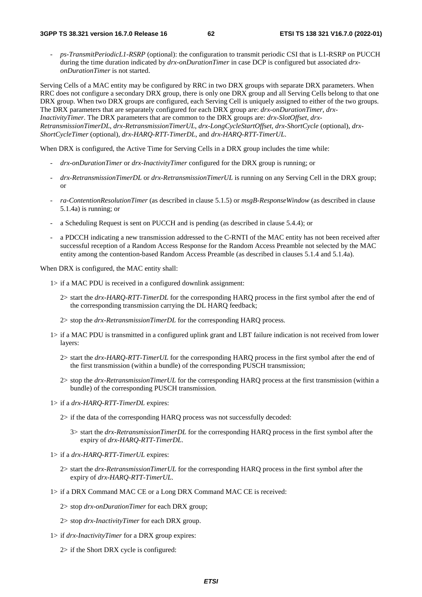- *ps-TransmitPeriodicL1-RSRP* (optional): the configuration to transmit periodic CSI that is L1-RSRP on PUCCH during the time duration indicated by *drx-onDurationTimer* in case DCP is configured but associated *drxonDurationTimer* is not started.

Serving Cells of a MAC entity may be configured by RRC in two DRX groups with separate DRX parameters. When RRC does not configure a secondary DRX group, there is only one DRX group and all Serving Cells belong to that one DRX group. When two DRX groups are configured, each Serving Cell is uniquely assigned to either of the two groups. The DRX parameters that are separately configured for each DRX group are: *drx-onDurationTimer*, *drx-InactivityTimer*. The DRX parameters that are common to the DRX groups are: *drx-SlotOffset*, *drx-RetransmissionTimerDL*, *drx-RetransmissionTimerUL*, *drx-LongCycleStartOffset*, *drx-ShortCycle* (optional), *drx-ShortCycleTimer* (optional), *drx-HARQ-RTT-TimerDL*, and *drx-HARQ-RTT-TimerUL*.

When DRX is configured, the Active Time for Serving Cells in a DRX group includes the time while:

- *drx-onDurationTimer* or *drx-InactivityTimer* configured for the DRX group is running; or
- *drx-RetransmissionTimerDL* or *drx-RetransmissionTimerUL* is running on any Serving Cell in the DRX group; or
- *ra-ContentionResolutionTimer* (as described in clause 5.1.5) or *msgB-ResponseWindow* (as described in clause 5.1.4a) is running; or
- a Scheduling Request is sent on PUCCH and is pending (as described in clause 5.4.4); or
- a PDCCH indicating a new transmission addressed to the C-RNTI of the MAC entity has not been received after successful reception of a Random Access Response for the Random Access Preamble not selected by the MAC entity among the contention-based Random Access Preamble (as described in clauses 5.1.4 and 5.1.4a).

When DRX is configured, the MAC entity shall:

- 1> if a MAC PDU is received in a configured downlink assignment:
	- 2> start the *drx-HARQ-RTT-TimerDL* for the corresponding HARQ process in the first symbol after the end of the corresponding transmission carrying the DL HARQ feedback;
	- 2> stop the *drx-RetransmissionTimerDL* for the corresponding HARQ process.
- 1> if a MAC PDU is transmitted in a configured uplink grant and LBT failure indication is not received from lower layers:
	- 2> start the *drx-HARQ-RTT-TimerUL* for the corresponding HARQ process in the first symbol after the end of the first transmission (within a bundle) of the corresponding PUSCH transmission;
	- 2> stop the *drx-RetransmissionTimerUL* for the corresponding HARQ process at the first transmission (within a bundle) of the corresponding PUSCH transmission.
- 1> if a *drx-HARQ-RTT-TimerDL* expires:
	- 2> if the data of the corresponding HARQ process was not successfully decoded:
		- 3> start the *drx-RetransmissionTimerDL* for the corresponding HARQ process in the first symbol after the expiry of *drx-HARQ-RTT-TimerDL*.
- 1> if a *drx-HARQ-RTT-TimerUL* expires:
	- 2> start the *drx-RetransmissionTimerUL* for the corresponding HARQ process in the first symbol after the expiry of *drx-HARQ-RTT-TimerUL*.
- 1> if a DRX Command MAC CE or a Long DRX Command MAC CE is received:
	- 2> stop *drx-onDurationTimer* for each DRX group;
	- 2> stop *drx-InactivityTimer* for each DRX group.
- 1> if *drx-InactivityTimer* for a DRX group expires:
	- 2> if the Short DRX cycle is configured: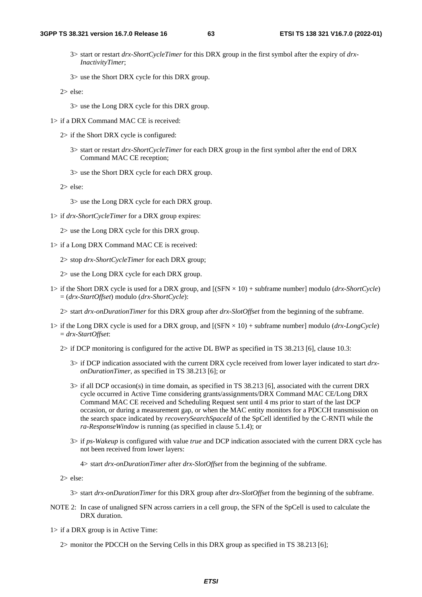- 3> start or restart *drx-ShortCycleTimer* for this DRX group in the first symbol after the expiry of *drx-InactivityTimer*;
- 3> use the Short DRX cycle for this DRX group.

2> else:

- 3> use the Long DRX cycle for this DRX group.
- 1> if a DRX Command MAC CE is received:
	- 2> if the Short DRX cycle is configured:
		- 3> start or restart *drx-ShortCycleTimer* for each DRX group in the first symbol after the end of DRX Command MAC CE reception;
		- 3> use the Short DRX cycle for each DRX group.

2> else:

- 3> use the Long DRX cycle for each DRX group.
- 1> if *drx-ShortCycleTimer* for a DRX group expires:
	- 2> use the Long DRX cycle for this DRX group.
- 1> if a Long DRX Command MAC CE is received:
	- 2> stop *drx-ShortCycleTimer* for each DRX group;

2> use the Long DRX cycle for each DRX group.

- 1> if the Short DRX cycle is used for a DRX group, and [(SFN × 10) + subframe number] modulo (*drx-ShortCycle*) = (*drx-StartOffset*) modulo (*drx-ShortCycle*):
	- 2> start *drx-onDurationTimer* for this DRX group after *drx-SlotOffset* from the beginning of the subframe.
- 1> if the Long DRX cycle is used for a DRX group, and [(SFN × 10) + subframe number] modulo (*drx-LongCycle*) = *drx-StartOffset*:
	- 2> if DCP monitoring is configured for the active DL BWP as specified in TS 38.213 [6], clause 10.3:
		- 3> if DCP indication associated with the current DRX cycle received from lower layer indicated to start *drxonDurationTimer*, as specified in TS 38.213 [6]; or
		- 3> if all DCP occasion(s) in time domain, as specified in TS 38.213 [6], associated with the current DRX cycle occurred in Active Time considering grants/assignments/DRX Command MAC CE/Long DRX Command MAC CE received and Scheduling Request sent until 4 ms prior to start of the last DCP occasion, or during a measurement gap, or when the MAC entity monitors for a PDCCH transmission on the search space indicated by *recoverySearchSpaceId* of the SpCell identified by the C-RNTI while the *ra-ResponseWindow* is running (as specified in clause 5.1.4); or
		- 3> if *ps-Wakeup* is configured with value *true* and DCP indication associated with the current DRX cycle has not been received from lower layers:
			- 4> start *drx-onDurationTimer* after *drx-SlotOffset* from the beginning of the subframe.

2> else:

- 3> start *drx-onDurationTimer* for this DRX group after *drx-SlotOffset* from the beginning of the subframe.
- NOTE 2: In case of unaligned SFN across carriers in a cell group, the SFN of the SpCell is used to calculate the DRX duration.
- 1> if a DRX group is in Active Time:

2> monitor the PDCCH on the Serving Cells in this DRX group as specified in TS 38.213 [6];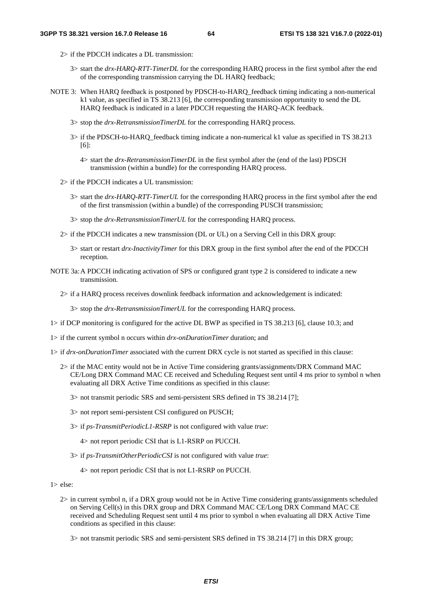- 2> if the PDCCH indicates a DL transmission:
	- 3> start the *drx-HARQ-RTT-TimerDL* for the corresponding HARQ process in the first symbol after the end of the corresponding transmission carrying the DL HARQ feedback;
- NOTE 3: When HARQ feedback is postponed by PDSCH-to-HARQ feedback timing indicating a non-numerical k1 value, as specified in TS 38.213 [6], the corresponding transmission opportunity to send the DL HARQ feedback is indicated in a later PDCCH requesting the HARQ-ACK feedback.
	- 3> stop the *drx-RetransmissionTimerDL* for the corresponding HARQ process.
	- 3> if the PDSCH-to-HARQ\_feedback timing indicate a non-numerical k1 value as specified in TS 38.213 [6]:
		- 4> start the *drx-RetransmissionTimerDL* in the first symbol after the (end of the last) PDSCH transmission (within a bundle) for the corresponding HARQ process.
	- 2> if the PDCCH indicates a UL transmission:
		- 3> start the *drx-HARQ-RTT-TimerUL* for the corresponding HARQ process in the first symbol after the end of the first transmission (within a bundle) of the corresponding PUSCH transmission;
		- 3> stop the *drx-RetransmissionTimerUL* for the corresponding HARQ process.
	- 2> if the PDCCH indicates a new transmission (DL or UL) on a Serving Cell in this DRX group:
		- 3> start or restart *drx-InactivityTimer* for this DRX group in the first symbol after the end of the PDCCH reception.
- NOTE 3a: A PDCCH indicating activation of SPS or configured grant type 2 is considered to indicate a new transmission.
	- 2> if a HARQ process receives downlink feedback information and acknowledgement is indicated:

3> stop the *drx-RetransmissionTimerUL* for the corresponding HARQ process.

- 1> if DCP monitoring is configured for the active DL BWP as specified in TS 38.213 [6], clause 10.3; and
- 1> if the current symbol n occurs within *drx-onDurationTimer* duration; and
- 1> if *drx-onDurationTimer* associated with the current DRX cycle is not started as specified in this clause:
	- 2> if the MAC entity would not be in Active Time considering grants/assignments/DRX Command MAC CE/Long DRX Command MAC CE received and Scheduling Request sent until 4 ms prior to symbol n when evaluating all DRX Active Time conditions as specified in this clause:
		- 3> not transmit periodic SRS and semi-persistent SRS defined in TS 38.214 [7];
		- 3> not report semi-persistent CSI configured on PUSCH;
		- 3> if *ps-TransmitPeriodicL1-RSRP* is not configured with value *true*:
			- 4> not report periodic CSI that is L1-RSRP on PUCCH.
		- 3> if *ps-TransmitOtherPeriodicCSI* is not configured with value *true*:
			- 4> not report periodic CSI that is not L1-RSRP on PUCCH.

1> else:

- 2> in current symbol n, if a DRX group would not be in Active Time considering grants/assignments scheduled on Serving Cell(s) in this DRX group and DRX Command MAC CE/Long DRX Command MAC CE received and Scheduling Request sent until 4 ms prior to symbol n when evaluating all DRX Active Time conditions as specified in this clause:
	- 3> not transmit periodic SRS and semi-persistent SRS defined in TS 38.214 [7] in this DRX group;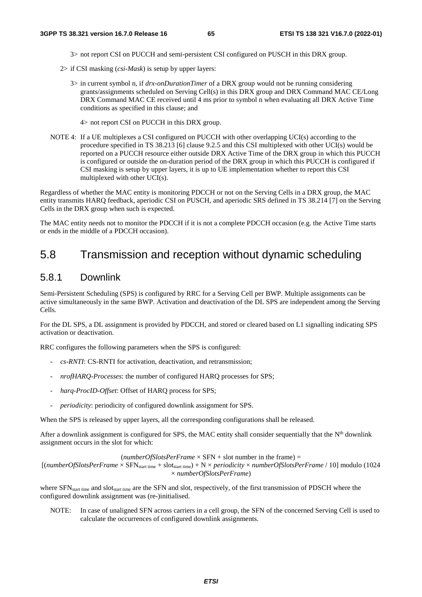3> not report CSI on PUCCH and semi-persistent CSI configured on PUSCH in this DRX group.

- 2> if CSI masking (*csi-Mask*) is setup by upper layers:
	- 3> in current symbol n, if *drx-onDurationTimer* of a DRX group would not be running considering grants/assignments scheduled on Serving Cell(s) in this DRX group and DRX Command MAC CE/Long DRX Command MAC CE received until 4 ms prior to symbol n when evaluating all DRX Active Time conditions as specified in this clause; and
		- 4> not report CSI on PUCCH in this DRX group.
- NOTE 4: If a UE multiplexes a CSI configured on PUCCH with other overlapping UCI(s) according to the procedure specified in TS 38.213 [6] clause 9.2.5 and this CSI multiplexed with other UCI(s) would be reported on a PUCCH resource either outside DRX Active Time of the DRX group in which this PUCCH is configured or outside the on-duration period of the DRX group in which this PUCCH is configured if CSI masking is setup by upper layers, it is up to UE implementation whether to report this CSI multiplexed with other UCI(s).

Regardless of whether the MAC entity is monitoring PDCCH or not on the Serving Cells in a DRX group, the MAC entity transmits HARQ feedback, aperiodic CSI on PUSCH, and aperiodic SRS defined in TS 38.214 [7] on the Serving Cells in the DRX group when such is expected.

The MAC entity needs not to monitor the PDCCH if it is not a complete PDCCH occasion (e.g. the Active Time starts or ends in the middle of a PDCCH occasion).

## 5.8 Transmission and reception without dynamic scheduling

## 5.8.1 Downlink

Semi-Persistent Scheduling (SPS) is configured by RRC for a Serving Cell per BWP. Multiple assignments can be active simultaneously in the same BWP. Activation and deactivation of the DL SPS are independent among the Serving Cells.

For the DL SPS, a DL assignment is provided by PDCCH, and stored or cleared based on L1 signalling indicating SPS activation or deactivation.

RRC configures the following parameters when the SPS is configured:

- *cs-RNTI*: CS-RNTI for activation, deactivation, and retransmission;
- *nrofHARQ-Processes*: the number of configured HARQ processes for SPS;
- harq-ProcID-Offset: Offset of HARQ process for SPS;
- *periodicity*: periodicity of configured downlink assignment for SPS.

When the SPS is released by upper layers, all the corresponding configurations shall be released.

After a downlink assignment is configured for SPS, the MAC entity shall consider sequentially that the  $N<sup>th</sup>$  downlink assignment occurs in the slot for which:

 $(numberOfSlotsPerFrame \times SFN + slot$  number in the frame) =

 $[(numberOfSlotsPerFrame \times SFN_{start time} + slot_{start time}) + N \times periodicity \times numberOfSlotsPerFrame / 10]$  modulo (1024 × *numberOfSlotsPerFrame*)

where SFN<sub>start time</sub> and slot<sub>start time</sub> are the SFN and slot, respectively, of the first transmission of PDSCH where the configured downlink assignment was (re-)initialised.

NOTE: In case of unaligned SFN across carriers in a cell group, the SFN of the concerned Serving Cell is used to calculate the occurrences of configured downlink assignments.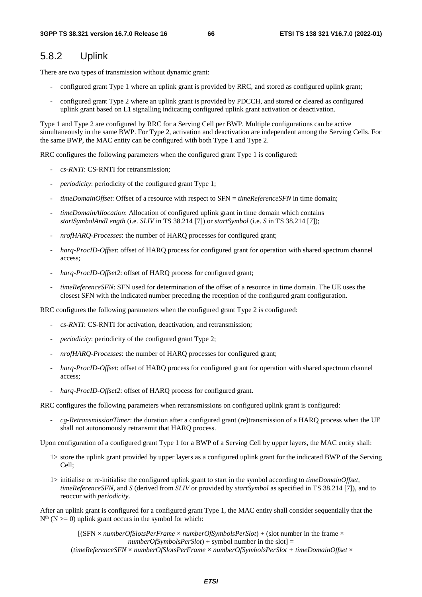## 5.8.2 Uplink

There are two types of transmission without dynamic grant:

- configured grant Type 1 where an uplink grant is provided by RRC, and stored as configured uplink grant;
- configured grant Type 2 where an uplink grant is provided by PDCCH, and stored or cleared as configured uplink grant based on L1 signalling indicating configured uplink grant activation or deactivation.

Type 1 and Type 2 are configured by RRC for a Serving Cell per BWP. Multiple configurations can be active simultaneously in the same BWP. For Type 2, activation and deactivation are independent among the Serving Cells. For the same BWP, the MAC entity can be configured with both Type 1 and Type 2.

RRC configures the following parameters when the configured grant Type 1 is configured:

- *cs-RNTI*: CS-RNTI for retransmission;
- *periodicity*: periodicity of the configured grant Type 1;
- *timeDomainOffset*: Offset of a resource with respect to SFN = *timeReferenceSFN* in time domain;
- *timeDomainAllocation*: Allocation of configured uplink grant in time domain which contains *startSymbolAndLength* (i.e. *SLIV* in TS 38.214 [7]) or *startSymbol* (i.e. *S* in TS 38.214 [7]);
- *nrofHARQ-Processes*: the number of HARQ processes for configured grant;
- *harq-ProcID-Offset*: offset of HARQ process for configured grant for operation with shared spectrum channel access;
- *harq-ProcID-Offset2*: offset of HARQ process for configured grant;
- *timeReferenceSFN*: SFN used for determination of the offset of a resource in time domain. The UE uses the closest SFN with the indicated number preceding the reception of the configured grant configuration.

RRC configures the following parameters when the configured grant Type 2 is configured:

- *cs-RNTI*: CS-RNTI for activation, deactivation, and retransmission;
- *periodicity*: periodicity of the configured grant Type 2;
- *nrofHARQ-Processes*: the number of HARQ processes for configured grant;
- *harq-ProcID-Offset*: offset of HARQ process for configured grant for operation with shared spectrum channel access;
- *harq-ProcID-Offset2*: offset of HARQ process for configured grant.

RRC configures the following parameters when retransmissions on configured uplink grant is configured:

- *cg-RetransmissionTimer*: the duration after a configured grant (re)transmission of a HARQ process when the UE shall not autonomously retransmit that HARQ process.

Upon configuration of a configured grant Type 1 for a BWP of a Serving Cell by upper layers, the MAC entity shall:

- 1> store the uplink grant provided by upper layers as a configured uplink grant for the indicated BWP of the Serving Cell;
- 1> initialise or re-initialise the configured uplink grant to start in the symbol according to *timeDomainOffset*, *timeReferenceSFN*, and *S* (derived from *SLIV* or provided by *startSymbol* as specified in TS 38.214 [7]), and to reoccur with *periodicity*.

After an uplink grant is configured for a configured grant Type 1, the MAC entity shall consider sequentially that the  $N<sup>th</sup>$  (N  $>=$  0) uplink grant occurs in the symbol for which:

[(SFN × *numberOfSlotsPerFrame* × *numberOfSymbolsPerSlot*) + (slot number in the frame ×  $numberOfSymbolsPerSlot$  + symbol number in the slot] = (*timeReferenceSFN* × *numberOfSlotsPerFrame* × *numberOfSymbolsPerSlot + timeDomainOffset* ×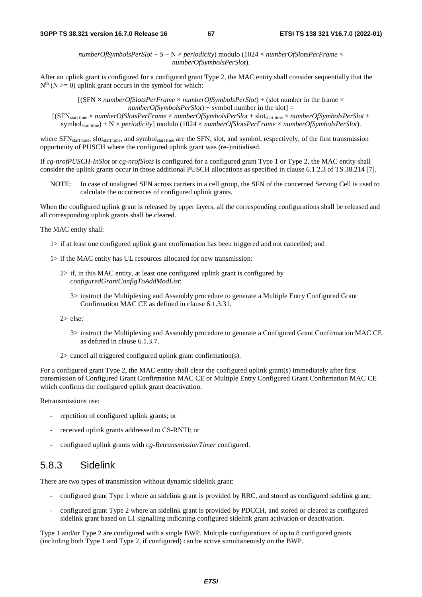*numberOfSymbolsPerSlot* + *S* + N × *periodicity*) modulo (1024 × *numberOfSlotsPerFrame* × *numberOfSymbolsPerSlot*).

After an uplink grant is configured for a configured grant Type 2, the MAC entity shall consider sequentially that the  $N<sup>th</sup>$  (N  $>=$  0) uplink grant occurs in the symbol for which:

[(SFN × *numberOfSlotsPerFrame* × *numberOfSymbolsPerSlot*) + (slot number in the frame ×  $numberOfSymbolsPerSlot$  + symbol number in the slot] =

[(SFNstart time × *numberOfSlotsPerFrame* × *numberOfSymbolsPerSlot* + slotstart time × *numberOfSymbolsPerSlot* + symbolstart time) + N × *periodicity*] modulo (1024 × *numberOfSlotsPerFrame* × *numberOfSymbolsPerSlot*).

where SFN<sub>start time</sub>, slot<sub>start time</sub>, and symbolstart time are the SFN, slot, and symbol, respectively, of the first transmission opportunity of PUSCH where the configured uplink grant was (re-)initialised.

If *cg-nrofPUSCH-InSlot* or *cg-nrofSlots* is configured for a configured grant Type 1 or Type 2, the MAC entity shall consider the uplink grants occur in those additional PUSCH allocations as specified in clause 6.1.2.3 of TS 38.214 [7].

NOTE: In case of unaligned SFN across carriers in a cell group, the SFN of the concerned Serving Cell is used to calculate the occurrences of configured uplink grants.

When the configured uplink grant is released by upper layers, all the corresponding configurations shall be released and all corresponding uplink grants shall be cleared.

The MAC entity shall:

- 1> if at least one configured uplink grant confirmation has been triggered and not cancelled; and
- 1> if the MAC entity has UL resources allocated for new transmission:
	- 2> if, in this MAC entity, at least one configured uplink grant is configured by *configuredGrantConfigToAddModList*:
		- 3> instruct the Multiplexing and Assembly procedure to generate a Multiple Entry Configured Grant Confirmation MAC CE as defined in clause 6.1.3.31.

2> else:

- 3> instruct the Multiplexing and Assembly procedure to generate a Configured Grant Confirmation MAC CE as defined in clause 6.1.3.7.
- 2> cancel all triggered configured uplink grant confirmation(s).

For a configured grant Type 2, the MAC entity shall clear the configured uplink grant(s) immediately after first transmission of Configured Grant Confirmation MAC CE or Multiple Entry Configured Grant Confirmation MAC CE which confirms the configured uplink grant deactivation.

Retransmissions use:

- repetition of configured uplink grants; or
- received uplink grants addressed to CS-RNTI; or
- configured uplink grants with *cg-RetransmissionTimer* configured.

## 5.8.3 Sidelink

There are two types of transmission without dynamic sidelink grant:

- configured grant Type 1 where an sidelink grant is provided by RRC, and stored as configured sidelink grant;
- configured grant Type 2 where an sidelink grant is provided by PDCCH, and stored or cleared as configured sidelink grant based on L1 signalling indicating configured sidelink grant activation or deactivation.

Type 1 and/or Type 2 are configured with a single BWP. Multiple configurations of up to 8 configured grants (including both Type 1 and Type 2, if configured) can be active simultaneously on the BWP.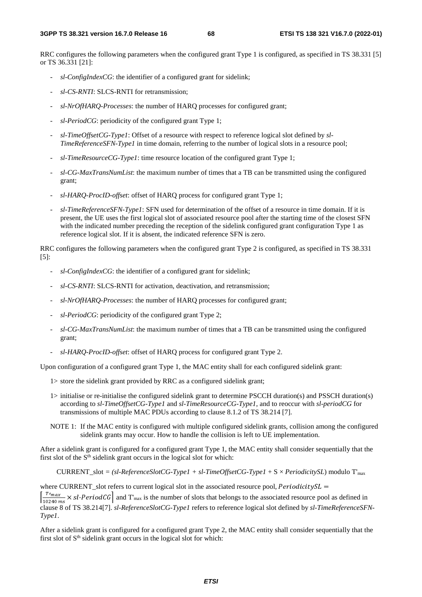RRC configures the following parameters when the configured grant Type 1 is configured, as specified in TS 38.331 [5] or TS 36.331 [21]:

- *sl-ConfigIndexCG*: the identifier of a configured grant for sidelink;
- *sl-CS-RNTI*: SLCS-RNTI for retransmission;
- *sl-NrOfHARQ-Processes*: the number of HARQ processes for configured grant;
- sl-PeriodCG: periodicity of the configured grant Type 1;
- *sl-TimeOffsetCG-Type1*: Offset of a resource with respect to reference logical slot defined by *sl-TimeReferenceSFN-Type1* in time domain, referring to the number of logical slots in a resource pool;
- *sl-TimeResourceCG-Type1*: time resource location of the configured grant Type 1;
- *sl-CG-MaxTransNumList*: the maximum number of times that a TB can be transmitted using the configured grant;
- *sl-HARQ-ProcID-offset*: offset of HARQ process for configured grant Type 1;
- *sl-TimeReferenceSFN-Type1*: SFN used for determination of the offset of a resource in time domain. If it is present, the UE uses the first logical slot of associated resource pool after the starting time of the closest SFN with the indicated number preceding the reception of the sidelink configured grant configuration Type 1 as reference logical slot. If it is absent, the indicated reference SFN is zero.

RRC configures the following parameters when the configured grant Type 2 is configured, as specified in TS 38.331 [5]:

- *sl-ConfigIndexCG*: the identifier of a configured grant for sidelink;
- *sl-CS-RNTI*: SLCS-RNTI for activation, deactivation, and retransmission;
- *sl-NrOfHARQ-Processes*: the number of HARQ processes for configured grant;
- sl-PeriodCG: periodicity of the configured grant Type 2;
- *sl-CG-MaxTransNumList*: the maximum number of times that a TB can be transmitted using the configured grant;
- *sl-HARQ-ProcID-offset*: offset of HARQ process for configured grant Type 2.

Upon configuration of a configured grant Type 1, the MAC entity shall for each configured sidelink grant:

- 1> store the sidelink grant provided by RRC as a configured sidelink grant;
- 1> initialise or re-initialise the configured sidelink grant to determine PSCCH duration(s) and PSSCH duration(s) according to *sl-TimeOffsetCG-Type1* and *sl-TimeResourceCG-Type1*, and to reoccur with *sl-periodCG* for transmissions of multiple MAC PDUs according to clause 8.1.2 of TS 38.214 [7].
- NOTE 1: If the MAC entity is configured with multiple configured sidelink grants, collision among the configured sidelink grants may occur. How to handle the collision is left to UE implementation.

After a sidelink grant is configured for a configured grant Type 1, the MAC entity shall consider sequentially that the first slot of the  $S<sup>th</sup>$  sidelink grant occurs in the logical slot for which:

CURRENT\_slot *= (sl-ReferenceSlotCG-Type1 + sl-TimeOffsetCG-Type1* + S × *PeriodicitySL*) modulo T'max

where CURRENT\_slot refers to current logical slot in the associated resource pool,  $Periodicity S$  $=$ 

 $\frac{1}{10240 \text{ ms}}$  × sl-PeriodCG and T'<sub>max</sub> is the number of slots that belongs to the associated resource pool as defined in clause 8 of TS 38.214[7]. *sl-ReferenceSlotCG-Type1* refers to reference logical slot defined by *sl-TimeReferenceSFN-Type1*.

After a sidelink grant is configured for a configured grant Type 2, the MAC entity shall consider sequentially that the first slot of  $S<sup>th</sup>$  sidelink grant occurs in the logical slot for which: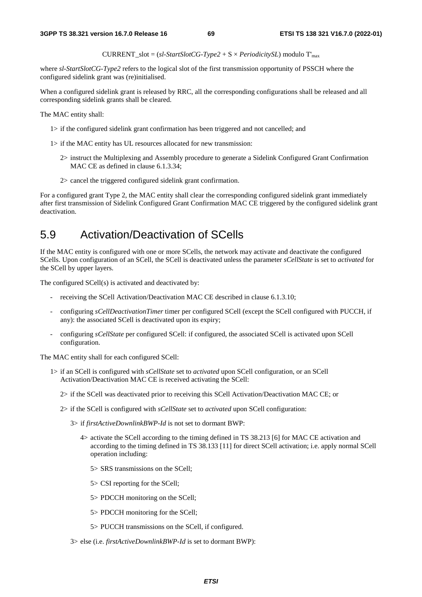CURRENT\_slot = (*sl-StartSlotCG-Type2* + S × *PeriodicitySL*) modulo T'max

where *sl-StartSlotCG-Type2* refers to the logical slot of the first transmission opportunity of PSSCH where the configured sidelink grant was (re)initialised.

When a configured sidelink grant is released by RRC, all the corresponding configurations shall be released and all corresponding sidelink grants shall be cleared.

The MAC entity shall:

- 1> if the configured sidelink grant confirmation has been triggered and not cancelled; and
- 1> if the MAC entity has UL resources allocated for new transmission:
	- 2> instruct the Multiplexing and Assembly procedure to generate a Sidelink Configured Grant Confirmation MAC CE as defined in clause 6.1.3.34;
	- 2> cancel the triggered configured sidelink grant confirmation.

For a configured grant Type 2, the MAC entity shall clear the corresponding configured sidelink grant immediately after first transmission of Sidelink Configured Grant Confirmation MAC CE triggered by the configured sidelink grant deactivation.

## 5.9 Activation/Deactivation of SCells

If the MAC entity is configured with one or more SCells, the network may activate and deactivate the configured SCells. Upon configuration of an SCell, the SCell is deactivated unless the parameter *sCellState* is set to *activated* for the SCell by upper layers.

The configured SCell(s) is activated and deactivated by:

- receiving the SCell Activation/Deactivation MAC CE described in clause 6.1.3.10;
- configuring *sCellDeactivationTimer* timer per configured SCell (except the SCell configured with PUCCH, if any): the associated SCell is deactivated upon its expiry;
- configuring *sCellState* per configured SCell: if configured, the associated SCell is activated upon SCell configuration.

The MAC entity shall for each configured SCell:

- 1> if an SCell is configured with *sCellState* set to *activated* upon SCell configuration, or an SCell Activation/Deactivation MAC CE is received activating the SCell:
	- 2> if the SCell was deactivated prior to receiving this SCell Activation/Deactivation MAC CE; or
	- 2> if the SCell is configured with *sCellState* set to *activated* upon SCell configuration:
		- 3> if *firstActiveDownlinkBWP-Id* is not set to dormant BWP:
			- 4> activate the SCell according to the timing defined in TS 38.213 [6] for MAC CE activation and according to the timing defined in TS 38.133 [11] for direct SCell activation; i.e. apply normal SCell operation including:
				- 5> SRS transmissions on the SCell;
				- 5> CSI reporting for the SCell;
				- 5> PDCCH monitoring on the SCell;
				- 5> PDCCH monitoring for the SCell;
				- 5> PUCCH transmissions on the SCell, if configured.
		- 3> else (i.e. *firstActiveDownlinkBWP-Id* is set to dormant BWP):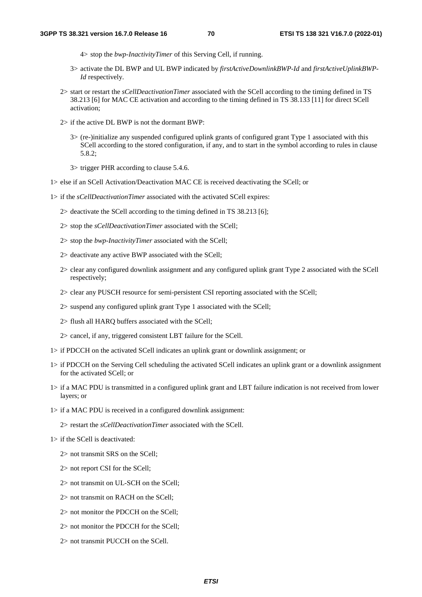- 4> stop the *bwp-InactivityTimer* of this Serving Cell, if running.
- 3> activate the DL BWP and UL BWP indicated by *firstActiveDownlinkBWP-Id* and *firstActiveUplinkBWP-Id* respectively.
- 2> start or restart the *sCellDeactivationTimer* associated with the SCell according to the timing defined in TS 38.213 [6] for MAC CE activation and according to the timing defined in TS 38.133 [11] for direct SCell activation;
- 2> if the active DL BWP is not the dormant BWP:
	- 3> (re-)initialize any suspended configured uplink grants of configured grant Type 1 associated with this SCell according to the stored configuration, if any, and to start in the symbol according to rules in clause 5.8.2;
	- 3> trigger PHR according to clause 5.4.6.
- 1> else if an SCell Activation/Deactivation MAC CE is received deactivating the SCell; or
- 1> if the *sCellDeactivationTimer* associated with the activated SCell expires:
	- 2> deactivate the SCell according to the timing defined in TS 38.213 [6];
	- 2> stop the *sCellDeactivationTimer* associated with the SCell;
	- 2> stop the *bwp-InactivityTimer* associated with the SCell;
	- 2> deactivate any active BWP associated with the SCell;
	- 2> clear any configured downlink assignment and any configured uplink grant Type 2 associated with the SCell respectively;
	- 2> clear any PUSCH resource for semi-persistent CSI reporting associated with the SCell;
	- 2> suspend any configured uplink grant Type 1 associated with the SCell;
	- 2> flush all HARQ buffers associated with the SCell;
	- 2> cancel, if any, triggered consistent LBT failure for the SCell.
- 1> if PDCCH on the activated SCell indicates an uplink grant or downlink assignment; or
- 1> if PDCCH on the Serving Cell scheduling the activated SCell indicates an uplink grant or a downlink assignment for the activated SCell; or
- 1> if a MAC PDU is transmitted in a configured uplink grant and LBT failure indication is not received from lower layers; or
- 1> if a MAC PDU is received in a configured downlink assignment:

2> restart the *sCellDeactivationTimer* associated with the SCell.

- 1> if the SCell is deactivated:
	- 2> not transmit SRS on the SCell;
	- 2> not report CSI for the SCell;
	- 2> not transmit on UL-SCH on the SCell;
	- 2> not transmit on RACH on the SCell;
	- 2> not monitor the PDCCH on the SCell;
	- 2> not monitor the PDCCH for the SCell;
	- 2> not transmit PUCCH on the SCell.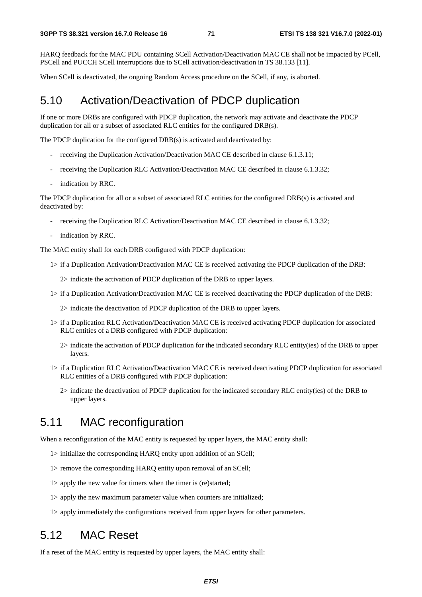HARQ feedback for the MAC PDU containing SCell Activation/Deactivation MAC CE shall not be impacted by PCell, PSCell and PUCCH SCell interruptions due to SCell activation/deactivation in TS 38.133 [11].

When SCell is deactivated, the ongoing Random Access procedure on the SCell, if any, is aborted.

## 5.10 Activation/Deactivation of PDCP duplication

If one or more DRBs are configured with PDCP duplication, the network may activate and deactivate the PDCP duplication for all or a subset of associated RLC entities for the configured DRB(s).

The PDCP duplication for the configured DRB(s) is activated and deactivated by:

- receiving the Duplication Activation/Deactivation MAC CE described in clause 6.1.3.11;
- receiving the Duplication RLC Activation/Deactivation MAC CE described in clause 6.1.3.32;
- indication by RRC.

The PDCP duplication for all or a subset of associated RLC entities for the configured DRB(s) is activated and deactivated by:

- receiving the Duplication RLC Activation/Deactivation MAC CE described in clause 6.1.3.32;
- indication by RRC.

The MAC entity shall for each DRB configured with PDCP duplication:

1> if a Duplication Activation/Deactivation MAC CE is received activating the PDCP duplication of the DRB:

2> indicate the activation of PDCP duplication of the DRB to upper layers.

1> if a Duplication Activation/Deactivation MAC CE is received deactivating the PDCP duplication of the DRB:

2> indicate the deactivation of PDCP duplication of the DRB to upper layers.

- 1> if a Duplication RLC Activation/Deactivation MAC CE is received activating PDCP duplication for associated RLC entities of a DRB configured with PDCP duplication:
	- 2> indicate the activation of PDCP duplication for the indicated secondary RLC entity(ies) of the DRB to upper layers.
- 1> if a Duplication RLC Activation/Deactivation MAC CE is received deactivating PDCP duplication for associated RLC entities of a DRB configured with PDCP duplication:
	- 2> indicate the deactivation of PDCP duplication for the indicated secondary RLC entity(ies) of the DRB to upper layers.

## 5.11 MAC reconfiguration

When a reconfiguration of the MAC entity is requested by upper layers, the MAC entity shall:

- 1> initialize the corresponding HARQ entity upon addition of an SCell;
- 1> remove the corresponding HARQ entity upon removal of an SCell;
- 1> apply the new value for timers when the timer is (re)started;
- 1> apply the new maximum parameter value when counters are initialized;
- 1> apply immediately the configurations received from upper layers for other parameters.

# 5.12 MAC Reset

If a reset of the MAC entity is requested by upper layers, the MAC entity shall: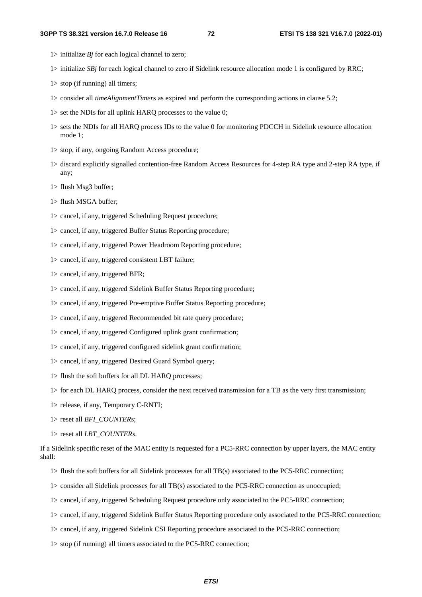- 1> initialize  $Bj$  for each logical channel to zero;
- 1> initialize *SBj* for each logical channel to zero if Sidelink resource allocation mode 1 is configured by RRC;
- 1> stop (if running) all timers;
- 1> consider all *timeAlignmentTimer*s as expired and perform the corresponding actions in clause 5.2;
- 1> set the NDIs for all uplink HARQ processes to the value 0;
- 1> sets the NDIs for all HARQ process IDs to the value 0 for monitoring PDCCH in Sidelink resource allocation mode 1;
- 1> stop, if any, ongoing Random Access procedure;
- 1> discard explicitly signalled contention-free Random Access Resources for 4-step RA type and 2-step RA type, if any;
- 1> flush Msg3 buffer;
- 1> flush MSGA buffer;
- 1> cancel, if any, triggered Scheduling Request procedure;
- 1> cancel, if any, triggered Buffer Status Reporting procedure;
- 1> cancel, if any, triggered Power Headroom Reporting procedure;
- 1> cancel, if any, triggered consistent LBT failure;
- 1> cancel, if any, triggered BFR;
- 1> cancel, if any, triggered Sidelink Buffer Status Reporting procedure;
- 1> cancel, if any, triggered Pre-emptive Buffer Status Reporting procedure;
- 1> cancel, if any, triggered Recommended bit rate query procedure;
- 1> cancel, if any, triggered Configured uplink grant confirmation;
- 1> cancel, if any, triggered configured sidelink grant confirmation;
- 1> cancel, if any, triggered Desired Guard Symbol query;
- 1> flush the soft buffers for all DL HARQ processes;
- 1> for each DL HARQ process, consider the next received transmission for a TB as the very first transmission;
- 1> release, if any, Temporary C-RNTI;
- 1> reset all *BFI\_COUNTER*s;
- 1> reset all *LBT\_COUNTERs*.
- If a Sidelink specific reset of the MAC entity is requested for a PC5-RRC connection by upper layers, the MAC entity shall:
	- 1> flush the soft buffers for all Sidelink processes for all TB(s) associated to the PC5-RRC connection;
	- 1> consider all Sidelink processes for all TB(s) associated to the PC5-RRC connection as unoccupied;
	- 1> cancel, if any, triggered Scheduling Request procedure only associated to the PC5-RRC connection;
	- 1> cancel, if any, triggered Sidelink Buffer Status Reporting procedure only associated to the PC5-RRC connection;
	- 1> cancel, if any, triggered Sidelink CSI Reporting procedure associated to the PC5-RRC connection;
	- 1> stop (if running) all timers associated to the PC5-RRC connection;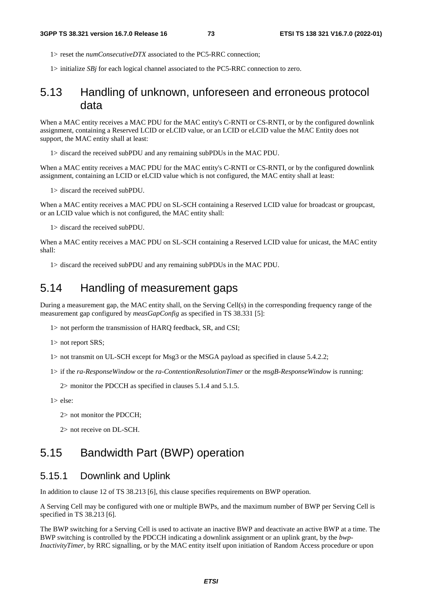1> reset the *numConsecutiveDTX* associated to the PC5-RRC connection;

1> initialize *SBj* for each logical channel associated to the PC5-RRC connection to zero.

# 5.13 Handling of unknown, unforeseen and erroneous protocol data

When a MAC entity receives a MAC PDU for the MAC entity's C-RNTI or CS-RNTI, or by the configured downlink assignment, containing a Reserved LCID or eLCID value, or an LCID or eLCID value the MAC Entity does not support, the MAC entity shall at least:

1> discard the received subPDU and any remaining subPDUs in the MAC PDU.

When a MAC entity receives a MAC PDU for the MAC entity's C-RNTI or CS-RNTI, or by the configured downlink assignment, containing an LCID or eLCID value which is not configured, the MAC entity shall at least:

1> discard the received subPDU.

When a MAC entity receives a MAC PDU on SL-SCH containing a Reserved LCID value for broadcast or groupcast, or an LCID value which is not configured, the MAC entity shall:

1> discard the received subPDU.

When a MAC entity receives a MAC PDU on SL-SCH containing a Reserved LCID value for unicast, the MAC entity shall:

1> discard the received subPDU and any remaining subPDUs in the MAC PDU.

# 5.14 Handling of measurement gaps

During a measurement gap, the MAC entity shall, on the Serving Cell(s) in the corresponding frequency range of the measurement gap configured by *measGapConfig* as specified in TS 38.331 [5]:

1> not perform the transmission of HARQ feedback, SR, and CSI;

1> not report SRS;

1> not transmit on UL-SCH except for Msg3 or the MSGA payload as specified in clause 5.4.2.2;

1> if the *ra-ResponseWindow* or the *ra-ContentionResolutionTimer* or the *msgB-ResponseWindow* is running:

2> monitor the PDCCH as specified in clauses 5.1.4 and 5.1.5.

1> else:

2> not monitor the PDCCH;

2> not receive on DL-SCH.

# 5.15 Bandwidth Part (BWP) operation

## 5.15.1 Downlink and Uplink

In addition to clause 12 of TS 38.213 [6], this clause specifies requirements on BWP operation.

A Serving Cell may be configured with one or multiple BWPs, and the maximum number of BWP per Serving Cell is specified in TS 38.213 [6].

The BWP switching for a Serving Cell is used to activate an inactive BWP and deactivate an active BWP at a time. The BWP switching is controlled by the PDCCH indicating a downlink assignment or an uplink grant, by the *bwp-InactivityTimer*, by RRC signalling, or by the MAC entity itself upon initiation of Random Access procedure or upon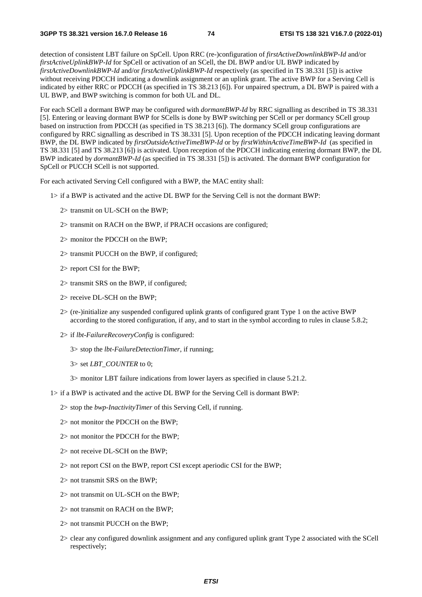detection of consistent LBT failure on SpCell. Upon RRC (re-)configuration of *firstActiveDownlinkBWP-Id* and/or *firstActiveUplinkBWP-Id* for SpCell or activation of an SCell, the DL BWP and/or UL BWP indicated by *firstActiveDownlinkBWP-Id* and/or *firstActiveUplinkBWP-Id* respectively (as specified in TS 38.331 [5]) is active without receiving PDCCH indicating a downlink assignment or an uplink grant. The active BWP for a Serving Cell is indicated by either RRC or PDCCH (as specified in TS 38.213 [6]). For unpaired spectrum, a DL BWP is paired with a UL BWP, and BWP switching is common for both UL and DL.

For each SCell a dormant BWP may be configured with *dormantBWP-Id* by RRC signalling as described in TS 38.331 [5]. Entering or leaving dormant BWP for SCells is done by BWP switching per SCell or per dormancy SCell group based on instruction from PDCCH (as specified in TS 38.213 [6]). The dormancy SCell group configurations are configured by RRC signalling as described in TS 38.331 [5]. Upon reception of the PDCCH indicating leaving dormant BWP, the DL BWP indicated by *firstOutsideActiveTimeBWP-Id* or by *firstWithinActiveTimeBWP-Id* (as specified in TS 38.331 [5] and TS 38.213 [6]) is activated. Upon reception of the PDCCH indicating entering dormant BWP, the DL BWP indicated by *dormantBWP-Id* (as specified in TS 38.331 [5]) is activated. The dormant BWP configuration for SpCell or PUCCH SCell is not supported.

For each activated Serving Cell configured with a BWP, the MAC entity shall:

- 1> if a BWP is activated and the active DL BWP for the Serving Cell is not the dormant BWP:
	- 2> transmit on UL-SCH on the BWP;
	- 2> transmit on RACH on the BWP, if PRACH occasions are configured;
	- 2> monitor the PDCCH on the BWP;
	- 2> transmit PUCCH on the BWP, if configured;
	- 2> report CSI for the BWP;
	- 2> transmit SRS on the BWP, if configured;
	- 2> receive DL-SCH on the BWP;
	- 2> (re-)initialize any suspended configured uplink grants of configured grant Type 1 on the active BWP according to the stored configuration, if any, and to start in the symbol according to rules in clause 5.8.2;
	- 2> if *lbt-FailureRecoveryConfig* is configured:
		- 3> stop the *lbt-FailureDetectionTimer*, if running;
		- 3> set *LBT\_COUNTER* to 0;
		- 3> monitor LBT failure indications from lower layers as specified in clause 5.21.2.
- 1> if a BWP is activated and the active DL BWP for the Serving Cell is dormant BWP:
	- 2> stop the *bwp-InactivityTimer* of this Serving Cell, if running.
	- 2> not monitor the PDCCH on the BWP;
	- 2> not monitor the PDCCH for the BWP;
	- 2> not receive DL-SCH on the BWP;
	- 2> not report CSI on the BWP, report CSI except aperiodic CSI for the BWP;
	- 2> not transmit SRS on the BWP;
	- 2> not transmit on UL-SCH on the BWP;
	- 2> not transmit on RACH on the BWP;
	- 2> not transmit PUCCH on the BWP;
	- 2> clear any configured downlink assignment and any configured uplink grant Type 2 associated with the SCell respectively;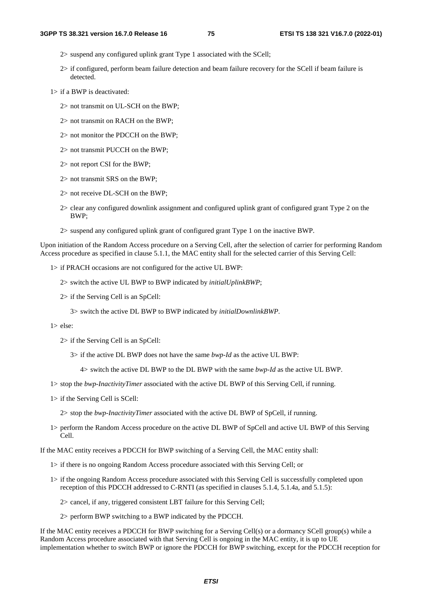- 2> suspend any configured uplink grant Type 1 associated with the SCell;
- 2> if configured, perform beam failure detection and beam failure recovery for the SCell if beam failure is detected.
- 1> if a BWP is deactivated:
	- 2> not transmit on UL-SCH on the BWP;
	- 2> not transmit on RACH on the BWP;
	- 2> not monitor the PDCCH on the BWP;
	- 2> not transmit PUCCH on the BWP;
	- 2> not report CSI for the BWP;
	- 2> not transmit SRS on the BWP;
	- 2> not receive DL-SCH on the BWP;
	- 2> clear any configured downlink assignment and configured uplink grant of configured grant Type 2 on the BWP;
	- 2> suspend any configured uplink grant of configured grant Type 1 on the inactive BWP.

Upon initiation of the Random Access procedure on a Serving Cell, after the selection of carrier for performing Random Access procedure as specified in clause 5.1.1, the MAC entity shall for the selected carrier of this Serving Cell:

- 1> if PRACH occasions are not configured for the active UL BWP:
	- 2> switch the active UL BWP to BWP indicated by *initialUplinkBWP*;
	- 2> if the Serving Cell is an SpCell:
		- 3> switch the active DL BWP to BWP indicated by *initialDownlinkBWP*.

#### 1> else:

- 2> if the Serving Cell is an SpCell:
	- 3> if the active DL BWP does not have the same *bwp-Id* as the active UL BWP:
		- 4> switch the active DL BWP to the DL BWP with the same *bwp-Id* as the active UL BWP.
- 1> stop the *bwp-InactivityTimer* associated with the active DL BWP of this Serving Cell, if running.
- 1> if the Serving Cell is SCell:
	- 2> stop the *bwp-InactivityTimer* associated with the active DL BWP of SpCell, if running.
- 1> perform the Random Access procedure on the active DL BWP of SpCell and active UL BWP of this Serving Cell.

If the MAC entity receives a PDCCH for BWP switching of a Serving Cell, the MAC entity shall:

- 1> if there is no ongoing Random Access procedure associated with this Serving Cell; or
- 1> if the ongoing Random Access procedure associated with this Serving Cell is successfully completed upon reception of this PDCCH addressed to C-RNTI (as specified in clauses 5.1.4, 5.1.4a, and 5.1.5):
	- 2> cancel, if any, triggered consistent LBT failure for this Serving Cell;
	- 2> perform BWP switching to a BWP indicated by the PDCCH.

If the MAC entity receives a PDCCH for BWP switching for a Serving Cell(s) or a dormancy SCell group(s) while a Random Access procedure associated with that Serving Cell is ongoing in the MAC entity, it is up to UE implementation whether to switch BWP or ignore the PDCCH for BWP switching, except for the PDCCH reception for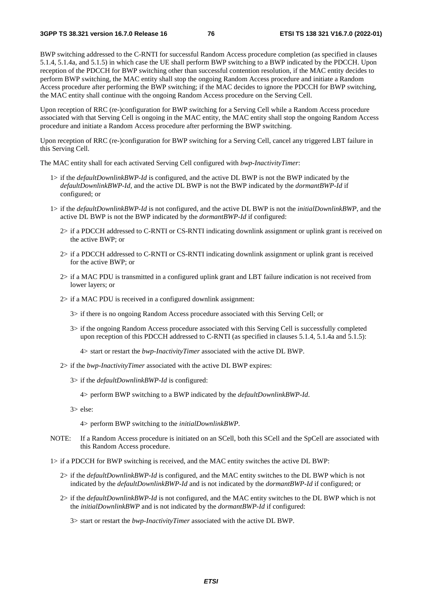BWP switching addressed to the C-RNTI for successful Random Access procedure completion (as specified in clauses 5.1.4, 5.1.4a, and 5.1.5) in which case the UE shall perform BWP switching to a BWP indicated by the PDCCH. Upon reception of the PDCCH for BWP switching other than successful contention resolution, if the MAC entity decides to perform BWP switching, the MAC entity shall stop the ongoing Random Access procedure and initiate a Random Access procedure after performing the BWP switching; if the MAC decides to ignore the PDCCH for BWP switching, the MAC entity shall continue with the ongoing Random Access procedure on the Serving Cell.

Upon reception of RRC (re-)configuration for BWP switching for a Serving Cell while a Random Access procedure associated with that Serving Cell is ongoing in the MAC entity, the MAC entity shall stop the ongoing Random Access procedure and initiate a Random Access procedure after performing the BWP switching.

Upon reception of RRC (re-)configuration for BWP switching for a Serving Cell, cancel any triggered LBT failure in this Serving Cell.

The MAC entity shall for each activated Serving Cell configured with *bwp-InactivityTimer*:

- 1> if the *defaultDownlinkBWP-Id* is configured, and the active DL BWP is not the BWP indicated by the *defaultDownlinkBWP-Id*, and the active DL BWP is not the BWP indicated by the *dormantBWP-Id* if configured; or
- 1> if the *defaultDownlinkBWP-Id* is not configured, and the active DL BWP is not the *initialDownlinkBWP*, and the active DL BWP is not the BWP indicated by the *dormantBWP-Id* if configured:
	- 2> if a PDCCH addressed to C-RNTI or CS-RNTI indicating downlink assignment or uplink grant is received on the active BWP; or
	- 2> if a PDCCH addressed to C-RNTI or CS-RNTI indicating downlink assignment or uplink grant is received for the active BWP; or
	- 2> if a MAC PDU is transmitted in a configured uplink grant and LBT failure indication is not received from lower layers; or
	- 2> if a MAC PDU is received in a configured downlink assignment:
		- 3> if there is no ongoing Random Access procedure associated with this Serving Cell; or
		- 3> if the ongoing Random Access procedure associated with this Serving Cell is successfully completed upon reception of this PDCCH addressed to C-RNTI (as specified in clauses 5.1.4, 5.1.4a and 5.1.5):
			- 4> start or restart the *bwp-InactivityTimer* associated with the active DL BWP.
	- 2> if the *bwp-InactivityTimer* associated with the active DL BWP expires:
		- 3> if the *defaultDownlinkBWP-Id* is configured:

4> perform BWP switching to a BWP indicated by the *defaultDownlinkBWP-Id*.

3> else:

4> perform BWP switching to the *initialDownlinkBWP*.

NOTE: If a Random Access procedure is initiated on an SCell, both this SCell and the SpCell are associated with this Random Access procedure.

1> if a PDCCH for BWP switching is received, and the MAC entity switches the active DL BWP:

- 2> if the *defaultDownlinkBWP-Id* is configured, and the MAC entity switches to the DL BWP which is not indicated by the *defaultDownlinkBWP-Id* and is not indicated by the *dormantBWP-Id* if configured; or
- 2> if the *defaultDownlinkBWP-Id* is not configured, and the MAC entity switches to the DL BWP which is not the *initialDownlinkBWP* and is not indicated by the *dormantBWP-Id* if configured:

3> start or restart the *bwp-InactivityTimer* associated with the active DL BWP.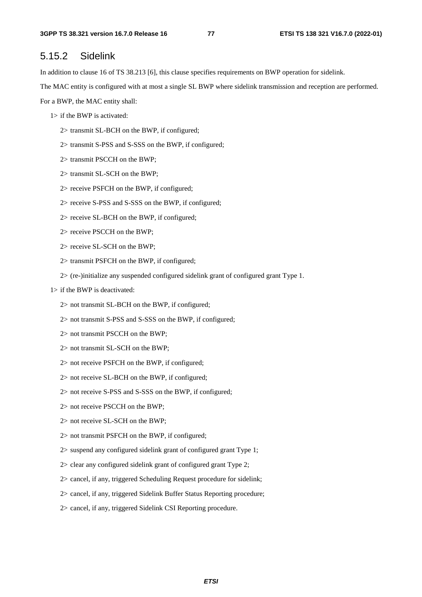# 5.15.2 Sidelink

In addition to clause 16 of TS 38.213 [6], this clause specifies requirements on BWP operation for sidelink.

The MAC entity is configured with at most a single SL BWP where sidelink transmission and reception are performed.

For a BWP, the MAC entity shall:

- 1> if the BWP is activated:
	- 2> transmit SL-BCH on the BWP, if configured;
	- 2> transmit S-PSS and S-SSS on the BWP, if configured;
	- 2> transmit PSCCH on the BWP;
	- 2> transmit SL-SCH on the BWP;
	- 2> receive PSFCH on the BWP, if configured;
	- 2> receive S-PSS and S-SSS on the BWP, if configured;
	- 2> receive SL-BCH on the BWP, if configured;
	- 2> receive PSCCH on the BWP;
	- 2> receive SL-SCH on the BWP;
	- 2> transmit PSFCH on the BWP, if configured;
	- 2> (re-)initialize any suspended configured sidelink grant of configured grant Type 1.
- 1> if the BWP is deactivated:
	- 2> not transmit SL-BCH on the BWP, if configured;
	- 2> not transmit S-PSS and S-SSS on the BWP, if configured;
	- 2> not transmit PSCCH on the BWP;
	- 2> not transmit SL-SCH on the BWP;
	- 2> not receive PSFCH on the BWP, if configured;
	- 2> not receive SL-BCH on the BWP, if configured;
	- 2> not receive S-PSS and S-SSS on the BWP, if configured;
	- 2> not receive PSCCH on the BWP;
	- 2> not receive SL-SCH on the BWP;
	- 2> not transmit PSFCH on the BWP, if configured;
	- 2> suspend any configured sidelink grant of configured grant Type 1;
	- 2> clear any configured sidelink grant of configured grant Type 2;
	- 2> cancel, if any, triggered Scheduling Request procedure for sidelink;
	- 2> cancel, if any, triggered Sidelink Buffer Status Reporting procedure;
	- 2> cancel, if any, triggered Sidelink CSI Reporting procedure.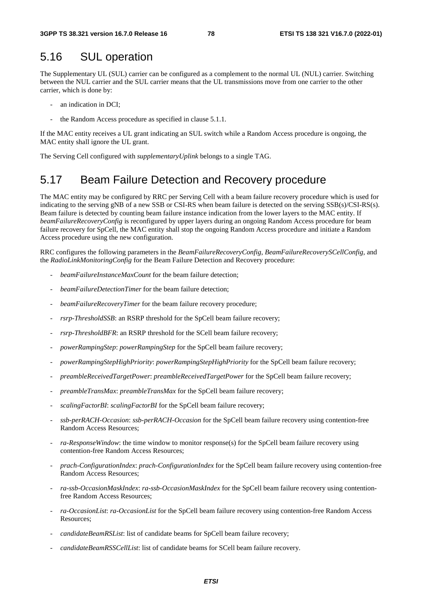# 5.16 SUL operation

The Supplementary UL (SUL) carrier can be configured as a complement to the normal UL (NUL) carrier. Switching between the NUL carrier and the SUL carrier means that the UL transmissions move from one carrier to the other carrier, which is done by:

- an indication in DCI;
- the Random Access procedure as specified in clause 5.1.1.

If the MAC entity receives a UL grant indicating an SUL switch while a Random Access procedure is ongoing, the MAC entity shall ignore the UL grant.

The Serving Cell configured with *supplementaryUplink* belongs to a single TAG.

# 5.17 Beam Failure Detection and Recovery procedure

The MAC entity may be configured by RRC per Serving Cell with a beam failure recovery procedure which is used for indicating to the serving gNB of a new SSB or CSI-RS when beam failure is detected on the serving SSB(s)/CSI-RS(s). Beam failure is detected by counting beam failure instance indication from the lower layers to the MAC entity. If *beamFailureRecoveryConfig* is reconfigured by upper layers during an ongoing Random Access procedure for beam failure recovery for SpCell, the MAC entity shall stop the ongoing Random Access procedure and initiate a Random Access procedure using the new configuration.

RRC configures the following parameters in the *BeamFailureRecoveryConfig*, *BeamFailureRecoverySCellConfig*, and the *RadioLinkMonitoringConfig* for the Beam Failure Detection and Recovery procedure:

- beamFailureInstanceMaxCount for the beam failure detection;
- *beamFailureDetectionTimer* for the beam failure detection;
- *beamFailureRecoveryTimer* for the beam failure recovery procedure;
- *rsrp-ThresholdSSB*: an RSRP threshold for the SpCell beam failure recovery;
- *rsrp-ThresholdBFR*: an RSRP threshold for the SCell beam failure recovery;
- *powerRampingStep*: *powerRampingStep* for the SpCell beam failure recovery;
- *powerRampingStepHighPriority*: *powerRampingStepHighPriority* for the SpCell beam failure recovery;
- *preambleReceivedTargetPower*: *preambleReceivedTargetPower* for the SpCell beam failure recovery;
- *preambleTransMax*: *preambleTransMax* for the SpCell beam failure recovery;
- *scalingFactorBI*: *scalingFactorBI* for the SpCell beam failure recovery;
- *ssb-perRACH-Occasion*: *ssb-perRACH-Occasion* for the SpCell beam failure recovery using contention-free Random Access Resources;
- *ra-ResponseWindow*: the time window to monitor response(s) for the SpCell beam failure recovery using contention-free Random Access Resources;
- *prach-ConfigurationIndex*: *prach-ConfigurationIndex* for the SpCell beam failure recovery using contention-free Random Access Resources;
- *ra-ssb-OccasionMaskIndex*: *ra-ssb-OccasionMaskIndex* for the SpCell beam failure recovery using contentionfree Random Access Resources;
- *ra-OccasionList*: *ra-OccasionList* for the SpCell beam failure recovery using contention-free Random Access Resources;
- *candidateBeamRSList*: list of candidate beams for SpCell beam failure recovery;
- *candidateBeamRSSCellList*: list of candidate beams for SCell beam failure recovery.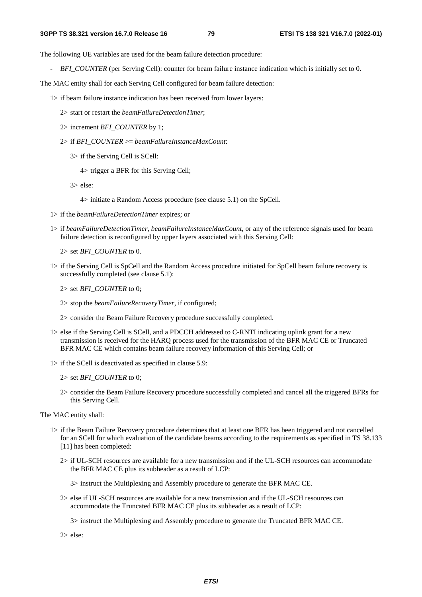The following UE variables are used for the beam failure detection procedure:

*BFI\_COUNTER* (per Serving Cell): counter for beam failure instance indication which is initially set to 0.

The MAC entity shall for each Serving Cell configured for beam failure detection:

- 1> if beam failure instance indication has been received from lower layers:
	- 2> start or restart the *beamFailureDetectionTimer*;
	- 2> increment *BFI\_COUNTER* by 1;
	- 2> if *BFI\_COUNTER* >= *beamFailureInstanceMaxCount*:
		- 3> if the Serving Cell is SCell:
			- 4> trigger a BFR for this Serving Cell;
		- 3> else:

4> initiate a Random Access procedure (see clause 5.1) on the SpCell.

- 1> if the *beamFailureDetectionTimer* expires; or
- 1> if *beamFailureDetectionTimer*, *beamFailureInstanceMaxCount*, or any of the reference signals used for beam failure detection is reconfigured by upper layers associated with this Serving Cell:

2> set *BFI\_COUNTER* to 0.

- 1> if the Serving Cell is SpCell and the Random Access procedure initiated for SpCell beam failure recovery is successfully completed (see clause 5.1):
	- 2> set *BFI\_COUNTER* to 0;
	- 2> stop the *beamFailureRecoveryTimer*, if configured;
	- 2> consider the Beam Failure Recovery procedure successfully completed.
- 1> else if the Serving Cell is SCell, and a PDCCH addressed to C-RNTI indicating uplink grant for a new transmission is received for the HARQ process used for the transmission of the BFR MAC CE or Truncated BFR MAC CE which contains beam failure recovery information of this Serving Cell; or
- 1> if the SCell is deactivated as specified in clause 5.9:
	- 2> set *BFI\_COUNTER* to 0;
	- 2> consider the Beam Failure Recovery procedure successfully completed and cancel all the triggered BFRs for this Serving Cell.

The MAC entity shall:

- 1> if the Beam Failure Recovery procedure determines that at least one BFR has been triggered and not cancelled for an SCell for which evaluation of the candidate beams according to the requirements as specified in TS 38.133 [11] has been completed:
	- 2> if UL-SCH resources are available for a new transmission and if the UL-SCH resources can accommodate the BFR MAC CE plus its subheader as a result of LCP:

3> instruct the Multiplexing and Assembly procedure to generate the BFR MAC CE.

2> else if UL-SCH resources are available for a new transmission and if the UL-SCH resources can accommodate the Truncated BFR MAC CE plus its subheader as a result of LCP:

3> instruct the Multiplexing and Assembly procedure to generate the Truncated BFR MAC CE.

2> else: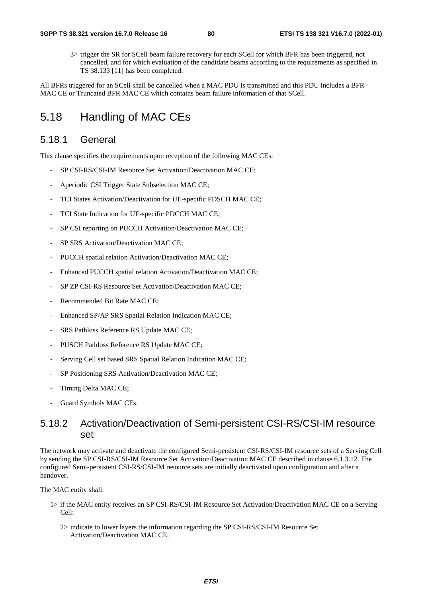3> trigger the SR for SCell beam failure recovery for each SCell for which BFR has been triggered, not cancelled, and for which evaluation of the candidate beams according to the requirements as specified in TS 38.133 [11] has been completed.

All BFRs triggered for an SCell shall be cancelled when a MAC PDU is transmitted and this PDU includes a BFR MAC CE or Truncated BFR MAC CE which contains beam failure information of that SCell.

# 5.18 Handling of MAC CEs

## 5.18.1 General

This clause specifies the requirements upon reception of the following MAC CEs:

- SP CSI-RS/CSI-IM Resource Set Activation/Deactivation MAC CE;
- Aperiodic CSI Trigger State Subselection MAC CE;
- TCI States Activation/Deactivation for UE-specific PDSCH MAC CE;
- TCI State Indication for UE-specific PDCCH MAC CE;
- SP CSI reporting on PUCCH Activation/Deactivation MAC CE;
- SP SRS Activation/Deactivation MAC CE;
- PUCCH spatial relation Activation/Deactivation MAC CE;
- Enhanced PUCCH spatial relation Activation/Deactivation MAC CE;
- SP ZP CSI-RS Resource Set Activation/Deactivation MAC CE;
- Recommended Bit Rate MAC CE:
- Enhanced SP/AP SRS Spatial Relation Indication MAC CE;
- SRS Pathloss Reference RS Update MAC CE;
- PUSCH Pathloss Reference RS Update MAC CE;
- Serving Cell set based SRS Spatial Relation Indication MAC CE;
- SP Positioning SRS Activation/Deactivation MAC CE;
- Timing Delta MAC CE;
- Guard Symbols MAC CEs.

# 5.18.2 Activation/Deactivation of Semi-persistent CSI-RS/CSI-IM resource set

The network may activate and deactivate the configured Semi-persistent CSI-RS/CSI-IM resource sets of a Serving Cell by sending the SP CSI-RS/CSI-IM Resource Set Activation/Deactivation MAC CE described in clause 6.1.3.12. The configured Semi-persistent CSI-RS/CSI-IM resource sets are initially deactivated upon configuration and after a handover.

The MAC entity shall:

- 1> if the MAC entity receives an SP CSI-RS/CSI-IM Resource Set Activation/Deactivation MAC CE on a Serving Cell:
	- 2> indicate to lower layers the information regarding the SP CSI-RS/CSI-IM Resource Set Activation/Deactivation MAC CE.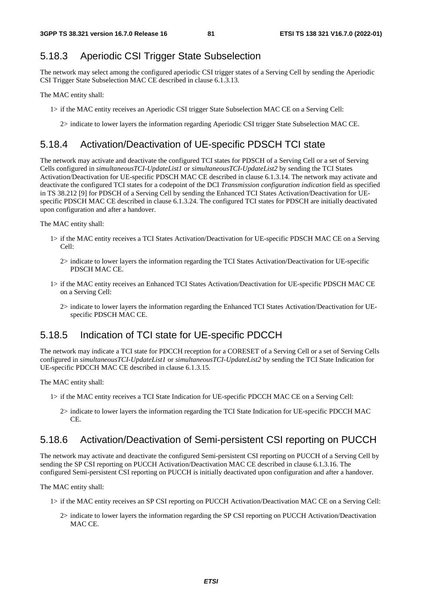# 5.18.3 Aperiodic CSI Trigger State Subselection

The network may select among the configured aperiodic CSI trigger states of a Serving Cell by sending the Aperiodic CSI Trigger State Subselection MAC CE described in clause 6.1.3.13.

The MAC entity shall:

- 1> if the MAC entity receives an Aperiodic CSI trigger State Subselection MAC CE on a Serving Cell:
	- 2> indicate to lower layers the information regarding Aperiodic CSI trigger State Subselection MAC CE.

## 5.18.4 Activation/Deactivation of UE-specific PDSCH TCI state

The network may activate and deactivate the configured TCI states for PDSCH of a Serving Cell or a set of Serving Cells configured in *simultaneousTCI-UpdateList1* or *simultaneousTCI-UpdateList2* by sending the TCI States Activation/Deactivation for UE-specific PDSCH MAC CE described in clause 6.1.3.14. The network may activate and deactivate the configured TCI states for a codepoint of the DCI *Transmission configuration indication* field as specified in TS 38.212 [9] for PDSCH of a Serving Cell by sending the Enhanced TCI States Activation/Deactivation for UEspecific PDSCH MAC CE described in clause 6.1.3.24. The configured TCI states for PDSCH are initially deactivated upon configuration and after a handover.

The MAC entity shall:

- 1> if the MAC entity receives a TCI States Activation/Deactivation for UE-specific PDSCH MAC CE on a Serving  $C<sub>e</sub>11$ 
	- 2> indicate to lower layers the information regarding the TCI States Activation/Deactivation for UE-specific PDSCH MAC CE.
- 1> if the MAC entity receives an Enhanced TCI States Activation/Deactivation for UE-specific PDSCH MAC CE on a Serving Cell:
	- 2> indicate to lower layers the information regarding the Enhanced TCI States Activation/Deactivation for UEspecific PDSCH MAC CE.

# 5.18.5 Indication of TCI state for UE-specific PDCCH

The network may indicate a TCI state for PDCCH reception for a CORESET of a Serving Cell or a set of Serving Cells configured in *simultaneousTCI-UpdateList1* or *simultaneousTCI-UpdateList2* by sending the TCI State Indication for UE-specific PDCCH MAC CE described in clause 6.1.3.15.

The MAC entity shall:

- 1> if the MAC entity receives a TCI State Indication for UE-specific PDCCH MAC CE on a Serving Cell:
	- 2> indicate to lower layers the information regarding the TCI State Indication for UE-specific PDCCH MAC CE.

# 5.18.6 Activation/Deactivation of Semi-persistent CSI reporting on PUCCH

The network may activate and deactivate the configured Semi-persistent CSI reporting on PUCCH of a Serving Cell by sending the SP CSI reporting on PUCCH Activation/Deactivation MAC CE described in clause 6.1.3.16. The configured Semi-persistent CSI reporting on PUCCH is initially deactivated upon configuration and after a handover.

The MAC entity shall:

- 1> if the MAC entity receives an SP CSI reporting on PUCCH Activation/Deactivation MAC CE on a Serving Cell:
	- 2> indicate to lower layers the information regarding the SP CSI reporting on PUCCH Activation/Deactivation MAC CE.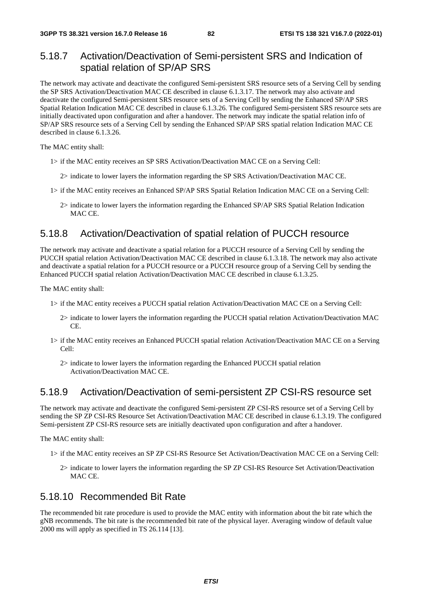# 5.18.7 Activation/Deactivation of Semi-persistent SRS and Indication of spatial relation of SP/AP SRS

The network may activate and deactivate the configured Semi-persistent SRS resource sets of a Serving Cell by sending the SP SRS Activation/Deactivation MAC CE described in clause 6.1.3.17. The network may also activate and deactivate the configured Semi-persistent SRS resource sets of a Serving Cell by sending the Enhanced SP/AP SRS Spatial Relation Indication MAC CE described in clause 6.1.3.26. The configured Semi-persistent SRS resource sets are initially deactivated upon configuration and after a handover. The network may indicate the spatial relation info of SP/AP SRS resource sets of a Serving Cell by sending the Enhanced SP/AP SRS spatial relation Indication MAC CE described in clause 6.1.3.26.

The MAC entity shall:

- 1> if the MAC entity receives an SP SRS Activation/Deactivation MAC CE on a Serving Cell:
	- 2> indicate to lower layers the information regarding the SP SRS Activation/Deactivation MAC CE.
- 1> if the MAC entity receives an Enhanced SP/AP SRS Spatial Relation Indication MAC CE on a Serving Cell:
	- 2> indicate to lower layers the information regarding the Enhanced SP/AP SRS Spatial Relation Indication MAC CE.

## 5.18.8 Activation/Deactivation of spatial relation of PUCCH resource

The network may activate and deactivate a spatial relation for a PUCCH resource of a Serving Cell by sending the PUCCH spatial relation Activation/Deactivation MAC CE described in clause 6.1.3.18. The network may also activate and deactivate a spatial relation for a PUCCH resource or a PUCCH resource group of a Serving Cell by sending the Enhanced PUCCH spatial relation Activation/Deactivation MAC CE described in clause 6.1.3.25.

The MAC entity shall:

- 1> if the MAC entity receives a PUCCH spatial relation Activation/Deactivation MAC CE on a Serving Cell:
	- 2> indicate to lower layers the information regarding the PUCCH spatial relation Activation/Deactivation MAC CE.
- 1> if the MAC entity receives an Enhanced PUCCH spatial relation Activation/Deactivation MAC CE on a Serving  $C<sub>e</sub>11$ 
	- 2> indicate to lower layers the information regarding the Enhanced PUCCH spatial relation Activation/Deactivation MAC CE.

## 5.18.9 Activation/Deactivation of semi-persistent ZP CSI-RS resource set

The network may activate and deactivate the configured Semi-persistent ZP CSI-RS resource set of a Serving Cell by sending the SP ZP CSI-RS Resource Set Activation/Deactivation MAC CE described in clause 6.1.3.19. The configured Semi-persistent ZP CSI-RS resource sets are initially deactivated upon configuration and after a handover.

The MAC entity shall:

- 1> if the MAC entity receives an SP ZP CSI-RS Resource Set Activation/Deactivation MAC CE on a Serving Cell:
	- 2> indicate to lower layers the information regarding the SP ZP CSI-RS Resource Set Activation/Deactivation MAC CE.

## 5.18.10 Recommended Bit Rate

The recommended bit rate procedure is used to provide the MAC entity with information about the bit rate which the gNB recommends. The bit rate is the recommended bit rate of the physical layer. Averaging window of default value 2000 ms will apply as specified in TS 26.114 [13].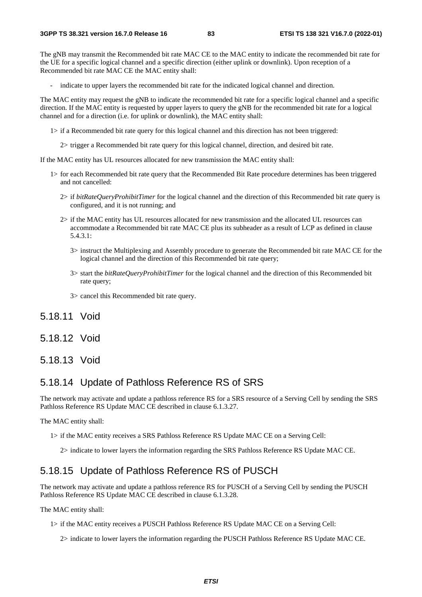The gNB may transmit the Recommended bit rate MAC CE to the MAC entity to indicate the recommended bit rate for the UE for a specific logical channel and a specific direction (either uplink or downlink). Upon reception of a Recommended bit rate MAC CE the MAC entity shall:

indicate to upper layers the recommended bit rate for the indicated logical channel and direction.

The MAC entity may request the gNB to indicate the recommended bit rate for a specific logical channel and a specific direction. If the MAC entity is requested by upper layers to query the gNB for the recommended bit rate for a logical channel and for a direction (i.e. for uplink or downlink), the MAC entity shall:

- 1> if a Recommended bit rate query for this logical channel and this direction has not been triggered:
	- 2> trigger a Recommended bit rate query for this logical channel, direction, and desired bit rate.

If the MAC entity has UL resources allocated for new transmission the MAC entity shall:

- 1> for each Recommended bit rate query that the Recommended Bit Rate procedure determines has been triggered and not cancelled:
	- 2> if *bitRateQueryProhibitTimer* for the logical channel and the direction of this Recommended bit rate query is configured, and it is not running; and
	- 2> if the MAC entity has UL resources allocated for new transmission and the allocated UL resources can accommodate a Recommended bit rate MAC CE plus its subheader as a result of LCP as defined in clause 5.4.3.1:
		- 3> instruct the Multiplexing and Assembly procedure to generate the Recommended bit rate MAC CE for the logical channel and the direction of this Recommended bit rate query;
		- 3> start the *bitRateQueryProhibitTimer* for the logical channel and the direction of this Recommended bit rate query;
		- 3> cancel this Recommended bit rate query.

5.18.11 Void

5.18.12 Void

## 5.18.13 Void

## 5.18.14 Update of Pathloss Reference RS of SRS

The network may activate and update a pathloss reference RS for a SRS resource of a Serving Cell by sending the SRS Pathloss Reference RS Update MAC CE described in clause 6.1.3.27.

The MAC entity shall:

- 1> if the MAC entity receives a SRS Pathloss Reference RS Update MAC CE on a Serving Cell:
	- 2> indicate to lower layers the information regarding the SRS Pathloss Reference RS Update MAC CE.

## 5.18.15 Update of Pathloss Reference RS of PUSCH

The network may activate and update a pathloss reference RS for PUSCH of a Serving Cell by sending the PUSCH Pathloss Reference RS Update MAC CE described in clause 6.1.3.28.

The MAC entity shall:

1> if the MAC entity receives a PUSCH Pathloss Reference RS Update MAC CE on a Serving Cell:

2> indicate to lower layers the information regarding the PUSCH Pathloss Reference RS Update MAC CE.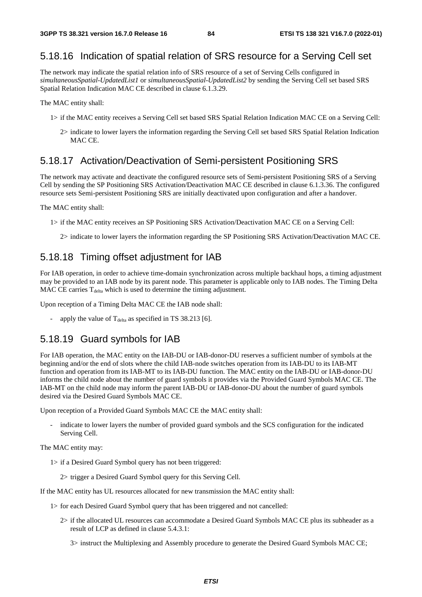# 5.18.16 Indication of spatial relation of SRS resource for a Serving Cell set

The network may indicate the spatial relation info of SRS resource of a set of Serving Cells configured in *simultaneousSpatial-UpdatedList1* or *simultaneousSpatial-UpdatedList2* by sending the Serving Cell set based SRS Spatial Relation Indication MAC CE described in clause 6.1.3.29.

The MAC entity shall:

- 1> if the MAC entity receives a Serving Cell set based SRS Spatial Relation Indication MAC CE on a Serving Cell:
	- 2> indicate to lower layers the information regarding the Serving Cell set based SRS Spatial Relation Indication MAC CE.

# 5.18.17 Activation/Deactivation of Semi-persistent Positioning SRS

The network may activate and deactivate the configured resource sets of Semi-persistent Positioning SRS of a Serving Cell by sending the SP Positioning SRS Activation/Deactivation MAC CE described in clause 6.1.3.36. The configured resource sets Semi-persistent Positioning SRS are initially deactivated upon configuration and after a handover.

The MAC entity shall:

1> if the MAC entity receives an SP Positioning SRS Activation/Deactivation MAC CE on a Serving Cell:

2> indicate to lower layers the information regarding the SP Positioning SRS Activation/Deactivation MAC CE.

# 5.18.18 Timing offset adjustment for IAB

For IAB operation, in order to achieve time-domain synchronization across multiple backhaul hops, a timing adjustment may be provided to an IAB node by its parent node. This parameter is applicable only to IAB nodes. The Timing Delta MAC CE carries  $T_{delta}$  which is used to determine the timing adjustment.

Upon reception of a Timing Delta MAC CE the IAB node shall:

apply the value of  $T_{delta}$  as specified in TS 38.213 [6].

# 5.18.19 Guard symbols for IAB

For IAB operation, the MAC entity on the IAB-DU or IAB-donor-DU reserves a sufficient number of symbols at the beginning and/or the end of slots where the child IAB-node switches operation from its IAB-DU to its IAB-MT function and operation from its IAB-MT to its IAB-DU function. The MAC entity on the IAB-DU or IAB-donor-DU informs the child node about the number of guard symbols it provides via the Provided Guard Symbols MAC CE. The IAB-MT on the child node may inform the parent IAB-DU or IAB-donor-DU about the number of guard symbols desired via the Desired Guard Symbols MAC CE.

Upon reception of a Provided Guard Symbols MAC CE the MAC entity shall:

indicate to lower layers the number of provided guard symbols and the SCS configuration for the indicated Serving Cell.

The MAC entity may:

- 1> if a Desired Guard Symbol query has not been triggered:
	- 2> trigger a Desired Guard Symbol query for this Serving Cell.

If the MAC entity has UL resources allocated for new transmission the MAC entity shall:

- 1> for each Desired Guard Symbol query that has been triggered and not cancelled:
	- 2> if the allocated UL resources can accommodate a Desired Guard Symbols MAC CE plus its subheader as a result of LCP as defined in clause 5.4.3.1:

3> instruct the Multiplexing and Assembly procedure to generate the Desired Guard Symbols MAC CE;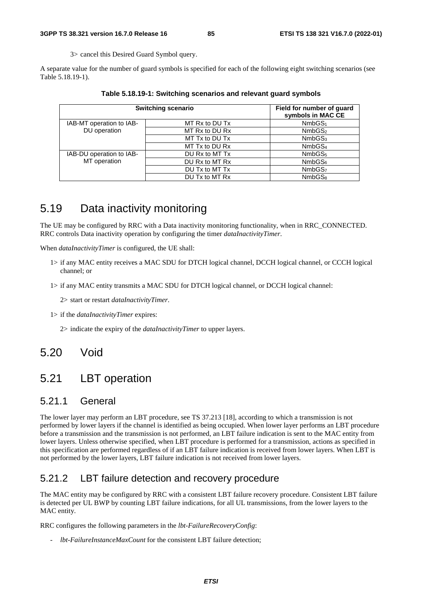3> cancel this Desired Guard Symbol query.

A separate value for the number of guard symbols is specified for each of the following eight switching scenarios (see Table 5.18.19-1).

| <b>Switching scenario</b>                |                | Field for number of guard<br>symbols in MAC CE |
|------------------------------------------|----------------|------------------------------------------------|
| IAB-MT operation to IAB-                 | MT Rx to DU Tx | NmbGS <sub>1</sub>                             |
| DU operation                             | MT Rx to DU Rx | NmbGS <sub>2</sub>                             |
|                                          | MT Tx to DU Tx | NmbGS <sub>3</sub>                             |
|                                          | MT Tx to DU Rx | NmbGS <sub>4</sub>                             |
| IAB-DU operation to IAB-<br>MT operation | DU Rx to MT Tx | NmbGS <sub>5</sub>                             |
|                                          | DU Rx to MT Rx | NmbGS <sub>6</sub>                             |
|                                          | DU Tx to MT Tx | NmbGS <sub>7</sub>                             |
|                                          | DU Tx to MT Rx | NmbGS <sub>8</sub>                             |

**Table 5.18.19-1: Switching scenarios and relevant guard symbols** 

# 5.19 Data inactivity monitoring

The UE may be configured by RRC with a Data inactivity monitoring functionality, when in RRC\_CONNECTED. RRC controls Data inactivity operation by configuring the timer *dataInactivityTimer*.

When *dataInactivityTimer* is configured, the UE shall:

- 1> if any MAC entity receives a MAC SDU for DTCH logical channel, DCCH logical channel, or CCCH logical channel; or
- 1> if any MAC entity transmits a MAC SDU for DTCH logical channel, or DCCH logical channel:

2> start or restart *dataInactivityTimer*.

1> if the *dataInactivityTimer* expires:

2> indicate the expiry of the *dataInactivityTimer* to upper layers.

# 5.20 Void

# 5.21 LBT operation

# 5.21.1 General

The lower layer may perform an LBT procedure, see TS 37.213 [18], according to which a transmission is not performed by lower layers if the channel is identified as being occupied. When lower layer performs an LBT procedure before a transmission and the transmission is not performed, an LBT failure indication is sent to the MAC entity from lower layers. Unless otherwise specified, when LBT procedure is performed for a transmission, actions as specified in this specification are performed regardless of if an LBT failure indication is received from lower layers. When LBT is not performed by the lower layers, LBT failure indication is not received from lower layers.

# 5.21.2 LBT failure detection and recovery procedure

The MAC entity may be configured by RRC with a consistent LBT failure recovery procedure. Consistent LBT failure is detected per UL BWP by counting LBT failure indications, for all UL transmissions, from the lower layers to the MAC entity.

RRC configures the following parameters in the *lbt-FailureRecoveryConfig*:

- *lbt-FailureInstanceMaxCount* for the consistent LBT failure detection;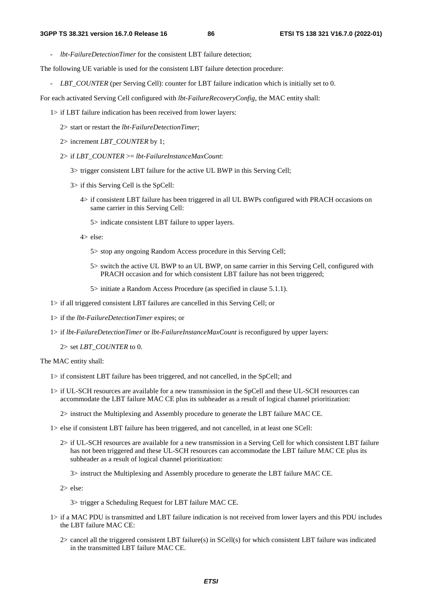- *lbt-FailureDetectionTimer* for the consistent LBT failure detection;

The following UE variable is used for the consistent LBT failure detection procedure:

- *LBT\_COUNTER* (per Serving Cell): counter for LBT failure indication which is initially set to 0.

For each activated Serving Cell configured with *lbt-FailureRecoveryConfig*, the MAC entity shall:

- 1> if LBT failure indication has been received from lower layers:
	- 2> start or restart the *lbt-FailureDetectionTimer*;
	- 2> increment *LBT\_COUNTER* by 1;
	- 2> if *LBT\_COUNTER* >= *lbt-FailureInstanceMaxCount*:
		- 3> trigger consistent LBT failure for the active UL BWP in this Serving Cell;
		- 3> if this Serving Cell is the SpCell:
			- 4> if consistent LBT failure has been triggered in all UL BWPs configured with PRACH occasions on same carrier in this Serving Cell:
				- 5> indicate consistent LBT failure to upper layers.
			- 4> else:
				- 5> stop any ongoing Random Access procedure in this Serving Cell;
				- 5> switch the active UL BWP to an UL BWP, on same carrier in this Serving Cell, configured with PRACH occasion and for which consistent LBT failure has not been triggered;
				- 5> initiate a Random Access Procedure (as specified in clause 5.1.1).
- 1> if all triggered consistent LBT failures are cancelled in this Serving Cell; or
- 1> if the *lbt-FailureDetectionTimer* expires; or
- 1> if *lbt-FailureDetectionTimer* or *lbt-FailureInstanceMaxCount* is reconfigured by upper layers:
	- 2> set *LBT\_COUNTER* to 0.

The MAC entity shall:

- 1> if consistent LBT failure has been triggered, and not cancelled, in the SpCell; and
- 1> if UL-SCH resources are available for a new transmission in the SpCell and these UL-SCH resources can accommodate the LBT failure MAC CE plus its subheader as a result of logical channel prioritization:
	- 2> instruct the Multiplexing and Assembly procedure to generate the LBT failure MAC CE.
- 1> else if consistent LBT failure has been triggered, and not cancelled, in at least one SCell:
	- 2> if UL-SCH resources are available for a new transmission in a Serving Cell for which consistent LBT failure has not been triggered and these UL-SCH resources can accommodate the LBT failure MAC CE plus its subheader as a result of logical channel prioritization:
		- 3> instruct the Multiplexing and Assembly procedure to generate the LBT failure MAC CE.

2> else:

3> trigger a Scheduling Request for LBT failure MAC CE.

- 1> if a MAC PDU is transmitted and LBT failure indication is not received from lower layers and this PDU includes the LBT failure MAC CE:
	- 2> cancel all the triggered consistent LBT failure(s) in SCell(s) for which consistent LBT failure was indicated in the transmitted LBT failure MAC CE.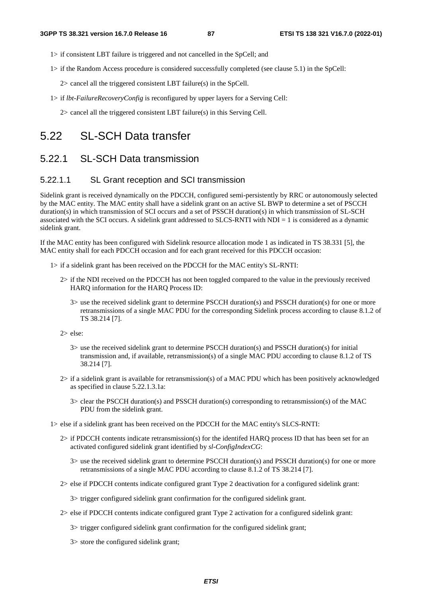- 1> if consistent LBT failure is triggered and not cancelled in the SpCell; and
- 1> if the Random Access procedure is considered successfully completed (see clause 5.1) in the SpCell:
	- 2> cancel all the triggered consistent LBT failure(s) in the SpCell.
- 1> if *lbt-FailureRecoveryConfig* is reconfigured by upper layers for a Serving Cell:

2> cancel all the triggered consistent LBT failure(s) in this Serving Cell.

# 5.22 SL-SCH Data transfer

# 5.22.1 SL-SCH Data transmission

### 5.22.1.1 SL Grant reception and SCI transmission

Sidelink grant is received dynamically on the PDCCH, configured semi-persistently by RRC or autonomously selected by the MAC entity. The MAC entity shall have a sidelink grant on an active SL BWP to determine a set of PSCCH duration(s) in which transmission of SCI occurs and a set of PSSCH duration(s) in which transmission of SL-SCH associated with the SCI occurs. A sidelink grant addressed to SLCS-RNTI with NDI = 1 is considered as a dynamic sidelink grant.

If the MAC entity has been configured with Sidelink resource allocation mode 1 as indicated in TS 38.331 [5], the MAC entity shall for each PDCCH occasion and for each grant received for this PDCCH occasion:

- 1> if a sidelink grant has been received on the PDCCH for the MAC entity's SL-RNTI:
	- 2> if the NDI received on the PDCCH has not been toggled compared to the value in the previously received HARQ information for the HARQ Process ID:
		- 3> use the received sidelink grant to determine PSCCH duration(s) and PSSCH duration(s) for one or more retransmissions of a single MAC PDU for the corresponding Sidelink process according to clause 8.1.2 of TS 38.214 [7].

2> else:

- 3> use the received sidelink grant to determine PSCCH duration(s) and PSSCH duration(s) for initial transmission and, if available, retransmission(s) of a single MAC PDU according to clause 8.1.2 of TS 38.214 [7].
- 2> if a sidelink grant is available for retransmission(s) of a MAC PDU which has been positively acknowledged as specified in clause 5.22.1.3.1a:
	- 3> clear the PSCCH duration(s) and PSSCH duration(s) corresponding to retransmission(s) of the MAC PDU from the sidelink grant.

1> else if a sidelink grant has been received on the PDCCH for the MAC entity's SLCS-RNTI:

- 2> if PDCCH contents indicate retransmission(s) for the identifed HARQ process ID that has been set for an activated configured sidelink grant identified by *sl-ConfigIndexCG*:
	- 3> use the received sidelink grant to determine PSCCH duration(s) and PSSCH duration(s) for one or more retransmissions of a single MAC PDU according to clause 8.1.2 of TS 38.214 [7].
- 2> else if PDCCH contents indicate configured grant Type 2 deactivation for a configured sidelink grant:
	- 3> trigger configured sidelink grant confirmation for the configured sidelink grant.
- 2> else if PDCCH contents indicate configured grant Type 2 activation for a configured sidelink grant:
	- 3> trigger configured sidelink grant confirmation for the configured sidelink grant;
	- 3> store the configured sidelink grant;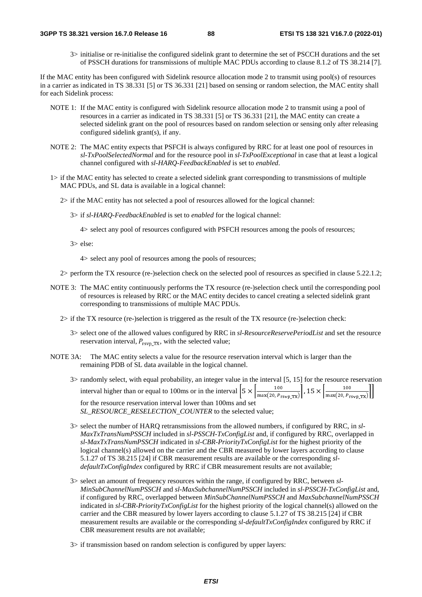3> initialise or re-initialise the configured sidelink grant to determine the set of PSCCH durations and the set of PSSCH durations for transmissions of multiple MAC PDUs according to clause 8.1.2 of TS 38.214 [7].

If the MAC entity has been configured with Sidelink resource allocation mode 2 to transmit using pool(s) of resources in a carrier as indicated in TS 38.331 [5] or TS 36.331 [21] based on sensing or random selection, the MAC entity shall for each Sidelink process:

- NOTE 1: If the MAC entity is configured with Sidelink resource allocation mode 2 to transmit using a pool of resources in a carrier as indicated in TS 38.331 [5] or TS 36.331 [21], the MAC entity can create a selected sidelink grant on the pool of resources based on random selection or sensing only after releasing configured sidelink grant(s), if any.
- NOTE 2: The MAC entity expects that PSFCH is always configured by RRC for at least one pool of resources in *sl-TxPoolSelectedNormal* and for the resource pool in *sl-TxPoolExceptional* in case that at least a logical channel configured with *sl-HARQ-FeedbackEnabled* is set to *enabled*.
- 1> if the MAC entity has selected to create a selected sidelink grant corresponding to transmissions of multiple MAC PDUs, and SL data is available in a logical channel:
	- 2> if the MAC entity has not selected a pool of resources allowed for the logical channel:
		- 3> if *sl-HARQ-FeedbackEnabled* is set to *enabled* for the logical channel:

4> select any pool of resources configured with PSFCH resources among the pools of resources;

3> else:

4> select any pool of resources among the pools of resources;

2> perform the TX resource (re-)selection check on the selected pool of resources as specified in clause 5.22.1.2;

- NOTE 3: The MAC entity continuously performs the TX resource (re-)selection check until the corresponding pool of resources is released by RRC or the MAC entity decides to cancel creating a selected sidelink grant corresponding to transmissions of multiple MAC PDUs.
	- 2> if the TX resource (re-)selection is triggered as the result of the TX resource (re-)selection check:
		- 3> select one of the allowed values configured by RRC in *sl-ResourceReservePeriodList* and set the resource reservation interval,  $P_{rsv}$   $_{TX}$ , with the selected value;
- NOTE 3A: The MAC entity selects a value for the resource reservation interval which is larger than the remaining PDB of SL data available in the logical channel.
	- 3> randomly select, with equal probability, an integer value in the interval [5, 15] for the resource reservation interval higher than or equal to 100ms or in the interval  $\left[5 \times \left|\frac{100}{\max(20, P_{rsvp\_TX})}\right|, 15 \times \left|\frac{100}{\max(20, P_{rsvp\_TX})}\right|\right]$ for the resource reservation interval lower than 100ms and set *SL\_RESOURCE\_RESELECTION\_COUNTER* to the selected value;

3> select the number of HARQ retransmissions from the allowed numbers, if configured by RRC, in *sl-MaxTxTransNumPSSCH* included in *sl-PSSCH-TxConfigList* and, if configured by RRC, overlapped in *sl-MaxTxTransNumPSSCH* indicated in *sl-CBR-PriorityTxConfigList* for the highest priority of the logical channel(s) allowed on the carrier and the CBR measured by lower layers according to clause 5.1.27 of TS 38.215 [24] if CBR measurement results are available or the corresponding *sldefaultTxConfigIndex* configured by RRC if CBR measurement results are not available;

3> select an amount of frequency resources within the range, if configured by RRC, between *sl-MinSubChannelNumPSSCH* and *sl-MaxSubchannelNumPSSCH* included in *sl-PSSCH-TxConfigList* and, if configured by RRC, overlapped between *MinSubChannelNumPSSCH* and *MaxSubchannelNumPSSCH* indicated in *sl-CBR-PriorityTxConfigList* for the highest priority of the logical channel(s) allowed on the carrier and the CBR measured by lower layers according to clause 5.1.27 of TS 38.215 [24] if CBR measurement results are available or the corresponding *sl-defaultTxConfigIndex* configured by RRC if CBR measurement results are not available;

3> if transmission based on random selection is configured by upper layers: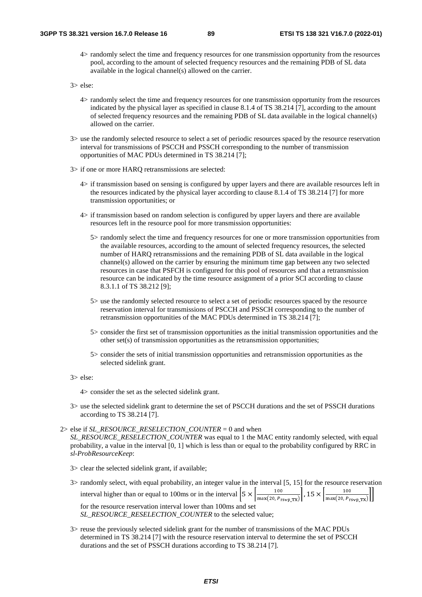4> randomly select the time and frequency resources for one transmission opportunity from the resources pool, according to the amount of selected frequency resources and the remaining PDB of SL data available in the logical channel(s) allowed on the carrier.

3> else:

- 4> randomly select the time and frequency resources for one transmission opportunity from the resources indicated by the physical layer as specified in clause 8.1.4 of TS 38.214 [7], according to the amount of selected frequency resources and the remaining PDB of SL data available in the logical channel(s) allowed on the carrier.
- 3> use the randomly selected resource to select a set of periodic resources spaced by the resource reservation interval for transmissions of PSCCH and PSSCH corresponding to the number of transmission opportunities of MAC PDUs determined in TS 38.214 [7];
- 3> if one or more HARQ retransmissions are selected:
	- 4> if transmission based on sensing is configured by upper layers and there are available resources left in the resources indicated by the physical layer according to clause 8.1.4 of TS 38.214 [7] for more transmission opportunities; or
	- 4> if transmission based on random selection is configured by upper layers and there are available resources left in the resource pool for more transmission opportunities:
		- 5> randomly select the time and frequency resources for one or more transmission opportunities from the available resources, according to the amount of selected frequency resources, the selected number of HARQ retransmissions and the remaining PDB of SL data available in the logical channel(s) allowed on the carrier by ensuring the minimum time gap between any two selected resources in case that PSFCH is configured for this pool of resources and that a retransmission resource can be indicated by the time resource assignment of a prior SCI according to clause 8.3.1.1 of TS 38.212 [9];
		- 5> use the randomly selected resource to select a set of periodic resources spaced by the resource reservation interval for transmissions of PSCCH and PSSCH corresponding to the number of retransmission opportunities of the MAC PDUs determined in TS 38.214 [7];
		- 5> consider the first set of transmission opportunities as the initial transmission opportunities and the other set(s) of transmission opportunities as the retransmission opportunities;
		- 5> consider the sets of initial transmission opportunities and retransmission opportunities as the selected sidelink grant.
- 3> else:

4> consider the set as the selected sidelink grant.

3> use the selected sidelink grant to determine the set of PSCCH durations and the set of PSSCH durations according to TS 38.214 [7].

#### 2> else if *SL\_RESOURCE\_RESELECTION\_COUNTER* = 0 and when

*SL\_RESOURCE\_RESELECTION\_COUNTER* was equal to 1 the MAC entity randomly selected, with equal probability, a value in the interval [0, 1] which is less than or equal to the probability configured by RRC in *sl-ProbResourceKeep*:

- 3> clear the selected sidelink grant, if available;
- 3> randomly select, with equal probability, an integer value in the interval [5, 15] for the resource reservation interval higher than or equal to 100ms or in the interval  $\left[\frac{5 \times \left|\frac{100}{\max(20, P_{rsv p_T X})}\right|, 15 \times \left|\frac{100}{\max(20, P_{rsv p_T X})}\right|\right]$ for the resource reservation interval lower than 100ms and set *SL\_RESOURCE\_RESELECTION\_COUNTER* to the selected value;
- 3> reuse the previously selected sidelink grant for the number of transmissions of the MAC PDUs determined in TS 38.214 [7] with the resource reservation interval to determine the set of PSCCH durations and the set of PSSCH durations according to TS 38.214 [7].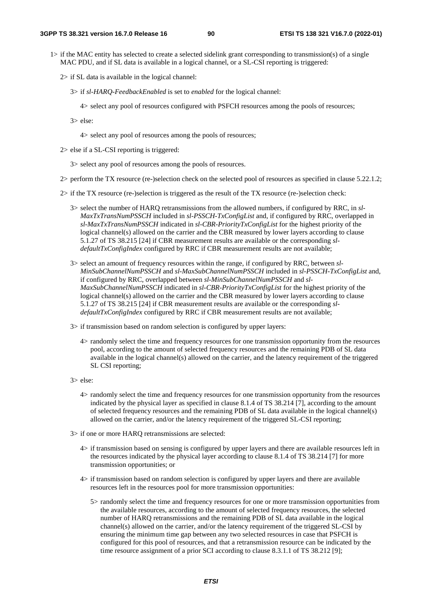- 1> if the MAC entity has selected to create a selected sidelink grant corresponding to transmission(s) of a single MAC PDU, and if SL data is available in a logical channel, or a SL-CSI reporting is triggered:
	- 2> if SL data is available in the logical channel:
		- 3> if *sl-HARQ-FeedbackEnabled* is set to *enabled* for the logical channel:
			- 4> select any pool of resources configured with PSFCH resources among the pools of resources;
		- 3> else:
			- 4> select any pool of resources among the pools of resources;
	- 2> else if a SL-CSI reporting is triggered:
		- 3> select any pool of resources among the pools of resources.
	- 2> perform the TX resource (re-)selection check on the selected pool of resources as specified in clause 5.22.1.2;
	- 2> if the TX resource (re-)selection is triggered as the result of the TX resource (re-)selection check:
		- 3> select the number of HARQ retransmissions from the allowed numbers, if configured by RRC, in *sl-MaxTxTransNumPSSCH* included in *sl-PSSCH-TxConfigList* and, if configured by RRC, overlapped in *sl-MaxTxTransNumPSSCH* indicated in *sl-CBR-PriorityTxConfigList* for the highest priority of the logical channel(s) allowed on the carrier and the CBR measured by lower layers according to clause 5.1.27 of TS 38.215 [24] if CBR measurement results are available or the corresponding *sldefaultTxConfigIndex* configured by RRC if CBR measurement results are not available;
		- 3> select an amount of frequency resources within the range, if configured by RRC, between *sl-MinSubChannelNumPSSCH* and *sl-MaxSubChannelNumPSSCH* included in *sl-PSSCH-TxConfigList* and, if configured by RRC, overlapped between *sl-MinSubChannelNumPSSCH* and *sl-MaxSubChannelNumPSSCH* indicated in *sl-CBR-PriorityTxConfigList* for the highest priority of the logical channel(s) allowed on the carrier and the CBR measured by lower layers according to clause 5.1.27 of TS 38.215 [24] if CBR measurement results are available or the corresponding *sldefaultTxConfigIndex* configured by RRC if CBR measurement results are not available;
		- 3> if transmission based on random selection is configured by upper layers:
			- 4> randomly select the time and frequency resources for one transmission opportunity from the resources pool, according to the amount of selected frequency resources and the remaining PDB of SL data available in the logical channel(s) allowed on the carrier, and the latency requirement of the triggered SL CSI reporting;
		- 3> else:
			- 4> randomly select the time and frequency resources for one transmission opportunity from the resources indicated by the physical layer as specified in clause 8.1.4 of TS 38.214 [7], according to the amount of selected frequency resources and the remaining PDB of SL data available in the logical channel(s) allowed on the carrier, and/or the latency requirement of the triggered SL-CSI reporting;
		- 3> if one or more HARQ retransmissions are selected:
			- 4> if transmission based on sensing is configured by upper layers and there are available resources left in the resources indicated by the physical layer according to clause 8.1.4 of TS 38.214 [7] for more transmission opportunities; or
			- 4> if transmission based on random selection is configured by upper layers and there are available resources left in the resources pool for more transmission opportunities:
				- 5> randomly select the time and frequency resources for one or more transmission opportunities from the available resources, according to the amount of selected frequency resources, the selected number of HARQ retransmissions and the remaining PDB of SL data available in the logical channel(s) allowed on the carrier, and/or the latency requirement of the triggered SL-CSI by ensuring the minimum time gap between any two selected resources in case that PSFCH is configured for this pool of resources, and that a retransmission resource can be indicated by the time resource assignment of a prior SCI according to clause 8.3.1.1 of TS 38.212 [9];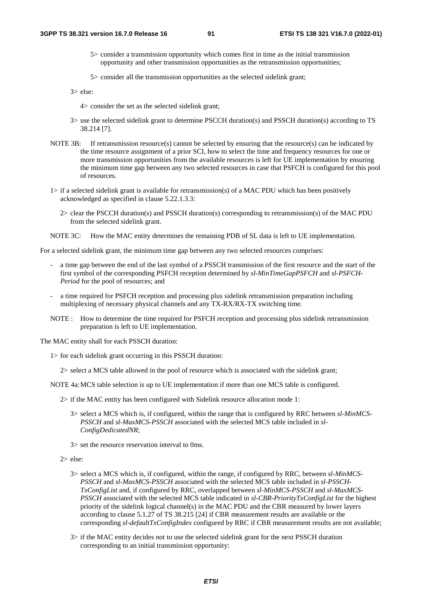- 5> consider a transmission opportunity which comes first in time as the initial transmission opportunity and other transmission opportunities as the retransmission opportunities;
- 5> consider all the transmission opportunities as the selected sidelink grant;

3> else:

- 4> consider the set as the selected sidelink grant;
- 3> use the selected sidelink grant to determine PSCCH duration(s) and PSSCH duration(s) according to TS 38.214 [7].
- NOTE 3B: If retransmission resource(s) cannot be selected by ensuring that the resource(s) can be indicated by the time resource assignment of a prior SCI, how to select the time and frequency resources for one or more transmission opportunities from the available resources is left for UE implementation by ensuring the minimum time gap between any two selected resources in case that PSFCH is configured for this pool of resources.
- 1> if a selected sidelink grant is available for retransmission(s) of a MAC PDU which has been positively acknowledged as specified in clause 5.22.1.3.3:
	- 2> clear the PSCCH duration(s) and PSSCH duration(s) corresponding to retransmission(s) of the MAC PDU from the selected sidelink grant.
- NOTE 3C: How the MAC entity determines the remaining PDB of SL data is left to UE implementation.

For a selected sidelink grant, the minimum time gap between any two selected resources comprises:

- a time gap between the end of the last symbol of a PSSCH transmission of the first resource and the start of the first symbol of the corresponding PSFCH reception determined by *sl-MinTimeGapPSFCH* and *sl-PSFCH-Period* for the pool of resources; and
- a time required for PSFCH reception and processing plus sidelink retransmission preparation including multiplexing of necessary physical channels and any TX-RX/RX-TX switching time.
- NOTE : How to determine the time required for PSFCH reception and processing plus sidelink retransmission preparation is left to UE implementation.

The MAC entity shall for each PSSCH duration:

- 1> for each sidelink grant occurring in this PSSCH duration:
	- 2> select a MCS table allowed in the pool of resource which is associated with the sidelink grant;
- NOTE 4a: MCS table selection is up to UE implementation if more than one MCS table is configured.
	- 2> if the MAC entity has been configured with Sidelink resource allocation mode 1:
		- 3> select a MCS which is, if configured, within the range that is configured by RRC between *sl-MinMCS-PSSCH* and *sl-MaxMCS-PSSCH* associated with the selected MCS table included in *sl-ConfigDedicatedNR*;
		- 3> set the resource reservation interval to 0ms.
	- 2> else:
		- 3> select a MCS which is, if configured, within the range, if configured by RRC, between *sl-MinMCS-PSSCH* and *sl-MaxMCS-PSSCH* associated with the selected MCS table included in *sl-PSSCH-TxConfigList* and, if configured by RRC, overlapped between *sl-MinMCS-PSSCH* and *sl-MaxMCS-PSSCH* associated with the selected MCS table indicated in *sl-CBR-PriorityTxConfigList* for the highest priority of the sidelink logical channel(s) in the MAC PDU and the CBR measured by lower layers according to clause 5.1.27 of TS 38.215 [24] if CBR measurement results are available or the corresponding *sl-defaultTxConfigIndex* configured by RRC if CBR measurement results are not available;
		- 3> if the MAC entity decides not to use the selected sidelink grant for the next PSSCH duration corresponding to an initial transmission opportunity: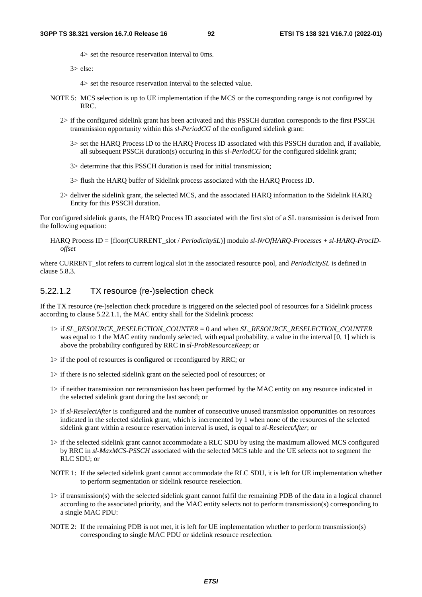4> set the resource reservation interval to 0ms.

3> else:

4> set the resource reservation interval to the selected value.

- NOTE 5: MCS selection is up to UE implementation if the MCS or the corresponding range is not configured by RRC.
	- 2> if the configured sidelink grant has been activated and this PSSCH duration corresponds to the first PSSCH transmission opportunity within this *sl-PeriodCG* of the configured sidelink grant:
		- 3> set the HARQ Process ID to the HARQ Process ID associated with this PSSCH duration and, if available, all subsequent PSSCH duration(s) occuring in this *sl-PeriodCG* for the configured sidelink grant;
		- 3> determine that this PSSCH duration is used for initial transmission;
		- 3> flush the HARQ buffer of Sidelink process associated with the HARQ Process ID.
	- 2> deliver the sidelink grant, the selected MCS, and the associated HARQ information to the Sidelink HARQ Entity for this PSSCH duration.

For configured sidelink grants, the HARQ Process ID associated with the first slot of a SL transmission is derived from the following equation:

HARQ Process ID = [floor(CURRENT\_slot / *PeriodicitySL*)] modulo *sl-NrOfHARQ-Processes* + *sl-HARQ-ProcIDoffset*

where CURRENT slot refers to current logical slot in the associated resource pool, and *PeriodicitySL* is defined in clause 5.8.3.

## 5.22.1.2 TX resource (re-)selection check

If the TX resource (re-)selection check procedure is triggered on the selected pool of resources for a Sidelink process according to clause 5.22.1.1, the MAC entity shall for the Sidelink process:

- 1> if *SL\_RESOURCE\_RESELECTION\_COUNTER* = 0 and when *SL\_RESOURCE\_RESELECTION\_COUNTER* was equal to 1 the MAC entity randomly selected, with equal probability, a value in the interval [0, 1] which is above the probability configured by RRC in *sl-ProbResourceKeep*; or
- 1> if the pool of resources is configured or reconfigured by RRC; or
- 1> if there is no selected sidelink grant on the selected pool of resources; or
- 1> if neither transmission nor retransmission has been performed by the MAC entity on any resource indicated in the selected sidelink grant during the last second; or
- 1> if *sl-ReselectAfter* is configured and the number of consecutive unused transmission opportunities on resources indicated in the selected sidelink grant, which is incremented by 1 when none of the resources of the selected sidelink grant within a resource reservation interval is used, is equal to *sl-ReselectAfter*; or
- 1> if the selected sidelink grant cannot accommodate a RLC SDU by using the maximum allowed MCS configured by RRC in *sl-MaxMCS-PSSCH* associated with the selected MCS table and the UE selects not to segment the RLC SDU; or
- NOTE 1: If the selected sidelink grant cannot accommodate the RLC SDU, it is left for UE implementation whether to perform segmentation or sidelink resource reselection.
- 1> if transmission(s) with the selected sidelink grant cannot fulfil the remaining PDB of the data in a logical channel according to the associated priority, and the MAC entity selects not to perform transmission(s) corresponding to a single MAC PDU:
- NOTE 2: If the remaining PDB is not met, it is left for UE implementation whether to perform transmission(s) corresponding to single MAC PDU or sidelink resource reselection.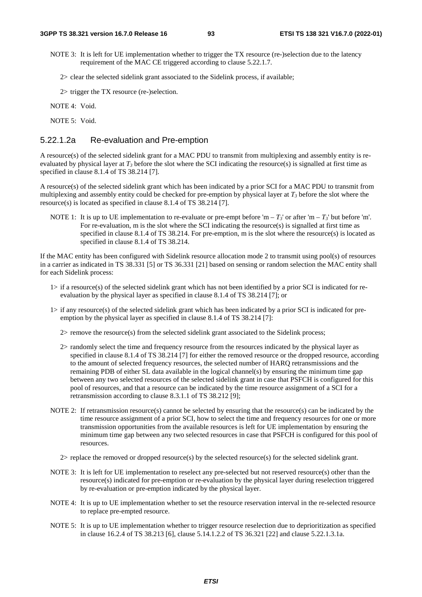- NOTE 3: It is left for UE implementation whether to trigger the TX resource (re-)selection due to the latency requirement of the MAC CE triggered according to clause 5.22.1.7.
	- 2> clear the selected sidelink grant associated to the Sidelink process, if available;

2> trigger the TX resource (re-)selection.

NOTE 4: Void.

NOTE 5: Void.

### 5.22.1.2a Re-evaluation and Pre-emption

A resource(s) of the selected sidelink grant for a MAC PDU to transmit from multiplexing and assembly entity is reevaluated by physical layer at  $T_3$  before the slot where the SCI indicating the resource(s) is signalled at first time as specified in clause 8.1.4 of TS 38.214 [7].

A resource(s) of the selected sidelink grant which has been indicated by a prior SCI for a MAC PDU to transmit from multiplexing and assembly entity could be checked for pre-emption by physical layer at  $T_3$  before the slot where the resource(s) is located as specified in clause 8.1.4 of TS 38.214 [7].

NOTE 1: It is up to UE implementation to re-evaluate or pre-empt before 'm –  $T_3$ ' or after 'm –  $T_3$ ' but before 'm'. For re-evaluation, m is the slot where the SCI indicating the resource(s) is signalled at first time as specified in clause 8.1.4 of TS 38.214. For pre-emption, m is the slot where the resource(s) is located as specified in clause 8.1.4 of TS 38.214.

If the MAC entity has been configured with Sidelink resource allocation mode 2 to transmit using pool(s) of resources in a carrier as indicated in TS 38.331 [5] or TS 36.331 [21] based on sensing or random selection the MAC entity shall for each Sidelink process:

- 1> if a resource(s) of the selected sidelink grant which has not been identified by a prior SCI is indicated for reevaluation by the physical layer as specified in clause 8.1.4 of TS 38.214 [7]; or
- 1> if any resource(s) of the selected sidelink grant which has been indicated by a prior SCI is indicated for preemption by the physical layer as specified in clause 8.1.4 of TS 38.214 [7]:
	- 2> remove the resource(s) from the selected sidelink grant associated to the Sidelink process;
	- 2> randomly select the time and frequency resource from the resources indicated by the physical layer as specified in clause 8.1.4 of TS 38.214 [7] for either the removed resource or the dropped resource, according to the amount of selected frequency resources, the selected number of HARQ retransmissions and the remaining PDB of either SL data available in the logical channel(s) by ensuring the minimum time gap between any two selected resources of the selected sidelink grant in case that PSFCH is configured for this pool of resources, and that a resource can be indicated by the time resource assignment of a SCI for a retransmission according to clause 8.3.1.1 of TS 38.212 [9];
- NOTE 2: If retransmission resource(s) cannot be selected by ensuring that the resource(s) can be indicated by the time resource assignment of a prior SCI, how to select the time and frequency resources for one or more transmission opportunities from the available resources is left for UE implementation by ensuring the minimum time gap between any two selected resources in case that PSFCH is configured for this pool of resources.
	- 2> replace the removed or dropped resource(s) by the selected resource(s) for the selected sidelink grant.
- NOTE 3: It is left for UE implementation to reselect any pre-selected but not reserved resource(s) other than the resource(s) indicated for pre-emption or re-evaluation by the physical layer during reselection triggered by re-evaluation or pre-emption indicated by the physical layer.
- NOTE 4: It is up to UE implementation whether to set the resource reservation interval in the re-selected resource to replace pre-empted resource.
- NOTE 5: It is up to UE implementation whether to trigger resource reselection due to deprioritization as specified in clause 16.2.4 of TS 38.213 [6], clause 5.14.1.2.2 of TS 36.321 [22] and clause 5.22.1.3.1a.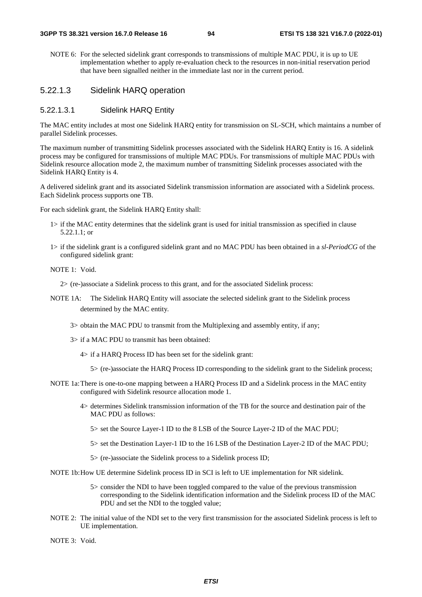NOTE 6: For the selected sidelink grant corresponds to transmissions of multiple MAC PDU, it is up to UE implementation whether to apply re-evaluation check to the resources in non-initial reservation period that have been signalled neither in the immediate last nor in the current period.

## 5.22.1.3 Sidelink HARQ operation

### 5.22.1.3.1 Sidelink HARQ Entity

The MAC entity includes at most one Sidelink HARQ entity for transmission on SL-SCH, which maintains a number of parallel Sidelink processes.

The maximum number of transmitting Sidelink processes associated with the Sidelink HARQ Entity is 16. A sidelink process may be configured for transmissions of multiple MAC PDUs. For transmissions of multiple MAC PDUs with Sidelink resource allocation mode 2, the maximum number of transmitting Sidelink processes associated with the Sidelink HARQ Entity is 4.

A delivered sidelink grant and its associated Sidelink transmission information are associated with a Sidelink process. Each Sidelink process supports one TB.

For each sidelink grant, the Sidelink HARQ Entity shall:

- 1> if the MAC entity determines that the sidelink grant is used for initial transmission as specified in clause 5.22.1.1; or
- 1> if the sidelink grant is a configured sidelink grant and no MAC PDU has been obtained in a *sl-PeriodCG* of the configured sidelink grant:

NOTE 1: Void.

2> (re-)associate a Sidelink process to this grant, and for the associated Sidelink process:

- NOTE 1A: The Sidelink HARQ Entity will associate the selected sidelink grant to the Sidelink process determined by the MAC entity.
	- 3> obtain the MAC PDU to transmit from the Multiplexing and assembly entity, if any;
	- 3> if a MAC PDU to transmit has been obtained:
		- 4> if a HARQ Process ID has been set for the sidelink grant:
			- 5> (re-)associate the HARQ Process ID corresponding to the sidelink grant to the Sidelink process;
- NOTE 1a: There is one-to-one mapping between a HARQ Process ID and a Sidelink process in the MAC entity configured with Sidelink resource allocation mode 1.
	- 4> determines Sidelink transmission information of the TB for the source and destination pair of the MAC PDU as follows:
		- 5> set the Source Layer-1 ID to the 8 LSB of the Source Layer-2 ID of the MAC PDU;
		- 5> set the Destination Layer-1 ID to the 16 LSB of the Destination Layer-2 ID of the MAC PDU;
		- 5> (re-)associate the Sidelink process to a Sidelink process ID;

NOTE 1b: How UE determine Sidelink process ID in SCI is left to UE implementation for NR sidelink.

- 5> consider the NDI to have been toggled compared to the value of the previous transmission corresponding to the Sidelink identification information and the Sidelink process ID of the MAC PDU and set the NDI to the toggled value;
- NOTE 2: The initial value of the NDI set to the very first transmission for the associated Sidelink process is left to UE implementation.

NOTE 3: Void.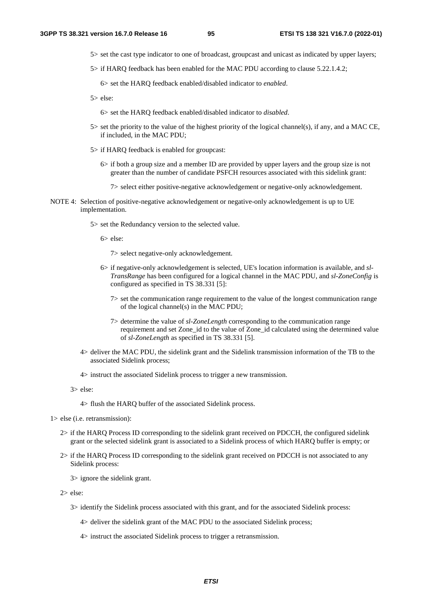- 5> set the cast type indicator to one of broadcast, groupcast and unicast as indicated by upper layers;
- 5> if HARQ feedback has been enabled for the MAC PDU according to clause 5.22.1.4.2;

6> set the HARQ feedback enabled/disabled indicator to *enabled*.

5> else:

6> set the HARQ feedback enabled/disabled indicator to *disabled*.

- 5> set the priority to the value of the highest priority of the logical channel(s), if any, and a MAC CE, if included, in the MAC PDU;
- 5> if HARQ feedback is enabled for groupcast:
	- 6> if both a group size and a member ID are provided by upper layers and the group size is not greater than the number of candidate PSFCH resources associated with this sidelink grant:
		- 7> select either positive-negative acknowledgement or negative-only acknowledgement.
- NOTE 4: Selection of positive-negative acknowledgement or negative-only acknowledgement is up to UE implementation.
	- 5> set the Redundancy version to the selected value.

6> else:

7> select negative-only acknowledgement.

- 6> if negative-only acknowledgement is selected, UE's location information is available, and *sl-TransRange* has been configured for a logical channel in the MAC PDU, and *sl-ZoneConfig* is configured as specified in TS 38.331 [5]:
	- 7> set the communication range requirement to the value of the longest communication range of the logical channel(s) in the MAC PDU;
	- 7> determine the value of *sl-ZoneLength* corresponding to the communication range requirement and set Zone\_id to the value of Zone\_id calculated using the determined value of *sl-ZoneLength* as specified in TS 38.331 [5].
- 4> deliver the MAC PDU, the sidelink grant and the Sidelink transmission information of the TB to the associated Sidelink process;
- 4> instruct the associated Sidelink process to trigger a new transmission.

3> else:

4> flush the HARQ buffer of the associated Sidelink process.

1> else (i.e. retransmission):

- 2> if the HARQ Process ID corresponding to the sidelink grant received on PDCCH, the configured sidelink grant or the selected sidelink grant is associated to a Sidelink process of which HARQ buffer is empty; or
- 2> if the HARQ Process ID corresponding to the sidelink grant received on PDCCH is not associated to any Sidelink process:

3> ignore the sidelink grant.

- 2> else:
	- 3> identify the Sidelink process associated with this grant, and for the associated Sidelink process:
		- 4> deliver the sidelink grant of the MAC PDU to the associated Sidelink process;
		- 4> instruct the associated Sidelink process to trigger a retransmission.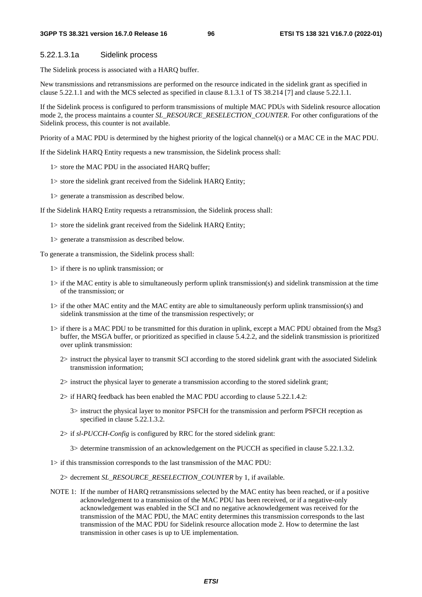#### 5.22.1.3.1a Sidelink process

The Sidelink process is associated with a HARQ buffer.

New transmissions and retransmissions are performed on the resource indicated in the sidelink grant as specified in clause 5.22.1.1 and with the MCS selected as specified in clause 8.1.3.1 of TS 38.214 [7] and clause 5.22.1.1.

If the Sidelink process is configured to perform transmissions of multiple MAC PDUs with Sidelink resource allocation mode 2, the process maintains a counter *SL\_RESOURCE\_RESELECTION\_COUNTER*. For other configurations of the Sidelink process, this counter is not available.

Priority of a MAC PDU is determined by the highest priority of the logical channel(s) or a MAC CE in the MAC PDU.

If the Sidelink HARQ Entity requests a new transmission, the Sidelink process shall:

- 1> store the MAC PDU in the associated HARQ buffer;
- 1> store the sidelink grant received from the Sidelink HARQ Entity;
- 1> generate a transmission as described below.

If the Sidelink HARQ Entity requests a retransmission, the Sidelink process shall:

- 1> store the sidelink grant received from the Sidelink HARQ Entity;
- 1> generate a transmission as described below.

To generate a transmission, the Sidelink process shall:

- 1> if there is no uplink transmission; or
- 1> if the MAC entity is able to simultaneously perform uplink transmission(s) and sidelink transmission at the time of the transmission; or
- 1> if the other MAC entity and the MAC entity are able to simultaneously perform uplink transmission(s) and sidelink transmission at the time of the transmission respectively; or
- 1> if there is a MAC PDU to be transmitted for this duration in uplink, except a MAC PDU obtained from the Msg3 buffer, the MSGA buffer, or prioritized as specified in clause 5.4.2.2, and the sidelink transmission is prioritized over uplink transmission:
	- 2> instruct the physical layer to transmit SCI according to the stored sidelink grant with the associated Sidelink transmission information;
	- 2> instruct the physical layer to generate a transmission according to the stored sidelink grant;
	- 2> if HARQ feedback has been enabled the MAC PDU according to clause 5.22.1.4.2:
		- 3> instruct the physical layer to monitor PSFCH for the transmission and perform PSFCH reception as specified in clause 5.22.1.3.2.
	- 2> if *sl-PUCCH-Config* is configured by RRC for the stored sidelink grant:

3> determine transmission of an acknowledgement on the PUCCH as specified in clause 5.22.1.3.2.

1> if this transmission corresponds to the last transmission of the MAC PDU:

2> decrement *SL\_RESOURCE\_RESELECTION\_COUNTER* by 1, if available.

NOTE 1: If the number of HARQ retransmissions selected by the MAC entity has been reached, or if a positive acknowledgement to a transmission of the MAC PDU has been received, or if a negative-only acknowledgement was enabled in the SCI and no negative acknowledgement was received for the transmission of the MAC PDU, the MAC entity determines this transmission corresponds to the last transmission of the MAC PDU for Sidelink resource allocation mode 2. How to determine the last transmission in other cases is up to UE implementation.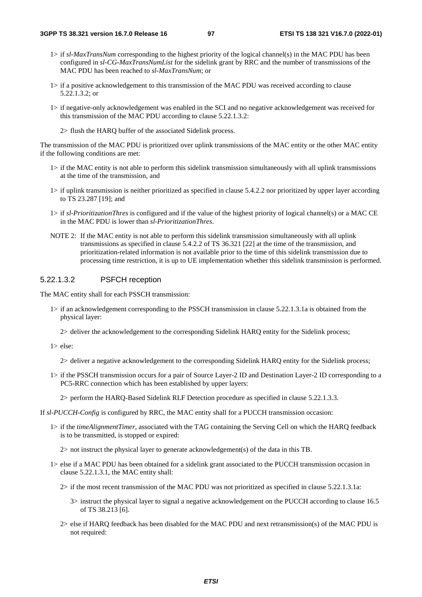- 1> if *sl-MaxTransNum* corresponding to the highest priority of the logical channel(s) in the MAC PDU has been configured in *sl-CG-MaxTransNumList* for the sidelink grant by RRC and the number of transmissions of the MAC PDU has been reached to *sl-MaxTransNum*; or
- 1> if a positive acknowledgement to this transmission of the MAC PDU was received according to clause 5.22.1.3.2; or
- 1> if negative-only acknowledgement was enabled in the SCI and no negative acknowledgement was received for this transmission of the MAC PDU according to clause 5.22.1.3.2:
	- 2> flush the HARQ buffer of the associated Sidelink process.

The transmission of the MAC PDU is prioritized over uplink transmissions of the MAC entity or the other MAC entity if the following conditions are met:

- 1> if the MAC entity is not able to perform this sidelink transmission simultaneously with all uplink transmissions at the time of the transmission, and
- 1> if uplink transmission is neither prioritized as specified in clause 5.4.2.2 nor prioritized by upper layer according to TS 23.287 [19]; and
- 1> if *sl-PrioritizationThres* is configured and if the value of the highest priority of logical channel(s) or a MAC CE in the MAC PDU is lower than *sl-PrioritizationThres*.
- NOTE 2: If the MAC entity is not able to perform this sidelink transmission simultaneously with all uplink transmissions as specified in clause 5.4.2.2 of TS 36.321 [22] at the time of the transmission, and prioritization-related information is not available prior to the time of this sidelink transmission due to processing time restriction, it is up to UE implementation whether this sidelink transmission is performed.

#### 5.22.1.3.2 PSFCH reception

The MAC entity shall for each PSSCH transmission:

- 1> if an acknowledgement corresponding to the PSSCH transmission in clause 5.22.1.3.1a is obtained from the physical layer:
	- 2> deliver the acknowledgement to the corresponding Sidelink HARQ entity for the Sidelink process;

1> else:

- 2> deliver a negative acknowledgement to the corresponding Sidelink HARQ entity for the Sidelink process;
- 1> if the PSSCH transmission occurs for a pair of Source Layer-2 ID and Destination Layer-2 ID corresponding to a PC5-RRC connection which has been established by upper layers:
	- 2> perform the HARQ-Based Sidelink RLF Detection procedure as specified in clause 5.22.1.3.3.
- If *sl-PUCCH-Config* is configured by RRC, the MAC entity shall for a PUCCH transmission occasion:
	- 1> if the *timeAlignmentTimer*, associated with the TAG containing the Serving Cell on which the HARQ feedback is to be transmitted, is stopped or expired:

2> not instruct the physical layer to generate acknowledgement(s) of the data in this TB.

- 1> else if a MAC PDU has been obtained for a sidelink grant associated to the PUCCH transmission occasion in clause 5.22.1.3.1, the MAC entity shall:
	- 2> if the most recent transmission of the MAC PDU was not prioritized as specified in clause 5.22.1.3.1a:
		- 3> instruct the physical layer to signal a negative acknowledgement on the PUCCH according to clause 16.5 of TS 38.213 [6].
	- 2> else if HARQ feedback has been disabled for the MAC PDU and next retransmission(s) of the MAC PDU is not required: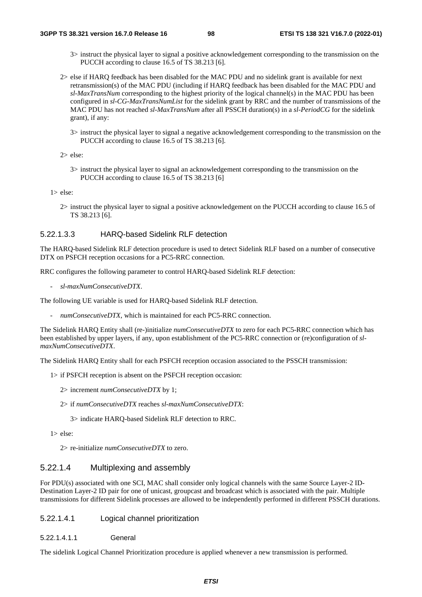- 3> instruct the physical layer to signal a positive acknowledgement corresponding to the transmission on the PUCCH according to clause 16.5 of TS 38.213 [6].
- 2> else if HARQ feedback has been disabled for the MAC PDU and no sidelink grant is available for next retransmission(s) of the MAC PDU (including if HARQ feedback has been disabled for the MAC PDU and *sl-MaxTransNum* corresponding to the highest priority of the logical channel(s) in the MAC PDU has been configured in *sl-CG-MaxTransNumList* for the sidelink grant by RRC and the number of transmissions of the MAC PDU has not reached *sl-MaxTransNum* after all PSSCH duration(s) in a *sl-PeriodCG* for the sidelink grant), if any:
	- 3> instruct the physical layer to signal a negative acknowledgement corresponding to the transmission on the PUCCH according to clause 16.5 of TS 38.213 [6].

2> else:

3> instruct the physical layer to signal an acknowledgement corresponding to the transmission on the PUCCH according to clause 16.5 of TS 38.213 [6]

1> else:

2> instruct the physical layer to signal a positive acknowledgement on the PUCCH according to clause 16.5 of TS 38.213 [6].

### 5.22.1.3.3 HARQ-based Sidelink RLF detection

The HARQ-based Sidelink RLF detection procedure is used to detect Sidelink RLF based on a number of consecutive DTX on PSFCH reception occasions for a PC5-RRC connection.

RRC configures the following parameter to control HARQ-based Sidelink RLF detection:

- *sl-maxNumConsecutiveDTX*.

The following UE variable is used for HARQ-based Sidelink RLF detection.

- *numConsecutiveDTX*, which is maintained for each PC5-RRC connection.

The Sidelink HARQ Entity shall (re-)initialize *numConsecutiveDTX* to zero for each PC5-RRC connection which has been established by upper layers, if any, upon establishment of the PC5-RRC connection or (re)configuration of *slmaxNumConsecutiveDTX*.

The Sidelink HARQ Entity shall for each PSFCH reception occasion associated to the PSSCH transmission:

- 1> if PSFCH reception is absent on the PSFCH reception occasion:
	- 2> increment *numConsecutiveDTX* by 1;
	- 2> if *numConsecutiveDTX* reaches *sl-maxNumConsecutiveDTX*:
		- 3> indicate HARQ-based Sidelink RLF detection to RRC.
- 1> else:

2> re-initialize *numConsecutiveDTX* to zero.

### 5.22.1.4 Multiplexing and assembly

For PDU(s) associated with one SCI, MAC shall consider only logical channels with the same Source Layer-2 ID-Destination Layer-2 ID pair for one of unicast, groupcast and broadcast which is associated with the pair. Multiple transmissions for different Sidelink processes are allowed to be independently performed in different PSSCH durations.

### 5.22.1.4.1 Logical channel prioritization

5.22.1.4.1.1 General

The sidelink Logical Channel Prioritization procedure is applied whenever a new transmission is performed.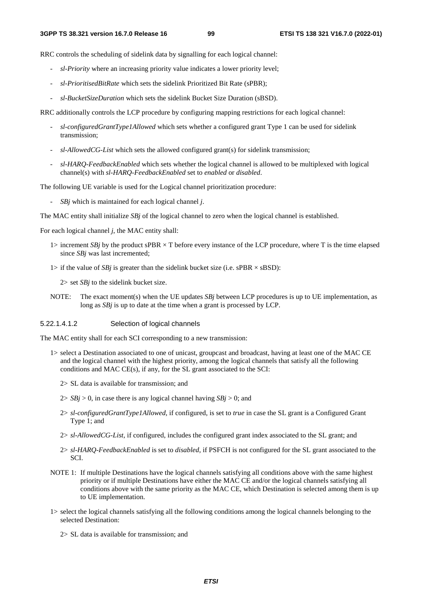RRC controls the scheduling of sidelink data by signalling for each logical channel:

- *sl-Priority* where an increasing priority value indicates a lower priority level;
- *sl-PrioritisedBitRate* which sets the sidelink Prioritized Bit Rate (sPBR);
- *sl-BucketSizeDuration* which sets the sidelink Bucket Size Duration (sBSD).

RRC additionally controls the LCP procedure by configuring mapping restrictions for each logical channel:

- *sl-configuredGrantType1Allowed* which sets whether a configured grant Type 1 can be used for sidelink transmission;
- *sl-AllowedCG-List* which sets the allowed configured grant(s) for sidelink transmission;
- *sl-HARQ-FeedbackEnabled* which sets whether the logical channel is allowed to be multiplexed with logical channel(s) with *sl-HARQ-FeedbackEnabled* set to *enabled* or *disabled*.

The following UE variable is used for the Logical channel prioritization procedure:

- *SBj* which is maintained for each logical channel *j*.

The MAC entity shall initialize *SBj* of the logical channel to zero when the logical channel is established.

For each logical channel *j*, the MAC entity shall:

- 1> increment *SBj* by the product sPBR  $\times$  T before every instance of the LCP procedure, where T is the time elapsed since *SBj* was last incremented;
- 1> if the value of *SBj* is greater than the sidelink bucket size (i.e. sPBR  $\times$  sBSD):

2> set *SBj* to the sidelink bucket size.

NOTE: The exact moment(s) when the UE updates *SBj* between LCP procedures is up to UE implementation, as long as *SBj* is up to date at the time when a grant is processed by LCP.

### 5.22.1.4.1.2 Selection of logical channels

The MAC entity shall for each SCI corresponding to a new transmission:

- 1> select a Destination associated to one of unicast, groupcast and broadcast, having at least one of the MAC CE and the logical channel with the highest priority, among the logical channels that satisfy all the following conditions and MAC CE(s), if any, for the SL grant associated to the SCI:
	- 2> SL data is available for transmission; and
	- $2 > SBj > 0$ , in case there is any logical channel having  $SBj > 0$ ; and
	- 2> *sl-configuredGrantType1Allowed*, if configured, is set to *true* in case the SL grant is a Configured Grant Type 1; and
	- 2> *sl-AllowedCG-List*, if configured, includes the configured grant index associated to the SL grant; and
	- 2> *sl-HARQ-FeedbackEnabled* is set to *disabled*, if PSFCH is not configured for the SL grant associated to the SCI.
- NOTE 1: If multiple Destinations have the logical channels satisfying all conditions above with the same highest priority or if multiple Destinations have either the MAC CE and/or the logical channels satisfying all conditions above with the same priority as the MAC CE, which Destination is selected among them is up to UE implementation.
- 1> select the logical channels satisfying all the following conditions among the logical channels belonging to the selected Destination:
	- 2> SL data is available for transmission; and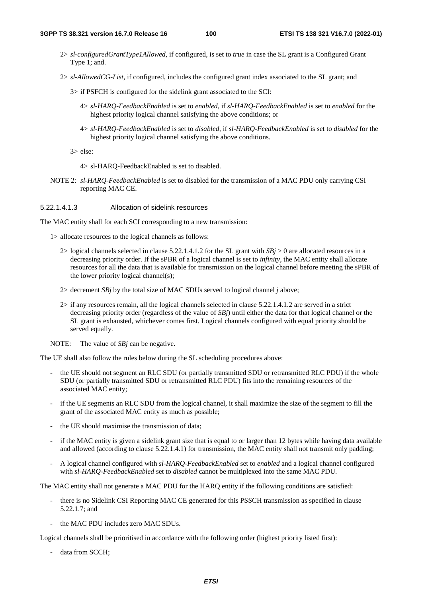- 2> *sl-configuredGrantType1Allowed*, if configured, is set to *true* in case the SL grant is a Configured Grant Type 1; and.
- 2> *sl-AllowedCG-List*, if configured, includes the configured grant index associated to the SL grant; and
	- 3> if PSFCH is configured for the sidelink grant associated to the SCI:
		- 4> *sl-HARQ-FeedbackEnabled* is set to *enabled*, if *sl-HARQ-FeedbackEnabled* is set to *enabled* for the highest priority logical channel satisfying the above conditions; or
		- 4> *sl-HARQ-FeedbackEnabled* is set to *disabled*, if *sl-HARQ-FeedbackEnabled* is set to *disabled* for the highest priority logical channel satisfying the above conditions.
	- 3> else:
		- 4> sl-HARQ-FeedbackEnabled is set to disabled.
- NOTE 2: *sl-HARQ-FeedbackEnabled* is set to disabled for the transmission of a MAC PDU only carrying CSI reporting MAC CE.

#### 5.22.1.4.1.3 Allocation of sidelink resources

The MAC entity shall for each SCI corresponding to a new transmission:

- 1> allocate resources to the logical channels as follows:
	- 2> logical channels selected in clause 5.22.1.4.1.2 for the SL grant with  $SBj > 0$  are allocated resources in a decreasing priority order. If the sPBR of a logical channel is set to *infinity*, the MAC entity shall allocate resources for all the data that is available for transmission on the logical channel before meeting the sPBR of the lower priority logical channel(s);
	- 2> decrement *SBj* by the total size of MAC SDUs served to logical channel *j* above;
	- 2> if any resources remain, all the logical channels selected in clause 5.22.1.4.1.2 are served in a strict decreasing priority order (regardless of the value of *SBj*) until either the data for that logical channel or the SL grant is exhausted, whichever comes first. Logical channels configured with equal priority should be served equally.
- NOTE: The value of *SBj* can be negative.

The UE shall also follow the rules below during the SL scheduling procedures above:

- the UE should not segment an RLC SDU (or partially transmitted SDU or retransmitted RLC PDU) if the whole SDU (or partially transmitted SDU or retransmitted RLC PDU) fits into the remaining resources of the associated MAC entity;
- if the UE segments an RLC SDU from the logical channel, it shall maximize the size of the segment to fill the grant of the associated MAC entity as much as possible;
- the UE should maximise the transmission of data:
- if the MAC entity is given a sidelink grant size that is equal to or larger than 12 bytes while having data available and allowed (according to clause 5.22.1.4.1) for transmission, the MAC entity shall not transmit only padding;
- A logical channel configured with *sl-HARQ-FeedbackEnabled* set to *enabled* and a logical channel configured with *sl-HARQ-FeedbackEnabled* set to *disabled* cannot be multiplexed into the same MAC PDU.

The MAC entity shall not generate a MAC PDU for the HARQ entity if the following conditions are satisfied:

- there is no Sidelink CSI Reporting MAC CE generated for this PSSCH transmission as specified in clause 5.22.1.7; and
- the MAC PDU includes zero MAC SDUs.

Logical channels shall be prioritised in accordance with the following order (highest priority listed first):

data from SCCH;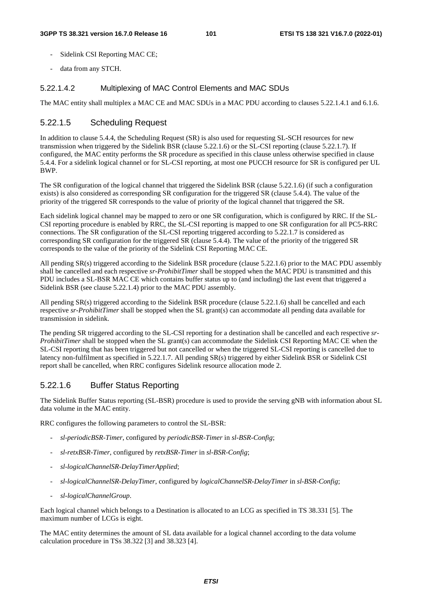- Sidelink CSI Reporting MAC CE;
- data from any STCH.

### 5.22.1.4.2 Multiplexing of MAC Control Elements and MAC SDUs

The MAC entity shall multiplex a MAC CE and MAC SDUs in a MAC PDU according to clauses 5.22.1.4.1 and 6.1.6.

## 5.22.1.5 Scheduling Request

In addition to clause 5.4.4, the Scheduling Request (SR) is also used for requesting SL-SCH resources for new transmission when triggered by the Sidelink BSR (clause 5.22.1.6) or the SL-CSI reporting (clause 5.22.1.7). If configured, the MAC entity performs the SR procedure as specified in this clause unless otherwise specified in clause 5.4.4. For a sidelink logical channel or for SL-CSI reporting, at most one PUCCH resource for SR is configured per UL BWP.

The SR configuration of the logical channel that triggered the Sidelink BSR (clause 5.22.1.6) (if such a configuration exists) is also considered as corresponding SR configuration for the triggered SR (clause 5.4.4). The value of the priority of the triggered SR corresponds to the value of priority of the logical channel that triggered the SR.

Each sidelink logical channel may be mapped to zero or one SR configuration, which is configured by RRC. If the SL-CSI reporting procedure is enabled by RRC, the SL-CSI reporting is mapped to one SR configuration for all PC5-RRC connections. The SR configuration of the SL-CSI reporting triggered according to 5.22.1.7 is considered as corresponding SR configuration for the triggered SR (clause 5.4.4). The value of the priority of the triggered SR corresponds to the value of the priority of the Sidelink CSI Reporting MAC CE.

All pending SR(s) triggered according to the Sidelink BSR procedure (clause 5.22.1.6) prior to the MAC PDU assembly shall be cancelled and each respective *sr-ProhibitTimer* shall be stopped when the MAC PDU is transmitted and this PDU includes a SL-BSR MAC CE which contains buffer status up to (and including) the last event that triggered a Sidelink BSR (see clause 5.22.1.4) prior to the MAC PDU assembly.

All pending SR(s) triggered according to the Sidelink BSR procedure (clause 5.22.1.6) shall be cancelled and each respective *sr-ProhibitTimer* shall be stopped when the SL grant(s) can accommodate all pending data available for transmission in sidelink.

The pending SR triggered according to the SL-CSI reporting for a destination shall be cancelled and each respective *sr-ProhibitTimer* shall be stopped when the SL grant(s) can accommodate the Sidelink CSI Reporting MAC CE when the SL-CSI reporting that has been triggered but not cancelled or when the triggered SL-CSI reporting is cancelled due to latency non-fulfilment as specified in 5.22.1.7. All pending SR(s) triggered by either Sidelink BSR or Sidelink CSI report shall be cancelled, when RRC configures Sidelink resource allocation mode 2.

## 5.22.1.6 Buffer Status Reporting

The Sidelink Buffer Status reporting (SL-BSR) procedure is used to provide the serving gNB with information about SL data volume in the MAC entity.

RRC configures the following parameters to control the SL-BSR:

- *sl-periodicBSR-Timer*, configured by *periodicBSR-Timer* in *sl-BSR-Config*;
- *sl-retxBSR-Timer*, configured by *retxBSR-Timer* in *sl-BSR-Config*;
- *sl-logicalChannelSR-DelayTimerApplied*;
- *sl-logicalChannelSR-DelayTimer*, configured by *logicalChannelSR-DelayTimer* in *sl-BSR-Config*;
- *sl-logicalChannelGroup*.

Each logical channel which belongs to a Destination is allocated to an LCG as specified in TS 38.331 [5]. The maximum number of LCGs is eight.

The MAC entity determines the amount of SL data available for a logical channel according to the data volume calculation procedure in TSs 38.322 [3] and 38.323 [4].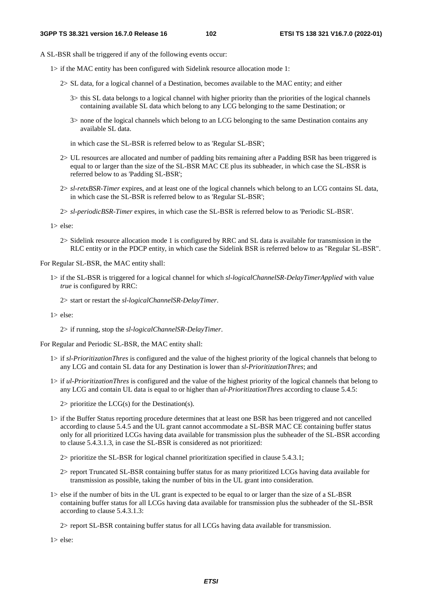- A SL-BSR shall be triggered if any of the following events occur:
	- 1> if the MAC entity has been configured with Sidelink resource allocation mode 1:
		- 2> SL data, for a logical channel of a Destination, becomes available to the MAC entity; and either
			- 3> this SL data belongs to a logical channel with higher priority than the priorities of the logical channels containing available SL data which belong to any LCG belonging to the same Destination; or
			- 3> none of the logical channels which belong to an LCG belonging to the same Destination contains any available SL data.
			- in which case the SL-BSR is referred below to as 'Regular SL-BSR';
		- 2> UL resources are allocated and number of padding bits remaining after a Padding BSR has been triggered is equal to or larger than the size of the SL-BSR MAC CE plus its subheader, in which case the SL-BSR is referred below to as 'Padding SL-BSR';
		- 2> *sl-retxBSR-Timer* expires, and at least one of the logical channels which belong to an LCG contains SL data, in which case the SL-BSR is referred below to as 'Regular SL-BSR';
		- 2> *sl-periodicBSR-Timer* expires, in which case the SL-BSR is referred below to as 'Periodic SL-BSR'.

1> else:

2> Sidelink resource allocation mode 1 is configured by RRC and SL data is available for transmission in the RLC entity or in the PDCP entity, in which case the Sidelink BSR is referred below to as "Regular SL-BSR".

For Regular SL-BSR, the MAC entity shall:

1> if the SL-BSR is triggered for a logical channel for which *sl-logicalChannelSR-DelayTimerApplied* with value *true* is configured by RRC:

2> start or restart the *sl-logicalChannelSR-DelayTimer*.

1> else:

2> if running, stop the *sl-logicalChannelSR-DelayTimer*.

For Regular and Periodic SL-BSR, the MAC entity shall:

- 1> if *sl-PrioritizationThres* is configured and the value of the highest priority of the logical channels that belong to any LCG and contain SL data for any Destination is lower than *sl-PrioritizationThres*; and
- 1> if *ul-PrioritizationThres* is configured and the value of the highest priority of the logical channels that belong to any LCG and contain UL data is equal to or higher than *ul-PrioritizationThres* according to clause 5.4.5:
	- $2$  prioritize the LCG(s) for the Destination(s).
- 1> if the Buffer Status reporting procedure determines that at least one BSR has been triggered and not cancelled according to clause 5.4.5 and the UL grant cannot accommodate a SL-BSR MAC CE containing buffer status only for all prioritized LCGs having data available for transmission plus the subheader of the SL-BSR according to clause 5.4.3.1.3, in case the SL-BSR is considered as not prioritized:

2> prioritize the SL-BSR for logical channel prioritization specified in clause 5.4.3.1;

- 2> report Truncated SL-BSR containing buffer status for as many prioritized LCGs having data available for transmission as possible, taking the number of bits in the UL grant into consideration.
- 1> else if the number of bits in the UL grant is expected to be equal to or larger than the size of a SL-BSR containing buffer status for all LCGs having data available for transmission plus the subheader of the SL-BSR according to clause 5.4.3.1.3:

2> report SL-BSR containing buffer status for all LCGs having data available for transmission.

1> else: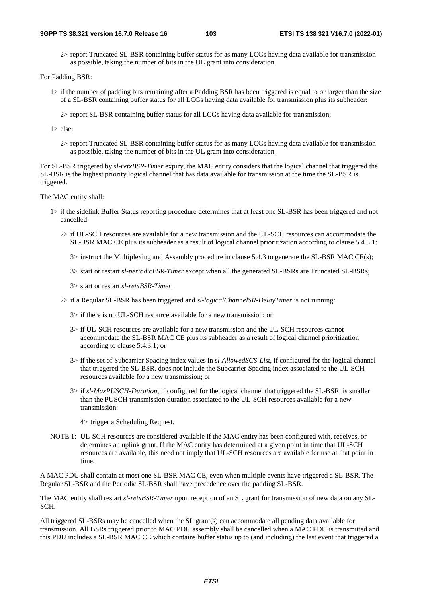2> report Truncated SL-BSR containing buffer status for as many LCGs having data available for transmission as possible, taking the number of bits in the UL grant into consideration.

For Padding BSR:

- 1> if the number of padding bits remaining after a Padding BSR has been triggered is equal to or larger than the size of a SL-BSR containing buffer status for all LCGs having data available for transmission plus its subheader:
	- 2> report SL-BSR containing buffer status for all LCGs having data available for transmission;
- 1> else:
	- 2> report Truncated SL-BSR containing buffer status for as many LCGs having data available for transmission as possible, taking the number of bits in the UL grant into consideration.

For SL-BSR triggered by *sl-retxBSR-Timer* expiry, the MAC entity considers that the logical channel that triggered the SL-BSR is the highest priority logical channel that has data available for transmission at the time the SL-BSR is triggered.

The MAC entity shall:

- 1> if the sidelink Buffer Status reporting procedure determines that at least one SL-BSR has been triggered and not cancelled:
	- 2> if UL-SCH resources are available for a new transmission and the UL-SCH resources can accommodate the SL-BSR MAC CE plus its subheader as a result of logical channel prioritization according to clause 5.4.3.1:

3> instruct the Multiplexing and Assembly procedure in clause 5.4.3 to generate the SL-BSR MAC CE(s);

- 3> start or restart *sl-periodicBSR-Timer* except when all the generated SL-BSRs are Truncated SL-BSRs;
- 3> start or restart *sl-retxBSR-Timer*.
- 2> if a Regular SL-BSR has been triggered and *sl-logicalChannelSR-DelayTimer* is not running:
	- 3> if there is no UL-SCH resource available for a new transmission; or
	- 3> if UL-SCH resources are available for a new transmission and the UL-SCH resources cannot accommodate the SL-BSR MAC CE plus its subheader as a result of logical channel prioritization according to clause 5.4.3.1; or
	- 3> if the set of Subcarrier Spacing index values in *sl-AllowedSCS-List*, if configured for the logical channel that triggered the SL-BSR, does not include the Subcarrier Spacing index associated to the UL-SCH resources available for a new transmission; or
	- 3> if *sl-MaxPUSCH-Duration*, if configured for the logical channel that triggered the SL-BSR, is smaller than the PUSCH transmission duration associated to the UL-SCH resources available for a new transmission:
		- 4> trigger a Scheduling Request.
- NOTE 1: UL-SCH resources are considered available if the MAC entity has been configured with, receives, or determines an uplink grant. If the MAC entity has determined at a given point in time that UL-SCH resources are available, this need not imply that UL-SCH resources are available for use at that point in time.

A MAC PDU shall contain at most one SL-BSR MAC CE, even when multiple events have triggered a SL-BSR. The Regular SL-BSR and the Periodic SL-BSR shall have precedence over the padding SL-BSR.

The MAC entity shall restart *sl-retxBSR-Timer* upon reception of an SL grant for transmission of new data on any SL-SCH.

All triggered SL-BSRs may be cancelled when the SL grant(s) can accommodate all pending data available for transmission. All BSRs triggered prior to MAC PDU assembly shall be cancelled when a MAC PDU is transmitted and this PDU includes a SL-BSR MAC CE which contains buffer status up to (and including) the last event that triggered a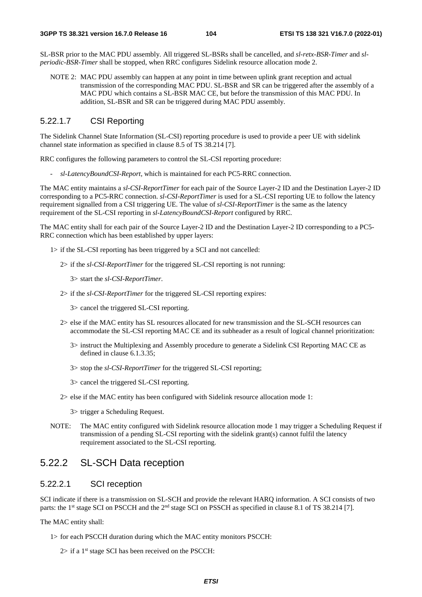SL-BSR prior to the MAC PDU assembly. All triggered SL-BSRs shall be cancelled, and *sl-retx-BSR-Timer* and *slperiodic-BSR-Timer* shall be stopped, when RRC configures Sidelink resource allocation mode 2.

NOTE 2: MAC PDU assembly can happen at any point in time between uplink grant reception and actual transmission of the corresponding MAC PDU. SL-BSR and SR can be triggered after the assembly of a MAC PDU which contains a SL-BSR MAC CE, but before the transmission of this MAC PDU. In addition, SL-BSR and SR can be triggered during MAC PDU assembly.

### 5.22.1.7 CSI Reporting

The Sidelink Channel State Information (SL-CSI) reporting procedure is used to provide a peer UE with sidelink channel state information as specified in clause 8.5 of TS 38.214 [7].

RRC configures the following parameters to control the SL-CSI reporting procedure:

- *sl-LatencyBoundCSI-Report*, which is maintained for each PC5-RRC connection.

The MAC entity maintains a *sl-CSI-ReportTimer* for each pair of the Source Layer-2 ID and the Destination Layer-2 ID corresponding to a PC5-RRC connection. *sl-CSI-ReportTimer* is used for a SL-CSI reporting UE to follow the latency requirement signalled from a CSI triggering UE. The value of *sl-CSI-ReportTimer* is the same as the latency requirement of the SL-CSI reporting in *sl-LatencyBoundCSI-Report* configured by RRC.

The MAC entity shall for each pair of the Source Layer-2 ID and the Destination Layer-2 ID corresponding to a PC5- RRC connection which has been established by upper layers:

1> if the SL-CSI reporting has been triggered by a SCI and not cancelled:

2> if the *sl-CSI-ReportTimer* for the triggered SL-CSI reporting is not running:

3> start the *sl-CSI-ReportTimer*.

2> if the *sl-CSI-ReportTimer* for the triggered SL-CSI reporting expires:

3> cancel the triggered SL-CSI reporting.

- 2> else if the MAC entity has SL resources allocated for new transmission and the SL-SCH resources can accommodate the SL-CSI reporting MAC CE and its subheader as a result of logical channel prioritization:
	- 3> instruct the Multiplexing and Assembly procedure to generate a Sidelink CSI Reporting MAC CE as defined in clause 6.1.3.35;
	- 3> stop the *sl-CSI-ReportTimer* for the triggered SL-CSI reporting;
	- 3> cancel the triggered SL-CSI reporting.
- 2> else if the MAC entity has been configured with Sidelink resource allocation mode 1:
	- 3> trigger a Scheduling Request.
- NOTE: The MAC entity configured with Sidelink resource allocation mode 1 may trigger a Scheduling Request if transmission of a pending SL-CSI reporting with the sidelink grant(s) cannot fulfil the latency requirement associated to the SL-CSI reporting.

# 5.22.2 SL-SCH Data reception

### 5.22.2.1 SCI reception

SCI indicate if there is a transmission on SL-SCH and provide the relevant HARQ information. A SCI consists of two parts: the 1<sup>st</sup> stage SCI on PSCCH and the 2<sup>nd</sup> stage SCI on PSSCH as specified in clause 8.1 of TS 38.214 [7].

The MAC entity shall:

- 1> for each PSCCH duration during which the MAC entity monitors PSCCH:
	- $2$ > if a 1<sup>st</sup> stage SCI has been received on the PSCCH: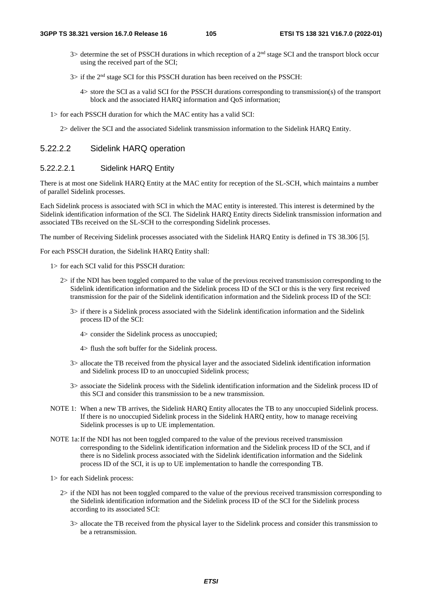- 3> determine the set of PSSCH durations in which reception of a 2<sup>nd</sup> stage SCI and the transport block occur using the received part of the SCI;
- 3> if the 2nd stage SCI for this PSSCH duration has been received on the PSSCH:
	- 4> store the SCI as a valid SCI for the PSSCH durations corresponding to transmission(s) of the transport block and the associated HARQ information and QoS information;
- 1> for each PSSCH duration for which the MAC entity has a valid SCI:

2> deliver the SCI and the associated Sidelink transmission information to the Sidelink HARQ Entity.

## 5.22.2.2 Sidelink HARQ operation

### 5.22.2.2.1 Sidelink HARQ Entity

There is at most one Sidelink HARQ Entity at the MAC entity for reception of the SL-SCH, which maintains a number of parallel Sidelink processes.

Each Sidelink process is associated with SCI in which the MAC entity is interested. This interest is determined by the Sidelink identification information of the SCI. The Sidelink HARQ Entity directs Sidelink transmission information and associated TBs received on the SL-SCH to the corresponding Sidelink processes.

The number of Receiving Sidelink processes associated with the Sidelink HARQ Entity is defined in TS 38.306 [5].

For each PSSCH duration, the Sidelink HARQ Entity shall:

- 1> for each SCI valid for this PSSCH duration:
	- 2> if the NDI has been toggled compared to the value of the previous received transmission corresponding to the Sidelink identification information and the Sidelink process ID of the SCI or this is the very first received transmission for the pair of the Sidelink identification information and the Sidelink process ID of the SCI:
		- 3> if there is a Sidelink process associated with the Sidelink identification information and the Sidelink process ID of the SCI:
			- 4> consider the Sidelink process as unoccupied;
			- 4> flush the soft buffer for the Sidelink process.
		- 3> allocate the TB received from the physical layer and the associated Sidelink identification information and Sidelink process ID to an unoccupied Sidelink process;
		- 3> associate the Sidelink process with the Sidelink identification information and the Sidelink process ID of this SCI and consider this transmission to be a new transmission.
- NOTE 1: When a new TB arrives, the Sidelink HARQ Entity allocates the TB to any unoccupied Sidelink process. If there is no unoccupied Sidelink process in the Sidelink HARQ entity, how to manage receiving Sidelink processes is up to UE implementation.
- NOTE 1a: If the NDI has not been toggled compared to the value of the previous received transmission corresponding to the Sidelink identification information and the Sidelink process ID of the SCI, and if there is no Sidelink process associated with the Sidelink identification information and the Sidelink process ID of the SCI, it is up to UE implementation to handle the corresponding TB.

1> for each Sidelink process:

- 2> if the NDI has not been toggled compared to the value of the previous received transmission corresponding to the Sidelink identification information and the Sidelink process ID of the SCI for the Sidelink process according to its associated SCI:
	- 3> allocate the TB received from the physical layer to the Sidelink process and consider this transmission to be a retransmission.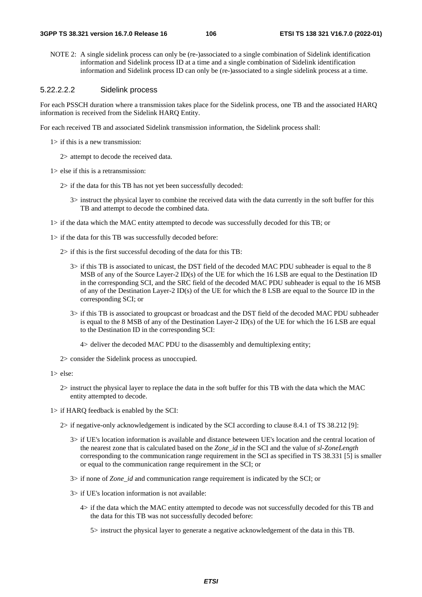NOTE 2: A single sidelink process can only be (re-)associated to a single combination of Sidelink identification information and Sidelink process ID at a time and a single combination of Sidelink identification information and Sidelink process ID can only be (re-)associated to a single sidelink process at a time.

### 5.22.2.2.2 Sidelink process

For each PSSCH duration where a transmission takes place for the Sidelink process, one TB and the associated HARQ information is received from the Sidelink HARQ Entity.

For each received TB and associated Sidelink transmission information, the Sidelink process shall:

- 1> if this is a new transmission:
	- 2> attempt to decode the received data.
- 1> else if this is a retransmission:
	- 2> if the data for this TB has not yet been successfully decoded:
		- 3> instruct the physical layer to combine the received data with the data currently in the soft buffer for this TB and attempt to decode the combined data.
- 1> if the data which the MAC entity attempted to decode was successfully decoded for this TB; or
- 1> if the data for this TB was successfully decoded before:
	- 2> if this is the first successful decoding of the data for this TB:
		- 3> if this TB is associated to unicast, the DST field of the decoded MAC PDU subheader is equal to the 8 MSB of any of the Source Layer-2 ID(s) of the UE for which the 16 LSB are equal to the Destination ID in the corresponding SCI, and the SRC field of the decoded MAC PDU subheader is equal to the 16 MSB of any of the Destination Layer-2 ID(s) of the UE for which the 8 LSB are equal to the Source ID in the corresponding SCI; or
		- 3> if this TB is associated to groupcast or broadcast and the DST field of the decoded MAC PDU subheader is equal to the 8 MSB of any of the Destination Layer-2 ID(s) of the UE for which the 16 LSB are equal to the Destination ID in the corresponding SCI:
			- 4> deliver the decoded MAC PDU to the disassembly and demultiplexing entity;

2> consider the Sidelink process as unoccupied.

1> else:

- 2> instruct the physical layer to replace the data in the soft buffer for this TB with the data which the MAC entity attempted to decode.
- 1> if HARQ feedback is enabled by the SCI:
	- 2> if negative-only acknowledgement is indicated by the SCI according to clause 8.4.1 of TS 38.212 [9]:
		- 3> if UE's location information is available and distance beteween UE's location and the central location of the nearest zone that is calculated based on the *Zone\_id* in the SCI and the value of *sl-ZoneLength* corresponding to the communication range requirement in the SCI as specified in TS 38.331 [5] is smaller or equal to the communication range requirement in the SCI; or
		- 3> if none of *Zone\_id* and communication range requirement is indicated by the SCI; or
		- 3> if UE's location information is not available:
			- 4> if the data which the MAC entity attempted to decode was not successfully decoded for this TB and the data for this TB was not successfully decoded before:
				- 5> instruct the physical layer to generate a negative acknowledgement of the data in this TB.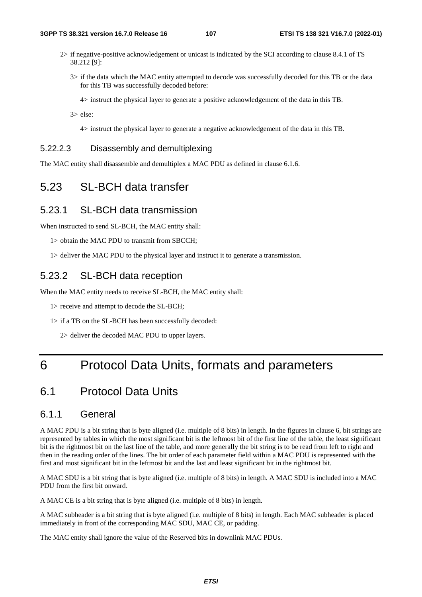- 2> if negative-positive acknowledgement or unicast is indicated by the SCI according to clause 8.4.1 of TS 38.212 [9]:
	- 3> if the data which the MAC entity attempted to decode was successfully decoded for this TB or the data for this TB was successfully decoded before:

4> instruct the physical layer to generate a positive acknowledgement of the data in this TB.

3> else:

4> instruct the physical layer to generate a negative acknowledgement of the data in this TB.

## 5.22.2.3 Disassembly and demultiplexing

The MAC entity shall disassemble and demultiplex a MAC PDU as defined in clause 6.1.6.

# 5.23 SL-BCH data transfer

## 5.23.1 SL-BCH data transmission

When instructed to send SL-BCH, the MAC entity shall:

1> obtain the MAC PDU to transmit from SBCCH;

1> deliver the MAC PDU to the physical layer and instruct it to generate a transmission.

## 5.23.2 SL-BCH data reception

When the MAC entity needs to receive SL-BCH, the MAC entity shall:

1> receive and attempt to decode the SL-BCH;

1> if a TB on the SL-BCH has been successfully decoded:

2> deliver the decoded MAC PDU to upper layers.

# 6 Protocol Data Units, formats and parameters

# 6.1 Protocol Data Units

## 6.1.1 General

A MAC PDU is a bit string that is byte aligned (i.e. multiple of 8 bits) in length. In the figures in clause 6, bit strings are represented by tables in which the most significant bit is the leftmost bit of the first line of the table, the least significant bit is the rightmost bit on the last line of the table, and more generally the bit string is to be read from left to right and then in the reading order of the lines. The bit order of each parameter field within a MAC PDU is represented with the first and most significant bit in the leftmost bit and the last and least significant bit in the rightmost bit.

A MAC SDU is a bit string that is byte aligned (i.e. multiple of 8 bits) in length. A MAC SDU is included into a MAC PDU from the first bit onward.

A MAC CE is a bit string that is byte aligned (i.e. multiple of 8 bits) in length.

A MAC subheader is a bit string that is byte aligned (i.e. multiple of 8 bits) in length. Each MAC subheader is placed immediately in front of the corresponding MAC SDU, MAC CE, or padding.

The MAC entity shall ignore the value of the Reserved bits in downlink MAC PDUs.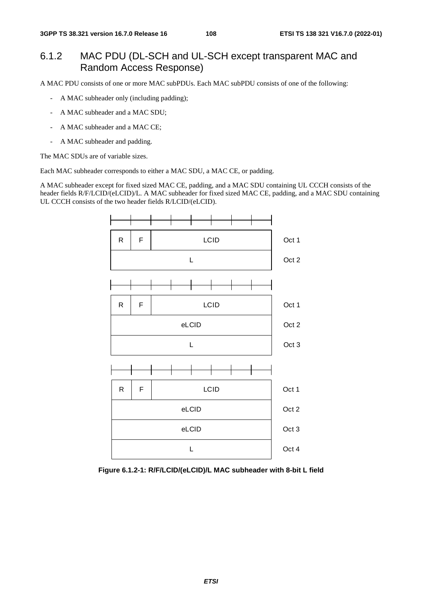# 6.1.2 MAC PDU (DL-SCH and UL-SCH except transparent MAC and Random Access Response)

A MAC PDU consists of one or more MAC subPDUs. Each MAC subPDU consists of one of the following:

- A MAC subheader only (including padding);
- A MAC subheader and a MAC SDU;
- A MAC subheader and a MAC CE;
- A MAC subheader and padding.

The MAC SDUs are of variable sizes.

Each MAC subheader corresponds to either a MAC SDU, a MAC CE, or padding.

A MAC subheader except for fixed sized MAC CE, padding, and a MAC SDU containing UL CCCH consists of the header fields R/F/LCID/(eLCID)/L. A MAC subheader for fixed sized MAC CE, padding, and a MAC SDU containing UL CCCH consists of the two header fields R/LCID/(eLCID).



**Figure 6.1.2-1: R/F/LCID/(eLCID)/L MAC subheader with 8-bit L field**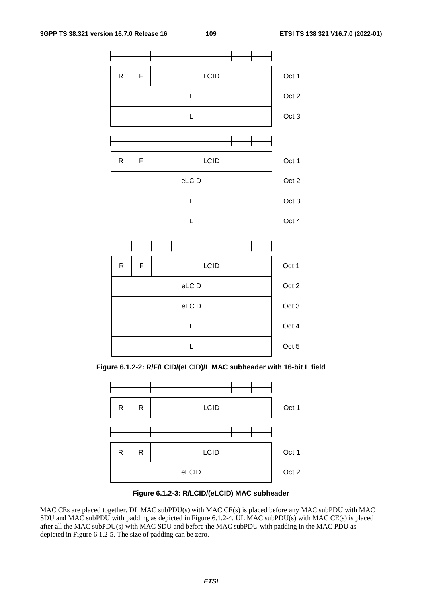

**Figure 6.1.2-2: R/F/LCID/(eLCID)/L MAC subheader with 16-bit L field** 





MAC CEs are placed together. DL MAC subPDU(s) with MAC CE(s) is placed before any MAC subPDU with MAC SDU and MAC subPDU with padding as depicted in Figure 6.1.2-4. UL MAC subPDU(s) with MAC CE(s) is placed after all the MAC subPDU(s) with MAC SDU and before the MAC subPDU with padding in the MAC PDU as depicted in Figure 6.1.2-5. The size of padding can be zero.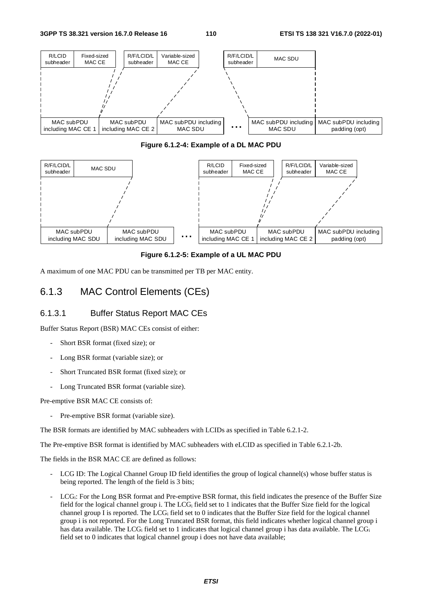

#### **Figure 6.1.2-4: Example of a DL MAC PDU**



#### **Figure 6.1.2-5: Example of a UL MAC PDU**

A maximum of one MAC PDU can be transmitted per TB per MAC entity.

# 6.1.3 MAC Control Elements (CEs)

## 6.1.3.1 Buffer Status Report MAC CEs

Buffer Status Report (BSR) MAC CEs consist of either:

- Short BSR format (fixed size); or
- Long BSR format (variable size); or
- Short Truncated BSR format (fixed size); or
- Long Truncated BSR format (variable size).

Pre-emptive BSR MAC CE consists of:

Pre-emptive BSR format (variable size).

The BSR formats are identified by MAC subheaders with LCIDs as specified in Table 6.2.1-2.

The Pre-emptive BSR format is identified by MAC subheaders with eLCID as specified in Table 6.2.1-2b.

The fields in the BSR MAC CE are defined as follows:

- LCG ID: The Logical Channel Group ID field identifies the group of logical channel(s) whose buffer status is being reported. The length of the field is 3 bits;
- LCG<sub>i</sub>: For the Long BSR format and Pre-emptive BSR format, this field indicates the presence of the Buffer Size field for the logical channel group i. The  $LCG<sub>i</sub>$  field set to 1 indicates that the Buffer Size field for the logical channel group I is reported. The  $LCG_i$  field set to 0 indicates that the Buffer Size field for the logical channel group i is not reported. For the Long Truncated BSR format, this field indicates whether logical channel group i has data available. The LCG<sub>i</sub> field set to 1 indicates that logical channel group i has data available. The LCG<sub>i</sub> field set to 0 indicates that logical channel group i does not have data available;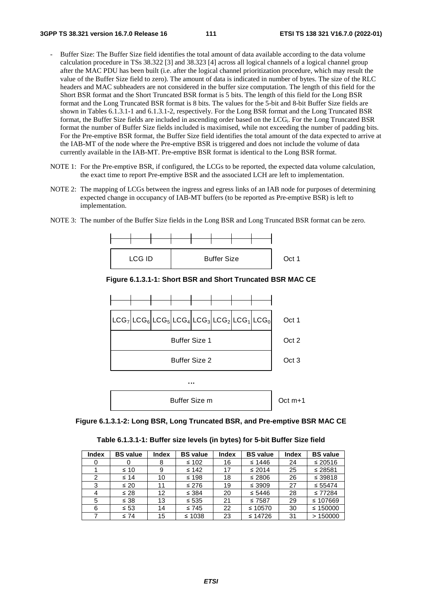- Buffer Size: The Buffer Size field identifies the total amount of data available according to the data volume calculation procedure in TSs 38.322 [3] and 38.323 [4] across all logical channels of a logical channel group after the MAC PDU has been built (i.e. after the logical channel prioritization procedure, which may result the value of the Buffer Size field to zero). The amount of data is indicated in number of bytes. The size of the RLC headers and MAC subheaders are not considered in the buffer size computation. The length of this field for the Short BSR format and the Short Truncated BSR format is 5 bits. The length of this field for the Long BSR format and the Long Truncated BSR format is 8 bits. The values for the 5-bit and 8-bit Buffer Size fields are shown in Tables 6.1.3.1-1 and 6.1.3.1-2, respectively. For the Long BSR format and the Long Truncated BSR format, the Buffer Size fields are included in ascending order based on the LCGi. For the Long Truncated BSR format the number of Buffer Size fields included is maximised, while not exceeding the number of padding bits. For the Pre-emptive BSR format, the Buffer Size field identifies the total amount of the data expected to arrive at the IAB-MT of the node where the Pre-emptive BSR is triggered and does not include the volume of data currently available in the IAB-MT. Pre-emptive BSR format is identical to the Long BSR format.
- NOTE 1: For the Pre-emptive BSR, if configured, the LCGs to be reported, the expected data volume calculation, the exact time to report Pre-emptive BSR and the associated LCH are left to implementation.
- NOTE 2: The mapping of LCGs between the ingress and egress links of an IAB node for purposes of determining expected change in occupancy of IAB-MT buffers (to be reported as Pre-emptive BSR) is left to implementation.
- NOTE 3: The number of the Buffer Size fields in the Long BSR and Long Truncated BSR format can be zero.



**Figure 6.1.3.1-1: Short BSR and Short Truncated BSR MAC CE** 





| Table 6.1.3.1-1: Buffer size levels (in bytes) for 5-bit Buffer Size field |  |  |  |
|----------------------------------------------------------------------------|--|--|--|
|----------------------------------------------------------------------------|--|--|--|

| <b>Index</b>   | <b>BS</b> value | <b>Index</b> | <b>BS</b> value | <b>Index</b> | <b>BS</b> value | <b>Index</b> | <b>BS</b> value |
|----------------|-----------------|--------------|-----------------|--------------|-----------------|--------------|-----------------|
| 0              |                 | 8            | $\leq 102$      | 16           | $\leq 1446$     | 24           | $\leq 20516$    |
|                | $\leq 10$       | 9            | $\leq 142$      | 17           | $\leq 2014$     | 25           | $\leq$ 28581    |
| $\overline{2}$ | $\leq 14$       | 10           | $\leq 198$      | 18           | ≤ 2806          | 26           | ≤ 39818         |
| 3              | $\leq 20$       | 11           | $\leq 276$      | 19           | $\leq$ 3909     | 27           | $\leq 55474$    |
| 4              | $\leq 28$       | 12           | $\leq$ 384      | 20           | $\leq 5446$     | 28           | $\leq 77284$    |
| 5              | $\leq 38$       | 13           | $\leq 535$      | 21           | $\leq 7587$     | 29           | $\leq 107669$   |
| 6              | $\leq 53$       | 14           | $\leq 745$      | 22           | ≤ 10570         | 30           | ≤ 150000        |
|                | $\leq 74$       | 15           | $\leq 1038$     | 23           | $\leq 14726$    | 31           | >150000         |
|                |                 |              |                 |              |                 |              |                 |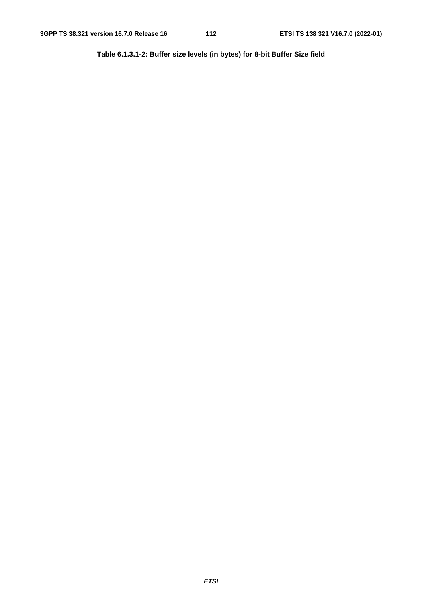**Table 6.1.3.1-2: Buffer size levels (in bytes) for 8-bit Buffer Size field**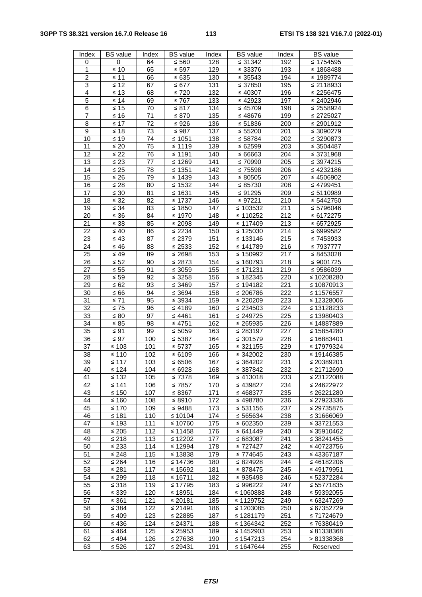## **3GPP TS 38.321 version 16.7.0 Release 16 113 ETSI TS 138 321 V16.7.0 (2022-01)**

| Index                     | <b>BS</b> value          | Index      | <b>BS</b> value            | Index                   | <b>BS</b> value           | Index      | <b>BS</b> value               |
|---------------------------|--------------------------|------------|----------------------------|-------------------------|---------------------------|------------|-------------------------------|
| 0                         | 0                        | 64         | $\leq 560$                 | 128                     | $\leq 31342$              | 192        | $\leq 1754595$                |
| 1                         | $\leq 10$                | 65         | $\leq$ 597                 | 129                     | ≤ 33376                   | 193        | ≤ 1868488                     |
| $\overline{2}$            | $\leq 11$                | 66         | ≤ 635                      | 130                     | $\leq 35543$              | 194        | ≤ 1989774                     |
| $\ensuremath{\mathsf{3}}$ | $\leq 12$                | 67         | ≤ 677                      | 131                     | $\leq 37850$              | 195        | $\leq$ 2118933                |
| $\overline{\mathbf{4}}$   | $\leq 13$                | 68         | $\leq 720$                 | 132                     | $\leq 40307$              | 196        | $\leq$ 2256475                |
| 5                         | $\leq 14$                | 69         | ≤ 767                      | 133                     | $\leq 42923$              | 197        | $\leq 2402946$                |
| $\overline{6}$            | $\leq 15$                | 70         | $\leq 817$                 | 134                     | $\leq 45709$              | 198        | $\leq$ 2558924                |
| $\overline{7}$            | $\leq 16$                | 71         | ≤ 870                      | 135                     | ≤48676                    | 199        | $\leq$ 2725027                |
| $\overline{8}$            | $\leq 17$                | 72         | ≤ 926                      | 136                     | $\overline{\le}$ 51836    | 200        | $\sqrt{≤2901912}$             |
| 9                         | $\leq 18$                | 73         | $\leq 987$                 | 137                     | $\leq 55200$              | 201        | $\leq 3090279$                |
| 10                        | $\leq 19$                | 74         | ≤ 1051                     | 138                     | ≤ 58784                   | 202        | $\leq 3290873$                |
| 11                        | $\leq 20$                | 75         | ≤ 1119                     | 139                     | ≤ 62599                   | 203        | $\leq$ 3504487                |
| 12                        | $\leq 22$                | 76         | $\leq 1191$                | 140                     | ≤ 66663                   | 204        | $\leq 3731968$                |
| 13                        | $\leq 23$                | 77         | $\leq 1269$                | 141                     | ≤ 70990                   | 205        | ≤ 3974215                     |
| 14                        | $\leq 25$                | 78         | $\leq 1351$                | 142                     | $\leq 75598$              | 206        | $\overline{≤}$ 4232186        |
| 15                        | $\leq 26$                | 79         | $\leq 1439$                | 143                     | $\leq 80505$              | 207        | $\leq 4506902$                |
| 16                        | $\leq 28$                | 80         | $\leq 1532$                | 144                     | $\leq 85730$              | 208        | ≤ 4799451                     |
| 17                        | $\leq 30$                | 81         | ≤ 1631                     | 145                     | $\leq 91295$              | 209        | $\leq 5110989$                |
| 18                        | $\leq 32$                | 82         | $\leq 1737$                | 146                     | ≤ 97221                   | 210        | $\leq 5442750$                |
| 19                        | $\leq 34$                | 83         | ≤ 1850                     | 147                     | $\leq 103532$             | 211        | $\leq 5796046$                |
| 20                        | $\leq 36$                | 84         | ≤ 1970                     | 148                     | ≤ 110252                  | 212        | ≤ 6172275                     |
| 21                        | $\leq 38$                | 85         | $≤ 2098$                   | 149                     | $\leq 117409$             | 213        | $\leq 6572925$                |
| 22                        | $\leq 40$                | 86         | $\leq 2234$                | 150                     | ≤ 125030                  | 214        | $\leq 6999582$                |
| 23<br>24                  | $\leq 43$                | 87         | $\leq 2379$                | 151                     | $\leq 133146$             | 215        | $\leq 7453933$                |
| 25                        | $\leq 46$<br>$\leq 49$   | 88<br>89   | $\leq 2533$<br>$\leq 2698$ | 152<br>$\overline{153}$ | ≤ 141789<br>≤ 150992      | 216<br>217 | $\leq 7937777$<br>≤ 8453028   |
| 26                        | $\leq 52$                | 90         | $\leq 2873$                | 154                     | ≤ 160793                  | 218        | $\leq 9001725$                |
| 27                        | $\leq 55$                | 91         | $≤ 3059$                   | 155                     | $\leq 171231$             | 219        | $\leq$ 9586039                |
| 28                        | $\leq 59$                | 92         | $\leq$ 3258                | 156                     | ≤ 182345                  | 220        | ≤ 10208280                    |
| 29                        | $\leq 62$                | 93         | $\leq 3469$                | 157                     | $\leq 194182$             | 221        | ≤ 10870913                    |
| 30                        | $\leq 66$                | 94         | $\leq 3694$                | 158                     | ≤ 206786                  | 222        | ≤ 11576557                    |
| 31                        | $\leq 71$                | 95         | $\leq 3934$                | 159                     | $\leq 220209$             | 223        | ≤ 12328006                    |
| 32                        | $\leq 75$                | 96         | ≤ 4189                     | 160                     | $\leq$ 234503             | 224        | ≤ 13128233                    |
| 33                        | $\leq 80$                | 97         | $\leq 4461$                | 161                     | $\leq 249725$             | 225        | ≤ 13980403                    |
| 34                        | $\leq 85$                | 98         | ≤ 4751                     | 162                     | $\leq$ 265935             | 226        | ≤ 14887889                    |
| 35                        | $\leq 91$                | 99         | $\leq 5059$                | 163                     | ≤ 283197                  | 227        | $\overline{≤}$ 15854280       |
| 36                        | $\leq 97$                | 100        | ≤ 5387                     | 164                     | ≤ 301579                  | 228        | ≤ 16883401                    |
| 37                        | $\leq 103$               | 101        | ≤ 5737                     | 165                     | $\leq 321155$             | 229        | ≤ 17979324                    |
| 38                        | $\leq 110$               | 102        | ≤ 6109                     | 166                     | $\leq 342002$             | 230        | ≤ 19146385                    |
| 39                        | $\leq 117$               | 103        | ≤ 6506                     | 167                     | $\leq 364202$             | 231        | ≤ 20389201                    |
| 40                        | $\leq 124$               | 104        | ≤ 6928                     | 168                     | $\leq 387842$             | 232        | $\leq$ 21712690               |
| 41                        | $\leq 132$               | 105        | ≤7378                      | 169                     | $\leq 413018$             | 233        | $\leq 23122088$               |
| 42                        | $\leq 141$               | 106        | ≤ 7857                     | 170                     | ≤ 439827                  | 234        | $\leq$ 24622972               |
| 43                        | ≤ 150                    | 107        | ≤ 8367                     | 171                     | ≤ 468377                  | 235        | $\leq 26221280$               |
| 44                        | $\leq 160$               | 108        | ≤ 8910                     | 172                     | ≤ 498780                  | 236        | $\leq$ 27923336               |
| 45                        | $\leq 170$               | 109        | ≤ 9488                     | 173                     | $\leq 531156$             | 237        | $\leq$ 29735875               |
| 46                        | $\leq 181$               | 110        | ≤ 10104                    | 174                     | $\leq 565634$             | 238        | ≤ 31666069                    |
| 47                        | $\leq 193$               | 111        | ≤ 10760                    | 175                     | $\leq 602350$             | 239        | $\leq$ 33721553               |
| 48                        | $\leq 205$               | 112        | ≤ 11458                    | 176                     | $\leq 641449$             | 240        | $\leq 35910462$               |
| 49                        | ≤ 218                    | 113        | $\leq 12202$               | 177                     | ≤ 683087                  | 241        | $\leq$ 38241455               |
| 50                        | $\leq 233$               | 114        | $\leq 12994$               | 178                     | $\leq 727427$             | 242        | $\leq 40723756$               |
| 51                        | $\leq 248$               | 115        | ≤ 13838                    | 179                     | ≤ 774645                  | 243        | $\leq 43367187$               |
| 52                        | $\leq 264$               | 116        | ≤ 14736                    | 180                     | $\leq 824928$             | 244        | $\leq 46182206$               |
| 53<br>54                  | $≤ 281$                  | 117        | ≤ 15692                    | 181                     | ≤ 878475                  | 245<br>246 | ≤ 49179951                    |
| 55                        | $\leq 299$               | 118<br>119 | ≤ 16711<br>≤ 17795         | 182<br>183              | $\leq 935498$<br>≤ 996222 | 247        | $\leq 52372284$<br>≤ 55771835 |
| 56                        | $\leq 318$<br>$\leq$ 339 | 120        | ≤ 18951                    | 184                     | ≤ 1060888                 | 248        | $\leq$ 59392055               |
| 57                        | $\leq 361$               | 121        | ≤ 20181                    | 185                     | $\leq 1129752$            | 249        | $\leq 63247269$               |
| 58                        | $\leq 384$               | 122        | ≤ 21491                    | 186                     | $\leq 1203085$            | 250        | $\leq 67352729$               |
| 59                        | $\leq 409$               | 123        | $\leq 22885$               | 187                     | ≤ 1281179                 | 251        | ≤ 71724679                    |
| 60                        | $\leq 436$               | 124        | ≤ 24371                    | 188                     | $\leq 1364342$            | 252        | $\leq 76380419$               |
| 61                        | $\leq 464$               | 125        | $\leq 25953$               | 189                     | $\leq 1452903$            | 253        | $\leq 81338368$               |
| 62                        | $\leq 494$               | 126        | $\leq$ 27638               | 190                     | $\leq 1547213$            | 254        | > 81338368                    |
| 63                        | $\leq 526$               | 127        | $\leq 29431$               | 191                     | ≤ 1647644                 | 255        | Reserved                      |
|                           |                          |            |                            |                         |                           |            |                               |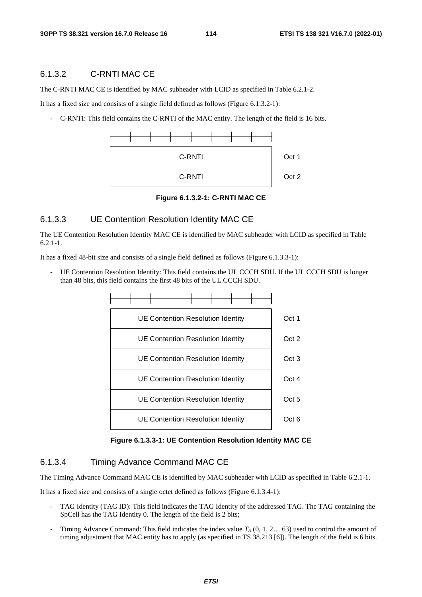## 6.1.3.2 C-RNTI MAC CE

The C-RNTI MAC CE is identified by MAC subheader with LCID as specified in Table 6.2.1-2.

It has a fixed size and consists of a single field defined as follows (Figure 6.1.3.2-1):

- C-RNTI: This field contains the C-RNTI of the MAC entity. The length of the field is 16 bits.



**Figure 6.1.3.2-1: C-RNTI MAC CE** 

#### 6.1.3.3 UE Contention Resolution Identity MAC CE

The UE Contention Resolution Identity MAC CE is identified by MAC subheader with LCID as specified in Table  $6.2.1 - 1.$ 

It has a fixed 48-bit size and consists of a single field defined as follows (Figure 6.1.3.3-1):

UE Contention Resolution Identity: This field contains the UL CCCH SDU. If the UL CCCH SDU is longer than 48 bits, this field contains the first 48 bits of the UL CCCH SDU.



**Figure 6.1.3.3-1: UE Contention Resolution Identity MAC CE** 

## 6.1.3.4 Timing Advance Command MAC CE

The Timing Advance Command MAC CE is identified by MAC subheader with LCID as specified in Table 6.2.1-1.

It has a fixed size and consists of a single octet defined as follows (Figure 6.1.3.4-1):

- TAG Identity (TAG ID): This field indicates the TAG Identity of the addressed TAG. The TAG containing the SpCell has the TAG Identity 0. The length of the field is 2 bits;
- Timing Advance Command: This field indicates the index value  $T_A$  (0, 1, 2... 63) used to control the amount of timing adjustment that MAC entity has to apply (as specified in TS 38.213 [6]). The length of the field is 6 bits.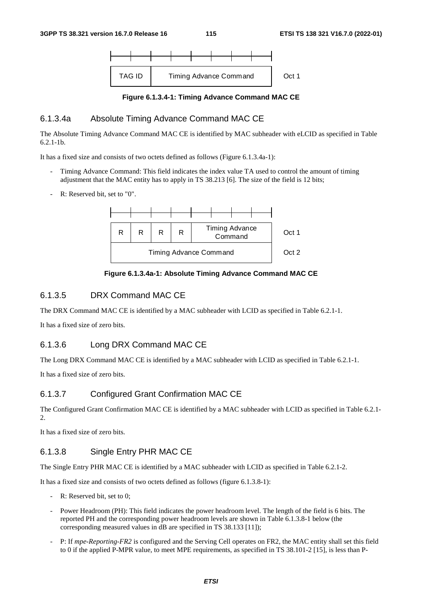

**Figure 6.1.3.4-1: Timing Advance Command MAC CE** 

## 6.1.3.4a Absolute Timing Advance Command MAC CE

The Absolute Timing Advance Command MAC CE is identified by MAC subheader with eLCID as specified in Table 6.2.1-1b.

It has a fixed size and consists of two octets defined as follows (Figure 6.1.3.4a-1):

- Timing Advance Command: This field indicates the index value TA used to control the amount of timing adjustment that the MAC entity has to apply in TS 38.213 [6]. The size of the field is 12 bits;
- R: Reserved bit, set to "0".



**Figure 6.1.3.4a-1: Absolute Timing Advance Command MAC CE** 

## 6.1.3.5 DRX Command MAC CE

The DRX Command MAC CE is identified by a MAC subheader with LCID as specified in Table 6.2.1-1.

It has a fixed size of zero bits.

## 6.1.3.6 Long DRX Command MAC CE

The Long DRX Command MAC CE is identified by a MAC subheader with LCID as specified in Table 6.2.1-1.

It has a fixed size of zero bits.

## 6.1.3.7 Configured Grant Confirmation MAC CE

The Configured Grant Confirmation MAC CE is identified by a MAC subheader with LCID as specified in Table 6.2.1- 2.

It has a fixed size of zero bits.

## 6.1.3.8 Single Entry PHR MAC CE

The Single Entry PHR MAC CE is identified by a MAC subheader with LCID as specified in Table 6.2.1-2.

It has a fixed size and consists of two octets defined as follows (figure 6.1.3.8-1):

- R: Reserved bit, set to 0;
- Power Headroom (PH): This field indicates the power headroom level. The length of the field is 6 bits. The reported PH and the corresponding power headroom levels are shown in Table 6.1.3.8-1 below (the corresponding measured values in dB are specified in TS 38.133 [11]);
- P: If *mpe-Reporting-FR2* is configured and the Serving Cell operates on FR2, the MAC entity shall set this field to 0 if the applied P-MPR value, to meet MPE requirements, as specified in TS 38.101-2 [15], is less than P-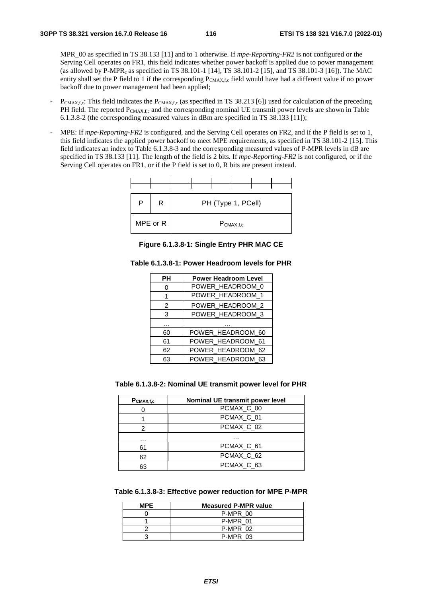MPR\_00 as specified in TS 38.133 [11] and to 1 otherwise. If *mpe-Reporting-FR2* is not configured or the Serving Cell operates on FR1, this field indicates whether power backoff is applied due to power management (as allowed by P-MPRc as specified in TS 38.101-1 [14], TS 38.101-2 [15], and TS 38.101-3 [16]). The MAC entity shall set the P field to 1 if the corresponding PCMAX,f,c field would have had a different value if no power backoff due to power management had been applied;

- $P_{CMAX,f,c}$ : This field indicates the  $P_{CMAX,f,c}$  (as specified in TS 38.213 [6]) used for calculation of the preceding PH field. The reported  $P_{CMAX,f,c}$  and the corresponding nominal UE transmit power levels are shown in Table 6.1.3.8-2 (the corresponding measured values in dBm are specified in TS 38.133 [11]);
- MPE: If *mpe-Reporting-FR2* is configured, and the Serving Cell operates on FR2, and if the P field is set to 1, this field indicates the applied power backoff to meet MPE requirements, as specified in TS 38.101-2 [15]. This field indicates an index to Table 6.1.3.8-3 and the corresponding measured values of P-MPR levels in dB are specified in TS 38.133 [11]. The length of the field is 2 bits. If *mpe-Reporting-FR2* is not configured, or if the Serving Cell operates on FR1, or if the P field is set to 0, R bits are present instead.



**Figure 6.1.3.8-1: Single Entry PHR MAC CE** 

| Table 6.1.3.8-1: Power Headroom levels for PHR |  |
|------------------------------------------------|--|
|------------------------------------------------|--|

| PН | <b>Power Headroom Level</b> |  |  |  |  |  |  |
|----|-----------------------------|--|--|--|--|--|--|
| 0  | POWER_HEADROOM_0            |  |  |  |  |  |  |
| 1  | POWER HEADROOM 1            |  |  |  |  |  |  |
| 2  | POWER_HEADROOM_2            |  |  |  |  |  |  |
| 3  | POWER_HEADROOM_3            |  |  |  |  |  |  |
|    |                             |  |  |  |  |  |  |
| 60 | POWER_HEADROOM_60           |  |  |  |  |  |  |
| 61 | POWER_HEADROOM_61           |  |  |  |  |  |  |
| 62 | POWER_HEADROOM_62           |  |  |  |  |  |  |
| 63 | POWER HEADROOM 63           |  |  |  |  |  |  |

**Table 6.1.3.8-2: Nominal UE transmit power level for PHR** 

| $P_{CMAX,f,c}$ | Nominal UE transmit power level |
|----------------|---------------------------------|
|                | PCMAX_C_00                      |
|                | PCMAX_C_01                      |
| 2              | PCMAX <sub>C</sub> 02           |
| .              | .                               |
| 61             | PCMAX <sub>C</sub> 61           |
| 62             | PCMAX <sub>C</sub> 62           |
| 63             | PCMAX <sub>C</sub> 63           |

**Table 6.1.3.8-3: Effective power reduction for MPE P-MPR** 

| <b>MPE</b> | <b>Measured P-MPR value</b> |
|------------|-----------------------------|
|            | P-MPR 00                    |
|            | P-MPR 01                    |
|            | P-MPR 02                    |
|            | P-MPR 03                    |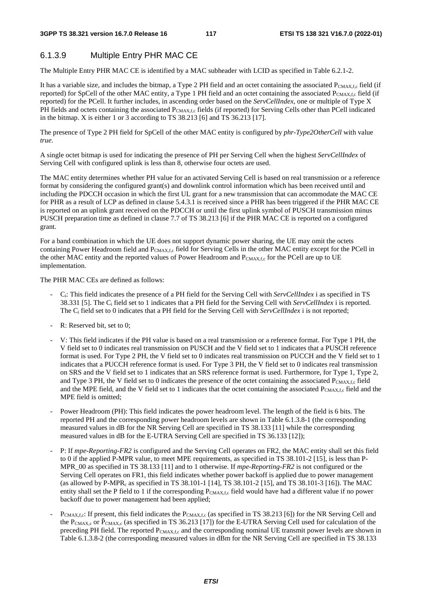## 6.1.3.9 Multiple Entry PHR MAC CE

The Multiple Entry PHR MAC CE is identified by a MAC subheader with LCID as specified in Table 6.2.1-2.

It has a variable size, and includes the bitmap, a Type 2 PH field and an octet containing the associated  $P_{CMAX,f,c}$  field (if reported) for SpCell of the other MAC entity, a Type 1 PH field and an octet containing the associated  $P_{CMAX,fc}$  field (if reported) for the PCell. It further includes, in ascending order based on the *ServCellIndex*, one or multiple of Type X PH fields and octets containing the associated PCMAX,f,c fields (if reported) for Serving Cells other than PCell indicated in the bitmap. X is either 1 or 3 according to TS 38.213 [6] and TS 36.213 [17].

The presence of Type 2 PH field for SpCell of the other MAC entity is configured by *phr-Type2OtherCell* with value *true*.

A single octet bitmap is used for indicating the presence of PH per Serving Cell when the highest *ServCellIndex* of Serving Cell with configured uplink is less than 8, otherwise four octets are used.

The MAC entity determines whether PH value for an activated Serving Cell is based on real transmission or a reference format by considering the configured grant(s) and downlink control information which has been received until and including the PDCCH occasion in which the first UL grant for a new transmission that can accommodate the MAC CE for PHR as a result of LCP as defined in clause 5.4.3.1 is received since a PHR has been triggered if the PHR MAC CE is reported on an uplink grant received on the PDCCH or until the first uplink symbol of PUSCH transmission minus PUSCH preparation time as defined in clause 7.7 of TS 38.213 [6] if the PHR MAC CE is reported on a configured grant.

For a band combination in which the UE does not support dynamic power sharing, the UE may omit the octets containing Power Headroom field and PCMAX,f,c field for Serving Cells in the other MAC entity except for the PCell in the other MAC entity and the reported values of Power Headroom and PCMAX,f,c for the PCell are up to UE implementation.

The PHR MAC CEs are defined as follows:

- Ci: This field indicates the presence of a PH field for the Serving Cell with *ServCellIndex* i as specified in TS 38.331 [5]. The Ci field set to 1 indicates that a PH field for the Serving Cell with *ServCellIndex* i is reported. The Ci field set to 0 indicates that a PH field for the Serving Cell with *ServCellIndex* i is not reported;
- R: Reserved bit, set to 0;
- V: This field indicates if the PH value is based on a real transmission or a reference format. For Type 1 PH, the V field set to 0 indicates real transmission on PUSCH and the V field set to 1 indicates that a PUSCH reference format is used. For Type 2 PH, the V field set to 0 indicates real transmission on PUCCH and the V field set to 1 indicates that a PUCCH reference format is used. For Type 3 PH, the V field set to 0 indicates real transmission on SRS and the V field set to 1 indicates that an SRS reference format is used. Furthermore, for Type 1, Type 2, and Type 3 PH, the V field set to 0 indicates the presence of the octet containing the associated  $P_{\text{CMAX},f,c}$  field and the MPE field, and the V field set to 1 indicates that the octet containing the associated PCMAX,f,c field and the MPE field is omitted;
- Power Headroom (PH): This field indicates the power headroom level. The length of the field is 6 bits. The reported PH and the corresponding power headroom levels are shown in Table 6.1.3.8-1 (the corresponding measured values in dB for the NR Serving Cell are specified in TS 38.133 [11] while the corresponding measured values in dB for the E-UTRA Serving Cell are specified in TS 36.133 [12]);
- P: If *mpe-Reporting-FR2* is configured and the Serving Cell operates on FR2, the MAC entity shall set this field to 0 if the applied P-MPR value, to meet MPE requirements, as specified in TS 38.101-2 [15], is less than P-MPR\_00 as specified in TS 38.133 [11] and to 1 otherwise. If *mpe-Reporting-FR2* is not configured or the Serving Cell operates on FR1, this field indicates whether power backoff is applied due to power management (as allowed by P-MPR<sub>c</sub> as specified in TS 38.101-1 [14], TS 38.101-2 [15], and TS 38.101-3 [16]). The MAC entity shall set the P field to 1 if the corresponding  $P_{CMAX,f,c}$  field would have had a different value if no power backoff due to power management had been applied;
- $P_{CMAX,f,c}$ : If present, this field indicates the  $P_{CMAX,f,c}$  (as specified in TS 38.213 [6]) for the NR Serving Cell and the  $P_{\text{CMAX},c}$  or  $\hat{P}_{\text{CMAX},c}$  (as specified in TS 36.213 [17]) for the E-UTRA Serving Cell used for calculation of the preceding PH field. The reported P<sub>CMAX,f,c</sub> and the corresponding nominal UE transmit power levels are shown in Table 6.1.3.8-2 (the corresponding measured values in dBm for the NR Serving Cell are specified in TS 38.133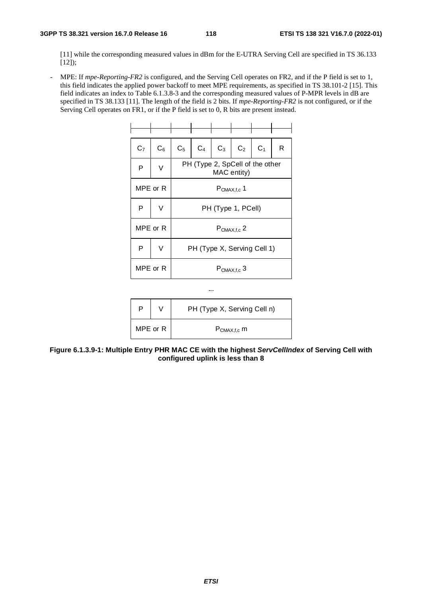[11] while the corresponding measured values in dBm for the E-UTRA Serving Cell are specified in TS 36.133  $[12]$ ;

- MPE: If *mpe-Reporting-FR2* is configured, and the Serving Cell operates on FR2, and if the P field is set to 1, this field indicates the applied power backoff to meet MPE requirements, as specified in TS 38.101-2 [15]. This field indicates an index to Table 6.1.3.8-3 and the corresponding measured values of P-MPR levels in dB are specified in TS 38.133 [11]. The length of the field is 2 bits. If *mpe-Reporting-FR2* is not configured, or if the Serving Cell operates on FR1, or if the P field is set to 0, R bits are present instead.

| C <sub>7</sub> | $C_6$    | $C_5$                       | $C_4$                                          | $C_3$ | C <sub>2</sub> | C <sub>1</sub> | R |  |
|----------------|----------|-----------------------------|------------------------------------------------|-------|----------------|----------------|---|--|
| P              | $\vee$   |                             | PH (Type 2, SpCell of the other<br>MAC entity) |       |                |                |   |  |
|                | MPE or R | $P_{CMAX,f,c}$ 1            |                                                |       |                |                |   |  |
| P              | V        | PH (Type 1, PCell)          |                                                |       |                |                |   |  |
|                | MPE or R | $P_{CMAX,f,c}$ 2            |                                                |       |                |                |   |  |
| P              | V        | PH (Type X, Serving Cell 1) |                                                |       |                |                |   |  |
|                | MPE or R | $P_{CMAX,f,c}$ 3            |                                                |       |                |                |   |  |

|          | PH (Type X, Serving Cell n) |
|----------|-----------------------------|
| MPE or R | $P_{CMAX,f,c}$ m            |

...

**Figure 6.1.3.9-1: Multiple Entry PHR MAC CE with the highest** *ServCellIndex* **of Serving Cell with configured uplink is less than 8**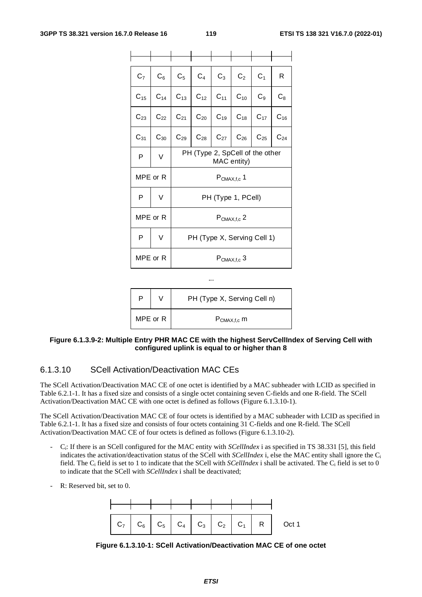| C <sub>7</sub> | $C_6$    | $C_5$                                          | $C_4$ | $C_3$                      | C <sub>2</sub> | C <sub>1</sub> | R        |  |
|----------------|----------|------------------------------------------------|-------|----------------------------|----------------|----------------|----------|--|
| $C_{15}$       | $C_{14}$ |                                                |       | $C_{13}$ $C_{12}$ $C_{11}$ | $C_{10}$       | $C_9$          | $C_8$    |  |
| $C_{23}$       | $C_{22}$ | $C_{21}$                                       |       | $C_{20}$ $C_{19}$ $C_{18}$ |                | $C_{17}$       | $C_{16}$ |  |
| $C_{31}$       | $C_{30}$ | $C_{29}$                                       |       | $C_{28}$ $C_{27}$ $C_{26}$ |                | $C_{25}$       | $C_{24}$ |  |
| P              | V        | PH (Type 2, SpCell of the other<br>MAC entity) |       |                            |                |                |          |  |
|                | MPE or R |                                                |       | $P_{CMAX,f,c}$ 1           |                |                |          |  |
| P              | V        | PH (Type 1, PCell)                             |       |                            |                |                |          |  |
|                | MPE or R | $P_{CMAX,f,c}$ 2                               |       |                            |                |                |          |  |
| P              | V        | PH (Type X, Serving Cell 1)                    |       |                            |                |                |          |  |
|                | MPE or R | $P_{CMAX,f,c}$ 3                               |       |                            |                |                |          |  |

|          |  | PH (Type X, Serving Cell n) |
|----------|--|-----------------------------|
| MPE or R |  | $P_{CMAX,f,c}$ m            |

#### **Figure 6.1.3.9-2: Multiple Entry PHR MAC CE with the highest ServCellIndex of Serving Cell with configured uplink is equal to or higher than 8**

## 6.1.3.10 SCell Activation/Deactivation MAC CEs

The SCell Activation/Deactivation MAC CE of one octet is identified by a MAC subheader with LCID as specified in Table 6.2.1-1. It has a fixed size and consists of a single octet containing seven C-fields and one R-field. The SCell Activation/Deactivation MAC CE with one octet is defined as follows (Figure 6.1.3.10-1).

The SCell Activation/Deactivation MAC CE of four octets is identified by a MAC subheader with LCID as specified in Table 6.2.1-1. It has a fixed size and consists of four octets containing 31 C-fields and one R-field. The SCell Activation/Deactivation MAC CE of four octets is defined as follows (Figure 6.1.3.10-2).

- Ci: If there is an SCell configured for the MAC entity with *SCellIndex* i as specified in TS 38.331 [5], this field indicates the activation/deactivation status of the SCell with *SCellIndex* i, else the MAC entity shall ignore the Ci field. The Ci field is set to 1 to indicate that the SCell with *SCellIndex* i shall be activated. The Ci field is set to 0 to indicate that the SCell with *SCellIndex* i shall be deactivated;
- R: Reserved bit, set to 0.



**Figure 6.1.3.10-1: SCell Activation/Deactivation MAC CE of one octet**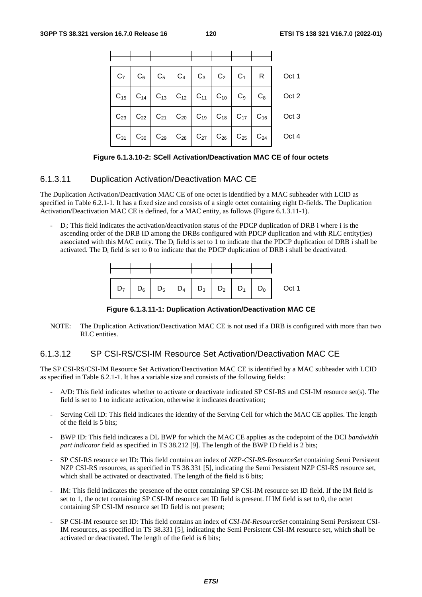|  |  |  |  | $C_7$ $C_6$ $C_5$ $C_4$ $C_3$ $C_2$ $C_1$ $R$ $C_1$                                                |
|--|--|--|--|----------------------------------------------------------------------------------------------------|
|  |  |  |  | $C_{15}$ $C_{14}$ $C_{13}$ $C_{12}$ $C_{11}$ $C_{10}$ $C_{9}$ $C_{8}$ $C_{8}$ $C_{12}$             |
|  |  |  |  | $C_{23}$ $C_{22}$ $C_{21}$ $C_{20}$ $C_{19}$ $C_{18}$ $C_{17}$ $C_{16}$ $C_{17}$ $C_{18}$ $C_{19}$ |
|  |  |  |  | $C_{31}$ $C_{30}$ $C_{29}$ $C_{28}$ $C_{27}$ $C_{26}$ $C_{25}$ $C_{24}$ $C_{24}$ $C_{25}$          |

**Figure 6.1.3.10-2: SCell Activation/Deactivation MAC CE of four octets** 

## 6.1.3.11 Duplication Activation/Deactivation MAC CE

The Duplication Activation/Deactivation MAC CE of one octet is identified by a MAC subheader with LCID as specified in Table 6.2.1-1. It has a fixed size and consists of a single octet containing eight D-fields. The Duplication Activation/Deactivation MAC CE is defined, for a MAC entity, as follows (Figure 6.1.3.11-1).

D<sub>i</sub>: This field indicates the activation/deactivation status of the PDCP duplication of DRB i where i is the ascending order of the DRB ID among the DRBs configured with PDCP duplication and with RLC entity(ies) associated with this MAC entity. The  $D_i$  field is set to 1 to indicate that the PDCP duplication of DRB i shall be activated. The  $D_i$  field is set to 0 to indicate that the PDCP duplication of DRB i shall be deactivated.



**Figure 6.1.3.11-1: Duplication Activation/Deactivation MAC CE** 

NOTE: The Duplication Activation/Deactivation MAC CE is not used if a DRB is configured with more than two RLC entities.

## 6.1.3.12 SP CSI-RS/CSI-IM Resource Set Activation/Deactivation MAC CE

The SP CSI-RS/CSI-IM Resource Set Activation/Deactivation MAC CE is identified by a MAC subheader with LCID as specified in Table 6.2.1-1. It has a variable size and consists of the following fields:

- A/D: This field indicates whether to activate or deactivate indicated SP CSI-RS and CSI-IM resource set(s). The field is set to 1 to indicate activation, otherwise it indicates deactivation;
- Serving Cell ID: This field indicates the identity of the Serving Cell for which the MAC CE applies. The length of the field is 5 bits;
- BWP ID: This field indicates a DL BWP for which the MAC CE applies as the codepoint of the DCI *bandwidth part indicator* field as specified in TS 38.212 [9]. The length of the BWP ID field is 2 bits;
- SP CSI-RS resource set ID: This field contains an index of *NZP-CSI-RS-ResourceSet* containing Semi Persistent NZP CSI-RS resources, as specified in TS 38.331 [5], indicating the Semi Persistent NZP CSI-RS resource set, which shall be activated or deactivated. The length of the field is 6 bits;
- IM: This field indicates the presence of the octet containing SP CSI-IM resource set ID field. If the IM field is set to 1, the octet containing SP CSI-IM resource set ID field is present. If IM field is set to 0, the octet containing SP CSI-IM resource set ID field is not present;
- SP CSI-IM resource set ID: This field contains an index of *CSI-IM-ResourceSet* containing Semi Persistent CSI-IM resources, as specified in TS 38.331 [5], indicating the Semi Persistent CSI-IM resource set, which shall be activated or deactivated. The length of the field is 6 bits;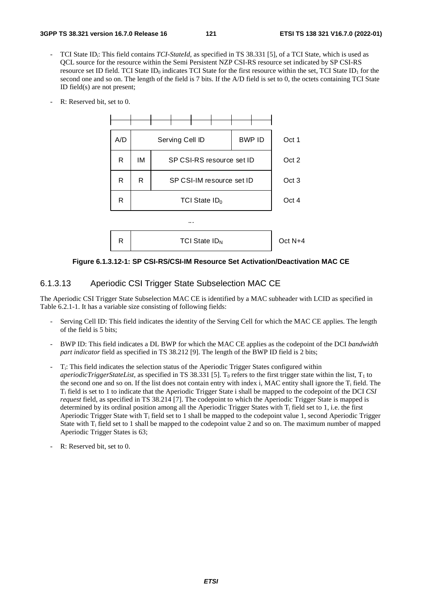- TCI State ID<sub>i</sub>: This field contains *TCI-StateId*, as specified in TS 38.331 [5], of a TCI State, which is used as QCL source for the resource within the Semi Persistent NZP CSI-RS resource set indicated by SP CSI-RS resource set ID field. TCI State ID<sub>0</sub> indicates TCI State for the first resource within the set, TCI State ID<sub>1</sub> for the second one and so on. The length of the field is 7 bits. If the A/D field is set to 0, the octets containing TCI State ID field(s) are not present;
- R: Reserved bit, set to 0.



**Figure 6.1.3.12-1: SP CSI-RS/CSI-IM Resource Set Activation/Deactivation MAC CE** 

### 6.1.3.13 Aperiodic CSI Trigger State Subselection MAC CE

The Aperiodic CSI Trigger State Subselection MAC CE is identified by a MAC subheader with LCID as specified in Table 6.2.1-1. It has a variable size consisting of following fields:

- Serving Cell ID: This field indicates the identity of the Serving Cell for which the MAC CE applies. The length of the field is 5 bits;
- BWP ID: This field indicates a DL BWP for which the MAC CE applies as the codepoint of the DCI *bandwidth part indicator* field as specified in TS 38.212 [9]. The length of the BWP ID field is 2 bits;
- Ti: This field indicates the selection status of the Aperiodic Trigger States configured within *aperiodicTriggerStateList*, as specified in TS 38.331 [5]. T<sub>0</sub> refers to the first trigger state within the list,  $T_1$  to the second one and so on. If the list does not contain entry with index i, MAC entity shall ignore the  $T_i$  field. The Ti field is set to 1 to indicate that the Aperiodic Trigger State i shall be mapped to the codepoint of the DCI *CSI request* field, as specified in TS 38.214 [7]. The codepoint to which the Aperiodic Trigger State is mapped is determined by its ordinal position among all the Aperiodic Trigger States with  $T_i$  field set to 1, i.e. the first Aperiodic Trigger State with Ti field set to 1 shall be mapped to the codepoint value 1, second Aperiodic Trigger State with Ti field set to 1 shall be mapped to the codepoint value 2 and so on. The maximum number of mapped Aperiodic Trigger States is 63;
- R: Reserved bit, set to 0.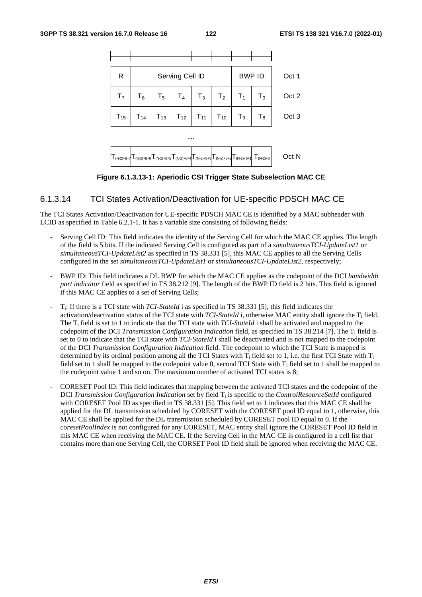

**Figure 6.1.3.13-1: Aperiodic CSI Trigger State Subselection MAC CE** 

### 6.1.3.14 TCI States Activation/Deactivation for UE-specific PDSCH MAC CE

The TCI States Activation/Deactivation for UE-specific PDSCH MAC CE is identified by a MAC subheader with LCID as specified in Table 6.2.1-1. It has a variable size consisting of following fields:

- Serving Cell ID: This field indicates the identity of the Serving Cell for which the MAC CE applies. The length of the field is 5 bits. If the indicated Serving Cell is configured as part of a *simultaneousTCI-UpdateList1* or *simultaneousTCI-UpdateList2* as specified in TS 38.331 [5], this MAC CE applies to all the Serving Cells configured in the set *simultaneousTCI-UpdateList1* or *simultaneousTCI-UpdateList2*, respectively;
- BWP ID: This field indicates a DL BWP for which the MAC CE applies as the codepoint of the DCI *bandwidth part indicator* field as specified in TS 38.212 [9]. The length of the BWP ID field is 2 bits. This field is ignored if this MAC CE applies to a set of Serving Cells;
- Ti: If there is a TCI state with *TCI-StateId* i as specified in TS 38.331 [5], this field indicates the activation/deactivation status of the TCI state with *TCI-StateId* i, otherwise MAC entity shall ignore the T<sub>i</sub> field. The Ti field is set to 1 to indicate that the TCI state with *TCI-StateId* i shall be activated and mapped to the codepoint of the DCI *Transmission Configuration Indication* field, as specified in TS 38.214 [7]. The Ti field is set to 0 to indicate that the TCI state with *TCI-StateId* i shall be deactivated and is not mapped to the codepoint of the DCI *Transmission Configuration Indication* field. The codepoint to which the TCI State is mapped is determined by its ordinal position among all the TCI States with  $T_i$  field set to 1, i.e. the first TCI State with  $T_i$ field set to 1 shall be mapped to the codepoint value 0, second TCI State with  $T_i$  field set to 1 shall be mapped to the codepoint value 1 and so on. The maximum number of activated TCI states is 8;
- CORESET Pool ID: This field indicates that mapping between the activated TCI states and the codepoint of the DCI *Transmission Configuration Indication* set by field Ti is specific to the *ControlResourceSetId* configured with CORESET Pool ID as specified in TS 38.331 [5]. This field set to 1 indicates that this MAC CE shall be applied for the DL transmission scheduled by CORESET with the CORESET pool ID equal to 1, otherwise, this MAC CE shall be applied for the DL transmission scheduled by CORESET pool ID equal to 0. If the *coresetPoolIndex* is not configured for any CORESET, MAC entity shall ignore the CORESET Pool ID field in this MAC CE when receiving the MAC CE. If the Serving Cell in the MAC CE is configured in a cell list that contains more than one Serving Cell, the CORSET Pool ID field shall be ignored when receiving the MAC CE.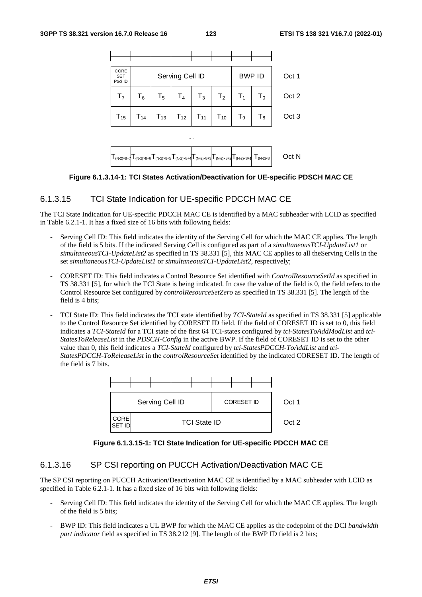

**Figure 6.1.3.14-1: TCI States Activation/Deactivation for UE-specific PDSCH MAC CE** 

## 6.1.3.15 TCI State Indication for UE-specific PDCCH MAC CE

The TCI State Indication for UE-specific PDCCH MAC CE is identified by a MAC subheader with LCID as specified in Table 6.2.1-1. It has a fixed size of 16 bits with following fields:

- Serving Cell ID: This field indicates the identity of the Serving Cell for which the MAC CE applies. The length of the field is 5 bits. If the indicated Serving Cell is configured as part of a *simultaneousTCI-UpdateList1* or *simultaneousTCI-UpdateList2* as specified in TS 38.331 [5], this MAC CE applies to all theServing Cells in the set *simultaneousTCI-UpdateList1* or *simultaneousTCI-UpdateList2*, respectively;
- CORESET ID: This field indicates a Control Resource Set identified with *ControlResourceSetId* as specified in TS 38.331 [5], for which the TCI State is being indicated. In case the value of the field is 0, the field refers to the Control Resource Set configured by *controlResourceSetZero* as specified in TS 38.331 [5]. The length of the field is 4 bits;
- TCI State ID: This field indicates the TCI state identified by *TCI-StateId* as specified in TS 38.331 [5] applicable to the Control Resource Set identified by CORESET ID field. If the field of CORESET ID is set to 0, this field indicates a *TCI-StateId* for a TCI state of the first 64 TCI-states configured by *tci-StatesToAddModList* and *tci-StatesToReleaseList* in the *PDSCH-Config* in the active BWP. If the field of CORESET ID is set to the other value than 0, this field indicates a *TCI-StateId* configured by *tci-StatesPDCCH-ToAddList* and *tci-StatesPDCCH-ToReleaseList* in the *controlResourceSet* identified by the indicated CORESET ID. The length of the field is 7 bits.



**Figure 6.1.3.15-1: TCI State Indication for UE-specific PDCCH MAC CE** 

## 6.1.3.16 SP CSI reporting on PUCCH Activation/Deactivation MAC CE

The SP CSI reporting on PUCCH Activation/Deactivation MAC CE is identified by a MAC subheader with LCID as specified in Table 6.2.1-1. It has a fixed size of 16 bits with following fields:

- Serving Cell ID: This field indicates the identity of the Serving Cell for which the MAC CE applies. The length of the field is 5 bits;
- BWP ID: This field indicates a UL BWP for which the MAC CE applies as the codepoint of the DCI *bandwidth part indicator* field as specified in TS 38.212 [9]. The length of the BWP ID field is 2 bits;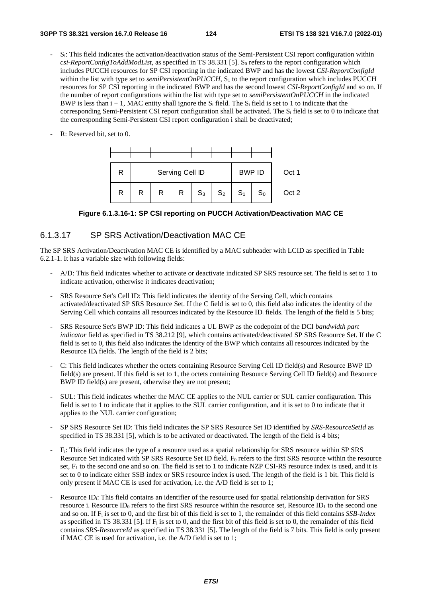- S<sub>i</sub>: This field indicates the activation/deactivation status of the Semi-Persistent CSI report configuration within  $csi\text{-}ReportConfigToAddModList$ , as specified in TS 38.331 [5]. S<sub>0</sub> refers to the report configuration which includes PUCCH resources for SP CSI reporting in the indicated BWP and has the lowest *CSI-ReportConfigId* within the list with type set to *semiPersistentOnPUCCH*, S<sub>1</sub> to the report configuration which includes PUCCH resources for SP CSI reporting in the indicated BWP and has the second lowest *CSI-ReportConfigId* and so on. If the number of report configurations within the list with type set to *semiPersistentOnPUCCH* in the indicated BWP is less than  $i + 1$ , MAC entity shall ignore the S<sub>i</sub> field. The S<sub>i</sub> field is set to 1 to indicate that the corresponding Semi-Persistent CSI report configuration shall be activated. The  $S_i$  field is set to 0 to indicate that the corresponding Semi-Persistent CSI report configuration i shall be deactivated;
- R: Reserved bit, set to 0.



#### **Figure 6.1.3.16-1: SP CSI reporting on PUCCH Activation/Deactivation MAC CE**

#### 6.1.3.17 SP SRS Activation/Deactivation MAC CE

The SP SRS Activation/Deactivation MAC CE is identified by a MAC subheader with LCID as specified in Table 6.2.1-1. It has a variable size with following fields:

- A/D: This field indicates whether to activate or deactivate indicated SP SRS resource set. The field is set to 1 to indicate activation, otherwise it indicates deactivation;
- SRS Resource Set's Cell ID: This field indicates the identity of the Serving Cell, which contains activated/deactivated SP SRS Resource Set. If the C field is set to 0, this field also indicates the identity of the Serving Cell which contains all resources indicated by the Resource  $ID_i$  fields. The length of the field is 5 bits;
- SRS Resource Set's BWP ID: This field indicates a UL BWP as the codepoint of the DCI *bandwidth part indicator* field as specified in TS 38.212 [9], which contains activated/deactivated SP SRS Resource Set. If the C field is set to 0, this field also indicates the identity of the BWP which contains all resources indicated by the Resource ID<sub>i</sub> fields. The length of the field is 2 bits;
- C: This field indicates whether the octets containing Resource Serving Cell ID field(s) and Resource BWP ID field(s) are present. If this field is set to 1, the octets containing Resource Serving Cell ID field(s) and Resource BWP ID field(s) are present, otherwise they are not present;
- SUL: This field indicates whether the MAC CE applies to the NUL carrier or SUL carrier configuration. This field is set to 1 to indicate that it applies to the SUL carrier configuration, and it is set to 0 to indicate that it applies to the NUL carrier configuration;
- SP SRS Resource Set ID: This field indicates the SP SRS Resource Set ID identified by *SRS-ResourceSetId* as specified in TS 38.331 [5], which is to be activated or deactivated. The length of the field is 4 bits;
- Fi: This field indicates the type of a resource used as a spatial relationship for SRS resource within SP SRS Resource Set indicated with SP SRS Resource Set ID field. F<sub>0</sub> refers to the first SRS resource within the resource set, F<sub>1</sub> to the second one and so on. The field is set to 1 to indicate NZP CSI-RS resource index is used, and it is set to 0 to indicate either SSB index or SRS resource index is used. The length of the field is 1 bit. This field is only present if MAC CE is used for activation, i.e. the A/D field is set to 1;
- Resource ID<sub>i</sub>: This field contains an identifier of the resource used for spatial relationship derivation for SRS resource i. Resource ID<sub>0</sub> refers to the first SRS resource within the resource set, Resource ID<sub>1</sub> to the second one and so on. If Fi is set to 0, and the first bit of this field is set to 1, the remainder of this field contains *SSB-Index* as specified in TS 38.331 [5]. If  $F_i$  is set to 0, and the first bit of this field is set to 0, the remainder of this field contains *SRS-ResourceId* as specified in TS 38.331 [5]. The length of the field is 7 bits. This field is only present if MAC CE is used for activation, i.e. the A/D field is set to 1;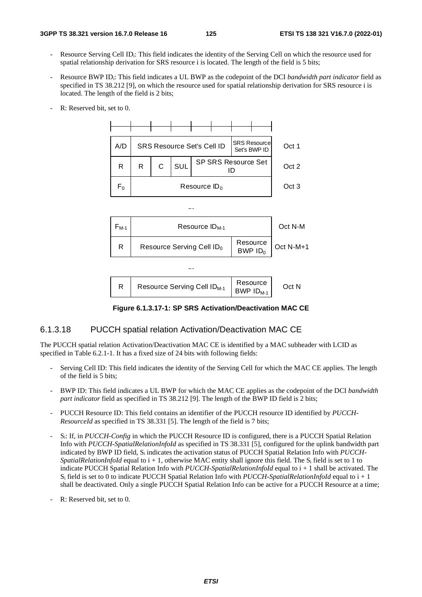- Resource Serving Cell ID<sub>i</sub>: This field indicates the identity of the Serving Cell on which the resource used for spatial relationship derivation for SRS resource i is located. The length of the field is 5 bits;
- Resource BWP IDi: This field indicates a UL BWP as the codepoint of the DCI *bandwidth part indicator* field as specified in TS 38.212 [9], on which the resource used for spatial relationship derivation for SRS resource i is located. The length of the field is 2 bits;
- R: Reserved bit, set to 0.



**Figure 6.1.3.17-1: SP SRS Activation/Deactivation MAC CE** 

### 6.1.3.18 PUCCH spatial relation Activation/Deactivation MAC CE

The PUCCH spatial relation Activation/Deactivation MAC CE is identified by a MAC subheader with LCID as specified in Table 6.2.1-1. It has a fixed size of 24 bits with following fields:

- Serving Cell ID: This field indicates the identity of the Serving Cell for which the MAC CE applies. The length of the field is 5 bits;
- BWP ID: This field indicates a UL BWP for which the MAC CE applies as the codepoint of the DCI *bandwidth part indicator* field as specified in TS 38.212 [9]. The length of the BWP ID field is 2 bits;
- PUCCH Resource ID: This field contains an identifier of the PUCCH resource ID identified by *PUCCH-ResourceId* as specified in TS 38.331 [5]. The length of the field is 7 bits;
- Si: If, in *PUCCH-Config* in which the PUCCH Resource ID is configured, there is a PUCCH Spatial Relation Info with *PUCCH-SpatialRelationInfoId* as specified in TS 38.331 [5], configured for the uplink bandwidth part indicated by BWP ID field, Si indicates the activation status of PUCCH Spatial Relation Info with *PUCCH-SpatialRelationInfoId* equal to  $i + 1$ , otherwise MAC entity shall ignore this field. The  $S_i$  field is set to 1 to indicate PUCCH Spatial Relation Info with *PUCCH-SpatialRelationInfoId* equal to i + 1 shall be activated. The Si field is set to 0 to indicate PUCCH Spatial Relation Info with *PUCCH-SpatialRelationInfoId* equal to i + 1 shall be deactivated. Only a single PUCCH Spatial Relation Info can be active for a PUCCH Resource at a time;
- R: Reserved bit, set to 0.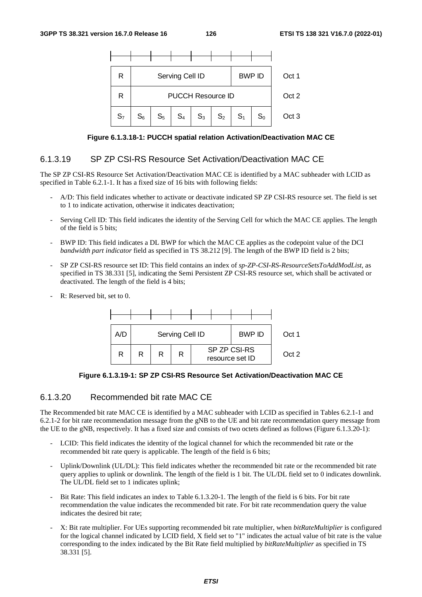

**Figure 6.1.3.18-1: PUCCH spatial relation Activation/Deactivation MAC CE** 

#### 6.1.3.19 SP ZP CSI-RS Resource Set Activation/Deactivation MAC CE

The SP ZP CSI-RS Resource Set Activation/Deactivation MAC CE is identified by a MAC subheader with LCID as specified in Table 6.2.1-1. It has a fixed size of 16 bits with following fields:

- A/D: This field indicates whether to activate or deactivate indicated SP ZP CSI-RS resource set. The field is set to 1 to indicate activation, otherwise it indicates deactivation;
- Serving Cell ID: This field indicates the identity of the Serving Cell for which the MAC CE applies. The length of the field is 5 bits;
- BWP ID: This field indicates a DL BWP for which the MAC CE applies as the codepoint value of the DCI *bandwidth part indicator* field as specified in TS 38.212 [9]. The length of the BWP ID field is 2 bits;
- SP ZP CSI-RS resource set ID: This field contains an index of *sp-ZP-CSI-RS-ResourceSetsToAddModList*, as specified in TS 38.331 [5], indicating the Semi Persistent ZP CSI-RS resource set, which shall be activated or deactivated. The length of the field is 4 bits;
- R: Reserved bit, set to 0.



**Figure 6.1.3.19-1: SP ZP CSI-RS Resource Set Activation/Deactivation MAC CE** 

### 6.1.3.20 Recommended bit rate MAC CE

The Recommended bit rate MAC CE is identified by a MAC subheader with LCID as specified in Tables 6.2.1-1 and 6.2.1-2 for bit rate recommendation message from the gNB to the UE and bit rate recommendation query message from the UE to the gNB, respectively. It has a fixed size and consists of two octets defined as follows (Figure 6.1.3.20-1):

- LCID: This field indicates the identity of the logical channel for which the recommended bit rate or the recommended bit rate query is applicable. The length of the field is 6 bits;
- Uplink/Downlink (UL/DL): This field indicates whether the recommended bit rate or the recommended bit rate query applies to uplink or downlink. The length of the field is 1 bit. The UL/DL field set to 0 indicates downlink. The UL/DL field set to 1 indicates uplink;
- Bit Rate: This field indicates an index to Table 6.1.3.20-1. The length of the field is 6 bits. For bit rate recommendation the value indicates the recommended bit rate. For bit rate recommendation query the value indicates the desired bit rate;
- X: Bit rate multiplier. For UEs supporting recommended bit rate multiplier, when *bitRateMultiplier* is configured for the logical channel indicated by LCID field, X field set to "1" indicates the actual value of bit rate is the value corresponding to the index indicated by the Bit Rate field multiplied by *bitRateMultiplier* as specified in TS 38.331 [5].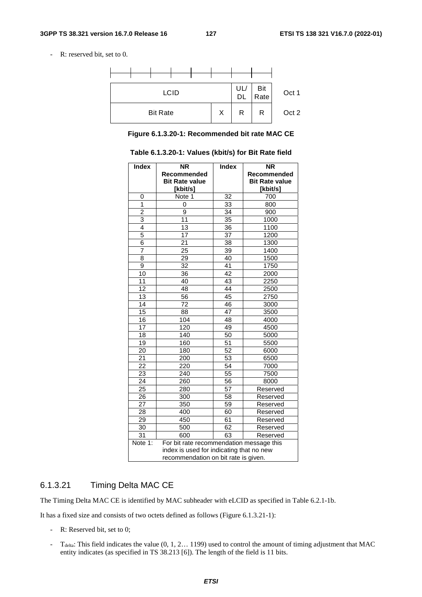- R: reserved bit, set to 0.



**Figure 6.1.3.20-1: Recommended bit rate MAC CE** 

| <b>Index</b>                         | <b>NR</b>                                | <b>Index</b>    | <b>NR</b>             |  |  |  |  |
|--------------------------------------|------------------------------------------|-----------------|-----------------------|--|--|--|--|
|                                      | Recommended                              |                 | Recommended           |  |  |  |  |
|                                      | <b>Bit Rate value</b>                    |                 | <b>Bit Rate value</b> |  |  |  |  |
| 0                                    | [kbit/s]                                 | 32              | [kbit/s]<br>700       |  |  |  |  |
| 1                                    | Note 1<br>$\Omega$                       | $\overline{33}$ | 800                   |  |  |  |  |
| 2                                    | 9                                        | 34              | 900                   |  |  |  |  |
| 3                                    | 11                                       | $\overline{35}$ | 1000                  |  |  |  |  |
| 4                                    | 13                                       | 36              | 1100                  |  |  |  |  |
| $\overline{5}$                       | 17                                       | 37              | 1200                  |  |  |  |  |
| 6                                    |                                          |                 |                       |  |  |  |  |
| $\overline{7}$                       | 21                                       | 38              | 1300                  |  |  |  |  |
|                                      | 25                                       | 39              | 1400                  |  |  |  |  |
| 8                                    | 29                                       | 40              | 1500                  |  |  |  |  |
| 9                                    | 32                                       | 41              | 1750                  |  |  |  |  |
| 10                                   | 36                                       | 42              | 2000                  |  |  |  |  |
| $\overline{11}$                      | 40                                       | $\overline{43}$ | 2250                  |  |  |  |  |
| 12                                   | 48                                       | 44              | 2500                  |  |  |  |  |
| 13                                   | 56                                       | 45              | 2750                  |  |  |  |  |
| 14                                   | 72                                       | 46              | 3000                  |  |  |  |  |
| 15                                   | 88                                       | 47              | 3500                  |  |  |  |  |
| 16                                   | 104                                      | 48              | 4000                  |  |  |  |  |
| 17                                   | 120                                      | 49              | 4500                  |  |  |  |  |
| $\overline{18}$                      | 140                                      | 50              | 5000                  |  |  |  |  |
| 19                                   | 160                                      | 51              | 5500                  |  |  |  |  |
| $\overline{20}$                      | 180                                      | $\overline{52}$ | 6000                  |  |  |  |  |
| 21                                   | 200                                      | 53              | 6500                  |  |  |  |  |
| 22                                   | 220                                      | 54              | 7000                  |  |  |  |  |
| $\overline{23}$                      | 240                                      | $\overline{55}$ | 7500                  |  |  |  |  |
| 24                                   | 260                                      | 56              | 8000                  |  |  |  |  |
| 25                                   | 280                                      | 57              | Reserved              |  |  |  |  |
| 26                                   | 300                                      | 58              | Reserved              |  |  |  |  |
| 27                                   | 350                                      | 59              | Reserved              |  |  |  |  |
| 28                                   | 400                                      | 60              | Reserved              |  |  |  |  |
| 29                                   | 450                                      | 61              | Reserved              |  |  |  |  |
| 30                                   | 500                                      | 62              | Reserved              |  |  |  |  |
| 31                                   | 600                                      | 63              | Reserved              |  |  |  |  |
| Note 1:                              | For bit rate recommendation message this |                 |                       |  |  |  |  |
|                                      | index is used for indicating that no new |                 |                       |  |  |  |  |
| recommendation on bit rate is given. |                                          |                 |                       |  |  |  |  |

**Table 6.1.3.20-1: Values (kbit/s) for Bit Rate field** 

## 6.1.3.21 Timing Delta MAC CE

The Timing Delta MAC CE is identified by MAC subheader with eLCID as specified in Table 6.2.1-1b.

It has a fixed size and consists of two octets defined as follows (Figure 6.1.3.21-1):

- R: Reserved bit, set to 0;
- T<sub>delta</sub>: This field indicates the value  $(0, 1, 2... 1199)$  used to control the amount of timing adjustment that MAC entity indicates (as specified in TS 38.213 [6]). The length of the field is 11 bits.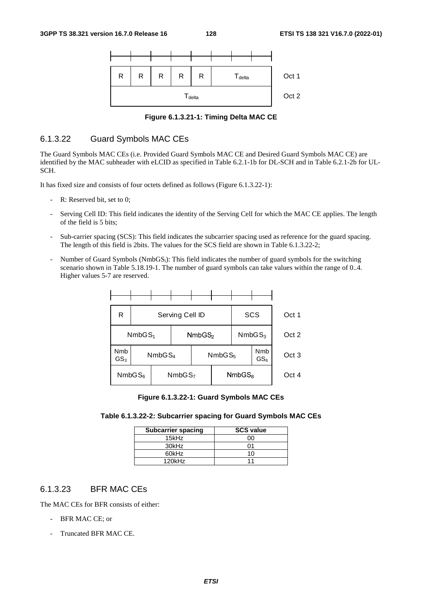

**Figure 6.1.3.21-1: Timing Delta MAC CE** 

## 6.1.3.22 Guard Symbols MAC CEs

The Guard Symbols MAC CEs (i.e. Provided Guard Symbols MAC CE and Desired Guard Symbols MAC CE) are identified by the MAC subheader with eLCID as specified in Table 6.2.1-1b for DL-SCH and in Table 6.2.1-2b for UL-SCH.

It has fixed size and consists of four octets defined as follows (Figure 6.1.3.22-1):

- R: Reserved bit, set to 0;
- Serving Cell ID: This field indicates the identity of the Serving Cell for which the MAC CE applies. The length of the field is 5 bits;
- Sub-carrier spacing (SCS): This field indicates the subcarrier spacing used as reference for the guard spacing. The length of this field is 2bits. The values for the SCS field are shown in Table 6.1.3.22-2;
- Number of Guard Symbols (NmbGS<sub>i</sub>): This field indicates the number of guard symbols for the switching scenario shown in Table 5.18.19-1. The number of guard symbols can take values within the range of 0..4. Higher values 5-7 are reserved.

| R                                        |                    | Serving Cell ID |  |                    |                    |  | SCS                           | Oct 1            |
|------------------------------------------|--------------------|-----------------|--|--------------------|--------------------|--|-------------------------------|------------------|
| NmbGS <sub>1</sub>                       |                    |                 |  | NmbGS <sub>2</sub> |                    |  | NmbGS <sub>3</sub>            | Oct 2            |
| Nmb<br>GS <sub>3</sub>                   | NmbGS <sub>4</sub> |                 |  |                    | NmbGS <sub>5</sub> |  | <b>Nmb</b><br>GS <sub>6</sub> | Oct <sub>3</sub> |
| NmbGS <sub>6</sub><br>NmbGS <sub>7</sub> |                    |                 |  |                    | NmbGS <sub>8</sub> |  | Oct 4                         |                  |

**Figure 6.1.3.22-1: Guard Symbols MAC CEs** 

| <b>Subcarrier spacing</b> | <b>SCS value</b> |  |  |  |
|---------------------------|------------------|--|--|--|
| 15kHz                     | იი               |  |  |  |
| 30kHz                     | ሰ1               |  |  |  |
| 60kHz                     | 10               |  |  |  |
| $120$ k $Hz$              | 11               |  |  |  |

# 6.1.3.23 BFR MAC CEs

The MAC CEs for BFR consists of either:

- BFR MAC CE; or
- Truncated BFR MAC CE.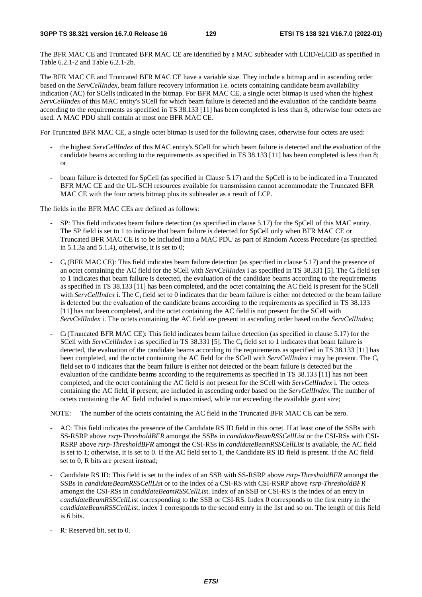The BFR MAC CE and Truncated BFR MAC CE are identified by a MAC subheader with LCID/eLCID as specified in Table 6.2.1-2 and Table 6.2.1-2b.

The BFR MAC CE and Truncated BFR MAC CE have a variable size. They include a bitmap and in ascending order based on the *ServCellIndex*, beam failure recovery information i.e. octets containing candidate beam availability indication (AC) for SCells indicated in the bitmap. For BFR MAC CE, a single octet bitmap is used when the highest *ServCellIndex* of this MAC entity's SCell for which beam failure is detected and the evaluation of the candidate beams according to the requirements as specified in TS 38.133 [11] has been completed is less than 8, otherwise four octets are used. A MAC PDU shall contain at most one BFR MAC CE.

For Truncated BFR MAC CE, a single octet bitmap is used for the following cases, otherwise four octets are used:

- the highest *ServCellIndex* of this MAC entity's SCell for which beam failure is detected and the evaluation of the candidate beams according to the requirements as specified in TS 38.133 [11] has been completed is less than 8; or
- beam failure is detected for SpCell (as specified in Clause 5.17) and the SpCell is to be indicated in a Truncated BFR MAC CE and the UL-SCH resources available for transmission cannot accommodate the Truncated BFR MAC CE with the four octets bitmap plus its subheader as a result of LCP.

The fields in the BFR MAC CEs are defined as follows:

- SP: This field indicates beam failure detection (as specified in clause 5.17) for the SpCell of this MAC entity. The SP field is set to 1 to indicate that beam failure is detected for SpCell only when BFR MAC CE or Truncated BFR MAC CE is to be included into a MAC PDU as part of Random Access Procedure (as specified in  $5.1.3a$  and  $5.1.4$ ), otherwise, it is set to 0;
- $C_i$  (BFR MAC CE): This field indicates beam failure detection (as specified in clause 5.17) and the presence of an octet containing the AC field for the SCell with *ServCellIndex* i as specified in TS 38.331 [5]. The Ci field set to 1 indicates that beam failure is detected, the evaluation of the candidate beams according to the requirements as specified in TS 38.133 [11] has been completed, and the octet containing the AC field is present for the SCell with *ServCellIndex* i. The C<sub>i</sub> field set to 0 indicates that the beam failure is either not detected or the beam failure is detected but the evaluation of the candidate beams according to the requirements as specified in TS 38.133 [11] has not been completed, and the octet containing the AC field is not present for the SCell with *ServCellIndex* i. The octets containing the AC field are present in ascending order based on the *ServCellIndex*;
- $C_i$  (Truncated BFR MAC CE): This field indicates beam failure detection (as specified in clause 5.17) for the SCell with *ServCellIndex* i as specified in TS 38.331 [5]. The Ci field set to 1 indicates that beam failure is detected, the evaluation of the candidate beams according to the requirements as specified in TS 38.133 [11] has been completed, and the octet containing the AC field for the SCell with *ServCellIndex* i may be present. The Ci field set to 0 indicates that the beam failure is either not detected or the beam failure is detected but the evaluation of the candidate beams according to the requirements as specified in TS 38.133 [11] has not been completed, and the octet containing the AC field is not present for the SCell with *ServCellIndex* i. The octets containing the AC field, if present, are included in ascending order based on the *ServCellIndex*. The number of octets containing the AC field included is maximised, while not exceeding the available grant size;

NOTE: The number of the octets containing the AC field in the Truncated BFR MAC CE can be zero.

- AC: This field indicates the presence of the Candidate RS ID field in this octet. If at least one of the SSBs with SS-RSRP above *rsrp-ThresholdBFR* amongst the SSBs in *candidateBeamRSSCellList* or the CSI-RSs with CSI-RSRP above *rsrp-ThresholdBFR* amongst the CSI-RSs in *candidateBeamRSSCellList* is available, the AC field is set to 1; otherwise, it is set to 0. If the AC field set to 1, the Candidate RS ID field is present. If the AC field set to 0, R bits are present instead;
- Candidate RS ID: This field is set to the index of an SSB with SS-RSRP above *rsrp-ThresholdBFR* amongst the SSBs in *candidateBeamRSSCellLis*t or to the index of a CSI-RS with CSI-RSRP above *rsrp-ThresholdBFR* amongst the CSI-RSs in *candidateBeamRSSCellLis*t. Index of an SSB or CSI-RS is the index of an entry in *candidateBeamRSSCellLis*t corresponding to the SSB or CSI-RS. Index 0 corresponds to the first entry in the *candidateBeamRSSCellLis*t, index 1 corresponds to the second entry in the list and so on*.* The length of this field is 6 bits.
- R: Reserved bit, set to 0.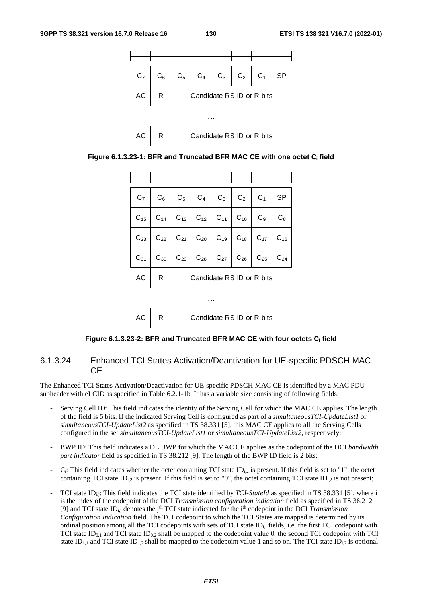



| $C_7$    |          |                           | $C_6$ $C_5$ $C_4$ $C_3$ $C_2$ $C_1$                                     |  |  |  | <b>SP</b>      |  |
|----------|----------|---------------------------|-------------------------------------------------------------------------|--|--|--|----------------|--|
|          |          |                           | $C_{15}$ $C_{14}$ $C_{13}$ $C_{12}$ $C_{11}$ $C_{10}$ $C_{9}$           |  |  |  | $\mathrm{C}_8$ |  |
|          |          |                           | $C_{23}$ $C_{22}$ $C_{21}$ $C_{20}$ $C_{19}$ $C_{18}$ $C_{17}$ $C_{16}$ |  |  |  |                |  |
| $C_{31}$ | $C_{30}$ |                           | $C_{29}$ $C_{28}$ $C_{27}$ $C_{26}$ $C_{25}$                            |  |  |  | $C_{24}$       |  |
| AC       | R        | Candidate RS ID or R bits |                                                                         |  |  |  |                |  |

$$
\begin{array}{|c|c|c|}\n\hline\n\text{AC} & R & \text{Candidate RS ID or R bits}\n\end{array}
$$

...

#### **Figure 6.1.3.23-2: BFR and Truncated BFR MAC CE with four octets Ci field**

## 6.1.3.24 Enhanced TCI States Activation/Deactivation for UE-specific PDSCH MAC CE

The Enhanced TCI States Activation/Deactivation for UE-specific PDSCH MAC CE is identified by a MAC PDU subheader with eLCID as specified in Table 6.2.1-1b. It has a variable size consisting of following fields:

- Serving Cell ID: This field indicates the identity of the Serving Cell for which the MAC CE applies. The length of the field is 5 bits. If the indicated Serving Cell is configured as part of a *simultaneousTCI-UpdateList1* or *simultaneousTCI-UpdateList2* as specified in TS 38.331 [5], this MAC CE applies to all the Serving Cells configured in the set *simultaneousTCI-UpdateList1* or *simultaneousTCI-UpdateList2*, respectively;
- BWP ID: This field indicates a DL BWP for which the MAC CE applies as the codepoint of the DCI *bandwidth part indicator* field as specified in TS 38.212 [9]. The length of the BWP ID field is 2 bits;
- $C_i$ : This field indicates whether the octet containing TCI state ID<sub>i,2</sub> is present. If this field is set to "1", the octet containing TCI state ID<sub>i,2</sub> is present. If this field is set to "0", the octet containing TCI state ID<sub>i,2</sub> is not present;
- TCI state ID<sub>i,j</sub>: This field indicates the TCI state identified by *TCI-StateId* as specified in TS 38.331 [5], where i is the index of the codepoint of the DCI *Transmission configuration indication* field as specified in TS 38.212 [9] and TCI state ID<sub>ij</sub> denotes the j<sup>th</sup> TCI state indicated for the i<sup>th</sup> codepoint in the DCI *Transmission Configuration Indication* field. The TCI codepoint to which the TCI States are mapped is determined by its ordinal position among all the TCI codepoints with sets of TCI state  $ID_{i,j}$  fields, i.e. the first TCI codepoint with TCI state ID<sub>0.1</sub> and TCI state ID<sub>0.2</sub> shall be mapped to the codepoint value 0, the second TCI codepoint with TCI state ID<sub>1,1</sub> and TCI state ID<sub>1,2</sub> shall be mapped to the codepoint value 1 and so on. The TCI state ID<sub>1,2</sub> is optional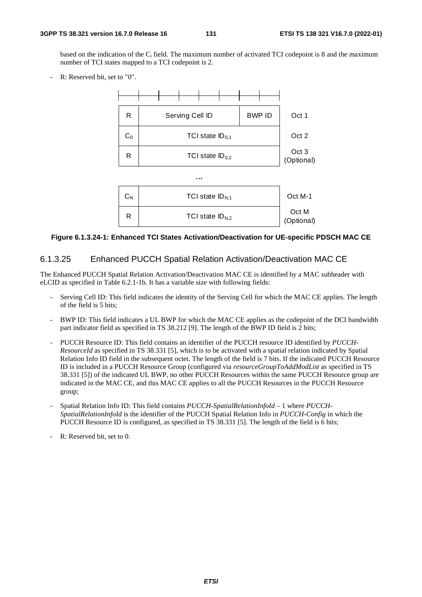based on the indication of the Ci field. The maximum number of activated TCI codepoint is 8 and the maximum number of TCI states mapped to a TCI codepoint is 2.

R: Reserved bit, set to "0".



## **Figure 6.1.3.24-1: Enhanced TCI States Activation/Deactivation for UE-specific PDSCH MAC CE**

## 6.1.3.25 Enhanced PUCCH Spatial Relation Activation/Deactivation MAC CE

The Enhanced PUCCH Spatial Relation Activation/Deactivation MAC CE is identified by a MAC subheader with eLCID as specified in Table 6.2.1-1b. It has a variable size with following fields:

- Serving Cell ID: This field indicates the identity of the Serving Cell for which the MAC CE applies. The length of the field is 5 bits;
- BWP ID: This field indicates a UL BWP for which the MAC CE applies as the codepoint of the DCI bandwidth part indicator field as specified in TS 38.212 [9]. The length of the BWP ID field is 2 bits;
- PUCCH Resource ID: This field contains an identifier of the PUCCH resource ID identified by *PUCCH-ResourceId* as specified in TS 38.331 [5], which is to be activated with a spatial relation indicated by Spatial Relation Info ID field in the subsequent octet. The length of the field is 7 bits. If the indicated PUCCH Resource ID is included in a PUCCH Resource Group (configured via *resourceGroupToAddModList* as specified in TS 38.331 [5]) of the indicated UL BWP, no other PUCCH Resources within the same PUCCH Resource group are indicated in the MAC CE, and this MAC CE applies to all the PUCCH Resources in the PUCCH Resource group;
- Spatial Relation Info ID: This field contains *PUCCH-SpatialRelationInfoId* 1 where *PUCCH-SpatialRelationInfoId* is the identifier of the PUCCH Spatial Relation Info in *PUCCH-Config* in which the PUCCH Resource ID is configured, as specified in TS 38.331 [5]. The length of the field is 6 bits;
- R: Reserved bit, set to 0.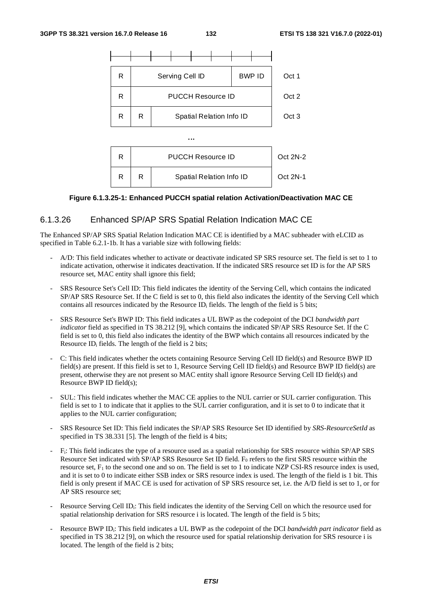

#### **Figure 6.1.3.25-1: Enhanced PUCCH spatial relation Activation/Deactivation MAC CE**

## 6.1.3.26 Enhanced SP/AP SRS Spatial Relation Indication MAC CE

The Enhanced SP/AP SRS Spatial Relation Indication MAC CE is identified by a MAC subheader with eLCID as specified in Table 6.2.1-1b. It has a variable size with following fields:

- A/D: This field indicates whether to activate or deactivate indicated SP SRS resource set. The field is set to 1 to indicate activation, otherwise it indicates deactivation. If the indicated SRS resource set ID is for the AP SRS resource set, MAC entity shall ignore this field;
- SRS Resource Set's Cell ID: This field indicates the identity of the Serving Cell, which contains the indicated SP/AP SRS Resource Set. If the C field is set to 0, this field also indicates the identity of the Serving Cell which contains all resources indicated by the Resource ID<sub>i</sub> fields. The length of the field is 5 bits;
- SRS Resource Set's BWP ID: This field indicates a UL BWP as the codepoint of the DCI *bandwidth part indicator* field as specified in TS 38.212 [9], which contains the indicated SP/AP SRS Resource Set. If the C field is set to 0, this field also indicates the identity of the BWP which contains all resources indicated by the Resource ID<sub>i</sub> fields. The length of the field is 2 bits;
- C: This field indicates whether the octets containing Resource Serving Cell ID field(s) and Resource BWP ID field(s) are present. If this field is set to 1, Resource Serving Cell ID field(s) and Resource BWP ID field(s) are present, otherwise they are not present so MAC entity shall ignore Resource Serving Cell ID field(s) and Resource BWP ID field(s);
- SUL: This field indicates whether the MAC CE applies to the NUL carrier or SUL carrier configuration. This field is set to 1 to indicate that it applies to the SUL carrier configuration, and it is set to 0 to indicate that it applies to the NUL carrier configuration;
- SRS Resource Set ID: This field indicates the SP/AP SRS Resource Set ID identified by *SRS-ResourceSetId* as specified in TS 38.331 [5]. The length of the field is 4 bits;
- Fi: This field indicates the type of a resource used as a spatial relationship for SRS resource within SP/AP SRS Resource Set indicated with SP/AP SRS Resource Set ID field.  $F_0$  refers to the first SRS resource within the resource set,  $F_1$  to the second one and so on. The field is set to 1 to indicate NZP CSI-RS resource index is used, and it is set to 0 to indicate either SSB index or SRS resource index is used. The length of the field is 1 bit. This field is only present if MAC CE is used for activation of SP SRS resource set, i.e. the A/D field is set to 1, or for AP SRS resource set;
- Resource Serving Cell ID<sub>i</sub>: This field indicates the identity of the Serving Cell on which the resource used for spatial relationship derivation for SRS resource i is located. The length of the field is 5 bits;
- Resource BWP ID<sub>i</sub>: This field indicates a UL BWP as the codepoint of the DCI *bandwidth part indicator* field as specified in TS 38.212 [9], on which the resource used for spatial relationship derivation for SRS resource i is located. The length of the field is 2 bits;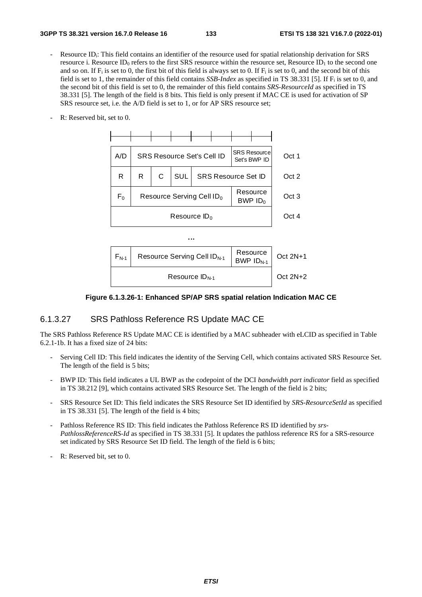- Resource ID<sub>i</sub>: This field contains an identifier of the resource used for spatial relationship derivation for SRS resource i. Resource ID<sub>0</sub> refers to the first SRS resource within the resource set, Resource ID<sub>1</sub> to the second one and so on. If  $F_i$  is set to 0, the first bit of this field is always set to 0. If  $F_i$  is set to 0, and the second bit of this field is set to 1, the remainder of this field contains *SSB-Index* as specified in TS 38.331 [5]. If Fi is set to 0, and the second bit of this field is set to 0, the remainder of this field contains *SRS-ResourceId* as specified in TS 38.331 [5]. The length of the field is 8 bits. This field is only present if MAC CE is used for activation of SP SRS resource set, i.e. the A/D field is set to 1, or for AP SRS resource set;
- R: Reserved bit, set to 0.



#### **Figure 6.1.3.26-1: Enhanced SP/AP SRS spatial relation Indication MAC CE**

#### 6.1.3.27 SRS Pathloss Reference RS Update MAC CE

The SRS Pathloss Reference RS Update MAC CE is identified by a MAC subheader with eLCID as specified in Table 6.2.1-1b. It has a fixed size of 24 bits:

- Serving Cell ID: This field indicates the identity of the Serving Cell, which contains activated SRS Resource Set. The length of the field is 5 bits;
- BWP ID: This field indicates a UL BWP as the codepoint of the DCI *bandwidth part indicator* field as specified in TS 38.212 [9], which contains activated SRS Resource Set. The length of the field is 2 bits;
- SRS Resource Set ID: This field indicates the SRS Resource Set ID identified by *SRS-ResourceSetId* as specified in TS 38.331 [5]. The length of the field is 4 bits;
- Pathloss Reference RS ID: This field indicates the Pathloss Reference RS ID identified by *srs-PathlossReferenceRS-Id* as specified in TS 38.331 [5]. It updates the pathloss reference RS for a SRS-resource set indicated by SRS Resource Set ID field. The length of the field is 6 bits;
- R: Reserved bit, set to 0.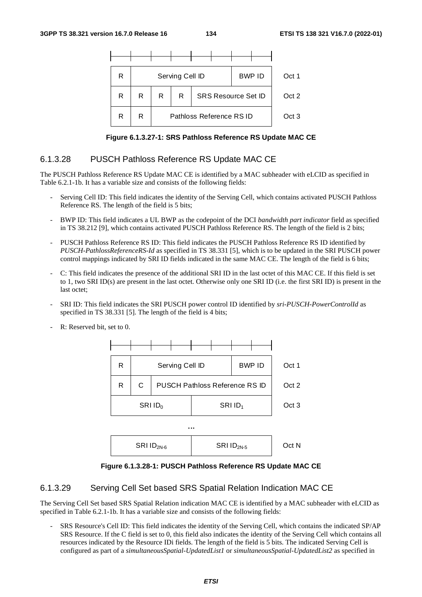

**Figure 6.1.3.27-1: SRS Pathloss Reference RS Update MAC CE** 

## 6.1.3.28 PUSCH Pathloss Reference RS Update MAC CE

The PUSCH Pathloss Reference RS Update MAC CE is identified by a MAC subheader with eLCID as specified in Table 6.2.1-1b. It has a variable size and consists of the following fields:

- Serving Cell ID: This field indicates the identity of the Serving Cell, which contains activated PUSCH Pathloss Reference RS. The length of the field is 5 bits;
- BWP ID: This field indicates a UL BWP as the codepoint of the DCI *bandwidth part indicator* field as specified in TS 38.212 [9], which contains activated PUSCH Pathloss Reference RS. The length of the field is 2 bits;
- PUSCH Pathloss Reference RS ID: This field indicates the PUSCH Pathloss Reference RS ID identified by *PUSCH-PathlossReferenceRS-Id* as specified in TS 38.331 [5], which is to be updated in the SRI PUSCH power control mappings indicated by SRI ID fields indicated in the same MAC CE. The length of the field is 6 bits;
- C: This field indicates the presence of the additional SRI ID in the last octet of this MAC CE. If this field is set to 1, two SRI ID(s) are present in the last octet. Otherwise only one SRI ID (i.e. the first SRI ID) is present in the last octet;
- SRI ID: This field indicates the SRI PUSCH power control ID identified by *sri-PUSCH-PowerControlId* as specified in TS 38.331 [5]. The length of the field is 4 bits;





**Figure 6.1.3.28-1: PUSCH Pathloss Reference RS Update MAC CE** 

## 6.1.3.29 Serving Cell Set based SRS Spatial Relation Indication MAC CE

The Serving Cell Set based SRS Spatial Relation indication MAC CE is identified by a MAC subheader with eLCID as specified in Table 6.2.1-1b. It has a variable size and consists of the following fields:

- SRS Resource's Cell ID: This field indicates the identity of the Serving Cell, which contains the indicated SP/AP SRS Resource. If the C field is set to 0, this field also indicates the identity of the Serving Cell which contains all resources indicated by the Resource IDi fields. The length of the field is 5 bits. The indicated Serving Cell is configured as part of a *simultaneousSpatial-UpdatedList1* or *simultaneousSpatial-UpdatedList2* as specified in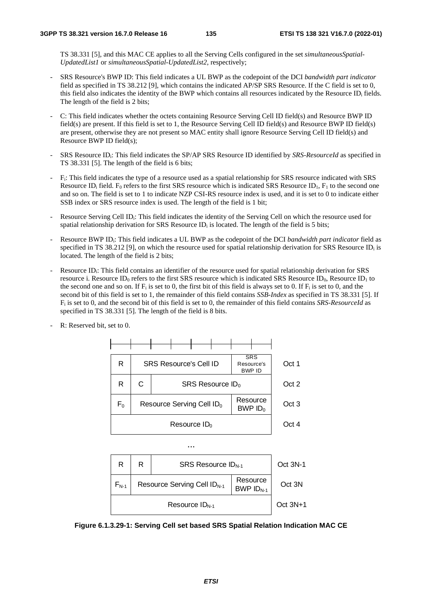TS 38.331 [5], and this MAC CE applies to all the Serving Cells configured in the set *simultaneousSpatial-UpdatedList1* or *simultaneousSpatial-UpdatedList2*, respectively;

- SRS Resource's BWP ID: This field indicates a UL BWP as the codepoint of the DCI *bandwidth part indicator* field as specified in TS 38.212 [9], which contains the indicated AP/SP SRS Resource. If the C field is set to 0, this field also indicates the identity of the BWP which contains all resources indicated by the Resource IDi fields. The length of the field is 2 bits;
- C: This field indicates whether the octets containing Resource Serving Cell ID field(s) and Resource BWP ID field(s) are present. If this field is set to 1, the Resource Serving Cell ID field(s) and Resource BWP ID field(s) are present, otherwise they are not present so MAC entity shall ignore Resource Serving Cell ID field(s) and Resource BWP ID field(s);
- SRS Resource IDi: This field indicates the SP/AP SRS Resource ID identified by *SRS-ResourceId* as specified in TS 38.331 [5]. The length of the field is 6 bits;
- Fi: This field indicates the type of a resource used as a spatial relationship for SRS resource indicated with SRS Resource ID<sub>i</sub> field. F<sub>0</sub> refers to the first SRS resource which is indicated SRS Resource ID<sub>1</sub>, F<sub>1</sub> to the second one and so on. The field is set to 1 to indicate NZP CSI-RS resource index is used, and it is set to 0 to indicate either SSB index or SRS resource index is used. The length of the field is 1 bit;
- Resource Serving Cell ID<sub>i</sub>: This field indicates the identity of the Serving Cell on which the resource used for spatial relationship derivation for SRS Resource  $ID_i$  is located. The length of the field is 5 bits;
- Resource BWP IDi: This field indicates a UL BWP as the codepoint of the DCI *bandwidth part indicator* field as specified in TS 38.212 [9], on which the resource used for spatial relationship derivation for SRS Resource ID<sub>i</sub> is located. The length of the field is 2 bits;
- Resource ID<sub>i</sub>: This field contains an identifier of the resource used for spatial relationship derivation for SRS resource i. Resource ID<sub>0</sub> refers to the first SRS resource which is indicated SRS Resource ID<sub>0</sub>, Resource ID<sub>1</sub> to the second one and so on. If  $F_i$  is set to 0, the first bit of this field is always set to 0. If  $F_i$  is set to 0, and the second bit of this field is set to 1, the remainder of this field contains *SSB-Index* as specified in TS 38.331 [5]. If Fi is set to 0, and the second bit of this field is set to 0, the remainder of this field contains *SRS-ResourceId* as specified in TS 38.331 [5]. The length of the field is 8 bits.



R: Reserved bit, set to 0.

**Figure 6.1.3.29-1: Serving Cell set based SRS Spatial Relation Indication MAC CE**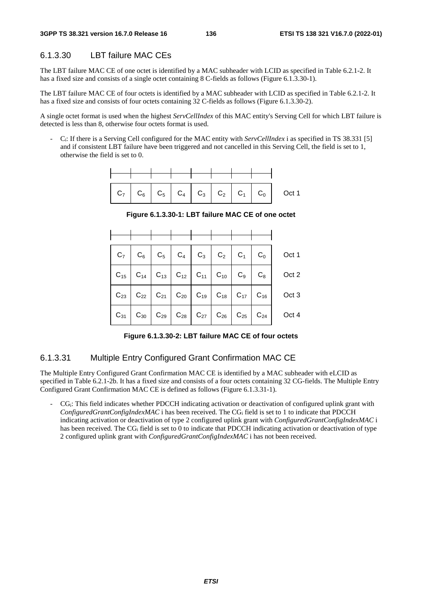## 6.1.3.30 LBT failure MAC CEs

The LBT failure MAC CE of one octet is identified by a MAC subheader with LCID as specified in Table 6.2.1-2. It has a fixed size and consists of a single octet containing 8 C-fields as follows (Figure 6.1.3.30-1).

The LBT failure MAC CE of four octets is identified by a MAC subheader with LCID as specified in Table 6.2.1-2. It has a fixed size and consists of four octets containing 32 C-fields as follows (Figure 6.1.3.30-2).

A single octet format is used when the highest *ServCellIndex* of this MAC entity's Serving Cell for which LBT failure is detected is less than 8, otherwise four octets format is used.

- Ci: If there is a Serving Cell configured for the MAC entity with *ServCellIndex* i as specified in TS 38.331 [5] and if consistent LBT failure have been triggered and not cancelled in this Serving Cell, the field is set to 1, otherwise the field is set to 0.



**Figure 6.1.3.30-1: LBT failure MAC CE of one octet** 

|  |  |  |  | $ C_{15} C_{14} C_{13} C_{12} C_{11} C_{10} C_{9} C_{8} C_{12}$ |
|--|--|--|--|-----------------------------------------------------------------|
|  |  |  |  |                                                                 |
|  |  |  |  |                                                                 |

**Figure 6.1.3.30-2: LBT failure MAC CE of four octets** 

## 6.1.3.31 Multiple Entry Configured Grant Confirmation MAC CE

The Multiple Entry Configured Grant Confirmation MAC CE is identified by a MAC subheader with eLCID as specified in Table 6.2.1-2b. It has a fixed size and consists of a four octets containing 32 CG-fields. The Multiple Entry Configured Grant Confirmation MAC CE is defined as follows (Figure 6.1.3.31-1).

- CGi: This field indicates whether PDCCH indicating activation or deactivation of configured uplink grant with *ConfiguredGrantConfigIndexMAC* i has been received. The CGi field is set to 1 to indicate that PDCCH indicating activation or deactivation of type 2 configured uplink grant with *ConfiguredGrantConfigIndexMAC* i has been received. The CG<sub>i</sub> field is set to 0 to indicate that PDCCH indicating activation or deactivation of type 2 configured uplink grant with *ConfiguredGrantConfigIndexMAC* i has not been received.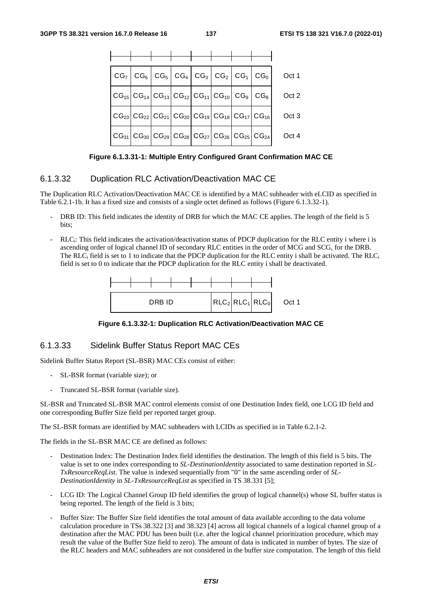|                                                                                                                                                                                 |  |  |  | $CG_7   CG_6   CG_5   CG_4   CG_3   CG_2   CG_1   CG_0  $                                                                                                                       | Oct 1 |
|---------------------------------------------------------------------------------------------------------------------------------------------------------------------------------|--|--|--|---------------------------------------------------------------------------------------------------------------------------------------------------------------------------------|-------|
|                                                                                                                                                                                 |  |  |  | $\big  \text{CG}_{15} \big  \text{CG}_{14} \big  \text{CG}_{13} \big  \text{CG}_{12} \big  \text{CG}_{11} \big  \text{CG}_{10} \big  \text{CG}_9 \big  \text{CG}_8 \big $       | Oct 2 |
|                                                                                                                                                                                 |  |  |  | $\big  \text{CG}_{23} \big  \text{CG}_{22} \big  \text{CG}_{21} \big  \text{CG}_{20} \big  \text{CG}_{19} \big  \text{CG}_{18} \big  \text{CG}_{17} \big  \text{CG}_{16} \big $ | Oct 3 |
| $\big  \text{CG}_{31} \big  \text{CG}_{30} \big  \text{CG}_{29} \big  \text{CG}_{28} \big  \text{CG}_{27} \big  \text{CG}_{26} \big  \text{CG}_{25} \big  \text{CG}_{24} \big $ |  |  |  |                                                                                                                                                                                 | Oct 4 |

**Figure 6.1.3.31-1: Multiple Entry Configured Grant Confirmation MAC CE** 

## 6.1.3.32 Duplication RLC Activation/Deactivation MAC CE

The Duplication RLC Activation/Deactivation MAC CE is identified by a MAC subheader with eLCID as specified in Table 6.2.1-1b. It has a fixed size and consists of a single octet defined as follows (Figure 6.1.3.32-1).

- DRB ID: This field indicates the identity of DRB for which the MAC CE applies. The length of the field is 5 hits<sup>.</sup>
- RLC<sub>i</sub>: This field indicates the activation/deactivation status of PDCP duplication for the RLC entity i where i is ascending order of logical channel ID of secondary RLC entities in the order of MCG and SCG, for the DRB. The  $RLC_i$  field is set to 1 to indicate that the PDCP duplication for the RLC entity i shall be activated. The  $RLC_i$ field is set to 0 to indicate that the PDCP duplication for the RLC entity i shall be deactivated.



**Figure 6.1.3.32-1: Duplication RLC Activation/Deactivation MAC CE** 

## 6.1.3.33 Sidelink Buffer Status Report MAC CEs

Sidelink Buffer Status Report (SL-BSR) MAC CEs consist of either:

- SL-BSR format (variable size); or
- Truncated SL-BSR format (variable size).

SL-BSR and Truncated SL-BSR MAC control elements consist of one Destination Index field, one LCG ID field and one corresponding Buffer Size field per reported target group.

The SL-BSR formats are identified by MAC subheaders with LCIDs as specified in in Table 6.2.1-2.

The fields in the SL-BSR MAC CE are defined as follows:

- Destination Index: The Destination Index field identifies the destination. The length of this field is 5 bits. The value is set to one index corresponding to *SL-DestinationIdentity* associated to same destination reported in *SL-TxResourceReqList*. The value is indexed sequentially from "0" in the same ascending order of *SL-DestinationIdentity* in *SL-TxResourceReqList* as specified in TS 38.331 [5];
- LCG ID: The Logical Channel Group ID field identifies the group of logical channel(s) whose SL buffer status is being reported. The length of the field is 3 bits;
- Buffer Size: The Buffer Size field identifies the total amount of data available according to the data volume calculation procedure in TSs 38.322 [3] and 38.323 [4] across all logical channels of a logical channel group of a destination after the MAC PDU has been built (i.e. after the logical channel prioritization procedure, which may result the value of the Buffer Size field to zero). The amount of data is indicated in number of bytes. The size of the RLC headers and MAC subheaders are not considered in the buffer size computation. The length of this field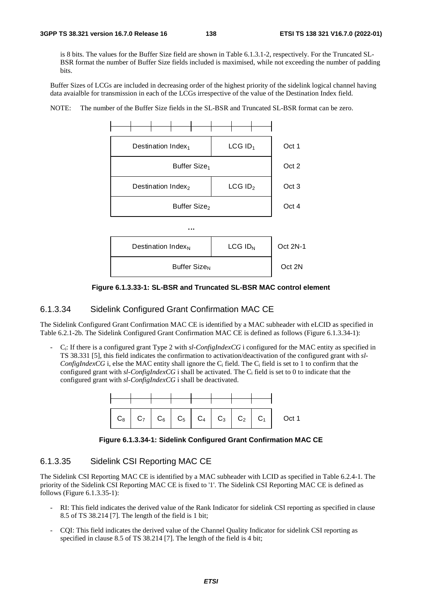is 8 bits. The values for the Buffer Size field are shown in Table 6.1.3.1-2, respectively. For the Truncated SL-BSR format the number of Buffer Size fields included is maximised, while not exceeding the number of padding bits.

Buffer Sizes of LCGs are included in decreasing order of the highest priority of the sidelink logical channel having data avaialble for transmission in each of the LCGs irrespective of the value of the Destination Index field.



NOTE: The number of the Buffer Size fields in the SL-BSR and Truncated SL-BSR format can be zero.

**Figure 6.1.3.33-1: SL-BSR and Truncated SL-BSR MAC control element** 

#### 6.1.3.34 Sidelink Configured Grant Confirmation MAC CE

The Sidelink Configured Grant Confirmation MAC CE is identified by a MAC subheader with eLCID as specified in Table 6.2.1-2b. The Sidelink Configured Grant Confirmation MAC CE is defined as follows (Figure 6.1.3.34-1):

- Ci: If there is a configured grant Type 2 with *sl-ConfigIndexCG* i configured for the MAC entity as specified in TS 38.331 [5], this field indicates the confirmation to activation/deactivation of the configured grant with *sl-ConfigIndexCG* i, else the MAC entity shall ignore the  $C_i$  field. The  $C_i$  field is set to 1 to confirm that the configured grant with *sl-ConfigIndexCG* i shall be activated. The Ci field is set to 0 to indicate that the configured grant with *sl-ConfigIndexCG* i shall be deactivated.



**Figure 6.1.3.34-1: Sidelink Configured Grant Confirmation MAC CE** 

## 6.1.3.35 Sidelink CSI Reporting MAC CE

The Sidelink CSI Reporting MAC CE is identified by a MAC subheader with LCID as specified in Table 6.2.4-1. The priority of the Sidelink CSI Reporting MAC CE is fixed to '1'. The Sidelink CSI Reporting MAC CE is defined as follows (Figure 6.1.3.35-1):

- RI: This field indicates the derived value of the Rank Indicator for sidelink CSI reporting as specified in clause 8.5 of TS 38.214 [7]. The length of the field is 1 bit;
- CQI: This field indicates the derived value of the Channel Quality Indicator for sidelink CSI reporting as specified in clause 8.5 of TS 38.214 [7]. The length of the field is 4 bit;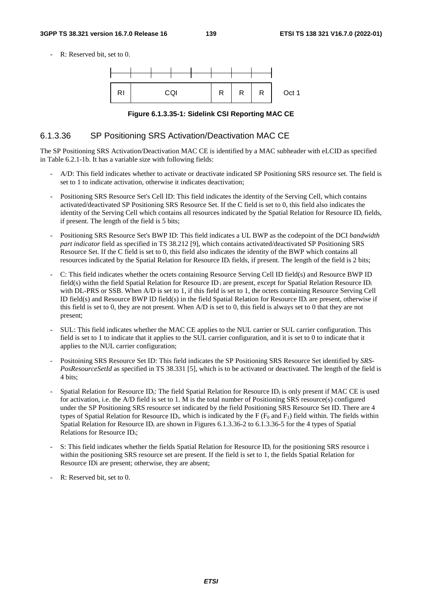#### **3GPP TS 38.321 version 16.7.0 Release 16 139 ETSI TS 138 321 V16.7.0 (2022-01)**

R: Reserved bit, set to 0.



**Figure 6.1.3.35-1: Sidelink CSI Reporting MAC CE** 

#### 6.1.3.36 SP Positioning SRS Activation/Deactivation MAC CE

The SP Positioning SRS Activation/Deactivation MAC CE is identified by a MAC subheader with eLCID as specified in Table 6.2.1-1b. It has a variable size with following fields:

- A/D: This field indicates whether to activate or deactivate indicated SP Positioning SRS resource set. The field is set to 1 to indicate activation, otherwise it indicates deactivation;
- Positioning SRS Resource Set's Cell ID: This field indicates the identity of the Serving Cell, which contains activated/deactivated SP Positioning SRS Resource Set. If the C field is set to 0, this field also indicates the identity of the Serving Cell which contains all resources indicated by the Spatial Relation for Resource ID<sub>i</sub> fields, if present. The length of the field is 5 bits;
- Positioning SRS Resource Set's BWP ID: This field indicates a UL BWP as the codepoint of the DCI *bandwidth part indicator* field as specified in TS 38.212 [9], which contains activated/deactivated SP Positioning SRS Resource Set. If the C field is set to 0, this field also indicates the identity of the BWP which contains all resources indicated by the Spatial Relation for Resource ID<sub>i</sub> fields, if present. The length of the field is 2 bits;
- C: This field indicates whether the octets containing Resource Serving Cell ID field(s) and Resource BWP ID field(s) withn the field Spatial Relation for Resource ID; are present, except for Spatial Relation Resource ID; with DL-PRS or SSB. When A/D is set to 1, if this field is set to 1, the octets containing Resource Serving Cell ID field(s) and Resource BWP ID field(s) in the field Spatial Relation for Resource ID<sub>i</sub> are present, otherwise if this field is set to 0, they are not present. When A/D is set to 0, this field is always set to 0 that they are not present;
- SUL: This field indicates whether the MAC CE applies to the NUL carrier or SUL carrier configuration. This field is set to 1 to indicate that it applies to the SUL carrier configuration, and it is set to 0 to indicate that it applies to the NUL carrier configuration;
- Positoining SRS Resource Set ID: This field indicates the SP Positioning SRS Resource Set identified by *SRS-PosResourceSetId* as specified in TS 38.331 [5], which is to be activated or deactivated. The length of the field is 4 bits;
- Spatial Relation for Resource ID<sub>i</sub>: The field Spatial Relation for Resource ID<sub>i</sub> is only present if MAC CE is used for activation, i.e. the A/D field is set to 1. M is the total number of Positioning SRS resource(s) configured under the SP Positioning SRS resource set indicated by the field Positioning SRS Resource Set ID. There are 4 types of Spatial Relation for Resource ID<sub>i</sub>, which is indicated by the F ( $F_0$  and  $F_1$ ) field within. The fields within Spatial Relation for Resource ID<sub>i</sub> are shown in Figures 6.1.3.36-2 to 6.1.3.36-5 for the 4 types of Spatial Relations for Resource IDi;
- S: This field indicates whether the fields Spatial Relation for Resource ID; for the positioning SRS resource i within the positioning SRS resource set are present. If the field is set to 1, the fields Spatial Relation for Resource IDi are present; otherwise, they are absent;
- R: Reserved bit, set to 0.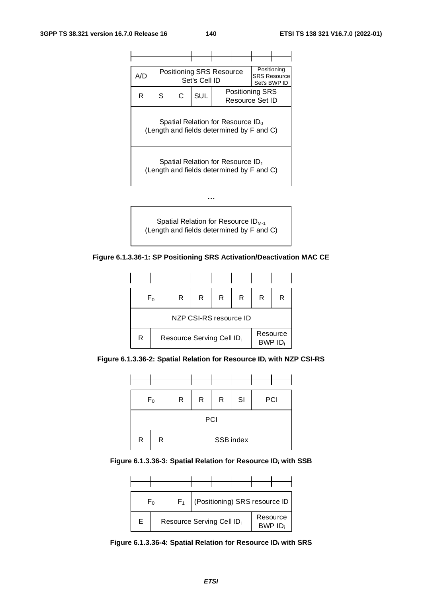

Spatial Relation for Resource ID<sub>M-1</sub> (Length and fields determined by F and C)

**Figure 6.1.3.36-1: SP Positioning SRS Activation/Deactivation MAC CE** 



**Figure 6.1.3.36-2: Spatial Relation for Resource IDi with NZP CSI-RS** 



Figure 6.1.3.36-3: Spatial Relation for Resource ID<sub>i</sub> with SSB



Figure 6.1.3.36-4: Spatial Relation for Resource ID<sub>i</sub> with SRS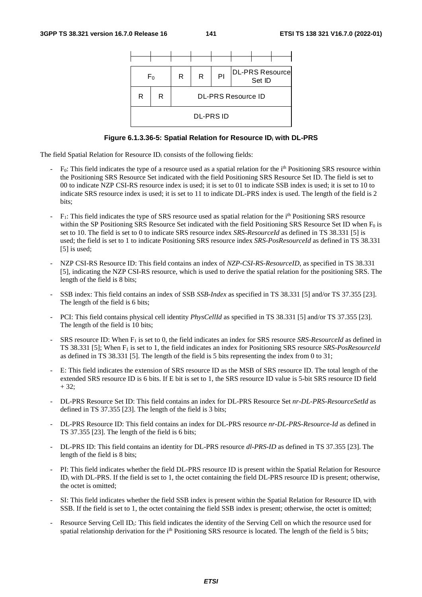

#### **Figure 6.1.3.36-5: Spatial Relation for Resource IDi with DL-PRS**

The field Spatial Relation for Resource  $ID_i$  consists of the following fields:

- $F_0$ : This field indicates the type of a resource used as a spatial relation for the i<sup>th</sup> Positioning SRS resource within the Positioning SRS Resource Set indicated with the field Positioning SRS Resource Set ID. The field is set to 00 to indicate NZP CSI-RS resource index is used; it is set to 01 to indicate SSB index is used; it is set to 10 to indicate SRS resource index is used; it is set to 11 to indicate DL-PRS index is used. The length of the field is 2 bits;
- $F_1$ : This field indicates the type of SRS resource used as spatial relation for the i<sup>th</sup> Positioning SRS resource within the SP Positioning SRS Resource Set indicated with the field Positioning SRS Resource Set ID when  $F_0$  is set to 10. The field is set to 0 to indicate SRS resource index *SRS-ResourceId* as defined in TS 38.331 [5] is used; the field is set to 1 to indicate Positioning SRS resource index *SRS-PosResourceId* as defined in TS 38.331 [5] is used;
- NZP CSI-RS Resource ID: This field contains an index of *NZP-CSI-RS-ResourceID*, as specified in TS 38.331 [5], indicating the NZP CSI-RS resource, which is used to derive the spatial relation for the positioning SRS. The length of the field is 8 bits;
- SSB index: This field contains an index of SSB *SSB-Index* as specified in TS 38.331 [5] and/or TS 37.355 [23]. The length of the field is 6 bits;
- PCI: This field contains physical cell identity *PhysCellId* as specified in TS 38.331 [5] and/or TS 37.355 [23]. The length of the field is 10 bits;
- SRS resource ID: When F1 is set to 0, the field indicates an index for SRS resource *SRS-ResourceId* as defined in TS 38.331 [5]; When F1 is set to 1, the field indicates an index for Positioning SRS resource *SRS-PosResourceId* as defined in TS 38.331 [5]. The length of the field is 5 bits representing the index from 0 to 31;
- E: This field indicates the extension of SRS resource ID as the MSB of SRS resource ID. The total length of the extended SRS resource ID is 6 bits. If E bit is set to 1, the SRS resource ID value is 5-bit SRS resource ID field  $+ 32$ ;
- DL-PRS Resource Set ID: This field contains an index for DL-PRS Resource Set *nr-DL-PRS-ResourceSetId* as defined in TS 37.355 [23]. The length of the field is 3 bits;
- DL-PRS Resource ID: This field contains an index for DL-PRS resource *nr-DL-PRS-Resource-Id* as defined in TS 37.355 [23]. The length of the field is 6 bits;
- DL-PRS ID: This field contains an identity for DL-PRS resource *dl-PRS-ID* as defined in TS 37.355 [23]. The length of the field is 8 bits;
- PI: This field indicates whether the field DL-PRS resource ID is present within the Spatial Relation for Resource ID<sub>i</sub> with DL-PRS. If the field is set to 1, the octet containing the field DL-PRS resource ID is present; otherwise, the octet is omitted;
- SI: This field indicates whether the field SSB index is present within the Spatial Relation for Resource ID<sub>i</sub> with SSB. If the field is set to 1, the octet containing the field SSB index is present; otherwise, the octet is omitted;
- Resource Serving Cell ID<sub>i</sub>: This field indicates the identity of the Serving Cell on which the resource used for spatial relationship derivation for the  $i<sup>th</sup>$  Positioning SRS resource is located. The length of the field is 5 bits;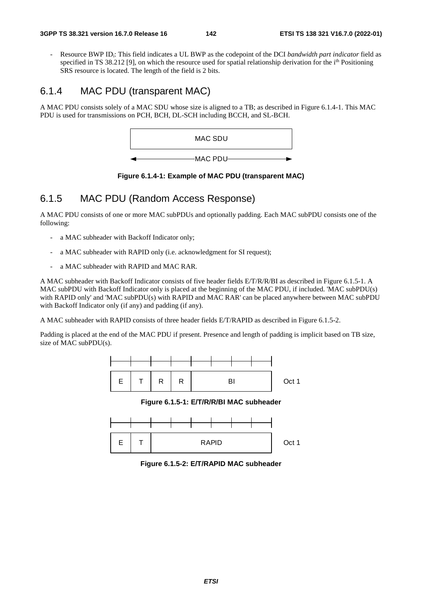Resource BWP ID<sub>i</sub>: This field indicates a UL BWP as the codepoint of the DCI *bandwidth part indicator* field as specified in TS 38.212 [9], on which the resource used for spatial relationship derivation for the i<sup>th</sup> Positioning SRS resource is located. The length of the field is 2 bits.

# 6.1.4 MAC PDU (transparent MAC)

A MAC PDU consists solely of a MAC SDU whose size is aligned to a TB; as described in Figure 6.1.4-1. This MAC PDU is used for transmissions on PCH, BCH, DL-SCH including BCCH, and SL-BCH.



**Figure 6.1.4-1: Example of MAC PDU (transparent MAC)** 

# 6.1.5 MAC PDU (Random Access Response)

A MAC PDU consists of one or more MAC subPDUs and optionally padding. Each MAC subPDU consists one of the following:

- a MAC subheader with Backoff Indicator only;
- a MAC subheader with RAPID only (i.e. acknowledgment for SI request);
- a MAC subheader with RAPID and MAC RAR.

A MAC subheader with Backoff Indicator consists of five header fields E/T/R/R/BI as described in Figure 6.1.5-1. A MAC subPDU with Backoff Indicator only is placed at the beginning of the MAC PDU, if included. 'MAC subPDU(s) with RAPID only' and 'MAC subPDU(s) with RAPID and MAC RAR' can be placed anywhere between MAC subPDU with Backoff Indicator only (if any) and padding (if any).

A MAC subheader with RAPID consists of three header fields E/T/RAPID as described in Figure 6.1.5-2.

Padding is placed at the end of the MAC PDU if present. Presence and length of padding is implicit based on TB size, size of MAC subPDU(s).



**Figure 6.1.5-1: E/T/R/R/BI MAC subheader** 



**Figure 6.1.5-2: E/T/RAPID MAC subheader**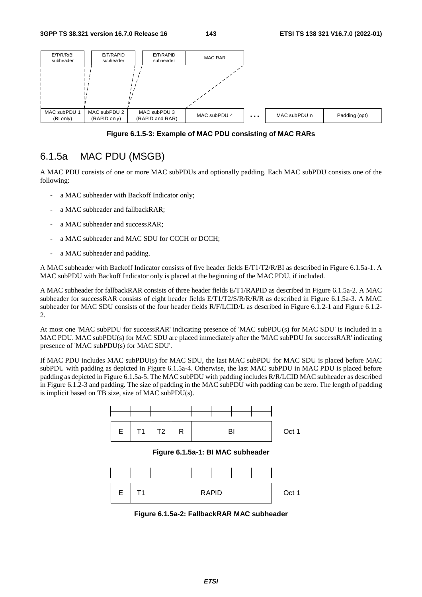

**Figure 6.1.5-3: Example of MAC PDU consisting of MAC RARs** 

# 6.1.5a MAC PDU (MSGB)

A MAC PDU consists of one or more MAC subPDUs and optionally padding. Each MAC subPDU consists one of the following:

- a MAC subheader with Backoff Indicator only;
- a MAC subheader and fallbackRAR;
- a MAC subheader and successRAR;
- a MAC subheader and MAC SDU for CCCH or DCCH:
- a MAC subheader and padding.

A MAC subheader with Backoff Indicator consists of five header fields E/T1/T2/R/BI as described in Figure 6.1.5a-1. A MAC subPDU with Backoff Indicator only is placed at the beginning of the MAC PDU, if included.

A MAC subheader for fallbackRAR consists of three header fields E/T1/RAPID as described in Figure 6.1.5a-2. A MAC subheader for successRAR consists of eight header fields E/T1/T2/S/R/R/R/R as described in Figure 6.1.5a-3. A MAC subheader for MAC SDU consists of the four header fields R/F/LCID/L as described in Figure 6.1.2-1 and Figure 6.1.2- 2.

At most one 'MAC subPDU for successRAR' indicating presence of 'MAC subPDU(s) for MAC SDU' is included in a MAC PDU. MAC subPDU(s) for MAC SDU are placed immediately after the 'MAC subPDU for successRAR' indicating presence of 'MAC subPDU(s) for MAC SDU'.

If MAC PDU includes MAC subPDU(s) for MAC SDU, the last MAC subPDU for MAC SDU is placed before MAC subPDU with padding as depicted in Figure 6.1.5a-4. Otherwise, the last MAC subPDU in MAC PDU is placed before padding as depicted in Figure 6.1.5a-5. The MAC subPDU with padding includes R/R/LCID MAC subheader as described in Figure 6.1.2-3 and padding. The size of padding in the MAC subPDU with padding can be zero. The length of padding is implicit based on TB size, size of MAC subPDU(s).



**Figure 6.1.5a-2: FallbackRAR MAC subheader**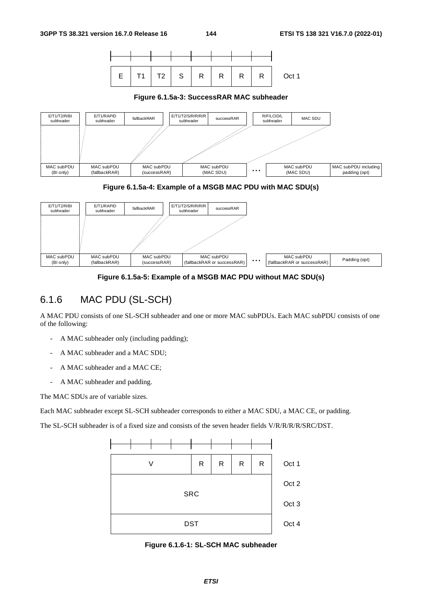





**Figure 6.1.5a-4: Example of a MSGB MAC PDU with MAC SDU(s)** 



**Figure 6.1.5a-5: Example of a MSGB MAC PDU without MAC SDU(s)** 

## 6.1.6 MAC PDU (SL-SCH)

A MAC PDU consists of one SL-SCH subheader and one or more MAC subPDUs. Each MAC subPDU consists of one of the following:

- A MAC subheader only (including padding);
- A MAC subheader and a MAC SDU;
- A MAC subheader and a MAC CE;
- A MAC subheader and padding.

The MAC SDUs are of variable sizes.

Each MAC subheader except SL-SCH subheader corresponds to either a MAC SDU, a MAC CE, or padding.

The SL-SCH subheader is of a fixed size and consists of the seven header fields V/R/R/R/R/SRC/DST.



**Figure 6.1.6-1: SL-SCH MAC subheader**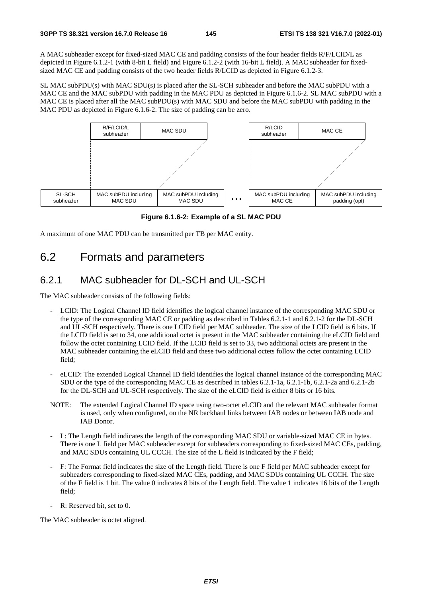A MAC subheader except for fixed-sized MAC CE and padding consists of the four header fields R/F/LCID/L as depicted in Figure 6.1.2-1 (with 8-bit L field) and Figure 6.1.2-2 (with 16-bit L field). A MAC subheader for fixedsized MAC CE and padding consists of the two header fields R/LCID as depicted in Figure 6.1.2-3.

SL MAC subPDU(s) with MAC SDU(s) is placed after the SL-SCH subheader and before the MAC subPDU with a MAC CE and the MAC subPDU with padding in the MAC PDU as depicted in Figure 6.1.6-2. SL MAC subPDU with a MAC CE is placed after all the MAC subPDU(s) with MAC SDU and before the MAC subPDU with padding in the MAC PDU as depicted in Figure 6.1.6-2. The size of padding can be zero.



**Figure 6.1.6-2: Example of a SL MAC PDU** 

A maximum of one MAC PDU can be transmitted per TB per MAC entity.

## 6.2 Formats and parameters

## 6.2.1 MAC subheader for DL-SCH and UL-SCH

The MAC subheader consists of the following fields:

- LCID: The Logical Channel ID field identifies the logical channel instance of the corresponding MAC SDU or the type of the corresponding MAC CE or padding as described in Tables 6.2.1-1 and 6.2.1-2 for the DL-SCH and UL-SCH respectively. There is one LCID field per MAC subheader. The size of the LCID field is 6 bits. If the LCID field is set to 34, one additional octet is present in the MAC subheader containing the eLCID field and follow the octet containing LCID field. If the LCID field is set to 33, two additional octets are present in the MAC subheader containing the eLCID field and these two additional octets follow the octet containing LCID field;
- eLCID: The extended Logical Channel ID field identifies the logical channel instance of the corresponding MAC SDU or the type of the corresponding MAC CE as described in tables 6.2.1-1a, 6.2.1-1b, 6.2.1-2a and 6.2.1-2b for the DL-SCH and UL-SCH respectively. The size of the eLCID field is either 8 bits or 16 bits.
- NOTE: The extended Logical Channel ID space using two-octet eLCID and the relevant MAC subheader format is used, only when configured, on the NR backhaul links between IAB nodes or between IAB node and IAB Donor.
- L: The Length field indicates the length of the corresponding MAC SDU or variable-sized MAC CE in bytes. There is one L field per MAC subheader except for subheaders corresponding to fixed-sized MAC CEs, padding, and MAC SDUs containing UL CCCH. The size of the L field is indicated by the F field;
- F: The Format field indicates the size of the Length field. There is one F field per MAC subheader except for subheaders corresponding to fixed-sized MAC CEs, padding, and MAC SDUs containing UL CCCH. The size of the F field is 1 bit. The value 0 indicates 8 bits of the Length field. The value 1 indicates 16 bits of the Length field;
- R: Reserved bit, set to 0.

The MAC subheader is octet aligned.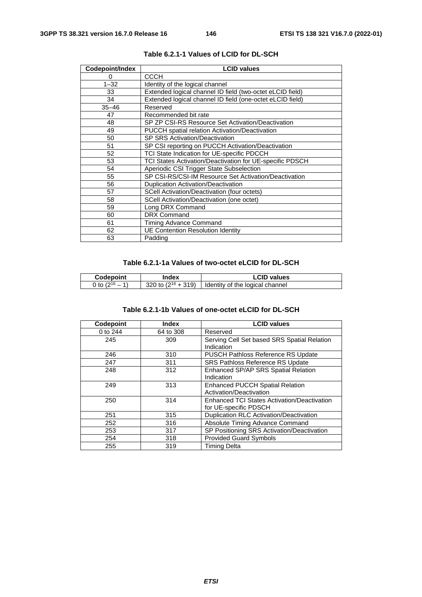| Codepoint/Index | <b>LCID values</b>                                        |  |
|-----------------|-----------------------------------------------------------|--|
| 0               | СССН                                                      |  |
| $1 - 32$        | Identity of the logical channel                           |  |
| 33              | Extended logical channel ID field (two-octet eLCID field) |  |
| 34              | Extended logical channel ID field (one-octet eLCID field) |  |
| $35 - 46$       | Reserved                                                  |  |
| 47              | Recommended bit rate                                      |  |
| 48              | SP ZP CSI-RS Resource Set Activation/Deactivation         |  |
| 49              | <b>PUCCH</b> spatial relation Activation/Deactivation     |  |
| 50              | <b>SP SRS Activation/Deactivation</b>                     |  |
| 51              | SP CSI reporting on PUCCH Activation/Deactivation         |  |
| 52              | TCI State Indication for UE-specific PDCCH                |  |
| 53              | TCI States Activation/Deactivation for UE-specific PDSCH  |  |
| 54              | Aperiodic CSI Trigger State Subselection                  |  |
| 55              | SP CSI-RS/CSI-IM Resource Set Activation/Deactivation     |  |
| 56              | <b>Duplication Activation/Deactivation</b>                |  |
| 57              | SCell Activation/Deactivation (four octets)               |  |
| 58              | SCell Activation/Deactivation (one octet)                 |  |
| 59              | Long DRX Command                                          |  |
| 60              | <b>DRX Command</b>                                        |  |
| 61              | Timing Advance Command                                    |  |
| 62              | <b>UE Contention Resolution Identity</b>                  |  |
| 63              | Padding                                                   |  |

| Table 6.2.1-1 Values of LCID for DL-SCH |  |
|-----------------------------------------|--|
|-----------------------------------------|--|

#### **Table 6.2.1-1a Values of two-octet eLCID for DL-SCH**

| <b>Codepoint</b>    | Index | <b>LCID values</b>                                                          |
|---------------------|-------|-----------------------------------------------------------------------------|
| 0 to $(2^{16} - 1)$ |       | $\frac{1}{2}$ 320 to (2 <sup>16</sup> + 319) dentity of the logical channel |

|  |  | Table 6.2.1-1b Values of one-octet eLCID for DL-SCH |
|--|--|-----------------------------------------------------|
|--|--|-----------------------------------------------------|

| Codepoint | <b>Index</b> | <b>LCID values</b>                                                          |
|-----------|--------------|-----------------------------------------------------------------------------|
| 0 to 244  | 64 to 308    | Reserved                                                                    |
| 245       | 309          | Serving Cell Set based SRS Spatial Relation<br>Indication                   |
| 246       | 310          | <b>PUSCH Pathloss Reference RS Update</b>                                   |
| 247       | 311          | <b>SRS Pathloss Reference RS Update</b>                                     |
| 248       | 312          | Enhanced SP/AP SRS Spatial Relation<br>Indication                           |
| 249       | 313          | <b>Enhanced PUCCH Spatial Relation</b><br>Activation/Deactivation           |
| 250       | 314          | <b>Enhanced TCI States Activation/Deactivation</b><br>for UE-specific PDSCH |
| 251       | 315          | Duplication RLC Activation/Deactivation                                     |
| 252       | 316          | Absolute Timing Advance Command                                             |
| 253       | 317          | SP Positioning SRS Activation/Deactivation                                  |
| 254       | 318          | <b>Provided Guard Symbols</b>                                               |
| 255       | 319          | <b>Timing Delta</b>                                                         |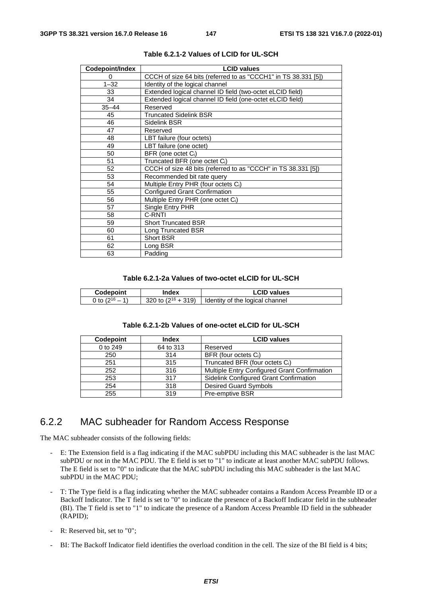| Codepoint/Index | <b>LCID values</b>                                             |  |
|-----------------|----------------------------------------------------------------|--|
| 0               | CCCH of size 64 bits (referred to as "CCCH1" in TS 38.331 [5]) |  |
| $1 - 32$        | Identity of the logical channel                                |  |
| 33              | Extended logical channel ID field (two-octet eLCID field)      |  |
| 34              | Extended logical channel ID field (one-octet eLCID field)      |  |
| $35 - 44$       | Reserved                                                       |  |
| 45              | Truncated Sidelink BSR                                         |  |
| 46              | Sidelink BSR                                                   |  |
| 47              | Reserved                                                       |  |
| 48              | LBT failure (four octets)                                      |  |
| 49              | LBT failure (one octet)                                        |  |
| 50              | BFR (one octet C <sub>i</sub> )                                |  |
| 51              | Truncated BFR (one octet C <sub>i</sub> )                      |  |
| 52              | CCCH of size 48 bits (referred to as "CCCH" in TS 38.331 [5])  |  |
| 53              | Recommended bit rate query                                     |  |
| 54              | Multiple Entry PHR (four octets C <sub>i</sub> )               |  |
| 55              | Configured Grant Confirmation                                  |  |
| 56              | Multiple Entry PHR (one octet C <sub>i</sub> )                 |  |
| 57              | Single Entry PHR                                               |  |
| 58              | C-RNTI                                                         |  |
| 59              | <b>Short Truncated BSR</b>                                     |  |
| 60              | Long Truncated BSR                                             |  |
| 61              | <b>Short BSR</b>                                               |  |
| 62              | Long BSR                                                       |  |
| 63              | Padding                                                        |  |

**Table 6.2.1-2 Values of LCID for UL-SCH** 

#### **Table 6.2.1-2a Values of two-octet eLCID for UL-SCH**

| <b>Codepoint</b>       | Index                   | <b>LCID values</b>                |
|------------------------|-------------------------|-----------------------------------|
| $\bigcap$ to $\bigcap$ | 320 to $(2^{16} + 319)$ | I Identity of the logical channel |

#### **Table 6.2.1-2b Values of one-octet eLCID for UL-SCH**

| Codepoint | <b>Index</b> | <b>LCID values</b>                           |
|-----------|--------------|----------------------------------------------|
| 0 to 249  | 64 to 313    | Reserved                                     |
| 250       | 314          | BFR (four octets C <sub>i</sub> )            |
| 251       | 315          | Truncated BFR (four octets C <sub>i</sub> )  |
| 252       | 316          | Multiple Entry Configured Grant Confirmation |
| 253       | 317          | Sidelink Configured Grant Confirmation       |
| 254       | 318          | <b>Desired Guard Symbols</b>                 |
| 255       | 319          | Pre-emptive BSR                              |

#### 6.2.2 MAC subheader for Random Access Response

The MAC subheader consists of the following fields:

- E: The Extension field is a flag indicating if the MAC subPDU including this MAC subheader is the last MAC subPDU or not in the MAC PDU. The E field is set to "1" to indicate at least another MAC subPDU follows. The E field is set to "0" to indicate that the MAC subPDU including this MAC subheader is the last MAC subPDU in the MAC PDU;
- T: The Type field is a flag indicating whether the MAC subheader contains a Random Access Preamble ID or a Backoff Indicator. The T field is set to "0" to indicate the presence of a Backoff Indicator field in the subheader (BI). The T field is set to "1" to indicate the presence of a Random Access Preamble ID field in the subheader (RAPID);
- R: Reserved bit, set to "0";
- BI: The Backoff Indicator field identifies the overload condition in the cell. The size of the BI field is 4 bits;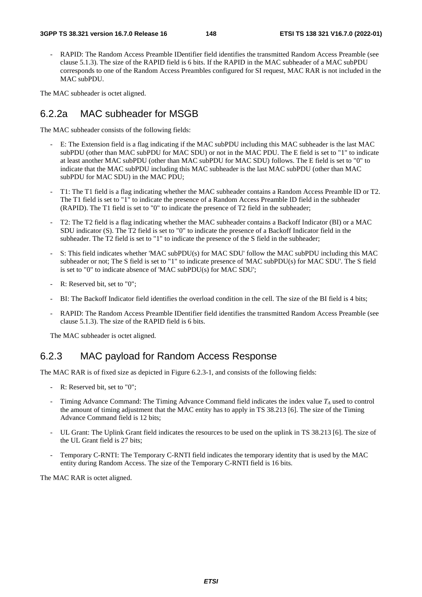RAPID: The Random Access Preamble IDentifier field identifies the transmitted Random Access Preamble (see clause 5.1.3). The size of the RAPID field is 6 bits. If the RAPID in the MAC subheader of a MAC subPDU corresponds to one of the Random Access Preambles configured for SI request, MAC RAR is not included in the MAC subPDU.

The MAC subheader is octet aligned.

#### 6.2.2a MAC subheader for MSGB

The MAC subheader consists of the following fields:

- E: The Extension field is a flag indicating if the MAC subPDU including this MAC subheader is the last MAC subPDU (other than MAC subPDU for MAC SDU) or not in the MAC PDU. The E field is set to "1" to indicate at least another MAC subPDU (other than MAC subPDU for MAC SDU) follows. The E field is set to "0" to indicate that the MAC subPDU including this MAC subheader is the last MAC subPDU (other than MAC subPDU for MAC SDU) in the MAC PDU;
- T1: The T1 field is a flag indicating whether the MAC subheader contains a Random Access Preamble ID or T2. The T1 field is set to "1" to indicate the presence of a Random Access Preamble ID field in the subheader (RAPID). The T1 field is set to "0" to indicate the presence of T2 field in the subheader;
- T2: The T2 field is a flag indicating whether the MAC subheader contains a Backoff Indicator (BI) or a MAC SDU indicator (S). The T2 field is set to "0" to indicate the presence of a Backoff Indicator field in the subheader. The T2 field is set to "1" to indicate the presence of the S field in the subheader;
- S: This field indicates whether 'MAC subPDU(s) for MAC SDU' follow the MAC subPDU including this MAC subheader or not; The S field is set to "1" to indicate presence of 'MAC subPDU(s) for MAC SDU'. The S field is set to "0" to indicate absence of 'MAC subPDU(s) for MAC SDU';
- R: Reserved bit, set to "0";
- BI: The Backoff Indicator field identifies the overload condition in the cell. The size of the BI field is 4 bits;
- RAPID: The Random Access Preamble IDentifier field identifies the transmitted Random Access Preamble (see clause 5.1.3). The size of the RAPID field is 6 bits.

The MAC subheader is octet aligned.

### 6.2.3 MAC payload for Random Access Response

The MAC RAR is of fixed size as depicted in Figure 6.2.3-1, and consists of the following fields:

- R: Reserved bit, set to "0";
- Timing Advance Command: The Timing Advance Command field indicates the index value  $T_A$  used to control the amount of timing adjustment that the MAC entity has to apply in TS 38.213 [6]. The size of the Timing Advance Command field is 12 bits;
- UL Grant: The Uplink Grant field indicates the resources to be used on the uplink in TS 38.213 [6]. The size of the UL Grant field is 27 bits;
- Temporary C-RNTI: The Temporary C-RNTI field indicates the temporary identity that is used by the MAC entity during Random Access. The size of the Temporary C-RNTI field is 16 bits.

The MAC RAR is octet aligned.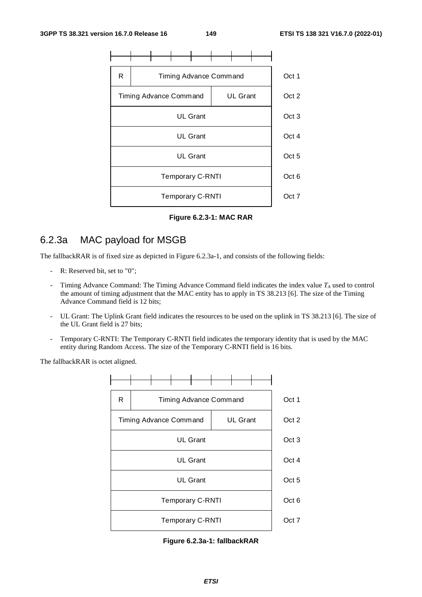

**Figure 6.2.3-1: MAC RAR** 

## 6.2.3a MAC payload for MSGB

The fallbackRAR is of fixed size as depicted in Figure 6.2.3a-1, and consists of the following fields:

- R: Reserved bit, set to "0";
- Timing Advance Command: The Timing Advance Command field indicates the index value *TA* used to control the amount of timing adjustment that the MAC entity has to apply in TS 38.213 [6]. The size of the Timing Advance Command field is 12 bits;
- UL Grant: The Uplink Grant field indicates the resources to be used on the uplink in TS 38.213 [6]. The size of the UL Grant field is 27 bits;
- Temporary C-RNTI: The Temporary C-RNTI field indicates the temporary identity that is used by the MAC entity during Random Access. The size of the Temporary C-RNTI field is 16 bits.

The fallbackRAR is octet aligned.



**Figure 6.2.3a-1: fallbackRAR**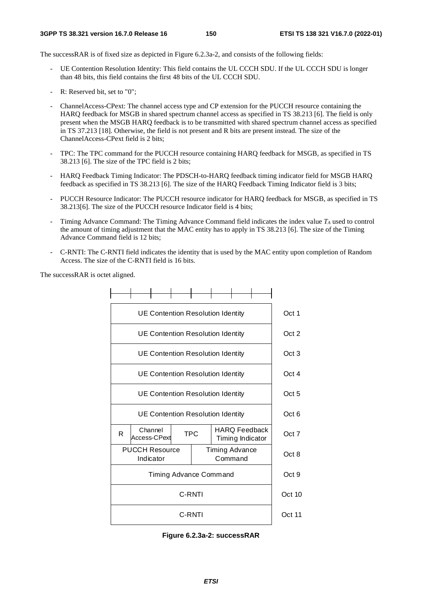The successRAR is of fixed size as depicted in Figure 6.2.3a-2, and consists of the following fields:

- UE Contention Resolution Identity: This field contains the UL CCCH SDU. If the UL CCCH SDU is longer than 48 bits, this field contains the first 48 bits of the UL CCCH SDU.
- R: Reserved bit, set to "0":
- ChannelAccess-CPext: The channel access type and CP extension for the PUCCH resource containing the HARQ feedback for MSGB in shared spectrum channel access as specified in TS 38.213 [6]. The field is only present when the MSGB HARQ feedback is to be transmitted with shared spectrum channel access as specified in TS 37.213 [18]. Otherwise, the field is not present and R bits are present instead. The size of the ChannelAccess-CPext field is 2 bits;
- TPC: The TPC command for the PUCCH resource containing HARO feedback for MSGB, as specified in TS 38.213 [6]. The size of the TPC field is 2 bits;
- HARQ Feedback Timing Indicator: The PDSCH-to-HARQ feedback timing indicator field for MSGB HARQ feedback as specified in TS 38.213 [6]. The size of the HARQ Feedback Timing Indicator field is 3 bits;
- PUCCH Resource Indicator: The PUCCH resource indicator for HARQ feedback for MSGB, as specified in TS 38.213[6]. The size of the PUCCH resource Indicator field is 4 bits;
- Timing Advance Command: The Timing Advance Command field indicates the index value  $T_A$  used to control the amount of timing adjustment that the MAC entity has to apply in TS 38.213 [6]. The size of the Timing Advance Command field is 12 bits;
- C-RNTI: The C-RNTI field indicates the identity that is used by the MAC entity upon completion of Random Access. The size of the C-RNTI field is 16 bits.

The successRAR is octet aligned.



**Figure 6.2.3a-2: successRAR**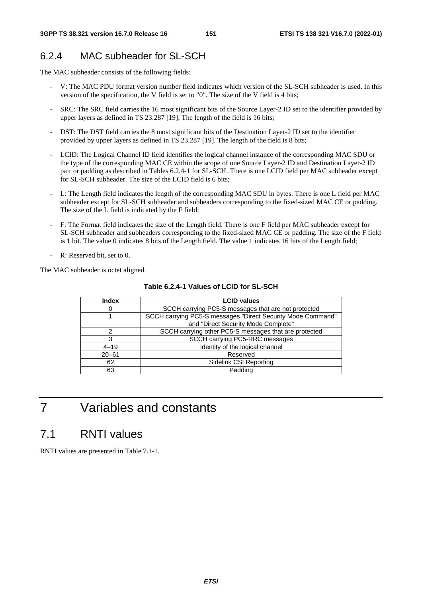## 6.2.4 MAC subheader for SL-SCH

The MAC subheader consists of the following fields:

- V: The MAC PDU format version number field indicates which version of the SL-SCH subheader is used. In this version of the specification, the V field is set to "0". The size of the V field is 4 bits;
- SRC: The SRC field carries the 16 most significant bits of the Source Layer-2 ID set to the identifier provided by upper layers as defined in TS 23.287 [19]. The length of the field is 16 bits;
- DST: The DST field carries the 8 most significant bits of the Destination Layer-2 ID set to the identifier provided by upper layers as defined in TS 23.287 [19]. The length of the field is 8 bits;
- LCID: The Logical Channel ID field identifies the logical channel instance of the corresponding MAC SDU or the type of the corresponding MAC CE within the scope of one Source Layer-2 ID and Destination Layer-2 ID pair or padding as described in Tables 6.2.4-1 for SL-SCH. There is one LCID field per MAC subheader except for SL-SCH subheader. The size of the LCID field is 6 bits;
- L: The Length field indicates the length of the corresponding MAC SDU in bytes. There is one L field per MAC subheader except for SL-SCH subheader and subheaders corresponding to the fixed-sized MAC CE or padding. The size of the L field is indicated by the F field;
- F: The Format field indicates the size of the Length field. There is one F field per MAC subheader except for SL-SCH subheader and subheaders corresponding to the fixed-sized MAC CE or padding. The size of the F field is 1 bit. The value 0 indicates 8 bits of the Length field. The value 1 indicates 16 bits of the Length field;
- R: Reserved bit, set to 0.

The MAC subheader is octet aligned.

| <b>Index</b> | <b>LCID values</b>                                          |  |
|--------------|-------------------------------------------------------------|--|
| O            | SCCH carrying PC5-S messages that are not protected         |  |
|              | SCCH carrying PC5-S messages "Direct Security Mode Command" |  |
|              | and "Direct Security Mode Complete"                         |  |
| າ            | SCCH carrying other PC5-S messages that are protected       |  |
| 3            | SCCH carrying PC5-RRC messages                              |  |
| $4 - 19$     | Identity of the logical channel                             |  |
| $20 - 61$    | Reserved                                                    |  |
| 62           | Sidelink CSI Reporting                                      |  |
| 63           | Padding                                                     |  |

**Table 6.2.4-1 Values of LCID for SL-SCH** 

7 Variables and constants

## 7.1 RNTI values

RNTI values are presented in Table 7.1-1.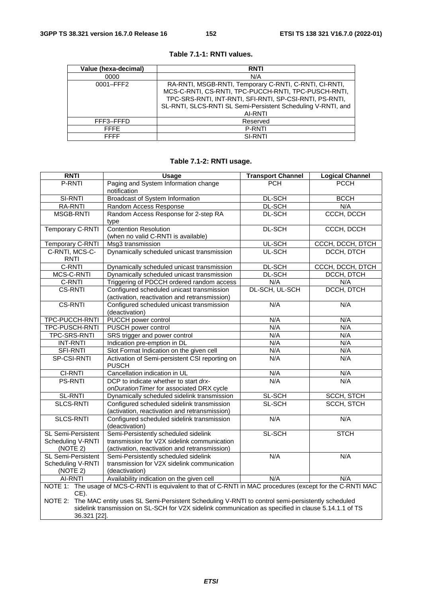| Value (hexa-decimal) | <b>RNTI</b>                                                                                                                                                                                                                                          |
|----------------------|------------------------------------------------------------------------------------------------------------------------------------------------------------------------------------------------------------------------------------------------------|
| 0000                 | N/A                                                                                                                                                                                                                                                  |
| 0001-FFF2            | RA-RNTI, MSGB-RNTI, Temporary C-RNTI, C-RNTI, CI-RNTI,<br>MCS-C-RNTI, CS-RNTI, TPC-PUCCH-RNTI, TPC-PUSCH-RNTI,<br>TPC-SRS-RNTI, INT-RNTI, SFI-RNTI, SP-CSI-RNTI, PS-RNTI,<br>SL-RNTI, SLCS-RNTI SL Semi-Persistent Scheduling V-RNTI, and<br>AI-RNTI |
| FFF3-FFFD            | Reserved                                                                                                                                                                                                                                             |
| <b>FFFF</b>          | <b>P-RNTI</b>                                                                                                                                                                                                                                        |
| <b>FFFF</b>          | <b>SI-RNTI</b>                                                                                                                                                                                                                                       |

#### **Table 7.1-1: RNTI values.**

#### **Table 7.1-2: RNTI usage.**

| <b>RNTI</b>                                                                                                                                                                                                     | <b>Usage</b>                                   | <b>Transport Channel</b> | <b>Logical Channel</b> |
|-----------------------------------------------------------------------------------------------------------------------------------------------------------------------------------------------------------------|------------------------------------------------|--------------------------|------------------------|
| P-RNTI                                                                                                                                                                                                          | Paging and System Information change           | <b>PCH</b>               | <b>PCCH</b>            |
|                                                                                                                                                                                                                 | notification                                   |                          |                        |
| SI-RNTI                                                                                                                                                                                                         | <b>Broadcast of System Information</b>         | DL-SCH                   | <b>BCCH</b>            |
| <b>RA-RNTI</b>                                                                                                                                                                                                  | Random Access Response                         | DL-SCH                   | N/A                    |
| <b>MSGB-RNTI</b>                                                                                                                                                                                                | Random Access Response for 2-step RA           | DL-SCH                   | CCCH, DCCH             |
|                                                                                                                                                                                                                 | type                                           |                          |                        |
| <b>Temporary C-RNTI</b>                                                                                                                                                                                         | <b>Contention Resolution</b>                   | DL-SCH                   | CCCH, DCCH             |
|                                                                                                                                                                                                                 | (when no valid C-RNTI is available)            |                          |                        |
| Temporary C-RNTI                                                                                                                                                                                                | Msg3 transmission                              | UL-SCH                   | CCCH, DCCH, DTCH       |
| C-RNTI, MCS-C-                                                                                                                                                                                                  | Dynamically scheduled unicast transmission     | UL-SCH                   | DCCH, DTCH             |
| <b>RNTI</b>                                                                                                                                                                                                     |                                                |                          |                        |
| C-RNTI                                                                                                                                                                                                          | Dynamically scheduled unicast transmission     | DL-SCH                   | CCCH, DCCH, DTCH       |
| MCS-C-RNTI                                                                                                                                                                                                      | Dynamically scheduled unicast transmission     | DL-SCH                   | DCCH, DTCH             |
| C-RNTI                                                                                                                                                                                                          | Triggering of PDCCH ordered random access      | N/A                      | N/A                    |
| <b>CS-RNTI</b>                                                                                                                                                                                                  | Configured scheduled unicast transmission      | DL-SCH, UL-SCH           | DCCH, DTCH             |
|                                                                                                                                                                                                                 | (activation, reactivation and retransmission)  |                          |                        |
| <b>CS-RNTI</b>                                                                                                                                                                                                  | Configured scheduled unicast transmission      | N/A                      | N/A                    |
|                                                                                                                                                                                                                 | (deactivation)                                 |                          |                        |
| TPC-PUCCH-RNTI                                                                                                                                                                                                  | PUCCH power control                            | N/A                      | N/A                    |
| TPC-PUSCH-RNTI                                                                                                                                                                                                  | PUSCH power control                            | N/A                      | N/A                    |
| TPC-SRS-RNTI                                                                                                                                                                                                    | SRS trigger and power control                  | N/A                      | N/A                    |
| <b>INT-RNTI</b>                                                                                                                                                                                                 | Indication pre-emption in DL                   | N/A                      | N/A                    |
| <b>SFI-RNTI</b>                                                                                                                                                                                                 | Slot Format Indication on the given cell       | N/A                      | N/A                    |
| SP-CSI-RNTI                                                                                                                                                                                                     | Activation of Semi-persistent CSI reporting on | N/A                      | N/A                    |
|                                                                                                                                                                                                                 | <b>PUSCH</b>                                   |                          |                        |
| CI-RNTI                                                                                                                                                                                                         | Cancellation indication in UL                  | N/A                      | N/A                    |
| <b>PS-RNTI</b>                                                                                                                                                                                                  | DCP to indicate whether to start drx-          | N/A                      | N/A                    |
|                                                                                                                                                                                                                 | onDurationTimer for associated DRX cycle       |                          |                        |
| <b>SL-RNTI</b>                                                                                                                                                                                                  | Dynamically scheduled sidelink transmission    | SL-SCH                   | <b>SCCH, STCH</b>      |
| <b>SLCS-RNTI</b>                                                                                                                                                                                                | Configured scheduled sidelink transmission     | SL-SCH                   | <b>SCCH, STCH</b>      |
|                                                                                                                                                                                                                 | (activation, reactivation and retransmission)  |                          |                        |
| <b>SLCS-RNTI</b>                                                                                                                                                                                                | Configured scheduled sidelink transmission     | N/A                      | N/A                    |
|                                                                                                                                                                                                                 | (deactivation)                                 |                          |                        |
| SL Semi-Persistent                                                                                                                                                                                              | Semi-Persistently scheduled sidelink           | SL-SCH                   | <b>STCH</b>            |
| Scheduling V-RNTI                                                                                                                                                                                               | transmission for V2X sidelink communication    |                          |                        |
| (NOTE 2)                                                                                                                                                                                                        | (activation, reactivation and retransmission)  |                          |                        |
| <b>SL Semi-Persistent</b>                                                                                                                                                                                       | Semi-Persistently scheduled sidelink           | N/A                      | N/A                    |
| Scheduling V-RNTI                                                                                                                                                                                               | transmission for V2X sidelink communication    |                          |                        |
| (NOTE 2)                                                                                                                                                                                                        | (deactivation)                                 |                          |                        |
| AI-RNTI                                                                                                                                                                                                         | Availability indication on the given cell      | N/A                      | N/A                    |
| NOTE 1: The usage of MCS-C-RNTI is equivalent to that of C-RNTI in MAC procedures (except for the C-RNTI MAC                                                                                                    |                                                |                          |                        |
| CE).                                                                                                                                                                                                            |                                                |                          |                        |
| NOTE 2: The MAC entity uses SL Semi-Persistent Scheduling V-RNTI to control semi-persistently scheduled<br>sidelink transmission on SL-SCH for V2X sidelink communication as specified in clause 5.14.1.1 of TS |                                                |                          |                        |
|                                                                                                                                                                                                                 |                                                |                          |                        |
| 36.321 [22].                                                                                                                                                                                                    |                                                |                          |                        |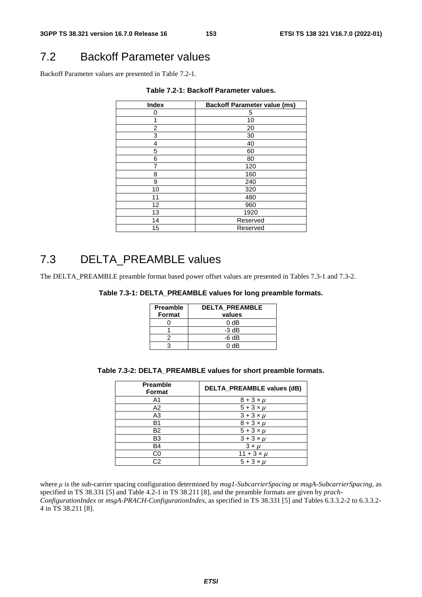# 7.2 Backoff Parameter values

Backoff Parameter values are presented in Table 7.2-1.

| <b>Index</b> | <b>Backoff Parameter value (ms)</b> |
|--------------|-------------------------------------|
| 0            | 5                                   |
|              | 10                                  |
| 2            | 20                                  |
| 3            | 30                                  |
| 4            | 40                                  |
| 5            | 60                                  |
| 6            | 80                                  |
|              | 120                                 |
| 8            | 160                                 |
| 9            | 240                                 |
| 10           | 320                                 |
| 11           | 480                                 |
| 12           | 960                                 |
| 13           | 1920                                |
| 14           | Reserved                            |
| 15           | Reserved                            |

**Table 7.2-1: Backoff Parameter values.** 

## 7.3 DELTA\_PREAMBLE values

The DELTA\_PREAMBLE preamble format based power offset values are presented in Tables 7.3-1 and 7.3-2.

|  |  | Table 7.3-1: DELTA_PREAMBLE values for long preamble formats. |
|--|--|---------------------------------------------------------------|
|--|--|---------------------------------------------------------------|

| <b>Preamble</b><br><b>Format</b> | <b>DELTA PREAMBLE</b><br>values |
|----------------------------------|---------------------------------|
|                                  | 0 dB                            |
|                                  | $-3$ dB                         |
|                                  | -6 dB                           |
|                                  | 0 dB                            |

|  | Table 7.3-2: DELTA_PREAMBLE values for short preamble formats. |  |
|--|----------------------------------------------------------------|--|
|--|----------------------------------------------------------------|--|

| <b>Preamble</b><br><b>Format</b> | DELTA_PREAMBLE values (dB) |
|----------------------------------|----------------------------|
| A1                               | $8 + 3 \times \mu$         |
| A <sub>2</sub>                   | $5 + 3 \times \mu$         |
| A3                               | $3 + 3 \times \mu$         |
| B1                               | $8 + 3 \times \mu$         |
| <b>B2</b>                        | $5 + 3 \times \mu$         |
| B <sub>3</sub>                   | $3 + 3 \times \mu$         |
| <b>B4</b>                        | $3 \times u$               |
| C0                               | $11 + 3 \times \mu$        |
| C2                               | $5 + 3 \times \mu$         |

where μ is the sub-carrier spacing configuration determined by *msg1-SubcarrierSpacing* or *msgA-SubcarrierSpacing*, as specified in TS 38.331 [5] and Table 4.2-1 in TS 38.211 [8], and the preamble formats are given by *prach-ConfigurationIndex* or *msgA-PRACH-ConfigurationIndex*, as specified in TS 38.331 [5] and Tables 6.3.3.2-2 to 6.3.3.2- 4 in TS 38.211 [8].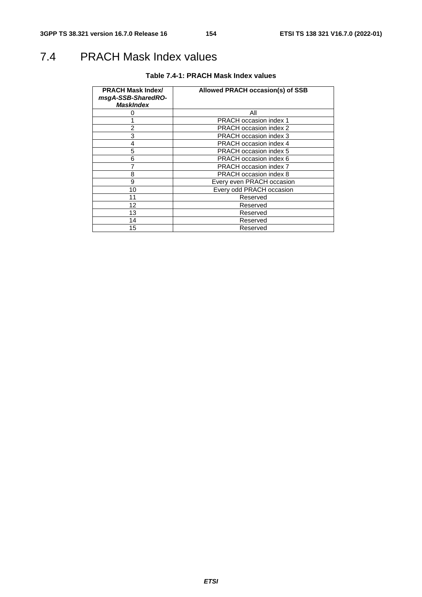# 7.4 PRACH Mask Index values

| <b>PRACH Mask Index/</b><br>msgA-SSB-SharedRO-<br><b>MaskIndex</b> | Allowed PRACH occasion(s) of SSB |
|--------------------------------------------------------------------|----------------------------------|
|                                                                    | Αll                              |
|                                                                    | <b>PRACH occasion index 1</b>    |
| 2                                                                  | <b>PRACH occasion index 2</b>    |
| 3                                                                  | PRACH occasion index 3           |
| 4                                                                  | <b>PRACH occasion index 4</b>    |
| 5                                                                  | <b>PRACH occasion index 5</b>    |
| 6                                                                  | PRACH occasion index 6           |
|                                                                    | <b>PRACH occasion index 7</b>    |
| 8                                                                  | <b>PRACH occasion index 8</b>    |
| 9                                                                  | Every even PRACH occasion        |
| 10                                                                 | Every odd PRACH occasion         |
| 11                                                                 | Reserved                         |
| 12                                                                 | Reserved                         |
| 13                                                                 | Reserved                         |
| 14                                                                 | Reserved                         |
| 15                                                                 | Reserved                         |

#### **Table 7.4-1: PRACH Mask Index values**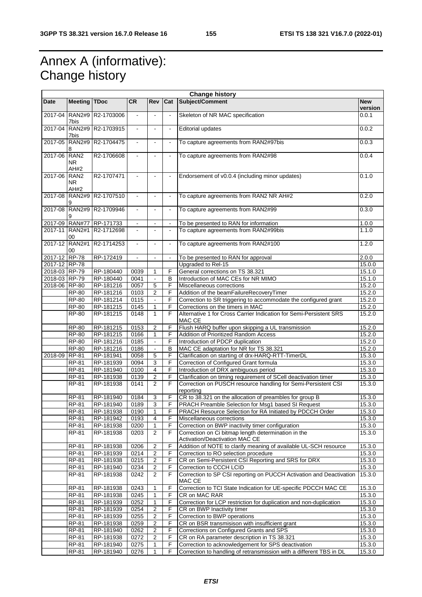# Annex A (informative): Change history

| <b>Change history</b> |                                 |                         |                |                         |                          |                                                                                       |                       |
|-----------------------|---------------------------------|-------------------------|----------------|-------------------------|--------------------------|---------------------------------------------------------------------------------------|-----------------------|
| <b>Date</b>           | <b>Meeting</b>                  | <b>TDoc</b>             | <b>CR</b>      | <b>Rev</b>              | Cat                      | Subject/Comment                                                                       | <b>New</b><br>version |
| 2017-04               | <b>RAN2#9</b><br>7bis           | R2-1703006              | $\frac{1}{2}$  |                         | $\overline{\phantom{a}}$ | Skeleton of NR MAC specification                                                      | 0.0.1                 |
| 2017-04               | <b>RAN2#9</b><br>7bis           | R2-1703915              | $\omega$       | $\overline{a}$          | $\blacksquare$           | <b>Editorial updates</b>                                                              | 0.0.2                 |
| 2017-05               | <b>RAN2#9</b><br>8              | R2-1704475              | $\blacksquare$ |                         | $\blacksquare$           | To capture agreements from RAN2#97bis                                                 | 0.0.3                 |
| 2017-06               | RAN <sub>2</sub><br>NR.<br>AH#2 | R2-1706608              | $\blacksquare$ |                         | $\blacksquare$           | To capture agreements from RAN2#98                                                    | 0.0.4                 |
| 2017-06               | RAN <sub>2</sub><br>NR.         | R2-1707471              |                |                         | $\blacksquare$           | Endorsement of v0.0.4 (including minor updates)                                       | 0.1.0                 |
| 2017-08               | AH#2<br><b>RAN2#9</b><br>9      | R <sub>2</sub> -1707510 | $\omega$       | $\sim$                  | $\overline{\phantom{a}}$ | To capture agreements from RAN2 NR AH#2                                               | 0.2.0                 |
| 2017-08               | <b>RAN2#9</b><br>9              | R2-1709946              | $\blacksquare$ |                         | $\blacksquare$           | To capture agreements from RAN2#99                                                    | 0.3.0                 |
| 2017-09               | <b>RAN#77</b>                   | RP-171733               |                |                         |                          | To be presented to RAN for information                                                | 1.0.0                 |
| 2017-11               | <b>RAN2#1</b><br>00             | R2-1712698              | $\overline{a}$ |                         | $\overline{\phantom{a}}$ | To capture agreements from RAN2#99bis                                                 | 1.1.0                 |
|                       | 2017-12 RAN2#1<br>00            | R2-1714253              | $\blacksquare$ |                         | $\blacksquare$           | To capture agreements from RAN2#100                                                   | 1.2.0                 |
| 2017-12 RP-78         |                                 | RP-172419               | $\blacksquare$ |                         | $\blacksquare$           | To be presented to RAN for approval                                                   | 2.0.0                 |
| 2017-12 RP-78         |                                 |                         |                |                         |                          | Upgraded to Rel-15                                                                    | 15.0.0                |
| 2018-03 RP-79         |                                 | RP-180440               | 0039           | $\mathbf{1}$            | F                        | General corrections on TS 38.321                                                      | 15.1.0                |
| 2018-03 RP-79         |                                 | RP-180440               | 0041           |                         | B                        | Introduction of MAC CEs for NR MIMO                                                   | 15.1.0                |
| 2018-06 RP-80         |                                 | RP-181216               | 0057           | $\overline{5}$          | F                        | Miscellaneous corrections                                                             | 15.2.0                |
|                       | <b>RP-80</b>                    | RP-181216               | 0103           | $\overline{c}$          | F                        | Addition of the beamFailureRecoveryTimer                                              | 15.2.0                |
|                       | <b>RP-80</b>                    | RP-181214               | 0115           |                         | F                        | Correction to SR triggering to accommodate the configured grant                       | 15.2.0                |
|                       | $RP-80$                         | RP-181215               | 0145           | $\mathbf{1}$            | F                        | Corrections on the timers in MAC                                                      | 15.2.0                |
|                       | <b>RP-80</b>                    | RP-181215               | 0148           | $\mathbf{1}$            | F                        | Alternative 1 for Cross Carrier Indication for Semi-Persistent SRS<br>MAC CE          | 15.2.0                |
|                       | <b>RP-80</b>                    | RP-181215               | 0153           | $\overline{c}$          | F                        | Flush HARQ buffer upon skipping a UL transmission                                     | 15.2.0                |
|                       | <b>RP-80</b>                    | RP-181215               | 0166           | $\mathbf{1}$            | F                        | Addition of Prioritized Random Access                                                 | 15.2.0                |
|                       | <b>RP-80</b>                    | RP-181216               | 0185           | $\blacksquare$          | F                        | Introduction of PDCP duplication                                                      | 15.2.0                |
|                       | <b>RP-80</b>                    | RP-181216               | 0186           | $\blacksquare$          | B                        | MAC CE adaptation for NR for TS 38.321                                                | 15.2.0                |
| 2018-09               | RP-81                           | RP-181941               | 0058           | 5                       | F                        | Clarification on starting of drx-HARQ-RTT-TimerDL                                     | 15.3.0                |
|                       | RP-81                           | RP-181939               | 0094           | 3                       | F                        | Correction of Configured Grant formula                                                | 15.3.0                |
|                       | RP-81                           | RP-181940               | 0100           | $\overline{4}$          | F                        | Introduction of DRX ambiguous period                                                  | 15.3.0                |
|                       | <b>RP-81</b>                    | RP-181938               | 0139           | $\overline{c}$          | F                        | Clarification on timing requirement of SCell deactivation timer                       | 15.3.0                |
|                       | RP-81                           | RP-181938               | 0141           | 2                       | $\overline{F}$           | Correction on PUSCH resource handling for Semi-Persistent CSI<br>reporting            | 15.3.0                |
|                       | RP-81                           | RP-181940               | 0184           | 3                       | F                        | CR to 38.321 on the allocation of preambles for group B                               | 15.3.0                |
|                       | <b>RP-81</b>                    | RP-181940               | 0189           | $\overline{3}$          | F                        | PRACH Preamble Selection for Msg1 based SI Request                                    | 15.3.0                |
|                       | RP-81                           | RP-181938               | 0190           | 1                       | F                        | PRACH Resource Selection for RA Initiated by PDCCH Order                              | 15.3.0                |
|                       | RP-81                           | RP-181942               | 0193           | $\overline{4}$          | F                        | Miscellaneous corrections                                                             | 15.3.0                |
|                       | RP-81                           | RP-181938               | 0200           | 1                       | F                        | Correction on BWP inactivity timer configuration                                      | 15.3.0                |
|                       | RP-81                           | RP-181938               | 0203           | $\overline{2}$          | F                        | Correction on Ci bitmap length determination in the<br>Activation/Deactivation MAC CE | 15.3.0                |
|                       | <b>RP-81</b>                    | RP-181938               | 0206           | 2                       | F                        | Addition of NOTE to clarify meaning of available UL-SCH resource                      | 15.3.0                |
|                       | RP-81                           | RP-181939               | 0214           | 2                       | F                        | Correction to RO selection procedure                                                  | 15.3.0                |
|                       | RP-81                           | RP-181938               | 0215           | 2                       | F                        | CR on Semi-Persistent CSI Reporting and SRS for DRX                                   | 15.3.0                |
|                       | RP-81                           | RP-181940               | 0234           | $\overline{2}$          | F                        | Correction to CCCH LCID                                                               | 15.3.0                |
|                       | <b>RP-81</b>                    | RP-181938               | 0242           | $\overline{2}$          | F                        | Correction to SP CSI reporting on PUCCH Activation and Deactivation<br>MAC CE         | 15.3.0                |
|                       | RP-81                           | RP-181938               | 0243           | 1                       | F                        | Correction to TCI State Indication for UE-specific PDCCH MAC CE                       | 15.3.0                |
|                       | RP-81                           | RP-181938               | 0245           | $\mathbf{1}$            | F                        | CR on MAC RAR                                                                         | 15.3.0                |
|                       | $RP-81$                         | RP-181939               | 0252           | $\mathbf{1}$            | F                        | Correction for LCP restriction for duplication and non-duplication                    | 15.3.0                |
|                       | RP-81                           | RP-181939               | 0254           | $\overline{2}$          | F                        | CR on BWP Inactivity timer                                                            | 15.3.0                |
|                       | RP-81                           | RP-181939               | 0255           | $\overline{2}$          | F                        | Correction to BWP operations                                                          | 15.3.0                |
|                       | RP-81                           | RP-181938               | 0259           | $\overline{\mathbf{c}}$ | F                        | CR on BSR transmisison with insufficient grant                                        | 15.3.0                |
|                       | RP-81                           | RP-181940               | 0262           | 2                       | F                        | Corrections on Configured Grants and SPS                                              | 15.3.0                |
|                       | RP-81                           | RP-181938               | 0272           | $\overline{2}$          | F                        | CR on RA parameter description in TS 38.321                                           | 15.3.0                |
|                       | RP-81                           | RP-181940               | 0275           | 1                       | F                        | Correction to acknowledgement for SPS deactivation                                    | 15.3.0                |
|                       | RP-81                           | RP-181940               | 0276           | 1                       | F                        | Correction to handling of retransmission with a different TBS in DL                   | 15.3.0                |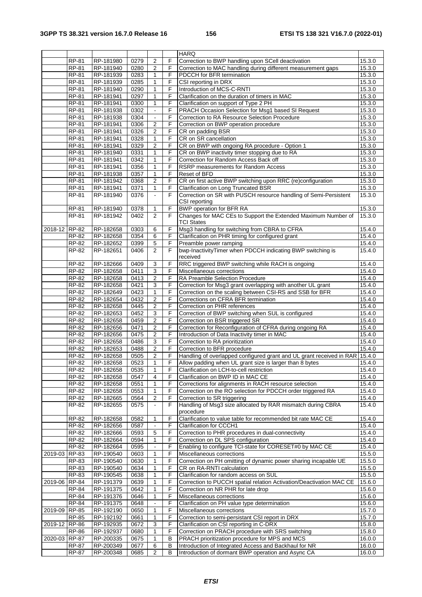|               |              |           |      |                |                | <b>HARQ</b>                                                          |        |
|---------------|--------------|-----------|------|----------------|----------------|----------------------------------------------------------------------|--------|
|               | $RP-81$      | RP-181980 | 0279 | $\overline{2}$ | F              | Correction to BWP handling upon SCell deactivation                   | 15.3.0 |
|               | <b>RP-81</b> | RP-181940 | 0280 | 2              | F              | Correction to MAC handling during different measurement gaps         | 15.3.0 |
|               | <b>RP-81</b> | RP-181939 | 0283 | $\mathbf{1}$   | F              | PDCCH for BFR termination                                            | 15.3.0 |
|               | <b>RP-81</b> | RP-181939 | 0285 | $\mathbf{1}$   | F              | CSI reporting in DRX                                                 | 15.3.0 |
|               | <b>RP-81</b> | RP-181940 | 0290 | 1              | F              | Introduction of MCS-C-RNTI                                           | 15.3.0 |
|               | <b>RP-81</b> | RP-181941 | 0297 | $\mathbf{1}$   | F              | Clarification on the duration of timers in MAC                       | 15.3.0 |
|               | <b>RP-81</b> | RP-181941 | 0300 | $\mathbf{1}$   | F              | Clarification on support of Type 2 PH                                | 15.3.0 |
|               | <b>RP-81</b> | RP-181938 | 0302 | $\blacksquare$ | F              | PRACH Occasion Selection for Msg1 based SI Request                   | 15.3.0 |
|               | <b>RP-81</b> | RP-181938 | 0304 |                | F              | Correction to RA Resource Selection Procedure                        | 15.3.0 |
|               | <b>RP-81</b> | RP-181941 | 0306 | $\overline{2}$ | F              | Correction on BWP operation procedure                                | 15.3.0 |
|               | <b>RP-81</b> | RP-181941 | 0326 | 2              | F              | CR on padding BSR                                                    | 15.3.0 |
|               | <b>RP-81</b> | RP-181941 | 0328 | $\mathbf{1}$   | F              | CR on SR cancellation                                                | 15.3.0 |
|               | <b>RP-81</b> | RP-181941 | 0329 | $\overline{2}$ | F              | CR on BWP with ongoing RA procedure - Option 1                       | 15.3.0 |
|               | <b>RP-81</b> | RP-181940 | 0331 | 1              | F              | CR on BWP inactivity timer stopping due to RA                        | 15.3.0 |
|               | <b>RP-81</b> | RP-181941 | 0342 | $\mathbf{1}$   | F              | Correction for Random Access Back off                                | 15.3.0 |
|               | <b>RP-81</b> | RP-181941 | 0356 | $\mathbf{1}$   | F              | RSRP measurements for Random Access                                  | 15.3.0 |
|               | <b>RP-81</b> | RP-181938 | 0357 | 1              | F              | Reset of BFD                                                         | 15.3.0 |
|               | <b>RP-81</b> | RP-181942 | 0368 | $\overline{2}$ | F              | CR on first active BWP switching upon RRC (re)configuration          | 15.3.0 |
|               | RP-81        | RP-181941 | 0371 | 1              | F              | Clarification on Long Truncated BSR                                  | 15.3.0 |
|               | RP-81        | RP-181940 | 0376 | $\omega$       | F              | Correction on SR with PUSCH resource handling of Semi-Persistent     | 15.3.0 |
|               |              |           |      |                |                | CSI reporting                                                        |        |
|               | RP-81        | RP-181940 | 0378 | 1              | F              | <b>BWP</b> operation for BFR RA                                      | 15.3.0 |
|               | <b>RP-81</b> | RP-181942 | 0402 | 2              | F              | Changes for MAC CEs to Support the Extended Maximum Number of        | 15.3.0 |
|               |              |           |      |                |                | <b>TCI States</b>                                                    |        |
| 2018-12 RP-82 |              | RP-182658 | 0303 | 6              | F              | Msg3 handling for switching from CBRA to CFRA                        | 15.4.0 |
|               | RP-82        | RP-182658 | 0354 | $\,6$          | $\overline{F}$ | Clarification on PHR timing for configured grant                     | 15.4.0 |
|               | RP-82        | RP-182652 | 0399 | $\overline{5}$ | F              | Preamble power ramping                                               | 15.4.0 |
|               | RP-82        | RP-182651 | 0406 | $\overline{2}$ | F              | bwp-InactivityTimer when PDCCH indicating BWP switching is           | 15.4.0 |
|               |              |           |      |                |                | received                                                             |        |
|               | $RP-82$      | RP-182666 | 0409 | 3              | F              | RRC triggered BWP switching while RACH is ongoing                    | 15.4.0 |
|               | RP-82        | RP-182658 | 0411 | $\overline{3}$ | F              | Miscellaneous corrections                                            | 15.4.0 |
|               | RP-82        | RP-182658 | 0413 | $\overline{2}$ | F              | RA Preamble Selection Procedure                                      | 15.4.0 |
|               | RP-82        | RP-182658 | 0421 | 3              | F              | Correction for Msg3 grant overlapping with another UL grant          | 15.4.0 |
|               | RP-82        | RP-182649 | 0423 | $\mathbf{1}$   | F              | Correction on the scaling between CSI-RS and SSB for BFR             | 15.4.0 |
|               | RP-82        | RP-182654 | 0432 | $\overline{c}$ | F              | Corrections on CFRA BFR termination                                  | 15.4.0 |
|               | RP-82        | RP-182658 | 0445 | 2              | F              | Correction on PHR references                                         | 15.4.0 |
|               | RP-82        | RP-182653 | 0452 | $\overline{3}$ | F              | Correction of BWP switching when SUL is configured                   | 15.4.0 |
|               | RP-82        | RP-182658 | 0459 | $\overline{2}$ | F.             | Correction on BSR triggered SR                                       | 15.4.0 |
|               | RP-82        | RP-182656 | 0471 | 2              | F              | Correction for Reconfiguration of CFRA during ongoing RA             | 15.4.0 |
|               | <b>RP-82</b> | RP-182656 | 0475 | $\overline{2}$ | F              | Introduction of Data Inactivity timer in MAC                         | 15.4.0 |
|               | RP-82        | RP-182658 | 0486 | $\overline{3}$ | F              | Correction to RA prioritization                                      | 15.4.0 |
|               | <b>RP-82</b> | RP-182653 | 0488 | $\overline{c}$ | F              | Correction to BFR procedure                                          | 15.4.0 |
|               | RP-82        | RP-182658 | 0505 | $\overline{2}$ | F              | Handling of overlapped configured grant and UL grant received in RAR | 15.4.0 |
|               | RP-82        | RP-182658 | 0523 | $\mathbf{1}$   | F.             | Allow padding when UL grant size is larger than 8 bytes              | 15.4.0 |
|               | RP-82        | RP-182658 | 0535 | 1              | F              | Clarification on LCH-to-cell restriction                             | 15.4.0 |
|               | RP-82        | RP-182658 | 0547 | 4              | F              | Clarification on BWP ID in MAC CE                                    | 15.4.0 |
|               | RP-82        | RP-182658 | 0551 | 1              | F.             | Corrections for alignments in RACH resource selection                | 15.4.0 |
|               | RP-82        | RP-182658 | 0553 | 1              | F              | Correction on the RO selection for PDCCH order triggered RA          | 15.4.0 |
|               | RP-82        | RP-182665 | 0564 | $\overline{2}$ | F              | Correction to SR triggering                                          | 15.4.0 |
|               | RP-82        | RP-182655 | 0575 |                | F              | Handling of Msg3 size allocated by RAR mismatch during CBRA          | 15.4.0 |
|               |              |           |      |                |                | procedure                                                            |        |
|               | RP-82        | RP-182658 | 0582 | $\mathbf{1}$   | F              | Clarification to value table for recommended bit rate MAC CE         | 15.4.0 |
|               | RP-82        | RP-182656 | 0587 | $\Box$         | F              | Clarification for CCCH1                                              | 15.4.0 |
|               | $RP-82$      | RP-182666 | 0593 | 5              | F              | Correction to PHR procedures in dual-connectivity                    | 15.4.0 |
|               | RP-82        | RP-182664 | 0594 | 1              | F              | Correction on DL SPS configuration                                   | 15.4.0 |
|               | RP-82        | RP-182664 | 0595 |                | F              | Enabling to configure TCI-state for CORESET#0 by MAC CE              | 15.4.0 |
| 2019-03 RP-83 |              | RP-190540 | 0603 | 1              | F              | Miscellaneous corrections                                            | 15.5.0 |
|               | RP-83        | RP-190540 | 0630 | $\mathbf{1}$   | F              | Correction on PH omitting of dynamic power sharing incapable UE      | 15.5.0 |
|               | RP-83        | RP-190540 | 0634 | 1              | F              | CR on RA-RNTI calculation                                            | 15.5.0 |
|               | RP-83        | RP-190545 | 0638 | 1              | F              | Clarification for random access on SUL                               | 15.5.0 |
| 2019-06 RP-84 |              | RP-191379 | 0639 | $\mathbf{1}$   | F              | Correction to PUCCH spatial relation Activation/Deactivation MAC CE  | 15.6.0 |
|               | RP-84        | RP-191375 | 0642 | 1              | F              | Correction on NR PHR for late drop                                   | 15.6.0 |
|               | RP-84        | RP-191376 | 0646 | 1              | F              | Miscellaneous corrections                                            | 15.6.0 |
|               | RP-84        | RP-191375 | 0648 | $\omega$       | F              | Clarification on PH value type determination                         | 15.6.0 |
| 2019-09 RP-85 |              | RP-192190 | 0650 | 1              | F              | Miscellaneous corrections                                            | 15.7.0 |
|               | RP-85        | RP-192192 | 0661 | 1              | F              | Correction to semi-persistant CSI report in DRX                      | 15.7.0 |
| 2019-12 RP-86 |              | RP-192935 | 0672 | 3              | F              | Clarification on CSI reporting in C-DRX                              | 15.8.0 |
|               | <b>RP-86</b> | RP-192937 | 0680 | 1              | F              | Correction on PRACH procedure with SRS switching                     | 15.8.0 |
| 2020-03 RP-87 |              | RP-200335 | 0675 | 1              | B              | PRACH prioritization procedure for MPS and MCS                       | 16.0.0 |
|               | <b>RP-87</b> | RP-200349 | 0677 | $\,6$          | В              | Introduction of Integrated Access and Backhaul for NR                | 16.0.0 |
|               | <b>RP-87</b> | RP-200348 | 0685 | 2              | В              | Introduction of dormant BWP operation and Async CA                   | 16.0.0 |
|               |              |           |      |                |                |                                                                      |        |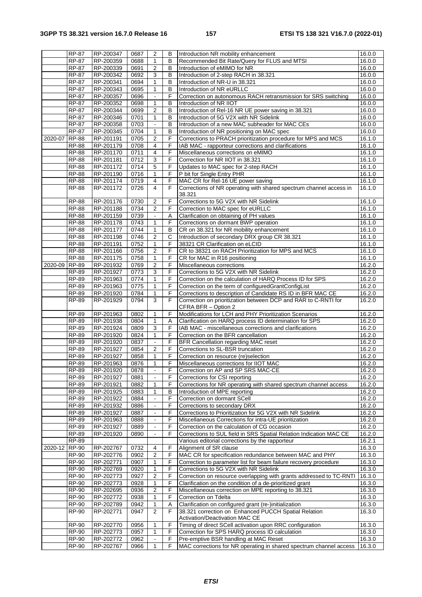|               | <b>RP-87</b> | RP-200347 | 0687 | 2              | в | Introduction NR mobility enhancement                                | 16.0.0 |
|---------------|--------------|-----------|------|----------------|---|---------------------------------------------------------------------|--------|
|               | <b>RP-87</b> | RP-200359 | 0688 | $\mathbf{1}$   | B | Recommended Bit Rate/Query for FLUS and MTSI                        | 16.0.0 |
|               | <b>RP-87</b> | RP-200339 | 0691 | $\overline{2}$ | B | Introduction of eMIMO for NR                                        | 16.0.0 |
|               | <b>RP-87</b> | RP-200342 | 0692 | 3              | B | Introduction of 2-step RACH in 38.321                               | 16.0.0 |
|               | <b>RP-87</b> | RP-200341 | 0694 | $\mathbf{1}$   | B | Introduction of NR-U in 38.321                                      | 16.0.0 |
|               | <b>RP-87</b> | RP-200343 | 0695 | $\mathbf{1}$   | B | Introduction of NR eURLLC                                           | 16.0.0 |
|               | <b>RP-87</b> | RP-200357 | 0696 |                | F | Correction on autonomous RACH retransmission for SRS switching      | 16.0.0 |
|               | <b>RP-87</b> | RP-200352 | 0698 | 1              | B | Introduction of NR IIOT                                             | 16.0.0 |
|               | <b>RP-87</b> | RP-200344 | 0699 | $\overline{2}$ | в | Introduction of Rel-16 NR UE power saving in 38.321                 | 16.0.0 |
|               |              |           |      | 1              | B |                                                                     |        |
|               | <b>RP-87</b> | RP-200346 | 0701 |                |   | Introduction of 5G V2X with NR Sidelink                             | 16.0.0 |
|               | <b>RP-87</b> | RP-200358 | 0703 |                | B | Introduction of a new MAC subheader for MAC CEs                     | 16.0.0 |
|               | RP-87        | RP-200345 | 0704 | 1              | В | Introduction of NR positioning on MAC spec                          | 16.0.0 |
| 2020-07       | <b>RP-88</b> | RP-201191 | 0705 | 2              | F | Corrections to PRACH prioritization procedure for MPS and MCS       | 16.1.0 |
|               | <b>RP-88</b> | RP-201179 | 0708 | $\overline{4}$ | F | IAB MAC - rapporteur corrections and clarifications                 | 16.1.0 |
|               | <b>RP-88</b> | RP-201170 | 0711 | 4              | F | Miscellaneous corrections on eMIMO                                  | 16.1.0 |
|               | <b>RP-88</b> | RP-201181 | 0712 | 3              | F | Correction for NR IIOT in 38.321                                    | 16.1.0 |
|               | <b>RP-88</b> | RP-201172 | 0714 | 5              | F | Updates to MAC spec for 2-step RACH                                 | 16.1.0 |
|               | <b>RP-88</b> | RP-201190 | 0716 | 1              | F | P bit for Single Entry PHR                                          | 16.1.0 |
|               | <b>RP-88</b> | RP-201174 | 0719 | 4              | F | MAC CR for Rel-16 UE power saving                                   | 16.1.0 |
|               | <b>RP-88</b> | RP-201172 | 0726 | 4              | F | Corrections of NR operating with shared spectrum channel access in  | 16.1.0 |
|               |              |           |      |                |   | 38.321                                                              |        |
|               | <b>RP-88</b> | RP-201176 | 0730 | $\overline{c}$ | F | Corrections to 5G V2X with NR Sidelink                              |        |
|               |              |           |      |                |   |                                                                     | 16.1.0 |
|               | <b>RP-88</b> | RP-201188 | 0734 | $\overline{2}$ | F | Correction to MAC spec for eURLLC                                   | 16.1.0 |
|               | <b>RP-88</b> | RP-201159 | 0739 |                | Α | Clarification on obtaining of PH values                             | 16.1.0 |
|               | <b>RP-88</b> | RP-201178 | 0743 | $\mathbf{1}$   | F | Corrections on dormant BWP operation                                | 16.1.0 |
|               | <b>RP-88</b> | RP-201177 | 0744 | $\mathbf{1}$   | B | CR on 38.321 for NR mobility enhancement                            | 16.1.0 |
|               | <b>RP-88</b> | RP-201198 | 0746 | 2              | С | Introduction of secondary DRX group CR 38.321                       | 16.1.0 |
|               | <b>RP-88</b> | RP-201191 | 0752 | $\mathbf{1}$   | F | 38321 CR Clarification on eLCID                                     | 16.1.0 |
|               | <b>RP-88</b> | RP-201166 | 0756 | $\overline{2}$ | F | CR to 38321 on RACH Prioritization for MPS and MCS                  | 16.1.0 |
|               | <b>RP-88</b> | RP-201175 | 0758 | 1              | F | CR for MAC in R16 positioning                                       | 16.1.0 |
| 2020-09       | <b>RP-89</b> | RP-201932 | 0769 | $\overline{2}$ | F | Miscellaneous corrections                                           | 16.2.0 |
|               | RP-89        | RP-201927 | 0773 | 3              | F | Corrections to 5G V2X with NR Sidelink                              | 16.2.0 |
|               | <b>RP-89</b> | RP-201963 | 0774 | 1              | F | Correction on the calculation of HARQ Process ID for SPS            | 16.2.0 |
|               | RP-89        | RP-201963 | 0775 | 1              | F | Correction on the term of configuredGrantConfigList                 | 16.2.0 |
|               | <b>RP-89</b> |           |      | 1              | F |                                                                     |        |
|               |              | RP-201920 | 0784 |                |   | Corrections to description of Candidate RS ID in BFR MAC CE         | 16.2.0 |
|               | <b>RP-89</b> | RP-201929 | 0794 | 3              | F | Correction on prioritization between DCP and RAR to C-RNTI for      | 16.2.0 |
|               |              |           |      |                |   | CFRA BFR - Option 2                                                 |        |
|               | RP-89        | RP-201963 | 0802 | 1              | F | Modifications for LCH and PHY Prioritization Scenarios              | 16.2.0 |
|               | <b>RP-89</b> | RP-201938 | 0804 | 1              | Α | Clarification on HARQ process ID determination for SPS              | 16.2.0 |
|               | <b>RP-89</b> | RP-201924 | 0809 | $\mathbf{3}$   | F | IAB MAC - miscellaneous corrections and clarifications              | 16.2.0 |
|               | RP-89        | RP-201920 | 0824 | $\mathbf{1}$   | F | Correction on the BFR cancellation                                  | 16.2.0 |
|               | RP-89        | RP-201920 | 0837 |                | F | BFR Cancellation regarding MAC reset                                | 16.2.0 |
|               | <b>RP-89</b> | RP-201927 | 0854 | $\overline{2}$ | F | Corrections to SL-BSR truncation                                    | 16.2.0 |
|               | <b>RP-89</b> | RP-201927 | 0858 | 1              | F | Correction on resource (re)selection                                | 16.2.0 |
|               | RP-89        | RP-201963 | 0876 | $\mathbf{1}$   | F | Miscellaneous corrections for IIOT MAC                              | 16.2.0 |
|               | <b>RP-89</b> | RP-201920 | 0878 |                | F | Correction on AP and SP SRS MAC-CE                                  | 16.2.0 |
|               | RP-89        | RP-201927 | 0881 |                | F | Corrections for CSI reporting                                       | 16.2.0 |
|               | RP-89        | RP-201921 | 0882 | 1              | F | Corrections for NR operating with shared spectrum channel access    | 16.2.0 |
|               |              |           |      |                |   |                                                                     |        |
|               | <b>RP-89</b> | RP-201925 | 0883 | $\mathbf{1}$   | в | Introduction of MPE reporting                                       | 16.2.0 |
|               | <b>RP-89</b> | RP-201922 | 0884 |                | F | Correction on dormant SCell                                         | 16.2.0 |
|               | RP-89        | RP-201932 | 0886 |                | F | Corrections to secondary DRX                                        | 16.2.0 |
|               | <b>RP-89</b> | RP-201927 | 0887 | $\blacksquare$ | F | Corrections to Prioritization for 5G V2X with NR Sidelink           | 16.2.0 |
|               | <b>RP-89</b> | RP-201963 | 0888 |                | F | Miscellaneous Corrections for intra-UE prioritization               | 16.2.0 |
|               | RP-89        | RP-201927 | 0889 |                | F | Correction on the calculation of CG occasion                        | 16.2.0 |
|               | <b>RP-89</b> | RP-201920 | 0890 | $\blacksquare$ | F | Corrections to SUL field in SRS Spatial Relation Indication MAC CE  | 16.2.0 |
|               | RP-89        |           |      |                |   | Various editorial corrections by the rapporteur                     | 16.2.1 |
| 2020-12 RP-90 |              | RP-202767 | 0732 | 4              | F | Alignment of SR clause                                              | 16.3.0 |
|               | <b>RP-90</b> | RP-202776 | 0902 | $\overline{2}$ | F | MAC CR for specification redundance between MAC and PHY             | 16.3.0 |
|               | <b>RP-90</b> | RP-202771 | 0907 | 1              | F | Correction to parameter list for beam failure recovery procedure    | 16.3.0 |
|               | <b>RP-90</b> | RP-202769 | 0920 | 1              | F | Corrections to 5G V2X with NR Sidelink                              | 16.3.0 |
|               | <b>RP-90</b> | RP-202773 | 0927 | $\overline{2}$ | F | Correction on resource overlapping with grants addressed to TC-RNTI | 16.3.0 |
|               |              |           |      |                |   |                                                                     |        |
|               | <b>RP-90</b> | RP-202773 | 0928 | 1              | F | Clarification on the condition of a de-prioritized grant            | 16.3.0 |
|               | <b>RP-90</b> | RP-202695 | 0936 | $\overline{2}$ | F | Miscellaneous correction on MPE reporting to 38.321                 | 16.3.0 |
|               | <b>RP-90</b> | RP-202772 | 0938 | 1              | F | Correction on Tdelta                                                | 16.3.0 |
|               | RP-90        | RP-202789 | 0942 | 1              | Α | Clarification on configured grant (re-)initialization               | 16.3.0 |
|               | RP-90        | RP-202771 | 0947 | $\overline{2}$ | F | 38.321 correction on Enhanced PUCCH Spatial Relation                | 16.3.0 |
|               |              |           |      |                |   | Activation/Deactivation MAC CE                                      |        |
|               | RP-90        | RP-202770 | 0956 | 1              | F | Timing of direct SCell activation upon RRC configuration            | 16.3.0 |
|               | <b>RP-90</b> | RP-202773 | 0957 | $\mathbf{1}$   | F | Correction for SPS HARQ process ID calculation                      | 16.3.0 |
|               | RP-90        | RP-202772 | 0962 |                | F | Pre-emptive BSR handling at MAC Reset                               | 16.3.0 |
|               | <b>RP-90</b> | RP-202767 | 0966 |                | F | MAC corrections for NR operating in shared spectrum channel access  | 16.3.0 |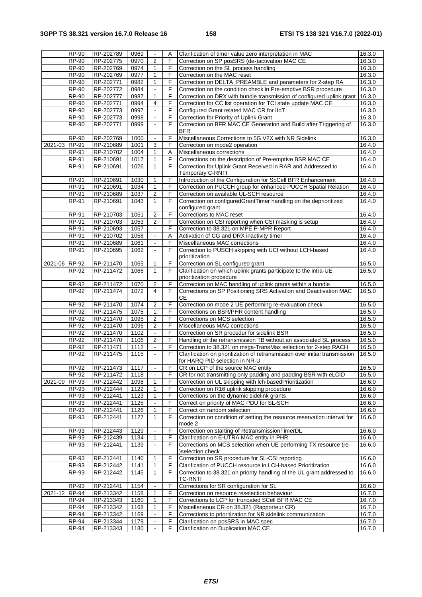|               | <b>RP-90</b> | RP-202789 | 0969 |                | Α  | Clarification of timer value zero interpretation in MAC                     | $\overline{16.3.0}$ |
|---------------|--------------|-----------|------|----------------|----|-----------------------------------------------------------------------------|---------------------|
|               | <b>RP-90</b> | RP-202775 | 0970 | $\overline{2}$ | F  | Correction on SP posSRS (de-)activation MAC CE                              | 16.3.0              |
|               | $RP-90$      | RP-202769 | 0974 | 1              | F  | Correction on the SL process handling                                       | 16.3.0              |
|               | <b>RP-90</b> | RP-202769 | 0977 | 1              | F  | Correction on the MAC reset                                                 | 16.3.0              |
|               | <b>RP-90</b> | RP-202771 | 0982 | 1              | F  | Correction on DELTA_PREAMBLE and parameters for 2-step RA                   | 16.3.0              |
|               | <b>RP-90</b> | RP-202772 | 0984 |                | F  | Correction on the condition check in Pre-emptive BSR procedure              | 16.3.0              |
|               | <b>RP-90</b> | RP-202777 | 0987 | 1              | F  | Correction on DRX with bundle transmission of configured uplink grant       | 16.3.0              |
|               | <b>RP-90</b> | RP-202771 | 0994 | 4              | F  | Correction for CC list operation for TCI state update MAC CE                | 16.3.0              |
|               | <b>RP-90</b> | RP-202773 | 0997 | $\blacksquare$ | F  | Configured Grant related MAC CR for IIoT                                    | 16.3.0              |
|               | <b>RP-90</b> | RP-202773 | 0998 | $\blacksquare$ | F  | Correction for Priority of Uplink Grant                                     | 16.3.0              |
|               | RP-90        | RP-202771 | 0999 |                | F  | Correction on BFR MAC CE Generation and Build after Triggering of           | 16.3.0              |
|               |              |           |      |                |    | <b>BFR</b>                                                                  |                     |
|               | <b>RP-90</b> | RP-202769 | 1000 |                | F  | Miscellaneous Corrections to 5G V2X with NR Sidelink                        | 16.3.0              |
| 2021-03 RP-91 |              | RP-210689 | 1001 | 3              | F  | Correction on mode2 operation                                               | 16.4.0              |
|               | <b>RP-91</b> | RP-210702 | 1004 | 1              | Α  | Miscellaneous corrections                                                   | 16.4.0              |
|               | <b>RP-91</b> | RP-210691 | 1017 | 1              | F  | Corrections on the description of Pre-emptive BSR MAC CE                    | 16.4.0              |
|               | RP-91        | RP-210691 | 1026 | $\mathbf{1}$   | F  | Correction for Uplink Grant Received in RAR and Addressed to                | 16.4.0              |
|               |              |           |      |                |    | Temporary C-RNTI                                                            |                     |
|               | <b>RP-91</b> | RP-210691 | 1030 | $\mathbf{1}$   | F  | Introduction of the Configuration for SpCell BFR Enhancement                | 16.4.0              |
|               | <b>RP-91</b> | RP-210691 | 1034 | 1              | F  | Correction on PUCCH group for enhanced PUCCH Spatial Relation               | 16.4.0              |
|               | <b>RP-91</b> | RP-210689 | 1037 | 2              | F  | Correction on available UL-SCH resource                                     | 16.4.0              |
|               | RP-91        | RP-210691 | 1043 | $\mathbf{1}$   | F  | Correction on configuredGrantTimer handling on the deprioritized            | 16.4.0              |
|               |              |           |      |                |    | configured grant                                                            |                     |
|               | $RP-91$      | RP-210703 | 1051 | 2              | F  | Corrections to MAC reset                                                    | 16.4.0              |
|               | <b>RP-91</b> | RP-210703 | 1053 | $\overline{2}$ | F  | Correction on CSI reporting when CSI masking is setup                       | 16.4.0              |
|               | <b>RP-91</b> | RP-210693 | 1057 |                | F  | Correction to 38.321 on MPE P-MPR Report                                    | 16.4.0              |
|               | <b>RP-91</b> | RP-210702 | 1058 |                | A  | Activation of CG and DRX inactivity timer                                   | 16.4.0              |
|               | <b>RP-91</b> | RP-210689 | 1061 | $\blacksquare$ | F  | Miscellaneous MAC corrections                                               | 16.4.0              |
|               | <b>RP-91</b> | RP-210695 | 1062 |                | F  | Correction to PUSCH skipping with UCI without LCH-based                     | 16.4.0              |
|               |              |           |      |                |    | prioritization                                                              |                     |
| 2021-06 RP-92 |              | RP-211470 | 1065 | 1              | F  | Correction on SL configured grant                                           | 16.5.0              |
|               | RP-92        | RP-211472 | 1066 | 1              | F  | Clarification on which uplink grants participate to the intra-UE            | 16.5.0              |
|               |              |           |      |                |    | prioritization procedure                                                    |                     |
|               | RP-92        | RP-211472 | 1070 | 2              | F  | Correction on MAC handling of uplink grants within a bundle                 | 16.5.0              |
|               | RP-92        | RP-211474 | 1072 | 4              | F  | Corrections on SP Positioning SRS Activation and Deactivation MAC           | 16.5.0              |
|               |              |           |      |                |    | CЕ                                                                          |                     |
|               | RP-92        | RP-211470 | 1074 | 2              | F  | Correction on mode 2 UE performing re-evaluation check                      | 16.5.0              |
|               | RP-92        | RP-211475 | 1075 | $\mathbf{1}$   | F  | Corrections on BSR/PHR content handling                                     | 16.5.0              |
|               | RP-92        | RP-211470 | 1095 | $\overline{2}$ | F  | Corrections on MCS selection                                                | 16.5.0              |
|               | RP-92        | RP-211470 | 1096 | 2              | F  | Miscellaneous MAC corrections                                               | 16.5.0              |
|               | $RP-92$      | RP-211470 | 1102 |                | F  | Correction on SR procedur for sidelink BSR                                  | 16.5.0              |
|               | RP-92        | RP-211470 | 1106 | $\overline{2}$ | F  | Handling of the retransmission TB without an associated SL process          | 16.5.0              |
|               | RP-92        | RP-211471 | 1112 | $\blacksquare$ | F. | Correction to 38.321 on msga-TransMax selection for 2-step RACH             | 16.5.0              |
|               | <b>RP-92</b> | RP-211475 | 1115 |                | F  | Clarification on prioritization of retransmission over initial transmission | 16.5.0              |
|               |              |           |      |                |    | for HARQ PID selection in NR-U                                              |                     |
|               | $RP-92$      | RP-211473 | 1117 |                | F  | CR on LCP of the source MAC entity                                          | 16.5.0              |
|               | RP-92        | RP-211472 | 1118 | $\blacksquare$ | F  | CR for not transmitting only padding and padding BSR with eLCID             | 16.5.0              |
| 2021-09 RP-93 |              | RP-212442 | 1098 | 1              | F  | Correction on UL skipping with Ich-basedPrioritization                      | 16.6.0              |
|               | RP-93        | RP-212444 | 1122 | 1              | F  | Correction on R16 uplink skipping procedure                                 | 16.6.0              |
|               | RP-93        | RP-212441 | 1123 | $\mathbf{1}$   | F  | Corrections on the dynamic sidelink grants                                  | 16.6.0              |
|               | RP-93        | RP-212441 | 1125 |                | F  | Correct on priority of MAC PDU for SL-SCH                                   | 16.6.0              |
|               | RP-93        | RP-212441 | 1126 | 1              | F  | Correct on random selection                                                 | 16.6.0              |
|               | RP-93        | RP-212441 | 1127 | $\mathbf{1}$   | F  | Correction on condition of setting the resource reservation interval for    | 16.6.0              |
|               |              |           |      |                |    | mode 2                                                                      |                     |
|               | RP-93        | RP-212443 | 1129 |                | F  | Correction on starting of RetransmissionTimerDL                             | 16.6.0              |
|               | RP-93        | RP-212439 | 1134 | 1              | F  | Clarification on E-UTRA MAC entity in PHR                                   | 16.6.0              |
|               | RP-93        | RP-212441 | 1139 |                | F  | Corrections on MCS selection when UE performing TX resource (re-            | 16.6.0              |
|               |              |           |      |                |    | )selection check                                                            |                     |
|               | RP-93        | RP-212441 | 1140 | 1              | F  | Correction on SR procedure for SL-CSI reporting                             | 16.6.0              |
|               | RP-93        | RP-212442 | 1141 | 1              | F  | Clarification of PUCCH resource in LCH-based Prioritization                 | 16.6.0              |
|               | RP-93        | RP-212442 | 1145 | $\mathbf{1}$   | F  | Correction to 38.321 on priority handling of the UL grant addressed to      | 16.6.0              |
|               |              |           |      |                |    | TC-RNTI                                                                     |                     |
|               | RP-93        | RP-212441 | 1154 |                | F  | Corrections for SR configuration for SL                                     | 16.6.0              |
| 2021-12 RP-94 |              | RP-213342 | 1158 | 1              | F  | Correction on resource reselection behaviour                                | 16.7.0              |
|               | <b>RP-94</b> | RP-213343 | 1160 | 1              | F  | Corrections to LCP for truncated SCell BFR MAC CE                           | 16.7.0              |
|               | <b>RP-94</b> | RP-213342 | 1168 | 1              | F  | Miscelleneous CR on 38.321 (Rapporteur CR)                                  | 16.7.0              |
|               | <b>RP-94</b> | RP-213342 | 1169 |                | F  | Corrections to prioritization for NR sidelink communication                 | 16.7.0              |
|               | <b>RP-94</b> | RP-213344 | 1179 |                | F  | Clarification on posSRS in MAC spec                                         | 16.7.0              |
|               | <b>RP-94</b> | RP-213343 | 1180 |                | F  | Clarification on Duplication MAC CE                                         | 16.7.0              |
|               |              |           |      |                |    |                                                                             |                     |